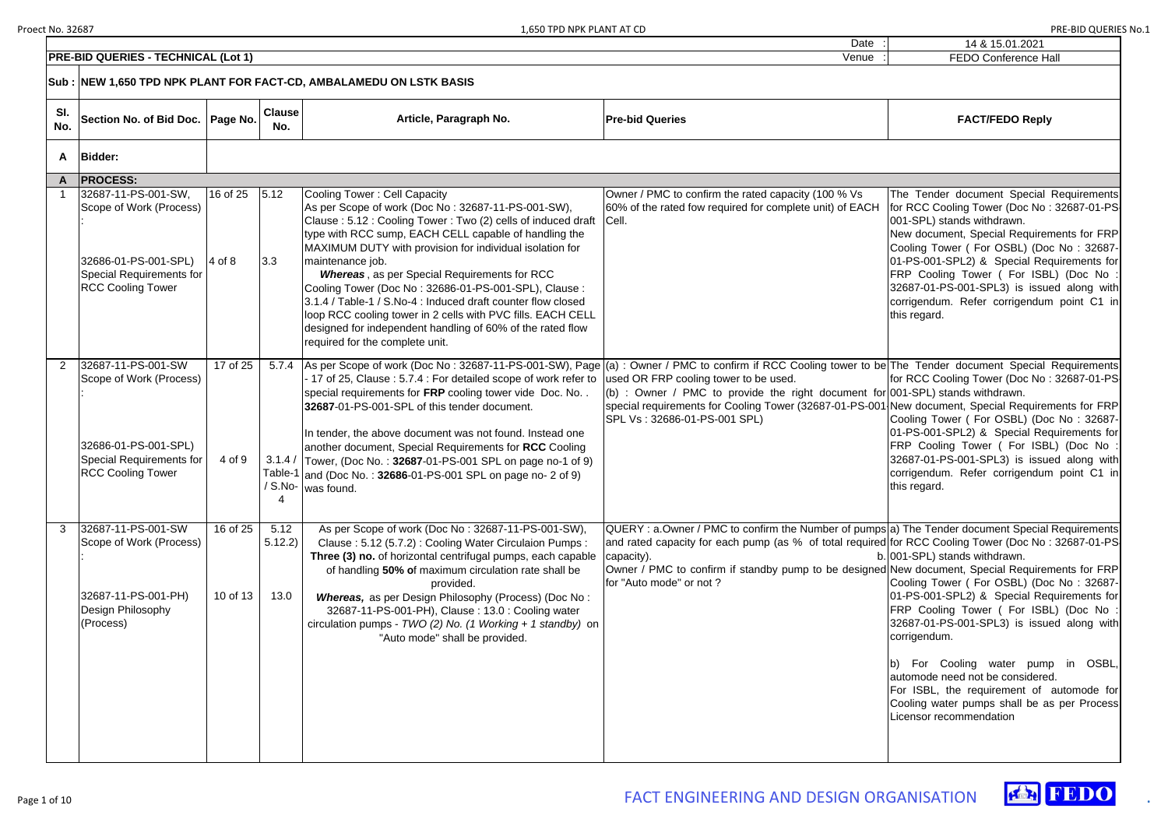| 14 & 15.01.2021             |
|-----------------------------|
| <b>FEDO Conference Hall</b> |



|                | <b>PRE-BID QUERIES - TECHNICAL (Lot 1)</b>                                                                                            |                      |                        |                                                                                                                                                                                                                                                                                                                                                                                                                                                                                                                                                                                                                                            | Venue                                                                                                                                                                                                                                                                                                                                                | <b>FEDO Conference Hall</b>                                                                                                                                                                                                                                                                                                                                                                                                   |  |
|----------------|---------------------------------------------------------------------------------------------------------------------------------------|----------------------|------------------------|--------------------------------------------------------------------------------------------------------------------------------------------------------------------------------------------------------------------------------------------------------------------------------------------------------------------------------------------------------------------------------------------------------------------------------------------------------------------------------------------------------------------------------------------------------------------------------------------------------------------------------------------|------------------------------------------------------------------------------------------------------------------------------------------------------------------------------------------------------------------------------------------------------------------------------------------------------------------------------------------------------|-------------------------------------------------------------------------------------------------------------------------------------------------------------------------------------------------------------------------------------------------------------------------------------------------------------------------------------------------------------------------------------------------------------------------------|--|
|                |                                                                                                                                       |                      |                        |                                                                                                                                                                                                                                                                                                                                                                                                                                                                                                                                                                                                                                            |                                                                                                                                                                                                                                                                                                                                                      |                                                                                                                                                                                                                                                                                                                                                                                                                               |  |
| SI.<br>No.     | Section No. of Bid Doc.   Page No.                                                                                                    |                      | <b>Clause</b><br>No.   | Article, Paragraph No.                                                                                                                                                                                                                                                                                                                                                                                                                                                                                                                                                                                                                     | <b>Pre-bid Queries</b>                                                                                                                                                                                                                                                                                                                               | <b>FACT/FEDO Reply</b>                                                                                                                                                                                                                                                                                                                                                                                                        |  |
| A              | Bidder:                                                                                                                               |                      |                        |                                                                                                                                                                                                                                                                                                                                                                                                                                                                                                                                                                                                                                            |                                                                                                                                                                                                                                                                                                                                                      |                                                                                                                                                                                                                                                                                                                                                                                                                               |  |
|                | A   PROCESS:                                                                                                                          |                      |                        |                                                                                                                                                                                                                                                                                                                                                                                                                                                                                                                                                                                                                                            |                                                                                                                                                                                                                                                                                                                                                      |                                                                                                                                                                                                                                                                                                                                                                                                                               |  |
|                | 32687-11-PS-001-SW,<br>Scope of Work (Process)<br>32686-01-PS-001-SPL)<br><b>Special Requirements for</b><br><b>RCC Cooling Tower</b> | 16 of 25<br>$4$ of 8 | 5.12<br>3.3            | Cooling Tower: Cell Capacity<br>As per Scope of work (Doc No: 32687-11-PS-001-SW),<br>Clause: 5.12: Cooling Tower: Two (2) cells of induced draft<br>type with RCC sump, EACH CELL capable of handling the<br>MAXIMUM DUTY with provision for individual isolation for<br>maintenance job.<br><b>Whereas</b> , as per Special Requirements for RCC<br>Cooling Tower (Doc No: 32686-01-PS-001-SPL), Clause:<br>3.1.4 / Table-1 / S.No-4 : Induced draft counter flow closed<br>loop RCC cooling tower in 2 cells with PVC fills. EACH CELL<br>designed for independent handling of 60% of the rated flow<br>required for the complete unit. | Owner / PMC to confirm the rated capacity (100 % Vs<br>60% of the rated fow required for complete unit) of EACH<br><b>ICell.</b>                                                                                                                                                                                                                     | The Tender document Special Requirements<br>for RCC Cooling Tower (Doc No: 32687-01-PS<br>001-SPL) stands withdrawn.<br>New document, Special Requirements for FRP<br>Cooling Tower ( For OSBL) (Doc No: 32687-<br>01-PS-001-SPL2) & Special Requirements for<br>FRP Cooling Tower (For ISBL) (Doc No:<br>32687-01-PS-001-SPL3) is issued along with<br>corrigendum. Refer corrigendum point C1 in<br>this regard.            |  |
| $\overline{2}$ | 32687-11-PS-001-SW<br>Scope of Work (Process)<br>32686-01-PS-001-SPL)<br><b>Special Requirements for</b><br><b>RCC Cooling Tower</b>  | 17 of 25<br>4 of 9   | 4                      | 5.7.4   As per Scope of work (Doc No: 32687-11-PS-001-SW), Page  (a): Owner / PMC to confirm if RCC Cooling tower to be The Tender document Special Requirements<br>- 17 of 25, Clause: 5.7.4: For detailed scope of work refer to<br>special requirements for FRP cooling tower vide Doc. No<br>32687-01-PS-001-SPL of this tender document.<br>In tender, the above document was not found. Instead one<br>another document, Special Requirements for RCC Cooling<br>3.1.4 / Tower, (Doc No.: 32687-01-PS-001 SPL on page no-1 of 9)<br>Table-1 and (Doc No.: 32686-01-PS-001 SPL on page no- 2 of 9)<br>$/$ S.No- was found.            | used OR FRP cooling tower to be used.<br>(b) : Owner / PMC to provide the right document for $[001$ -SPL) stands withdrawn.<br>special requirements for Cooling Tower (32687-01-PS-001 New document, Special Requirements for FRP<br>SPL Vs: 32686-01-PS-001 SPL)                                                                                    | for RCC Cooling Tower (Doc No: 32687-01-PS<br>Cooling Tower ( For OSBL) (Doc No: 32687-<br>01-PS-001-SPL2) & Special Requirements for<br>FRP Cooling Tower (For ISBL) (Doc No:<br>32687-01-PS-001-SPL3) is issued along with<br>corrigendum. Refer corrigendum point C1 in<br>this regard.                                                                                                                                    |  |
|                | 32687-11-PS-001-SW<br>Scope of Work (Process)<br>32687-11-PS-001-PH)<br>Design Philosophy<br>(Process)                                | 16 of 25<br>10 of 13 | 5.12<br>5.12.2<br>13.0 | As per Scope of work (Doc No: 32687-11-PS-001-SW),<br>Clause: 5.12 (5.7.2): Cooling Water Circulaion Pumps:<br>Three (3) no. of horizontal centrifugal pumps, each capable<br>of handling 50% of maximum circulation rate shall be<br>provided.<br><b>Whereas, as per Design Philosophy (Process) (Doc No:</b><br>32687-11-PS-001-PH), Clause: 13.0: Cooling water<br>circulation pumps - TWO (2) No. (1 Working + 1 standby) on<br>"Auto mode" shall be provided.                                                                                                                                                                         | QUERY: a.Owner / PMC to confirm the Number of pumps a) The Tender document Special Requirements<br>and rated capacity for each pump (as % of total required for RCC Cooling Tower (Doc No: 32687-01-PS<br>capacity).<br>Owner / PMC to confirm if standby pump to be designed New document, Special Requirements for FRP<br>for "Auto mode" or not ? | b. 001-SPL) stands withdrawn.<br>Cooling Tower ( For OSBL) (Doc No: 32687-<br>01-PS-001-SPL2) & Special Requirements for<br>FRP Cooling Tower (For ISBL) (Doc No:<br>32687-01-PS-001-SPL3) is issued along with<br>corrigendum.<br>For Cooling water pump in OSBL,<br>automode need not be considered.<br>For ISBL, the requirement of automode for<br>Cooling water pumps shall be as per Process<br>Licensor recommendation |  |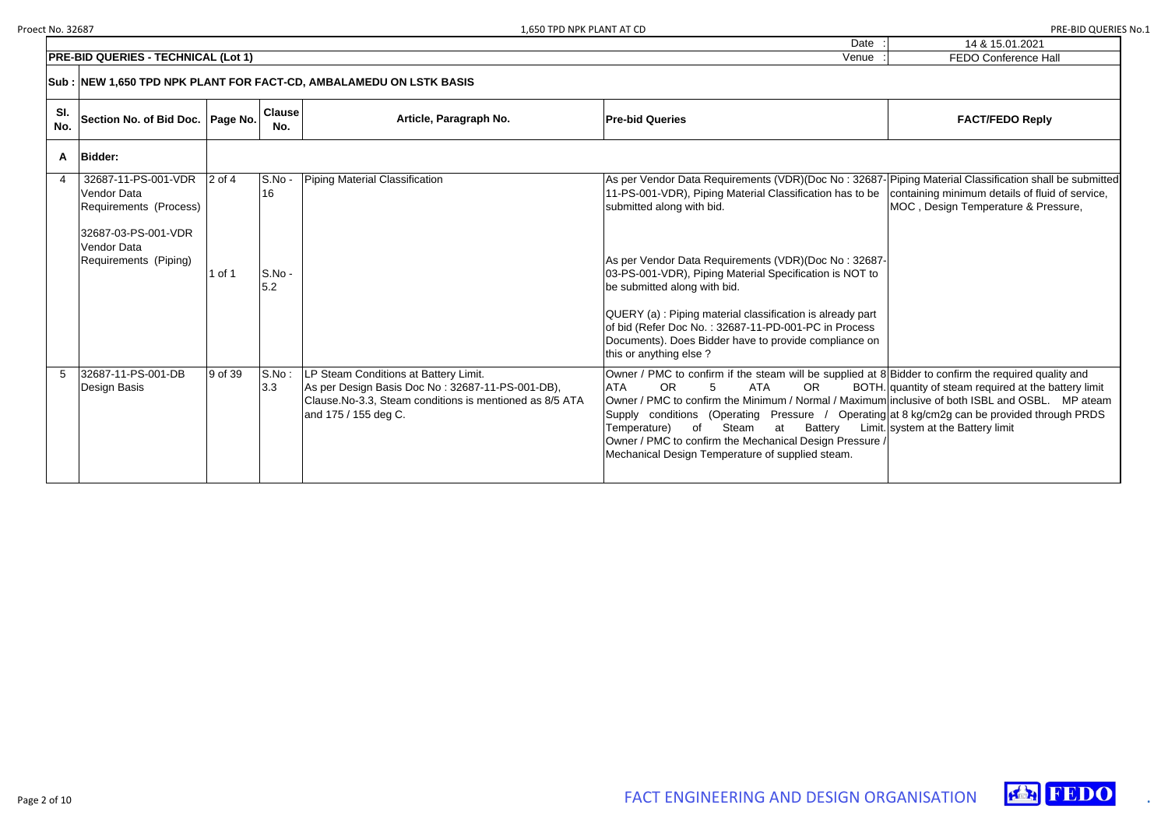| $\blacksquare$<br>٠. | 14 & 15.01.2021             |
|----------------------|-----------------------------|
| ٠.<br>٠.             | <b>FEDO Conference Hall</b> |

# **FACT/FEDO Reply**

Piping Material Classification shall be submitted containing minimum details of fluid of service, MOC, Design Temperature & Pressure,

Bidder to confirm the required quality and quantity of steam required at the battery limit inclusive of both ISBL and OSBL. MP ateam  $g$ at 8 kg/cm2g can be provided through PRDS system at the Battery limit





|            | <b>PRE-BID QUERIES - TECHNICAL (Lot 1)</b>                                                                                         |                      |                               |                                                                                                                                                                               | Venue :                                                                                                                                                                                                                                                                                                                                                                                                                                                                                                   |
|------------|------------------------------------------------------------------------------------------------------------------------------------|----------------------|-------------------------------|-------------------------------------------------------------------------------------------------------------------------------------------------------------------------------|-----------------------------------------------------------------------------------------------------------------------------------------------------------------------------------------------------------------------------------------------------------------------------------------------------------------------------------------------------------------------------------------------------------------------------------------------------------------------------------------------------------|
|            |                                                                                                                                    |                      |                               | Sub : NEW 1,650 TPD NPK PLANT FOR FACT-CD, AMBALAMEDU ON LSTK BASIS                                                                                                           |                                                                                                                                                                                                                                                                                                                                                                                                                                                                                                           |
| SI.<br>No. | Section No. of Bid Doc.                                                                                                            | Page No.             | <b>Clause</b><br>No.          | Article, Paragraph No.                                                                                                                                                        | <b>Pre-bid Queries</b>                                                                                                                                                                                                                                                                                                                                                                                                                                                                                    |
| A          | <b>Bidder:</b>                                                                                                                     |                      |                               |                                                                                                                                                                               |                                                                                                                                                                                                                                                                                                                                                                                                                                                                                                           |
| 4          | 32687-11-PS-001-VDR<br><b>Vendor Data</b><br>Requirements (Process)<br>32687-03-PS-001-VDR<br>Vendor Data<br>Requirements (Piping) | $2$ of $4$<br>1 of 1 | S.No -<br>16<br>S.No -<br>5.2 | Piping Material Classification                                                                                                                                                | As per Vendor Data Requirements (VDR)(Doc No: 32687-<br>11-PS-001-VDR), Piping Material Classification has to be<br>submitted along with bid.<br>As per Vendor Data Requirements (VDR)(Doc No: 32687-<br>03-PS-001-VDR), Piping Material Specification is NOT to<br>be submitted along with bid.<br>QUERY (a) : Piping material classification is already part<br>of bid (Refer Doc No.: 32687-11-PD-001-PC in Process<br>Documents). Does Bidder have to provide compliance on<br>this or anything else? |
| 5          | 32687-11-PS-001-DB<br>Design Basis                                                                                                 | 9 of 39              | S.No:<br>3.3                  | LP Steam Conditions at Battery Limit.<br>As per Design Basis Doc No: 32687-11-PS-001-DB),<br>Clause. No-3.3, Steam conditions is mentioned as 8/5 ATA<br>and 175 / 155 deg C. | Owner / PMC to confirm if the steam will be supplied at 8<br><b>OR</b><br><b>ATA</b><br><b>ATA</b><br>5<br><b>OR</b><br>BOTH.<br>Owner / PMC to confirm the Minimum / Normal / Maximum<br>Supply conditions (Operating Pressure / Operating<br>Temperature)<br>of<br>Steam<br>at<br><b>Battery</b><br>Limit.<br>Owner / PMC to confirm the Mechanical Design Pressure /<br>Mechanical Design Temperature of supplied steam.                                                                               |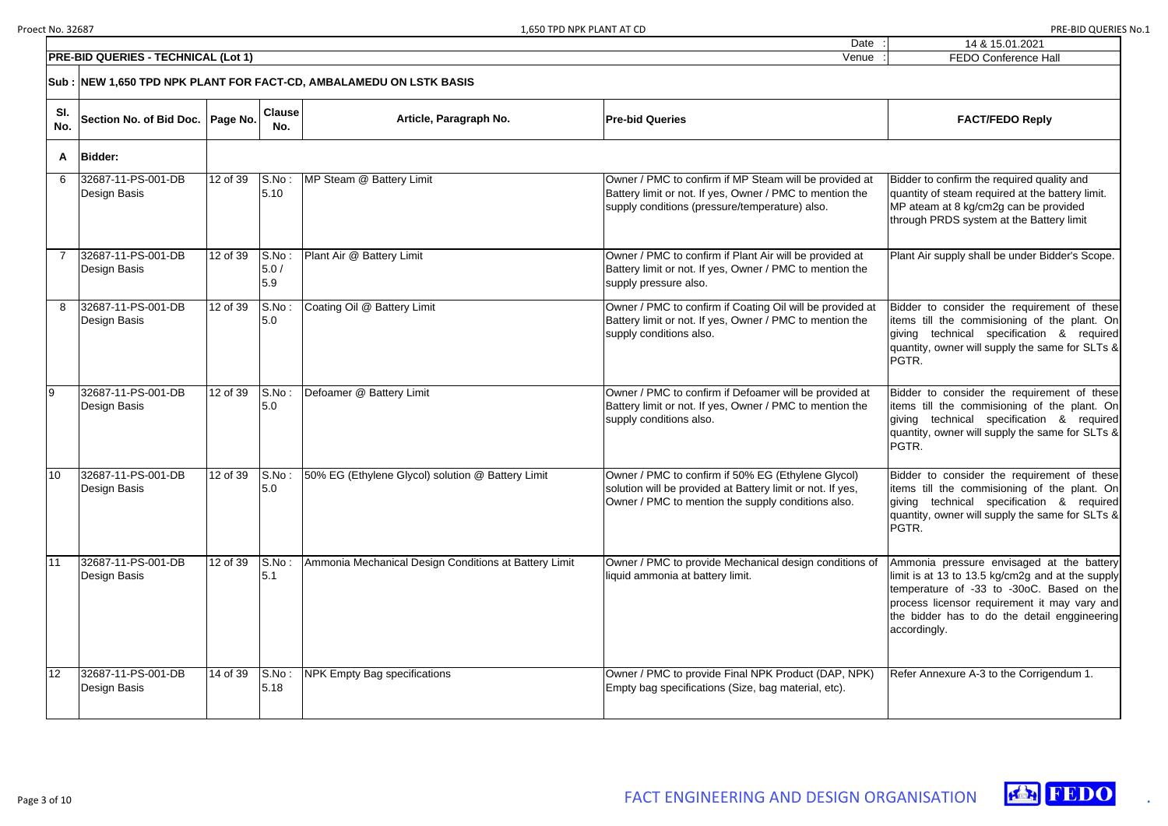Date

| 14 & 15.01.2021             |
|-----------------------------|
| <b>FEDO Conference Hall</b> |

Bidder to confirm the required quality and quantity of steam required at the battery limit. MP ateam at 8 kg/cm2g can be provided through PRDS system at the Battery limit

Plant Air supply shall be under Bidder's Scope.

Bidder to consider the requirement of these items till the commisioning of the plant. On giving technical specification & required quantity, owner will supply the same for SLTs & PGTR.

|            | <b>PRE-BID QUERIES - TECHNICAL (Lot 1)</b> |          |                      |                                                                     | Venue                                                                                                                                                                  | FEDO Conference Ha                                                                                                                                                                         |
|------------|--------------------------------------------|----------|----------------------|---------------------------------------------------------------------|------------------------------------------------------------------------------------------------------------------------------------------------------------------------|--------------------------------------------------------------------------------------------------------------------------------------------------------------------------------------------|
|            |                                            |          |                      | Sub : NEW 1,650 TPD NPK PLANT FOR FACT-CD, AMBALAMEDU ON LSTK BASIS |                                                                                                                                                                        |                                                                                                                                                                                            |
| SI.<br>No. | Section No. of Bid Doc.   Page No.         |          | <b>Clause</b><br>No. | Article, Paragraph No.                                              | <b>Pre-bid Queries</b>                                                                                                                                                 | <b>FACT/FEDO Reply</b>                                                                                                                                                                     |
| A          | <b>Bidder:</b>                             |          |                      |                                                                     |                                                                                                                                                                        |                                                                                                                                                                                            |
| 6          | 32687-11-PS-001-DB<br>Design Basis         | 12 of 39 | S.No:<br>5.10        | MP Steam @ Battery Limit                                            | Owner / PMC to confirm if MP Steam will be provided at<br>Battery limit or not. If yes, Owner / PMC to mention the<br>supply conditions (pressure/temperature) also.   | Bidder to confirm the required qua<br>quantity of steam required at the b<br>MP ateam at 8 kg/cm2g can be pr<br>through PRDS system at the Batte                                           |
|            | 32687-11-PS-001-DB<br>Design Basis         | 12 of 39 | S.No:<br>5.0/<br>5.9 | Plant Air @ Battery Limit                                           | Owner / PMC to confirm if Plant Air will be provided at<br>Battery limit or not. If yes, Owner / PMC to mention the<br>supply pressure also.                           | Plant Air supply shall be under Bio                                                                                                                                                        |
| 8          | 32687-11-PS-001-DB<br>Design Basis         | 12 of 39 | S.No:<br>5.0         | Coating Oil @ Battery Limit                                         | Owner / PMC to confirm if Coating Oil will be provided at<br>Battery limit or not. If yes, Owner / PMC to mention the<br>supply conditions also.                       | Bidder to consider the requiren<br>items till the commisioning of t<br>technical specification<br>giving<br>quantity, owner will supply the sar<br>PGTR.                                   |
| 9          | 32687-11-PS-001-DB<br>Design Basis         | 12 of 39 | S.No:<br>5.0         | Defoamer @ Battery Limit                                            | Owner / PMC to confirm if Defoamer will be provided at<br>Battery limit or not. If yes, Owner / PMC to mention the<br>supply conditions also.                          | Bidder to consider the requiren<br>items till the commisioning of t<br>technical specification<br>giving<br>quantity, owner will supply the sar<br>PGTR.                                   |
| 10         | 32687-11-PS-001-DB<br>Design Basis         | 12 of 39 | S.No:<br>5.0         | 50% EG (Ethylene Glycol) solution @ Battery Limit                   | Owner / PMC to confirm if 50% EG (Ethylene Glycol)<br>solution will be provided at Battery limit or not. If yes,<br>Owner / PMC to mention the supply conditions also. | Bidder to consider the requiren<br>items till the commisioning of t<br>giving technical specification<br>quantity, owner will supply the sar<br>PGTR.                                      |
| 11         | 32687-11-PS-001-DB<br>Design Basis         | 12 of 39 | S.No:<br>5.1         | Ammonia Mechanical Design Conditions at Battery Limit               | Owner / PMC to provide Mechanical design conditions of<br>liquid ammonia at battery limit.                                                                             | Ammonia pressure envisaged a<br>limit is at 13 to 13.5 kg/cm2g and<br>temperature of -33 to -30oC. E<br>process licensor requirement it<br>the bidder has to do the detail<br>accordingly. |
| 12         | 32687-11-PS-001-DB<br>Design Basis         | 14 of 39 | S.No:<br>5.18        | <b>NPK Empty Bag specifications</b>                                 | Owner / PMC to provide Final NPK Product (DAP, NPK)<br>Empty bag specifications (Size, bag material, etc).                                                             | Refer Annexure A-3 to the Corrige                                                                                                                                                          |

Bidder to consider the requirement of these items till the commisioning of the plant. On giving technical specification & required quantity, owner will supply the same for SLTs & PGTR.

Bidder to consider the requirement of these items till the commisioning of the plant. On giving technical specification & required quantity, owner will supply the same for SLTs & PGTR.

Ammonia pressure envisaged at the battery limit is at 13 to 13.5 kg/cm2g and at the supply temperature of -33 to -30oC. Based on the process licensor requirement it may vary and the bidder has to do the detail enggineering accordingly.

Refer Annexure A-3 to the Corrigendum 1.



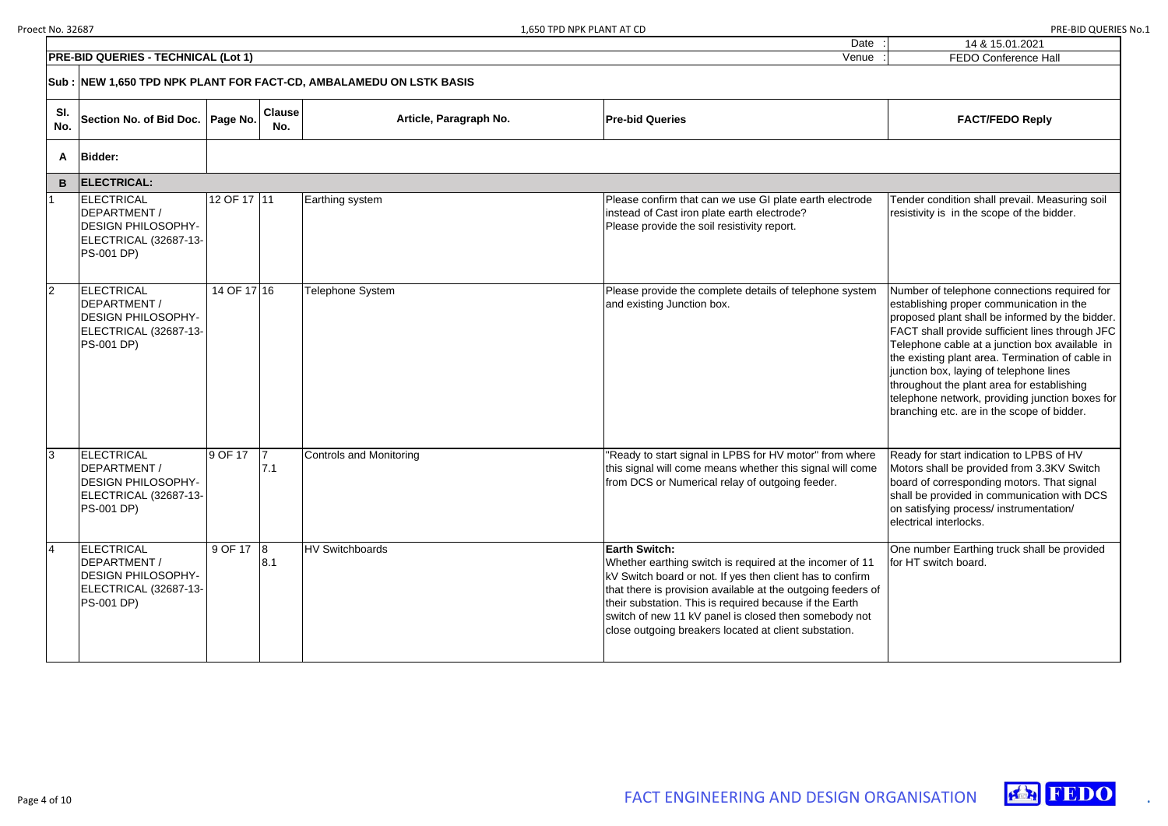| 14 & 15.01.2021             |
|-----------------------------|
| <b>FEDO Conference Hall</b> |

Tender condition shall prevail. Measuring soil resistivity is in the scope of the bidder.

Number of telephone connections required for establishing proper communication in the proposed plant shall be informed by the bidder. FACT shall provide sufficient lines through JFC Telephone cable at a junction box available in the existing plant area. Termination of cable in junction box, laying of telephone lines throughout the plant area for establishing telephone network, providing junction boxes for branching etc. are in the scope of bidder.

|                | <b>PRE-BID QUERIES - TECHNICAL (Lot 1)</b>                                                                   |             |                      |                         | Venue                                                                                                                                                                                                                                                                                                                                                                                      | FEDO Conference Ha                                                                                                                                                                                                                                                                                                                                                                 |
|----------------|--------------------------------------------------------------------------------------------------------------|-------------|----------------------|-------------------------|--------------------------------------------------------------------------------------------------------------------------------------------------------------------------------------------------------------------------------------------------------------------------------------------------------------------------------------------------------------------------------------------|------------------------------------------------------------------------------------------------------------------------------------------------------------------------------------------------------------------------------------------------------------------------------------------------------------------------------------------------------------------------------------|
|                | Sub :  NEW 1,650 TPD NPK PLANT FOR FACT-CD, AMBALAMEDU ON LSTK BASIS                                         |             |                      |                         |                                                                                                                                                                                                                                                                                                                                                                                            |                                                                                                                                                                                                                                                                                                                                                                                    |
| SI.<br>No.     | Section No. of Bid Doc.   Page No.                                                                           |             | <b>Clause</b><br>No. | Article, Paragraph No.  | <b>Pre-bid Queries</b>                                                                                                                                                                                                                                                                                                                                                                     | <b>FACT/FEDO Reply</b>                                                                                                                                                                                                                                                                                                                                                             |
| A              | <b>Bidder:</b>                                                                                               |             |                      |                         |                                                                                                                                                                                                                                                                                                                                                                                            |                                                                                                                                                                                                                                                                                                                                                                                    |
| B              | <b>ELECTRICAL:</b>                                                                                           |             |                      |                         |                                                                                                                                                                                                                                                                                                                                                                                            |                                                                                                                                                                                                                                                                                                                                                                                    |
|                | ELECTRICAL<br>DEPARTMENT /<br><b>DESIGN PHILOSOPHY-</b><br>ELECTRICAL (32687-13-<br><b>PS-001 DP)</b>        | 12 OF 17 11 |                      | Earthing system         | Please confirm that can we use GI plate earth electrode<br>instead of Cast iron plate earth electrode?<br>Please provide the soil resistivity report.                                                                                                                                                                                                                                      | Tender condition shall prevail. Me<br>resistivity is in the scope of the bi                                                                                                                                                                                                                                                                                                        |
| $\overline{2}$ | ELECTRICAL<br>DEPARTMENT /<br><b>DESIGN PHILOSOPHY-</b><br>ELECTRICAL (32687-13-<br><b>PS-001 DP)</b>        | 14 OF 17 16 |                      | Telephone System        | Please provide the complete details of telephone system<br>and existing Junction box.                                                                                                                                                                                                                                                                                                      | Number of telephone connections<br>establishing proper communicatio<br>proposed plant shall be informed<br>FACT shall provide sufficient lines<br>Telephone cable at a junction box<br>the existing plant area. Terminatic<br>junction box, laying of telephone I<br>throughout the plant area for esta<br>telephone network, providing junc<br>branching etc. are in the scope of |
| 3              | ELECTRICAL<br>DEPARTMENT /<br><b>DESIGN PHILOSOPHY-</b><br>ELECTRICAL (32687-13-<br><b>PS-001 DP)</b>        | 9 OF 17     | 7.1                  | Controls and Monitoring | "Ready to start signal in LPBS for HV motor" from where<br>this signal will come means whether this signal will come<br>from DCS or Numerical relay of outgoing feeder.                                                                                                                                                                                                                    | Ready for start indication to LPBS<br>Motors shall be provided from 3.3<br>board of corresponding motors. T<br>shall be provided in communicatio<br>on satisfying process/ instrumenta<br>electrical interlocks.                                                                                                                                                                   |
| $\overline{4}$ | <b>ELECTRICAL</b><br>DEPARTMENT /<br><b>DESIGN PHILOSOPHY-</b><br>ELECTRICAL (32687-13-<br><b>PS-001 DP)</b> | 9 OF 17 8   | 8.1                  | <b>HV Switchboards</b>  | <b>Earth Switch:</b><br>Whether earthing switch is required at the incomer of 11<br>kV Switch board or not. If yes then client has to confirm<br>that there is provision available at the outgoing feeders of<br>their substation. This is required because if the Earth<br>switch of new 11 kV panel is closed then somebody not<br>close outgoing breakers located at client substation. | One number Earthing truck shall b<br>for HT switch board.                                                                                                                                                                                                                                                                                                                          |

Ready for start indication to LPBS of HV Motors shall be provided from 3.3KV Switch board of corresponding motors. That signal shall be provided in communication with DCS on satisfying process/ instrumentation/ electrical interlocks.

One number Earthing truck shall be provided for HT switch board.

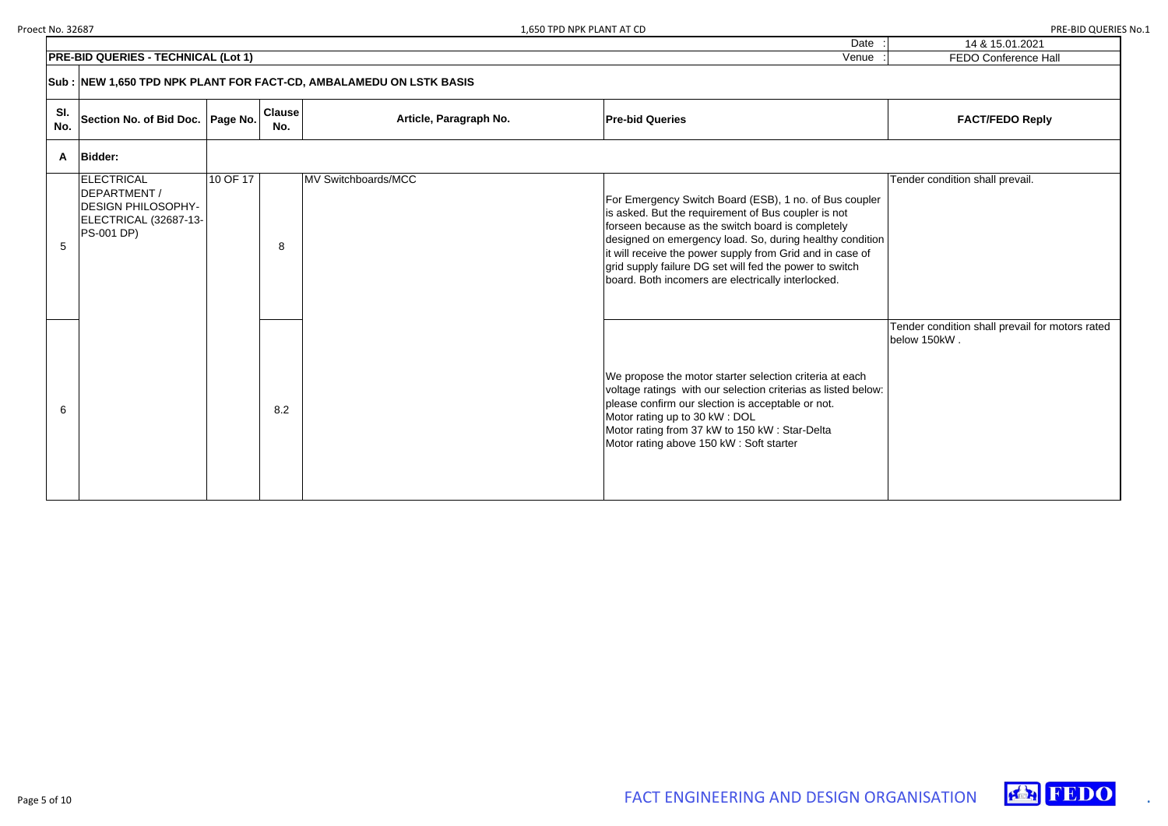| Date |  |
|------|--|
|      |  |

| 1,650 TPD NPK PLANT AT CD                                                                                     | PRE-BID QUERIES No.1                            |
|---------------------------------------------------------------------------------------------------------------|-------------------------------------------------|
| Date                                                                                                          | 14 & 15.01.2021                                 |
| Venue                                                                                                         | <b>FEDO Conference Hall</b>                     |
|                                                                                                               |                                                 |
| <b>Pre-bid Queries</b>                                                                                        | <b>FACT/FEDO Reply</b>                          |
|                                                                                                               |                                                 |
|                                                                                                               | Tender condition shall prevail.                 |
| For Emergency Switch Board (ESB), 1 no. of Bus coupler<br>is asked. But the requirement of Bus coupler is not |                                                 |
| forseen because as the switch board is completely<br>designed on emergency load. So, during healthy condition |                                                 |
| it will receive the power supply from Grid and in case of                                                     |                                                 |
| grid supply failure DG set will fed the power to switch                                                       |                                                 |
| board. Both incomers are electrically interlocked.                                                            |                                                 |
|                                                                                                               |                                                 |
|                                                                                                               | Tender condition shall prevail for motors rated |
|                                                                                                               | below 150kW.                                    |
|                                                                                                               |                                                 |
| We propose the motor starter selection criteria at each                                                       |                                                 |
| voltage ratings with our selection criterias as listed below:                                                 |                                                 |



|                | PRE-BID QUERIES - TECHNICAL (Lot 1)                                                                   |          |                      |                                                                     | Venue                                                                                                                                                                                                                                                                                                                                                                                                        | FEDO Conference Ha                                 |
|----------------|-------------------------------------------------------------------------------------------------------|----------|----------------------|---------------------------------------------------------------------|--------------------------------------------------------------------------------------------------------------------------------------------------------------------------------------------------------------------------------------------------------------------------------------------------------------------------------------------------------------------------------------------------------------|----------------------------------------------------|
|                |                                                                                                       |          |                      | Sub : NEW 1,650 TPD NPK PLANT FOR FACT-CD, AMBALAMEDU ON LSTK BASIS |                                                                                                                                                                                                                                                                                                                                                                                                              |                                                    |
| SI.<br>No.     | Section No. of Bid Doc.   Page No.                                                                    |          | <b>Clause</b><br>No. | Article, Paragraph No.                                              | <b>Pre-bid Queries</b>                                                                                                                                                                                                                                                                                                                                                                                       | <b>FACT/FEDO Reply</b>                             |
| A              | <b>Bidder:</b>                                                                                        |          |                      |                                                                     |                                                                                                                                                                                                                                                                                                                                                                                                              |                                                    |
| $\overline{5}$ | ELECTRICAL<br>DEPARTMENT /<br><b>DESIGN PHILOSOPHY-</b><br>ELECTRICAL (32687-13-<br><b>PS-001 DP)</b> | 10 OF 17 | 8                    | MV Switchboards/MCC                                                 | For Emergency Switch Board (ESB), 1 no. of Bus coupler<br>is asked. But the requirement of Bus coupler is not<br>forseen because as the switch board is completely<br>designed on emergency load. So, during healthy condition<br>it will receive the power supply from Grid and in case of<br>grid supply failure DG set will fed the power to switch<br>board. Both incomers are electrically interlocked. | Tender condition shall prevail.                    |
| 6              |                                                                                                       |          | 8.2                  |                                                                     | We propose the motor starter selection criteria at each<br>voltage ratings with our selection criterias as listed below:<br>please confirm our slection is acceptable or not.<br>Motor rating up to 30 kW: DOL<br>Motor rating from 37 kW to 150 kW: Star-Delta<br>Motor rating above 150 kW: Soft starter                                                                                                   | Tender condition shall prevail for<br>below 150kW. |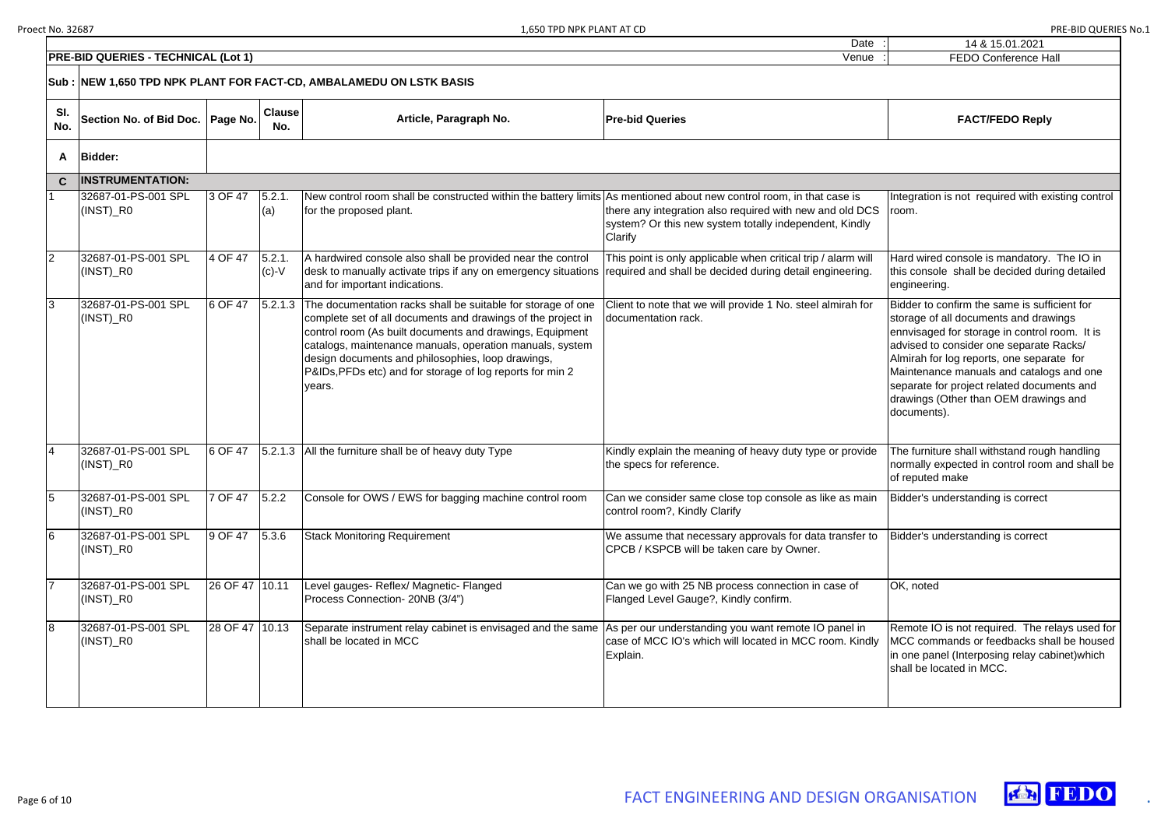Date

| $\blacksquare$<br>$\blacksquare$ | 14 & 15.01.2021             |
|----------------------------------|-----------------------------|
| $\blacksquare$<br>$\sim$         | <b>FEDO Conference Hall</b> |



|                | PRE-BID QUERIES - TECHNICAL (Lot 1)                  | <b>FEDO Conference Hall</b> |                      |                                                                                                                                                                                                                                                                                                                                                                                           |                                                                                                                               |                                                                                                                                                                                                                                                                                                                                                                                  |
|----------------|------------------------------------------------------|-----------------------------|----------------------|-------------------------------------------------------------------------------------------------------------------------------------------------------------------------------------------------------------------------------------------------------------------------------------------------------------------------------------------------------------------------------------------|-------------------------------------------------------------------------------------------------------------------------------|----------------------------------------------------------------------------------------------------------------------------------------------------------------------------------------------------------------------------------------------------------------------------------------------------------------------------------------------------------------------------------|
|                |                                                      |                             |                      | Sub : NEW 1,650 TPD NPK PLANT FOR FACT-CD, AMBALAMEDU ON LSTK BASIS                                                                                                                                                                                                                                                                                                                       |                                                                                                                               |                                                                                                                                                                                                                                                                                                                                                                                  |
| SI.<br>No.     | <b>Section No. of Bid Doc.</b>                       | Page No.                    | <b>Clause</b><br>No. | Article, Paragraph No.                                                                                                                                                                                                                                                                                                                                                                    | <b>Pre-bid Queries</b>                                                                                                        | <b>FACT/FEDO Reply</b>                                                                                                                                                                                                                                                                                                                                                           |
| A              | <b>Bidder:</b>                                       |                             |                      |                                                                                                                                                                                                                                                                                                                                                                                           |                                                                                                                               |                                                                                                                                                                                                                                                                                                                                                                                  |
| $\mathbf{C}$   | <b>INSTRUMENTATION:</b>                              |                             |                      |                                                                                                                                                                                                                                                                                                                                                                                           |                                                                                                                               |                                                                                                                                                                                                                                                                                                                                                                                  |
|                | 32687-01-PS-001 SPL<br>$(INST)$ <sub>R0</sub>        | 3 OF 47                     | 5.2.1<br>(a)         | New control room shall be constructed within the battery limits As mentioned about new control room, in that case is<br>for the proposed plant.                                                                                                                                                                                                                                           | there any integration also required with new and old DCS<br>system? Or this new system totally independent, Kindly<br>Clarify | Integration is not required with existing control<br>room.                                                                                                                                                                                                                                                                                                                       |
| $\overline{2}$ | 32687-01-PS-001 SPL<br>(INST)_R0                     | 4 OF 47                     | 5.2.1.<br>$(c)-V$    | A hardwired console also shall be provided near the control<br>desk to manually activate trips if any on emergency situations required and shall be decided during detail engineering.<br>and for important indications.                                                                                                                                                                  | This point is only applicable when critical trip / alarm will                                                                 | Hard wired console is mandatory. The IO in<br>this console shall be decided during detailed<br>engineering.                                                                                                                                                                                                                                                                      |
| 3              | 32687-01-PS-001 SPL<br>(INST)_R0                     | 6 OF 47                     |                      | [5.2.1.3 The documentation racks shall be suitable for storage of one<br>complete set of all documents and drawings of the project in<br>control room (As built documents and drawings, Equipment<br>catalogs, maintenance manuals, operation manuals, system<br>design documents and philosophies, loop drawings,<br>P&IDs, PFDs etc) and for storage of log reports for min 2<br>vears. | Client to note that we will provide 1 No. steel almirah for<br>documentation rack.                                            | Bidder to confirm the same is sufficient for<br>storage of all documents and drawings<br>ennvisaged for storage in control room. It is<br>advised to consider one separate Racks/<br>Almirah for log reports, one separate for<br>Maintenance manuals and catalogs and one<br>separate for project related documents and<br>drawings (Other than OEM drawings and<br>documents). |
| 4              | 32687-01-PS-001 SPL<br>(INST)_R0                     | 6 OF 47                     |                      | [5.2.1.3 All the furniture shall be of heavy duty Type                                                                                                                                                                                                                                                                                                                                    | Kindly explain the meaning of heavy duty type or provide<br>the specs for reference.                                          | The furniture shall withstand rough handling<br>normally expected in control room and shall be<br>of reputed make                                                                                                                                                                                                                                                                |
| 5              | 32687-01-PS-001 SPL<br>$(INST)$ <sub>R0</sub>        | 7 OF 47                     | 5.2.2                | Console for OWS / EWS for bagging machine control room                                                                                                                                                                                                                                                                                                                                    | Can we consider same close top console as like as main<br>control room?, Kindly Clarify                                       | Bidder's understanding is correct                                                                                                                                                                                                                                                                                                                                                |
| 6              | 32687-01-PS-001 SPL<br>$($ INST $)$ <sub>_R0</sub>   | 9 OF 47                     | 5.3.6                | <b>Stack Monitoring Requirement</b>                                                                                                                                                                                                                                                                                                                                                       | We assume that necessary approvals for data transfer to<br>CPCB / KSPCB will be taken care by Owner.                          | Bidder's understanding is correct                                                                                                                                                                                                                                                                                                                                                |
|                | 32687-01-PS-001 SPL<br>$\lfloor$ (INST) $\lfloor$ R0 | 26 OF 47 10.11              |                      | Level gauges- Reflex/ Magnetic- Flanged<br>Process Connection- 20NB (3/4")                                                                                                                                                                                                                                                                                                                | Can we go with 25 NB process connection in case of<br>Flanged Level Gauge?, Kindly confirm.                                   | OK, noted                                                                                                                                                                                                                                                                                                                                                                        |
| 8              | 32687-01-PS-001 SPL<br>$(INST)$ <sub>R0</sub>        | 28 OF 47 10.13              |                      | Separate instrument relay cabinet is envisaged and the same<br>shall be located in MCC                                                                                                                                                                                                                                                                                                    | As per our understanding you want remote IO panel in<br>case of MCC IO's which will located in MCC room. Kindly<br>Explain.   | Remote IO is not required. The relays used for<br>MCC commands or feedbacks shall be housed<br>in one panel (Interposing relay cabinet) which<br>shall be located in MCC.                                                                                                                                                                                                        |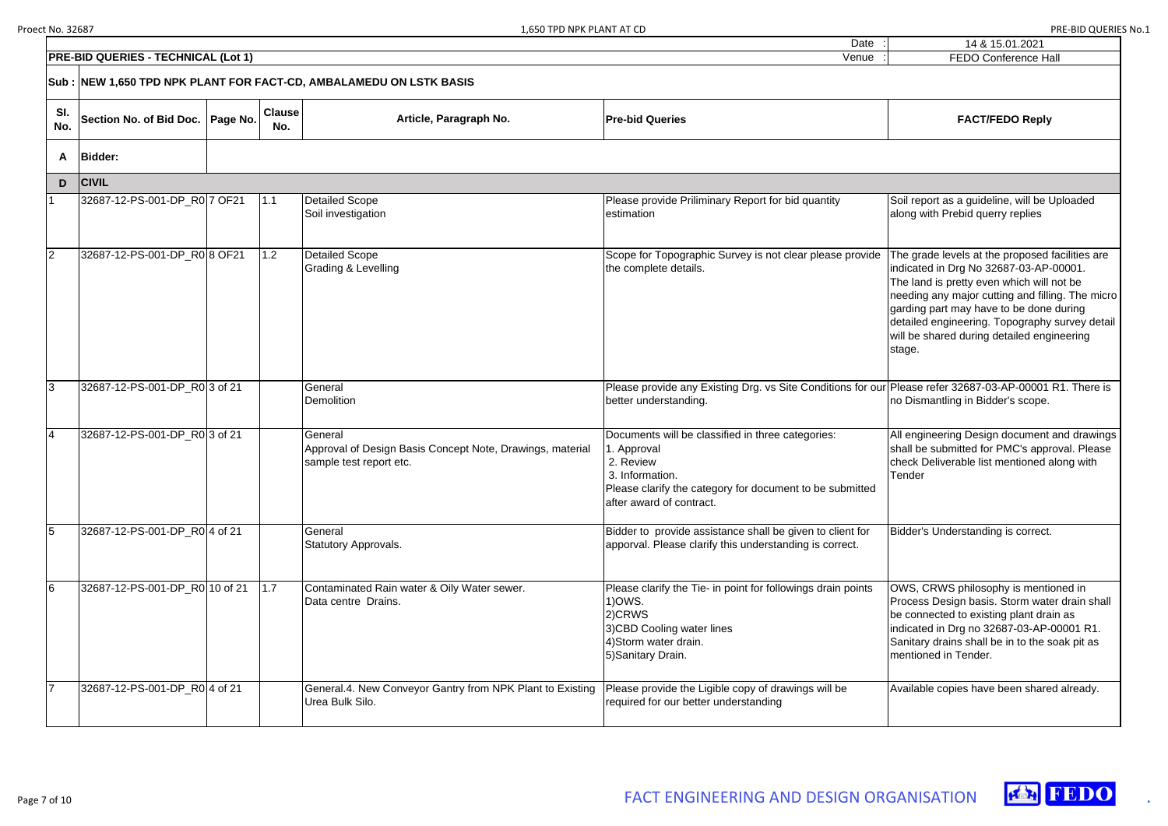|    | 14 & 15.01.2021<br><b>FEDO Conference Hall</b>                                                                                                                                                                                                                                                                                                  |
|----|-------------------------------------------------------------------------------------------------------------------------------------------------------------------------------------------------------------------------------------------------------------------------------------------------------------------------------------------------|
|    |                                                                                                                                                                                                                                                                                                                                                 |
|    |                                                                                                                                                                                                                                                                                                                                                 |
|    | <b>FACT/FEDO Reply</b>                                                                                                                                                                                                                                                                                                                          |
|    |                                                                                                                                                                                                                                                                                                                                                 |
|    |                                                                                                                                                                                                                                                                                                                                                 |
|    | Soil report as a guideline, will be Uploaded<br>along with Prebid querry replies                                                                                                                                                                                                                                                                |
|    | The grade levels at the proposed facilities are<br>indicated in Drg No 32687-03-AP-00001.<br>The land is pretty even which will not be<br>needing any major cutting and filling. The micro<br>garding part may have to be done during<br>detailed engineering. Topography survey detail<br>will be shared during detailed engineering<br>stage. |
| ır | Please refer 32687-03-AP-00001 R1. There is<br>no Dismantling in Bidder's scope.                                                                                                                                                                                                                                                                |
|    | All engineering Design document and drawings<br>shall be submitted for PMC's approval. Please<br>check Deliverable list mentioned along with<br>Tender                                                                                                                                                                                          |
|    | Bidder's Understanding is correct.                                                                                                                                                                                                                                                                                                              |
|    | OWS, CRWS philosophy is mentioned in<br>Process Design basis. Storm water drain shall<br>be connected to existing plant drain as<br>indicated in Drg no 32687-03-AP-00001 R1.<br>Sanitary drains shall be in to the soak pit as<br>mentioned in Tender.                                                                                         |
|    | Available copies have been shared already.                                                                                                                                                                                                                                                                                                      |





|                | <b>PRE-BID QUERIES - TECHNICAL (Lot 1)</b> |                      |                                                                                                 | Venue                                                                                                                                                                                    | FEDO Conference Ha                                                                                                                                                                                                                                                        |
|----------------|--------------------------------------------|----------------------|-------------------------------------------------------------------------------------------------|------------------------------------------------------------------------------------------------------------------------------------------------------------------------------------------|---------------------------------------------------------------------------------------------------------------------------------------------------------------------------------------------------------------------------------------------------------------------------|
|                |                                            |                      | Sub: NEW 1,650 TPD NPK PLANT FOR FACT-CD, AMBALAMEDU ON LSTK BASIS                              |                                                                                                                                                                                          |                                                                                                                                                                                                                                                                           |
| SI.<br>No.     | Section No. of Bid Doc.   Page No.         | <b>Clause</b><br>No. | Article, Paragraph No.                                                                          | <b>Pre-bid Queries</b>                                                                                                                                                                   | <b>FACT/FEDO Reply</b>                                                                                                                                                                                                                                                    |
| A              | <b>Bidder:</b>                             |                      |                                                                                                 |                                                                                                                                                                                          |                                                                                                                                                                                                                                                                           |
| D              | <b>CIVIL</b>                               |                      |                                                                                                 |                                                                                                                                                                                          |                                                                                                                                                                                                                                                                           |
| $\mathbf{1}$   | 32687-12-PS-001-DP_R0 7 OF21               | 1.1                  | Detailed Scope<br>Soil investigation                                                            | Please provide Priliminary Report for bid quantity<br>estimation                                                                                                                         | Soil report as a guideline, will be I<br>along with Prebid querry replies                                                                                                                                                                                                 |
| $\overline{2}$ | 32687-12-PS-001-DP_R08 OF21                | 1.2                  | Detailed Scope<br><b>Grading &amp; Levelling</b>                                                | Scope for Topographic Survey is not clear please provide<br>the complete details.                                                                                                        | The grade levels at the proposed<br>indicated in Drg No 32687-03-AP-<br>The land is pretty even which will<br>needing any major cutting and filli<br>garding part may have to be done<br>detailed engineering. Topography<br>will be shared during detailed eng<br>stage. |
| 3              | 32687-12-PS-001-DP_R0 3 of 21              |                      | General<br>Demolition                                                                           | Please provide any Existing Drg. vs Site Conditions for our Please refer 32687-03-AP-00001<br>better understanding.                                                                      | no Dismantling in Bidder's scope.                                                                                                                                                                                                                                         |
| 4              | 32687-12-PS-001-DP R0 3 of 21              |                      | General<br>Approval of Design Basis Concept Note, Drawings, material<br>sample test report etc. | Documents will be classified in three categories:<br>1. Approval<br>2. Review<br>3. Information.<br>Please clarify the category for document to be submitted<br>after award of contract. | All engineering Design document<br>shall be submitted for PMC's appr<br>check Deliverable list mentioned a<br>Tender                                                                                                                                                      |
| 5              | 32687-12-PS-001-DP_R0 4 of 21              |                      | General<br>Statutory Approvals.                                                                 | Bidder to provide assistance shall be given to client for<br>apporval. Please clarify this understanding is correct.                                                                     | Bidder's Understanding is correct.                                                                                                                                                                                                                                        |
| 6              | 32687-12-PS-001-DP_R0 10 of 21             | 1.7                  | Contaminated Rain water & Oily Water sewer.<br>Data centre Drains.                              | Please clarify the Tie- in point for followings drain points<br>$1)$ OWS.<br>2)CRWS<br>3) CBD Cooling water lines<br>4) Storm water drain.<br>5) Sanitary Drain.                         | OWS, CRWS philosophy is mention<br>Process Design basis. Storm wate<br>be connected to existing plant dra<br>indicated in Drg no 32687-03-AP-<br>Sanitary drains shall be in to the s<br>mentioned in Tender.                                                             |
|                | 32687-12-PS-001-DP_R0 4 of 21              |                      | General.4. New Conveyor Gantry from NPK Plant to Existing<br>Urea Bulk Silo.                    | Please provide the Ligible copy of drawings will be<br>required for our better understanding                                                                                             | Available copies have been share                                                                                                                                                                                                                                          |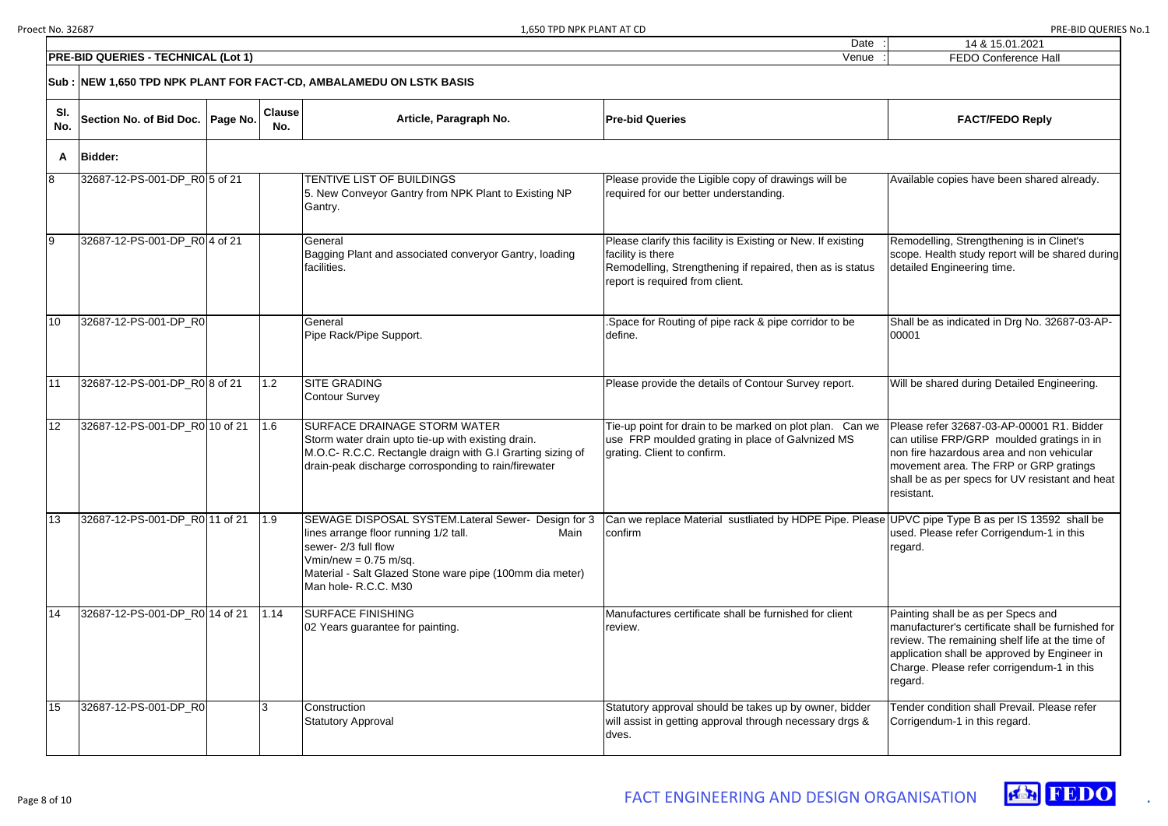Date

| ٠.<br>$\blacksquare$ | 14 & 15.01.2021             |
|----------------------|-----------------------------|
| ٠<br>$\bullet$       | <b>FEDO Conference Hall</b> |

Available copies have been shared already. Remodelling, Strengthening is in Clinet's scope. Health study report will be shared during detailed Engineering time. Shall be as indicated in Drg No. 32687-03-AP-00001 Will be shared during Detailed Engineering. Please refer 32687-03-AP-00001 R1. Bidder can utilise FRP/GRP moulded gratings in in non fire hazardous area and non vehicular movement area. The FRP or GRP gratings shall be as per specs for UV resistant and heat resistant. UPVC pipe Type B as per IS 13592 shall be used. Please refer Corrigendum-1 in this regard. Painting shall be as per Specs and manufacturer's certificate shall be furnished for review. The remaining shelf life at the time of application shall be approved by Engineer in Charge. Please refer corrigendum-1 in this regard. Tender condition shall Prevail. Please refer Corrigendum-1 in this regard.



|            | <b>PRE-BID QUERIES - TECHNICAL (Lot 1)</b>                          |  |                      |                                                                                                                                                                                                                                           | Venue                                                                                                                                                                             | FEDO Conference Ha                                                                                                                                                                                   |  |  |  |  |  |
|------------|---------------------------------------------------------------------|--|----------------------|-------------------------------------------------------------------------------------------------------------------------------------------------------------------------------------------------------------------------------------------|-----------------------------------------------------------------------------------------------------------------------------------------------------------------------------------|------------------------------------------------------------------------------------------------------------------------------------------------------------------------------------------------------|--|--|--|--|--|
|            | Sub : NEW 1,650 TPD NPK PLANT FOR FACT-CD, AMBALAMEDU ON LSTK BASIS |  |                      |                                                                                                                                                                                                                                           |                                                                                                                                                                                   |                                                                                                                                                                                                      |  |  |  |  |  |
| SI.<br>No. | Section No. of Bid Doc.   Page No.                                  |  | <b>Clause</b><br>No. | Article, Paragraph No.                                                                                                                                                                                                                    | <b>Pre-bid Queries</b>                                                                                                                                                            | <b>FACT/FEDO Reply</b>                                                                                                                                                                               |  |  |  |  |  |
| A          | <b>Bidder:</b>                                                      |  |                      |                                                                                                                                                                                                                                           |                                                                                                                                                                                   |                                                                                                                                                                                                      |  |  |  |  |  |
| 8          | 32687-12-PS-001-DP_R0 5 of 21                                       |  |                      | TENTIVE LIST OF BUILDINGS<br>5. New Conveyor Gantry from NPK Plant to Existing NP<br>Gantry.                                                                                                                                              | Please provide the Ligible copy of drawings will be<br>required for our better understanding.                                                                                     | Available copies have been share                                                                                                                                                                     |  |  |  |  |  |
| 9          | 32687-12-PS-001-DP_R0 4 of 21                                       |  |                      | General<br>Bagging Plant and associated converyor Gantry, loading<br>facilities.                                                                                                                                                          | Please clarify this facility is Existing or New. If existing<br>facility is there<br>Remodelling, Strengthening if repaired, then as is status<br>report is required from client. | Remodelling, Strengthening is in (<br>scope. Health study report will be<br>detailed Engineering time.                                                                                               |  |  |  |  |  |
| 10         | 32687-12-PS-001-DP_R0                                               |  |                      | General<br>Pipe Rack/Pipe Support.                                                                                                                                                                                                        | Space for Routing of pipe rack & pipe corridor to be<br>define.                                                                                                                   | Shall be as indicated in Drg No. 3<br>00001                                                                                                                                                          |  |  |  |  |  |
| 11         | 32687-12-PS-001-DP_R0 8 of 21                                       |  | 1.2                  | <b>SITE GRADING</b><br><b>Contour Survey</b>                                                                                                                                                                                              | Please provide the details of Contour Survey report.                                                                                                                              | Will be shared during Detailed En                                                                                                                                                                    |  |  |  |  |  |
| 12         | 32687-12-PS-001-DP_R0 10 of 21                                      |  | 1.6                  | <b>SURFACE DRAINAGE STORM WATER</b><br>Storm water drain upto tie-up with existing drain.<br>M.O.C- R.C.C. Rectangle draign with G.I Grarting sizing of<br>drain-peak discharge corrosponding to rain/firewater                           | Tie-up point for drain to be marked on plot plan. Can we<br>use FRP moulded grating in place of Galvnized MS<br>grating. Client to confirm.                                       | Please refer 32687-03-AP-00001<br>can utilise FRP/GRP moulded gra<br>non fire hazardous area and non v<br>movement area. The FRP or GRF<br>shall be as per specs for UV resis<br>resistant.          |  |  |  |  |  |
| 13         | 32687-12-PS-001-DP_R0 11 of 21                                      |  | 1.9                  | SEWAGE DISPOSAL SYSTEM.Lateral Sewer- Design for 3<br>Main<br>lines arrange floor running 1/2 tall.<br>sewer- 2/3 full flow<br>Vmin/new = $0.75$ m/sq.<br>Material - Salt Glazed Stone ware pipe (100mm dia meter)<br>Man hole-R.C.C. M30 | Can we replace Material sustliated by HDPE Pipe. Please UPVC pipe Type B as per IS 1359<br>confirm                                                                                | used. Please refer Corrigendum-1<br>regard.                                                                                                                                                          |  |  |  |  |  |
| 14         | 32687-12-PS-001-DP_R0 14 of 21                                      |  | 1.14                 | <b>SURFACE FINISHING</b><br>02 Years guarantee for painting.                                                                                                                                                                              | Manufactures certificate shall be furnished for client<br>review.                                                                                                                 | Painting shall be as per Specs an<br>manufacturer's certificate shall be<br>review. The remaining shelf life at<br>application shall be approved by I<br>Charge. Please refer corrigendum<br>regard. |  |  |  |  |  |
| 15         | 32687-12-PS-001-DP_R0                                               |  |                      | Construction<br><b>Statutory Approval</b>                                                                                                                                                                                                 | Statutory approval should be takes up by owner, bidder<br>will assist in getting approval through necessary drgs &<br>dves.                                                       | Tender condition shall Prevail. Ple<br>Corrigendum-1 in this regard.                                                                                                                                 |  |  |  |  |  |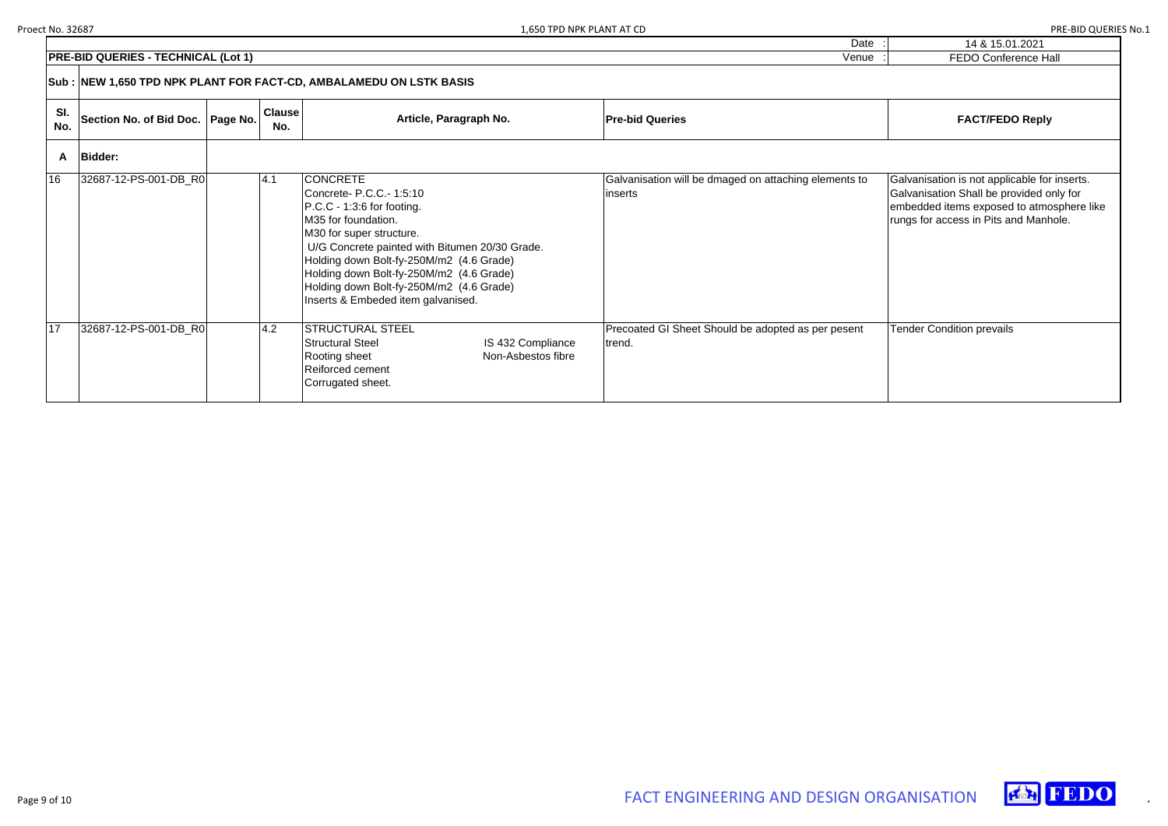| 14 & 15.01.2021             |
|-----------------------------|
| <b>FEDO Conference Hall</b> |

## $FACT/FEDO Reply$

Galvanisation is not applicable for inserts. Galvanisation Shall be provided only for embedded items exposed to atmosphere like rungs for access in Pits and Manhole.

Tender Condition prevails





|            |                                                                     |          |                      |                                                                                                                                                                                                                                                                                                                                                           | Dale                                                              |  |  |  |
|------------|---------------------------------------------------------------------|----------|----------------------|-----------------------------------------------------------------------------------------------------------------------------------------------------------------------------------------------------------------------------------------------------------------------------------------------------------------------------------------------------------|-------------------------------------------------------------------|--|--|--|
|            | <b>PRE-BID QUERIES - TECHNICAL (Lot 1)</b>                          |          |                      |                                                                                                                                                                                                                                                                                                                                                           | Venue                                                             |  |  |  |
|            | Sub : NEW 1,650 TPD NPK PLANT FOR FACT-CD, AMBALAMEDU ON LSTK BASIS |          |                      |                                                                                                                                                                                                                                                                                                                                                           |                                                                   |  |  |  |
| SI.<br>No. | Section No. of Bid Doc.                                             | Page No. | <b>Clause</b><br>No. | Article, Paragraph No.                                                                                                                                                                                                                                                                                                                                    | <b>Pre-bid Queries</b>                                            |  |  |  |
| A          | <b>Bidder:</b>                                                      |          |                      |                                                                                                                                                                                                                                                                                                                                                           |                                                                   |  |  |  |
| 16         | 32687-12-PS-001-DB_R0                                               |          | 4.1                  | <b>CONCRETE</b><br>Concrete- P.C.C. - 1:5:10<br>P.C.C - 1:3:6 for footing.<br>M35 for foundation.<br>M30 for super structure.<br>U/G Concrete painted with Bitumen 20/30 Grade.<br>Holding down Bolt-fy-250M/m2 (4.6 Grade)<br>Holding down Bolt-fy-250M/m2 (4.6 Grade)<br>Holding down Bolt-fy-250M/m2 (4.6 Grade)<br>Inserts & Embeded item galvanised. | Galvanisation will be dmaged on attaching elements to<br>linserts |  |  |  |
| 17         | 32687-12-PS-001-DB_R0                                               |          | 4.2                  | <b>STRUCTURAL STEEL</b><br><b>Structural Steel</b><br>IS 432 Compliance<br>Non-Asbestos fibre<br>Rooting sheet<br>Reiforced cement<br>Corrugated sheet.                                                                                                                                                                                                   | Precoated GI Sheet Should be adopted as per pesent<br>trend.      |  |  |  |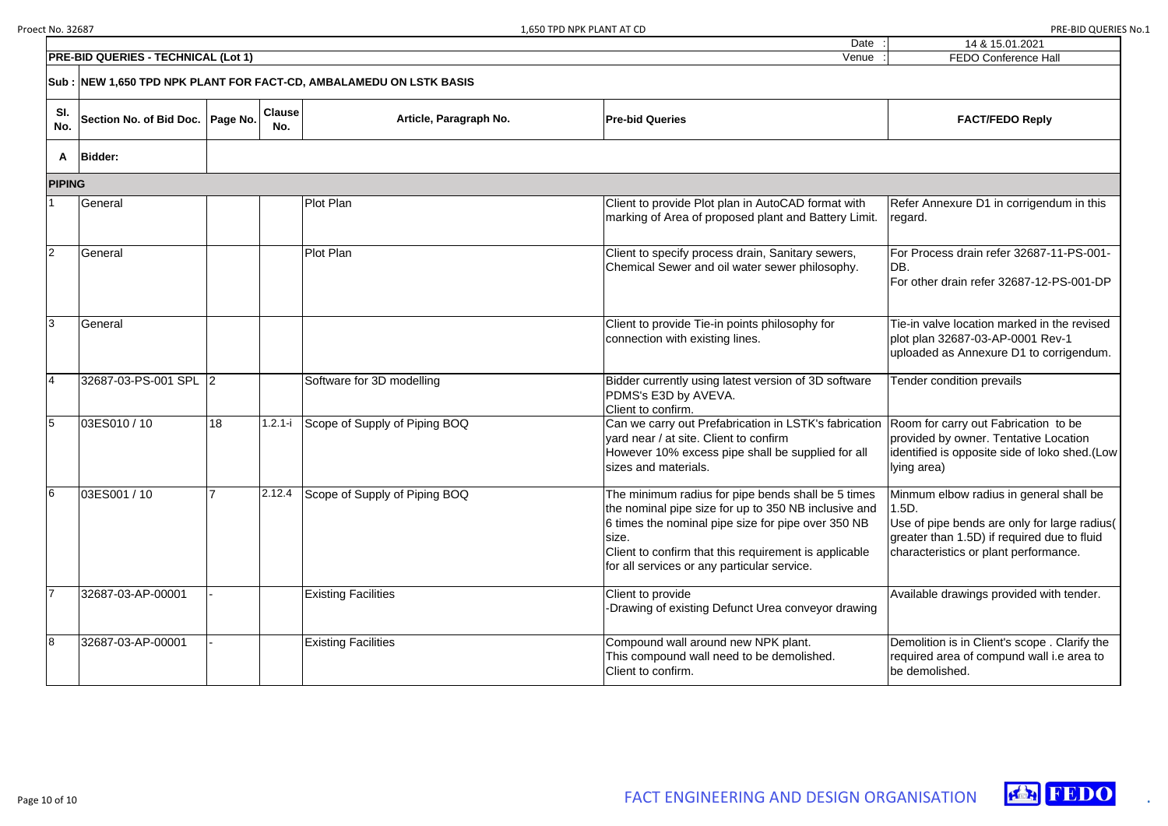| $\bullet$ .<br>$\mathbf{r}$ | 14 & 15.01.2021             |
|-----------------------------|-----------------------------|
| $\sim 1$                    | <b>FEDO Conference Hall</b> |

Refer Annexure D1 in corrigendum in this regard.

For Process drain refer 32687-11-PS-001- DB.

For other drain refer 32687-12-PS-001-DP

Tie-in valve location marked in the revised plot plan 32687-03-AP-0001 Rev-1 uploaded as Annexure D1 to corrigendum.

|                | <b>PRE-BID QUERIES - TECHNICAL (Lot 1)</b>                          |    |                      |                                      | Venue                                                                                                                                                                                                                                                                             | FEDO Conference Ha                                                                                                                              |  |  |  |  |
|----------------|---------------------------------------------------------------------|----|----------------------|--------------------------------------|-----------------------------------------------------------------------------------------------------------------------------------------------------------------------------------------------------------------------------------------------------------------------------------|-------------------------------------------------------------------------------------------------------------------------------------------------|--|--|--|--|
|                | Sub : NEW 1,650 TPD NPK PLANT FOR FACT-CD, AMBALAMEDU ON LSTK BASIS |    |                      |                                      |                                                                                                                                                                                                                                                                                   |                                                                                                                                                 |  |  |  |  |
| SI.<br>No.     | Section No. of Bid Doc.   Page No.                                  |    | <b>Clause</b><br>No. | Article, Paragraph No.               | <b>Pre-bid Queries</b>                                                                                                                                                                                                                                                            | <b>FACT/FEDO Reply</b>                                                                                                                          |  |  |  |  |
| A              | <b>Bidder:</b>                                                      |    |                      |                                      |                                                                                                                                                                                                                                                                                   |                                                                                                                                                 |  |  |  |  |
| <b>PIPING</b>  |                                                                     |    |                      |                                      |                                                                                                                                                                                                                                                                                   |                                                                                                                                                 |  |  |  |  |
|                | General                                                             |    |                      | <b>Plot Plan</b>                     | Client to provide Plot plan in AutoCAD format with<br>marking of Area of proposed plant and Battery Limit.                                                                                                                                                                        | Refer Annexure D1 in corrigene<br>regard.                                                                                                       |  |  |  |  |
| $\overline{2}$ | General                                                             |    |                      | Plot Plan                            | Client to specify process drain, Sanitary sewers,<br>Chemical Sewer and oil water sewer philosophy.                                                                                                                                                                               | For Process drain refer 32687-<br>DB.<br>For other drain refer 32687-12-                                                                        |  |  |  |  |
| 3              | General                                                             |    |                      |                                      | Client to provide Tie-in points philosophy for<br>connection with existing lines.                                                                                                                                                                                                 | Tie-in valve location marked in<br>plot plan 32687-03-AP-0001 R<br>uploaded as Annexure D1 to co                                                |  |  |  |  |
| 4              | 32687-03-PS-001 SPL 2                                               |    |                      | Software for 3D modelling            | Bidder currently using latest version of 3D software<br>PDMS's E3D by AVEVA.<br>Client to confirm.                                                                                                                                                                                | Tender condition prevails                                                                                                                       |  |  |  |  |
| 5              | 03ES010 / 10                                                        | 18 | $1.2.1 - i$          | Scope of Supply of Piping BOQ        | Can we carry out Prefabrication in LSTK's fabrication<br>yard near / at site. Client to confirm<br>However 10% excess pipe shall be supplied for all<br>sizes and materials.                                                                                                      | Room for carry out Fabrication<br>provided by owner. Tentative L<br>identified is opposite side of lok<br>lying area)                           |  |  |  |  |
|                | 03ES001 / 10                                                        |    |                      | 2.12.4 Scope of Supply of Piping BOQ | The minimum radius for pipe bends shall be 5 times<br>the nominal pipe size for up to 350 NB inclusive and<br>6 times the nominal pipe size for pipe over 350 NB<br>size.<br>Client to confirm that this requirement is applicable<br>for all services or any particular service. | Minmum elbow radius in gener<br>1.5D.<br>Use of pipe bends are only for<br>greater than 1.5D) if required d<br>characteristics or plant perform |  |  |  |  |
|                | 32687-03-AP-00001                                                   |    |                      | <b>Existing Facilities</b>           | Client to provide<br>Drawing of existing Defunct Urea conveyor drawing                                                                                                                                                                                                            | Available drawings provided wi                                                                                                                  |  |  |  |  |
| 8              | 32687-03-AP-00001                                                   |    |                      | <b>Existing Facilities</b>           | Compound wall around new NPK plant.<br>This compound wall need to be demolished.<br>Client to confirm.                                                                                                                                                                            | Demolition is in Client's scope.<br>required area of compund wall<br>be demolished.                                                             |  |  |  |  |

Room for carry out Fabrication to be provided by owner. Tentative Location identified is opposite side of loko shed.(Low lying area)

Minmum elbow radius in general shall be 1.5D.

Use of pipe bends are only for large radius( greater than 1.5D) if required due to fluid characteristics or plant performance.

Available drawings provided with tender.

Demolition is in Client's scope . Clarify the required area of compund wall i.e area to be demolished.



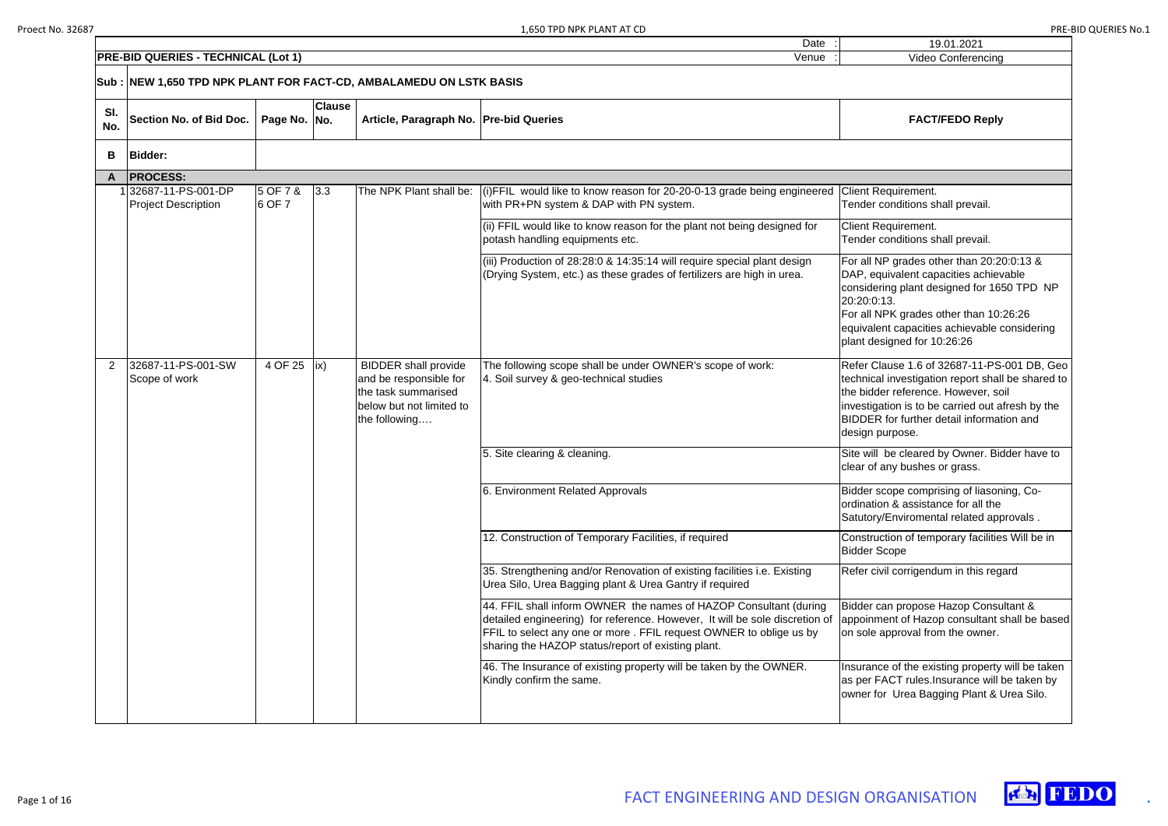| Date                                                                                                                                                                                                                                                                          | 19.01.2021                                                                                                                                                                                                                                                               |
|-------------------------------------------------------------------------------------------------------------------------------------------------------------------------------------------------------------------------------------------------------------------------------|--------------------------------------------------------------------------------------------------------------------------------------------------------------------------------------------------------------------------------------------------------------------------|
| Venue                                                                                                                                                                                                                                                                         | <b>Video Conferencing</b>                                                                                                                                                                                                                                                |
| <b>K BASIS</b>                                                                                                                                                                                                                                                                |                                                                                                                                                                                                                                                                          |
| <b>Pre-bid Queries</b>                                                                                                                                                                                                                                                        | <b>FACT/FEDO Reply</b>                                                                                                                                                                                                                                                   |
|                                                                                                                                                                                                                                                                               |                                                                                                                                                                                                                                                                          |
| (i)FFIL would like to know reason for 20-20-0-13 grade being engineered<br>with PR+PN system & DAP with PN system.                                                                                                                                                            | <b>Client Requirement.</b><br>Tender conditions shall prevail.                                                                                                                                                                                                           |
| (ii) FFIL would like to know reason for the plant not being designed for<br>potash handling equipments etc.                                                                                                                                                                   | Client Requirement.<br>Tender conditions shall prevail.                                                                                                                                                                                                                  |
| (iii) Production of 28:28:0 & 14:35:14 will require special plant design<br>(Drying System, etc.) as these grades of fertilizers are high in urea.                                                                                                                            | For all NP grades other than 20:20:0:13 &<br>DAP, equivalent capacities achievable<br>considering plant designed for 1650 TPD NP<br>20:20:0:13.<br>For all NPK grades other than 10:26:26<br>equivalent capacities achievable considering<br>plant designed for 10:26:26 |
| The following scope shall be under OWNER's scope of work:<br>4. Soil survey & geo-technical studies                                                                                                                                                                           | Refer Clause 1.6 of 32687-11-PS-001 DB, Geo<br>technical investigation report shall be shared to<br>the bidder reference. However, soil<br>investigation is to be carried out afresh by the<br>BIDDER for further detail information and<br>design purpose.              |
| 5. Site clearing & cleaning.                                                                                                                                                                                                                                                  | Site will be cleared by Owner. Bidder have to<br>clear of any bushes or grass.                                                                                                                                                                                           |
| 6. Environment Related Approvals                                                                                                                                                                                                                                              | Bidder scope comprising of liasoning, Co-<br>ordination & assistance for all the<br>Satutory/Enviromental related approvals.                                                                                                                                             |
| 12. Construction of Temporary Facilities, if required                                                                                                                                                                                                                         | Construction of temporary facilities Will be in<br><b>Bidder Scope</b>                                                                                                                                                                                                   |
| 35. Strengthening and/or Renovation of existing facilities i.e. Existing<br>Urea Silo, Urea Bagging plant & Urea Gantry if required                                                                                                                                           | Refer civil corrigendum in this regard                                                                                                                                                                                                                                   |
| 44. FFIL shall inform OWNER the names of HAZOP Consultant (during<br>detailed engineering) for reference. However, It will be sole discretion of<br>FFIL to select any one or more . FFIL request OWNER to oblige us by<br>sharing the HAZOP status/report of existing plant. | Bidder can propose Hazop Consultant &<br>appoinment of Hazop consultant shall be based<br>on sole approval from the owner.                                                                                                                                               |
| 46. The Insurance of existing property will be taken by the OWNER.<br>Kindly confirm the same.                                                                                                                                                                                | Insurance of the existing property will be taken<br>as per FACT rules. Insurance will be taken by<br>owner for Urea Bagging Plant & Urea Silo.                                                                                                                           |



|                |                                                                     |                     |                      |                                                                                                                           | Date                                                                                                                                               | 19.01.2021                                                                                                                                                                                                                                                               |
|----------------|---------------------------------------------------------------------|---------------------|----------------------|---------------------------------------------------------------------------------------------------------------------------|----------------------------------------------------------------------------------------------------------------------------------------------------|--------------------------------------------------------------------------------------------------------------------------------------------------------------------------------------------------------------------------------------------------------------------------|
|                | <b>PRE-BID QUERIES - TECHNICAL (Lot 1)</b>                          |                     |                      |                                                                                                                           | Venue                                                                                                                                              | <b>Video Conferencing</b>                                                                                                                                                                                                                                                |
|                | Sub : NEW 1,650 TPD NPK PLANT FOR FACT-CD, AMBALAMEDU ON LSTK BASIS |                     |                      |                                                                                                                           |                                                                                                                                                    |                                                                                                                                                                                                                                                                          |
| SI.<br>No.     | Section No. of Bid Doc.                                             | Page No.            | <b>Clause</b><br>No. | Article, Paragraph No. Pre-bid Queries                                                                                    |                                                                                                                                                    | <b>FACT/FEDO Reply</b>                                                                                                                                                                                                                                                   |
| B              | <b>Bidder:</b>                                                      |                     |                      |                                                                                                                           |                                                                                                                                                    |                                                                                                                                                                                                                                                                          |
| A              | <b>PROCESS:</b>                                                     |                     |                      |                                                                                                                           |                                                                                                                                                    |                                                                                                                                                                                                                                                                          |
|                | 32687-11-PS-001-DP<br><b>Project Description</b>                    | 5 OF 7 &<br>6 OF 7  | 3.3                  | The NPK Plant shall be:                                                                                                   | (i)FFIL would like to know reason for 20-20-0-13 grade being engineered<br>with PR+PN system & DAP with PN system.                                 | <b>Client Requirement.</b><br>Tender conditions shall prevail.                                                                                                                                                                                                           |
|                |                                                                     |                     |                      |                                                                                                                           | (ii) FFIL would like to know reason for the plant not being designed for<br>potash handling equipments etc.                                        | Client Requirement.<br>Tender conditions shall prevail.                                                                                                                                                                                                                  |
|                |                                                                     |                     |                      |                                                                                                                           | (iii) Production of 28:28:0 & 14:35:14 will require special plant design<br>(Drying System, etc.) as these grades of fertilizers are high in urea. | For all NP grades other than 20:20:0:13 &<br>DAP, equivalent capacities achievable<br>considering plant designed for 1650 TPD NP<br>20:20:0:13.<br>For all NPK grades other than 10:26:26<br>equivalent capacities achievable considering<br>plant designed for 10:26:26 |
| $\overline{2}$ | 32687-11-PS-001-SW<br>Scope of work                                 | 4 OF 25 $\vert$ ix) |                      | <b>BIDDER</b> shall provide<br>and be responsible for<br>the task summarised<br>below but not limited to<br>the following | The following scope shall be under OWNER's scope of work:<br>4. Soil survey & geo-technical studies                                                | Refer Clause 1.6 of 32687-11-PS-001 DB, Ge<br>technical investigation report shall be shared to<br>the bidder reference. However, soil<br>investigation is to be carried out afresh by the<br><b>BIDDER</b> for further detail information and<br>design purpose.        |
|                |                                                                     |                     |                      |                                                                                                                           | 5. Site clearing & cleaning.                                                                                                                       | Site will be cleared by Owner. Bidder have to<br>clear of any bushes or grass.                                                                                                                                                                                           |
|                |                                                                     |                     |                      |                                                                                                                           | 6. Environment Related Approvals                                                                                                                   | Bidder scope comprising of liasoning, Co-<br>ordination & assistance for all the                                                                                                                                                                                         |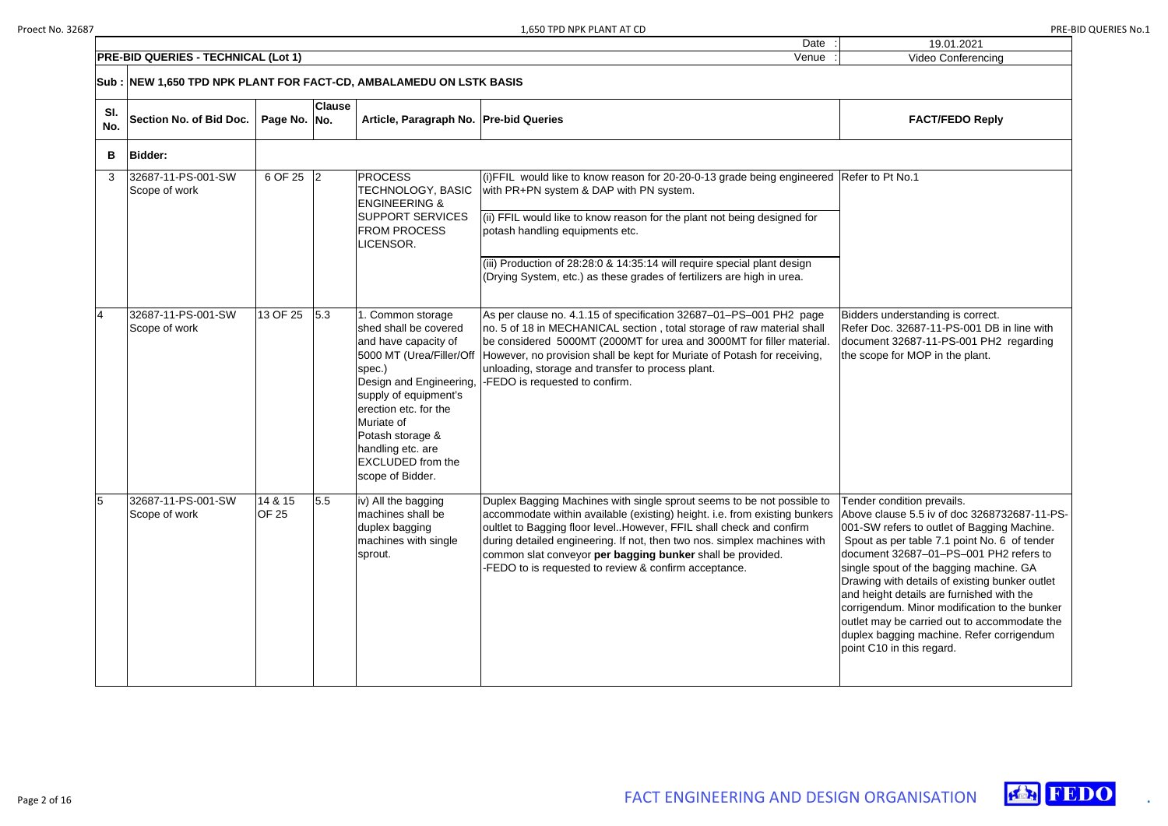|                                                                     | Date  |  |
|---------------------------------------------------------------------|-------|--|
| <b>PRE-BID QUERIES - TECHNICAL (Lot 1)</b>                          | Venue |  |
| Sub : NEW 1,650 TPD NPK PLANT FOR FACT-CD, AMBALAMEDU ON LSTK BASIS |       |  |

| 19.01.2021                                                                                                                                                                                                                                                                                                                                                                                                                                                                                                                               |
|------------------------------------------------------------------------------------------------------------------------------------------------------------------------------------------------------------------------------------------------------------------------------------------------------------------------------------------------------------------------------------------------------------------------------------------------------------------------------------------------------------------------------------------|
| <b>Video Conferencing</b>                                                                                                                                                                                                                                                                                                                                                                                                                                                                                                                |
|                                                                                                                                                                                                                                                                                                                                                                                                                                                                                                                                          |
| <b>FACT/FEDO Reply</b>                                                                                                                                                                                                                                                                                                                                                                                                                                                                                                                   |
|                                                                                                                                                                                                                                                                                                                                                                                                                                                                                                                                          |
| Refer to Pt No.1                                                                                                                                                                                                                                                                                                                                                                                                                                                                                                                         |
|                                                                                                                                                                                                                                                                                                                                                                                                                                                                                                                                          |
|                                                                                                                                                                                                                                                                                                                                                                                                                                                                                                                                          |
| Bidders understanding is correct.<br>Refer Doc. 32687-11-PS-001 DB in line with<br>document 32687-11-PS-001 PH2 regarding<br>the scope for MOP in the plant.                                                                                                                                                                                                                                                                                                                                                                             |
| Tender condition prevails.<br>Above clause 5.5 iv of doc 3268732687-11-PS-<br>001-SW refers to outlet of Bagging Machine.<br>Spout as per table 7.1 point No. 6 of tender<br>document 32687-01-PS-001 PH2 refers to<br>single spout of the bagging machine. GA<br>Drawing with details of existing bunker outlet<br>and height details are furnished with the<br>corrigendum. Minor modification to the bunker<br>outlet may be carried out to accommodate the<br>duplex bagging machine. Refer corrigendum<br>point C10 in this regard. |



| SI.<br>No.     | <b>Section No. of Bid Doc.</b>      | Page No. No.     | <b>Clause</b> | Article, Paragraph No. Pre-bid Queries                                                                                                                                                                                                |                                                                                                                                                                                                                                                                                                                                                                                                                                            | <b>FACT/FEDO Reply</b>                                                                                                                                                                                                                                                                                                                                                                                                                  |
|----------------|-------------------------------------|------------------|---------------|---------------------------------------------------------------------------------------------------------------------------------------------------------------------------------------------------------------------------------------|--------------------------------------------------------------------------------------------------------------------------------------------------------------------------------------------------------------------------------------------------------------------------------------------------------------------------------------------------------------------------------------------------------------------------------------------|-----------------------------------------------------------------------------------------------------------------------------------------------------------------------------------------------------------------------------------------------------------------------------------------------------------------------------------------------------------------------------------------------------------------------------------------|
| B              | <b>Bidder:</b>                      |                  |               |                                                                                                                                                                                                                                       |                                                                                                                                                                                                                                                                                                                                                                                                                                            |                                                                                                                                                                                                                                                                                                                                                                                                                                         |
| 3              | 32687-11-PS-001-SW<br>Scope of work | 6 OF 25          | 2             | <b>PROCESS</b><br>TECHNOLOGY, BASIC<br><b>ENGINEERING &amp;</b><br><b>SUPPORT SERVICES</b><br><b>FROM PROCESS</b><br>LICENSOR.                                                                                                        | (i)FFIL would like to know reason for 20-20-0-13 grade being engineered<br>with PR+PN system & DAP with PN system.<br>(ii) FFIL would like to know reason for the plant not being designed for<br>potash handling equipments etc.                                                                                                                                                                                                          | Refer to Pt No.1                                                                                                                                                                                                                                                                                                                                                                                                                        |
|                |                                     |                  |               |                                                                                                                                                                                                                                       | (iii) Production of 28:28:0 & 14:35:14 will require special plant design<br>(Drying System, etc.) as these grades of fertilizers are high in urea.                                                                                                                                                                                                                                                                                         |                                                                                                                                                                                                                                                                                                                                                                                                                                         |
| $\overline{4}$ | 32687-11-PS-001-SW<br>Scope of work | 13 OF 25         | 5.3           | 1. Common storage<br>shed shall be covered<br>and have capacity of<br>spec.)<br>supply of equipment's<br>erection etc. for the<br>Muriate of<br>Potash storage &<br>handling etc. are<br><b>EXCLUDED</b> from the<br>scope of Bidder. | As per clause no. 4.1.15 of specification 32687-01-PS-001 PH2 page<br>no. 5 of 18 in MECHANICAL section, total storage of raw material shall<br>be considered 5000MT (2000MT for urea and 3000MT for filler material.<br>5000 MT (Urea/Filler/Off However, no provision shall be kept for Muriate of Potash for receiving,<br>unloading, storage and transfer to process plant.<br>Design and Engineering,  -FEDO is requested to confirm. | Bidders understanding is correct.<br>Refer Doc. 32687-11-PS-001 DB<br>document 32687-11-PS-001 PH2<br>the scope for MOP in the plant.                                                                                                                                                                                                                                                                                                   |
| 5              | 32687-11-PS-001-SW<br>Scope of work | 14 & 15<br>OF 25 | 5.5           | iv) All the bagging<br>machines shall be<br>duplex bagging<br>machines with single<br>sprout.                                                                                                                                         | Duplex Bagging Machines with single sprout seems to be not possible to<br>accommodate within available (existing) height. i.e. from existing bunkers<br>oultlet to Bagging floor level. However, FFIL shall check and confirm<br>during detailed engineering. If not, then two nos. simplex machines with<br>common slat conveyor per bagging bunker shall be provided.<br>-FEDO to is requested to review & confirm acceptance.           | Tender condition prevails.<br>Above clause 5.5 iv of doc 32687<br>001-SW refers to outlet of Bagging<br>Spout as per table 7.1 point No. 6<br>document 32687-01-PS-001 PH<br>single spout of the bagging machi<br>Drawing with details of existing bu<br>and height details are furnished w<br>corrigendum. Minor modification t<br>outlet may be carried out to accor<br>duplex bagging machine. Refer co<br>point C10 in this regard. |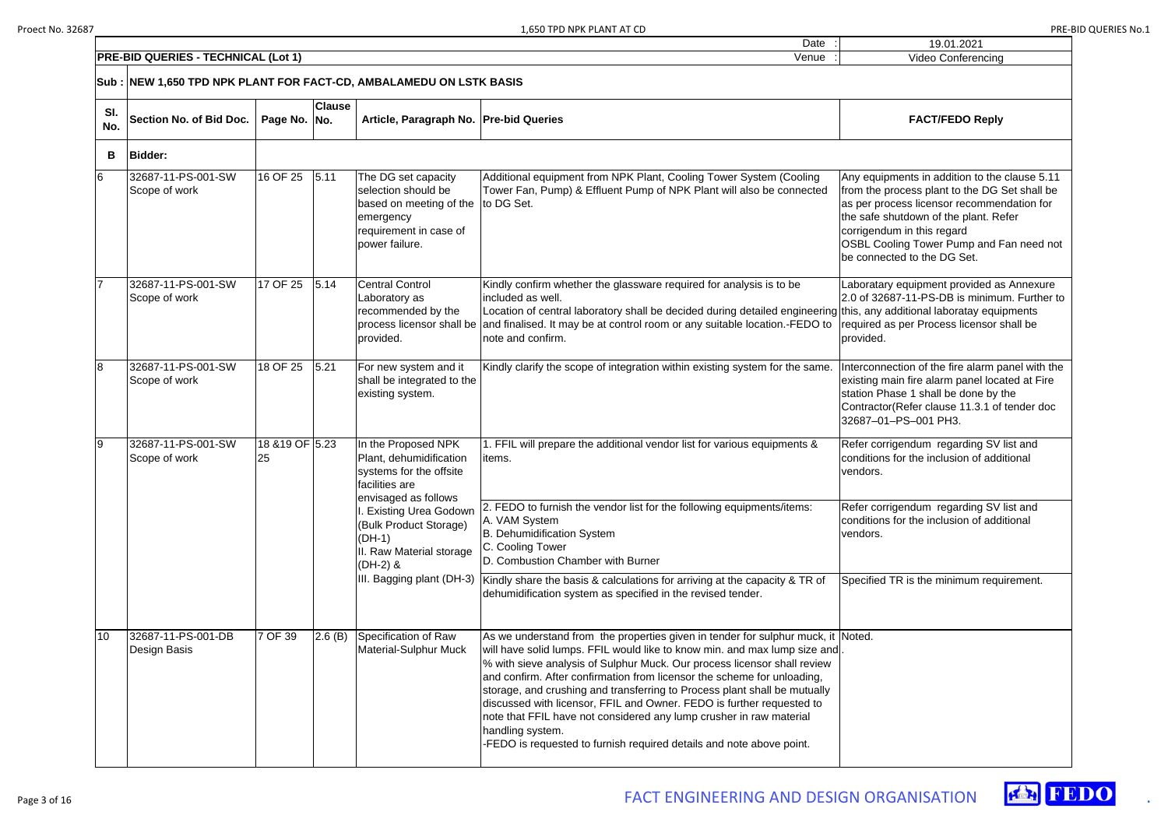| 19.01.2021                                                                                                                                                                                                                                                                                     |
|------------------------------------------------------------------------------------------------------------------------------------------------------------------------------------------------------------------------------------------------------------------------------------------------|
| <b>Video Conferencing</b>                                                                                                                                                                                                                                                                      |
|                                                                                                                                                                                                                                                                                                |
| <b>FACT/FEDO Reply</b>                                                                                                                                                                                                                                                                         |
|                                                                                                                                                                                                                                                                                                |
| Any equipments in addition to the clause 5.11<br>from the process plant to the DG Set shall be<br>as per process licensor recommendation for<br>the safe shutdown of the plant. Refer<br>corrigendum in this regard<br>OSBL Cooling Tower Pump and Fan need not<br>be connected to the DG Set. |
| Laboratary equipment provided as Annexure<br>2.0 of 32687-11-PS-DB is minimum. Further to<br>this, any additional laboratay equipments<br>required as per Process licensor shall be<br>provided.                                                                                               |
| Interconnection of the fire alarm panel with the<br>existing main fire alarm panel located at Fire<br>station Phase 1 shall be done by the<br>Contractor(Refer clause 11.3.1 of tender doc<br>32687-01-PS-001 PH3.                                                                             |
| Refer corrigendum regarding SV list and<br>conditions for the inclusion of additional<br>vendors.                                                                                                                                                                                              |
| Refer corrigendum regarding SV list and<br>conditions for the inclusion of additional<br>vendors.                                                                                                                                                                                              |
| Specified TR is the minimum requirement.                                                                                                                                                                                                                                                       |
| Noted.                                                                                                                                                                                                                                                                                         |



|            | <b>PRE-BID QUERIES - TECHNICAL (Lot 1)</b><br>Venue<br>Video Conferencing |              |                                                                                                                                                    |                                                                                                                                                             |                                                                                                                                                                                                                                                                                                                                                                                                                                                                                                                                                                                                                                               |                                                                                                                                                                                                                                                                                                       |  |
|------------|---------------------------------------------------------------------------|--------------|----------------------------------------------------------------------------------------------------------------------------------------------------|-------------------------------------------------------------------------------------------------------------------------------------------------------------|-----------------------------------------------------------------------------------------------------------------------------------------------------------------------------------------------------------------------------------------------------------------------------------------------------------------------------------------------------------------------------------------------------------------------------------------------------------------------------------------------------------------------------------------------------------------------------------------------------------------------------------------------|-------------------------------------------------------------------------------------------------------------------------------------------------------------------------------------------------------------------------------------------------------------------------------------------------------|--|
|            | Sub :  NEW 1,650 TPD NPK PLANT FOR FACT-CD, AMBALAMEDU ON LSTK BASIS      |              |                                                                                                                                                    |                                                                                                                                                             |                                                                                                                                                                                                                                                                                                                                                                                                                                                                                                                                                                                                                                               |                                                                                                                                                                                                                                                                                                       |  |
| SI.<br>No. | Section No. of Bid Doc.                                                   | Page No. No. | <b>Clause</b>                                                                                                                                      | Article, Paragraph No.   Pre-bid Queries                                                                                                                    |                                                                                                                                                                                                                                                                                                                                                                                                                                                                                                                                                                                                                                               | <b>FACT/FEDO Reply</b>                                                                                                                                                                                                                                                                                |  |
| B          | <b>Bidder:</b>                                                            |              |                                                                                                                                                    |                                                                                                                                                             |                                                                                                                                                                                                                                                                                                                                                                                                                                                                                                                                                                                                                                               |                                                                                                                                                                                                                                                                                                       |  |
| 6          | 32687-11-PS-001-SW<br>Scope of work                                       | 16 OF 25     | 5.11                                                                                                                                               | The DG set capacity<br>selection should be<br>based on meeting of the<br>emergency<br>requirement in case of<br>power failure.                              | Additional equipment from NPK Plant, Cooling Tower System (Cooling<br>Tower Fan, Pump) & Effluent Pump of NPK Plant will also be connected<br>to DG Set.                                                                                                                                                                                                                                                                                                                                                                                                                                                                                      | Any equipments in addition to the clause 5.11<br>from the process plant to the DG Set shall be<br>as per process licensor recommendation for<br>the safe shutdown of the plant. Refer<br>corrigendum in this regard<br><b>OSBL Cooling Tower Pump and Fan need not</b><br>be connected to the DG Set. |  |
|            | 32687-11-PS-001-SW<br>Scope of work                                       | 17 OF 25     | 5.14                                                                                                                                               | <b>Central Control</b><br>Laboratory as<br>recommended by the<br>provided.                                                                                  | Kindly confirm whether the glassware required for analysis is to be<br>included as well.<br>Location of central laboratory shall be decided during detailed engineering this, any additional laboratay equipments<br>process licensor shall be and finalised. It may be at control room or any suitable location.-FEDO to<br>note and confirm.                                                                                                                                                                                                                                                                                                | Laboratary equipment provided as Annexure<br>2.0 of 32687-11-PS-DB is minimum. Further to<br>required as per Process licensor shall be<br>provided.                                                                                                                                                   |  |
| 8          | 32687-11-PS-001-SW<br>Scope of work                                       | 18 OF 25     | 5.21                                                                                                                                               | For new system and it<br>shall be integrated to the<br>existing system.                                                                                     | Kindly clarify the scope of integration within existing system for the same.                                                                                                                                                                                                                                                                                                                                                                                                                                                                                                                                                                  | Interconnection of the fire alarm panel with the<br>existing main fire alarm panel located at Fire<br>station Phase 1 shall be done by the<br>Contractor (Refer clause 11.3.1 of tender doc<br>32687-01-PS-001 PH3.                                                                                   |  |
| 9          | 32687-11-PS-001-SW<br>18 & 19 OF 5.23<br>25<br>Scope of work              |              | In the Proposed NPK<br>Plant, dehumidification<br>systems for the offsite<br>facilities are<br>envisaged as follows<br><b>Existing Urea Godown</b> | . FFIL will prepare the additional vendor list for various equipments &<br>items.<br>2. FEDO to furnish the vendor list for the following equipments/items: | Refer corrigendum regarding SV list and<br>conditions for the inclusion of additional<br>vendors.<br>Refer corrigendum regarding SV list and                                                                                                                                                                                                                                                                                                                                                                                                                                                                                                  |                                                                                                                                                                                                                                                                                                       |  |
|            |                                                                           |              |                                                                                                                                                    | (Bulk Product Storage)<br>(DH-1)<br>II. Raw Material storage<br>$(DH-2)$ &                                                                                  | A. VAM System<br>B. Dehumidification System<br>C. Cooling Tower<br>D. Combustion Chamber with Burner                                                                                                                                                                                                                                                                                                                                                                                                                                                                                                                                          | conditions for the inclusion of additional<br>vendors.                                                                                                                                                                                                                                                |  |
|            |                                                                           |              |                                                                                                                                                    |                                                                                                                                                             | III. Bagging plant (DH-3) Kindly share the basis & calculations for arriving at the capacity & TR of<br>dehumidification system as specified in the revised tender.                                                                                                                                                                                                                                                                                                                                                                                                                                                                           | Specified TR is the minimum requirement.                                                                                                                                                                                                                                                              |  |
| 10         | 32687-11-PS-001-DB<br>Design Basis                                        | 7 OF 39      | 2.6(B)                                                                                                                                             | Specification of Raw<br>Material-Sulphur Muck                                                                                                               | As we understand from the properties given in tender for sulphur muck, it Noted.<br>will have solid lumps. FFIL would like to know min. and max lump size and<br>% with sieve analysis of Sulphur Muck. Our process licensor shall review<br>and confirm. After confirmation from licensor the scheme for unloading,<br>storage, and crushing and transferring to Process plant shall be mutually<br>discussed with licensor, FFIL and Owner. FEDO is further requested to<br>note that FFIL have not considered any lump crusher in raw material<br>handling system.<br>-FEDO is requested to furnish required details and note above point. |                                                                                                                                                                                                                                                                                                       |  |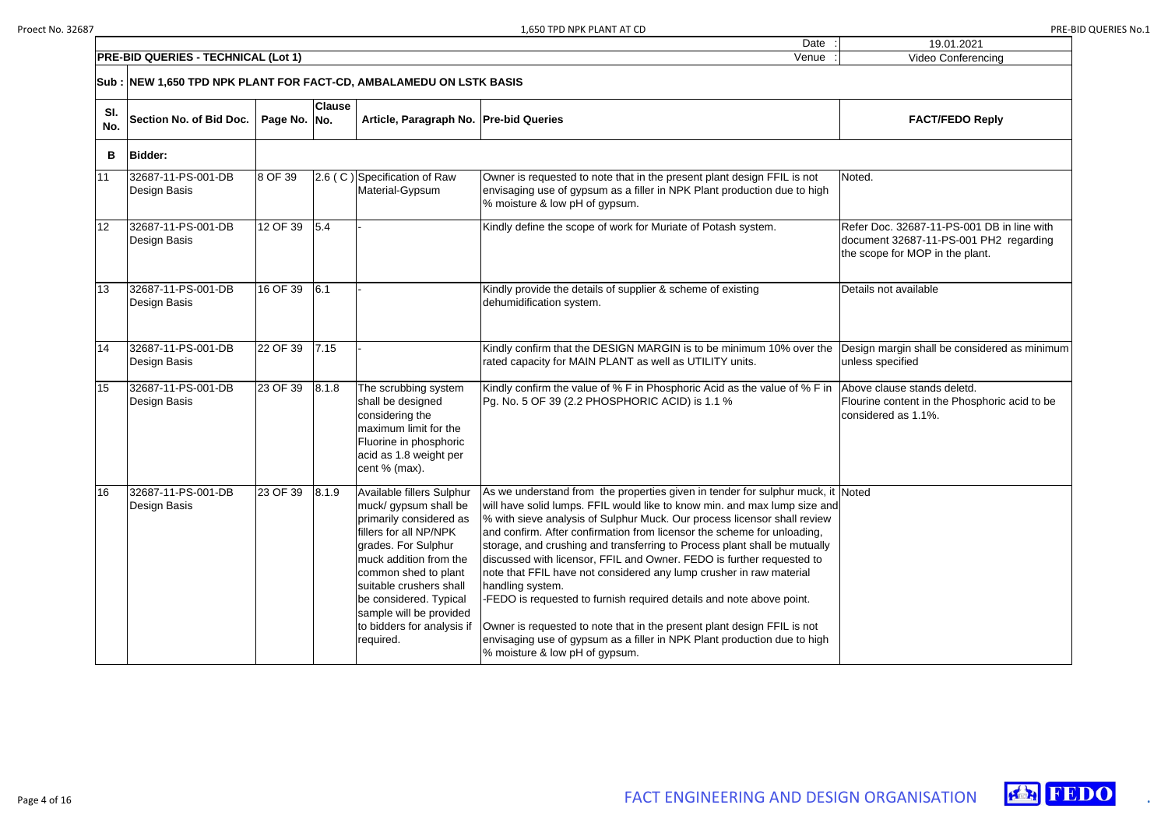| 19.01.2021                                                                                                              |
|-------------------------------------------------------------------------------------------------------------------------|
| Video Conferencing                                                                                                      |
|                                                                                                                         |
| <b>FACT/FEDO Reply</b>                                                                                                  |
|                                                                                                                         |
| Noted.                                                                                                                  |
| Refer Doc. 32687-11-PS-001 DB in line with<br>document 32687-11-PS-001 PH2 regarding<br>the scope for MOP in the plant. |
| Details not available                                                                                                   |
| Design margin shall be considered as minimum<br>unless specified                                                        |
| Above clause stands deletd.<br>Flourine content in the Phosphoric acid to be<br>considered as 1.1%.                     |
| <b>Noted</b>                                                                                                            |





|            | Sub :  NEW 1,650 TPD NPK PLANT FOR FACT-CD, AMBALAMEDU ON LSTK BASIS |              |               |                                                                                                                                                                                                                                                                                    |                                                                                                                                                                                                                                                                                                                                                                                                                                                                                                                                                                                                                                                                                                                                                                                                                                                              |                                                                                                                         |  |  |
|------------|----------------------------------------------------------------------|--------------|---------------|------------------------------------------------------------------------------------------------------------------------------------------------------------------------------------------------------------------------------------------------------------------------------------|--------------------------------------------------------------------------------------------------------------------------------------------------------------------------------------------------------------------------------------------------------------------------------------------------------------------------------------------------------------------------------------------------------------------------------------------------------------------------------------------------------------------------------------------------------------------------------------------------------------------------------------------------------------------------------------------------------------------------------------------------------------------------------------------------------------------------------------------------------------|-------------------------------------------------------------------------------------------------------------------------|--|--|
| SI.<br>No. | Section No. of Bid Doc.                                              | Page No. No. | <b>Clause</b> | Article, Paragraph No.   Pre-bid Queries                                                                                                                                                                                                                                           |                                                                                                                                                                                                                                                                                                                                                                                                                                                                                                                                                                                                                                                                                                                                                                                                                                                              | <b>FACT/FEDO Reply</b>                                                                                                  |  |  |
| B          | <b>Bidder:</b>                                                       |              |               |                                                                                                                                                                                                                                                                                    |                                                                                                                                                                                                                                                                                                                                                                                                                                                                                                                                                                                                                                                                                                                                                                                                                                                              |                                                                                                                         |  |  |
| 11         | 32687-11-PS-001-DB<br>Design Basis                                   | 8 OF 39      |               | 2.6 (C) Specification of Raw<br>Material-Gypsum                                                                                                                                                                                                                                    | Owner is requested to note that in the present plant design FFIL is not<br>envisaging use of gypsum as a filler in NPK Plant production due to high<br>% moisture & low pH of gypsum.                                                                                                                                                                                                                                                                                                                                                                                                                                                                                                                                                                                                                                                                        | Noted.                                                                                                                  |  |  |
| 12         | 32687-11-PS-001-DB<br>Design Basis                                   | 12 OF 39     | 5.4           |                                                                                                                                                                                                                                                                                    | Kindly define the scope of work for Muriate of Potash system.                                                                                                                                                                                                                                                                                                                                                                                                                                                                                                                                                                                                                                                                                                                                                                                                | Refer Doc. 32687-11-PS-001 DB in line with<br>document 32687-11-PS-001 PH2 regarding<br>the scope for MOP in the plant. |  |  |
| 13         | 32687-11-PS-001-DB<br>Design Basis                                   | 16 OF 39     | 6.1           |                                                                                                                                                                                                                                                                                    | Kindly provide the details of supplier & scheme of existing<br>dehumidification system.                                                                                                                                                                                                                                                                                                                                                                                                                                                                                                                                                                                                                                                                                                                                                                      | Details not available                                                                                                   |  |  |
| 14         | 32687-11-PS-001-DB<br>Design Basis                                   | 22 OF 39     | 7.15          |                                                                                                                                                                                                                                                                                    | Kindly confirm that the DESIGN MARGIN is to be minimum 10% over the<br>rated capacity for MAIN PLANT as well as UTILITY units.                                                                                                                                                                                                                                                                                                                                                                                                                                                                                                                                                                                                                                                                                                                               | Design margin shall be considered as minim<br>unless specified                                                          |  |  |
| 15         | 32687-11-PS-001-DB<br>Design Basis                                   | 23 OF 39     | 8.1.8         | The scrubbing system<br>shall be designed<br>considering the<br>maximum limit for the<br>Fluorine in phosphoric<br>acid as 1.8 weight per<br>cent % (max).                                                                                                                         | Kindly confirm the value of % F in Phosphoric Acid as the value of % F in<br>Pg. No. 5 OF 39 (2.2 PHOSPHORIC ACID) is 1.1 %                                                                                                                                                                                                                                                                                                                                                                                                                                                                                                                                                                                                                                                                                                                                  | Above clause stands deletd.<br>Flourine content in the Phosphoric acid to be<br>considered as 1.1%.                     |  |  |
| 16         | 32687-11-PS-001-DB<br>Design Basis                                   | 23 OF 39     | 8.1.9         | Available fillers Sulphur<br>primarily considered as<br>fillers for all NP/NPK<br>grades. For Sulphur<br>muck addition from the<br>common shed to plant<br>suitable crushers shall<br>be considered. Typical<br>sample will be provided<br>to bidders for analysis if<br>required. | As we understand from the properties given in tender for sulphur muck, it Noted<br>muck/gypsum shall be   will have solid lumps. FFIL would like to know min. and max lump size and<br>% with sieve analysis of Sulphur Muck. Our process licensor shall review<br>and confirm. After confirmation from licensor the scheme for unloading,<br>storage, and crushing and transferring to Process plant shall be mutually<br>discussed with licensor, FFIL and Owner. FEDO is further requested to<br>note that FFIL have not considered any lump crusher in raw material<br>handling system.<br>-FEDO is requested to furnish required details and note above point.<br>Owner is requested to note that in the present plant design FFIL is not<br>envisaging use of gypsum as a filler in NPK Plant production due to high<br>% moisture & low pH of gypsum. |                                                                                                                         |  |  |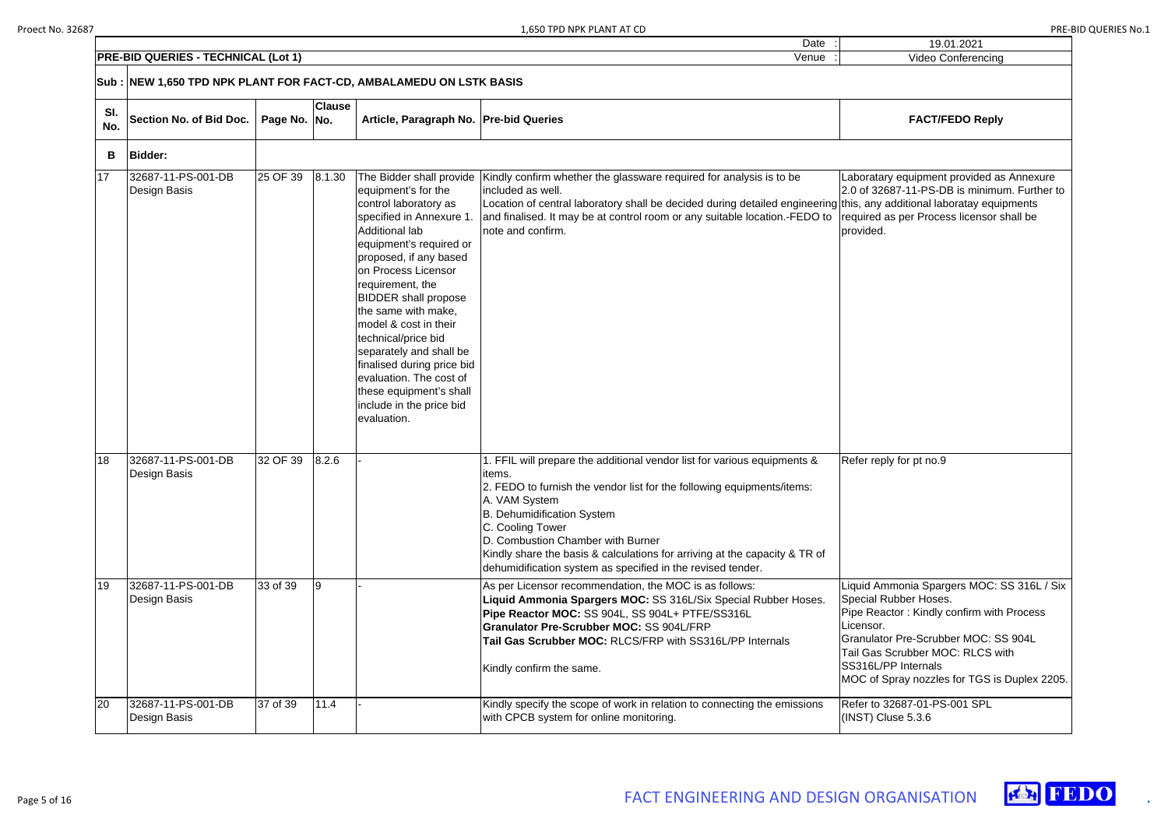|                                                                      | $\frac{1}{2}$ , $\frac{1}{2}$ , $\frac{1}{2}$ , $\frac{1}{2}$ , $\frac{1}{2}$ , $\frac{1}{2}$ , $\frac{1}{2}$ , $\frac{1}{2}$ , $\frac{1}{2}$ , $\frac{1}{2}$ |  |
|----------------------------------------------------------------------|---------------------------------------------------------------------------------------------------------------------------------------------------------------|--|
|                                                                      | Date                                                                                                                                                          |  |
| <b>TECHNICAL</b><br>סופ<br><b>PRE</b><br>-BID<br>QUF<br>(Lot<br>.RIF | Venue                                                                                                                                                         |  |
|                                                                      |                                                                                                                                                               |  |

|            | Sub : NEW 1,650 TPD NPK PLANT FOR FACT-CD, AMBALAMEDU ON LSTK BASIS |              |               |                                                                                                                                                                                                                                                                                                                                                                                                                                                                                        |                                                                                                                                                                                                                                                                                                                                                                                                                   |                                                                                                                                                                                                                                               |  |
|------------|---------------------------------------------------------------------|--------------|---------------|----------------------------------------------------------------------------------------------------------------------------------------------------------------------------------------------------------------------------------------------------------------------------------------------------------------------------------------------------------------------------------------------------------------------------------------------------------------------------------------|-------------------------------------------------------------------------------------------------------------------------------------------------------------------------------------------------------------------------------------------------------------------------------------------------------------------------------------------------------------------------------------------------------------------|-----------------------------------------------------------------------------------------------------------------------------------------------------------------------------------------------------------------------------------------------|--|
| SI.<br>No. | Section No. of Bid Doc.                                             | Page No. No. | <b>Clause</b> | Article, Paragraph No. Pre-bid Queries                                                                                                                                                                                                                                                                                                                                                                                                                                                 |                                                                                                                                                                                                                                                                                                                                                                                                                   | <b>FACT/FEDO Reply</b>                                                                                                                                                                                                                        |  |
| B          | <b>Bidder:</b>                                                      |              |               |                                                                                                                                                                                                                                                                                                                                                                                                                                                                                        |                                                                                                                                                                                                                                                                                                                                                                                                                   |                                                                                                                                                                                                                                               |  |
| 17         | 32687-11-PS-001-DB<br>Design Basis                                  | 25 OF 39     | 8.1.30        | The Bidder shall provide<br>equipment's for the<br>control laboratory as<br>specified in Annexure 1.<br>Additional lab<br>equipment's required or<br>proposed, if any based<br>on Process Licensor<br>requirement, the<br><b>BIDDER</b> shall propose<br>the same with make,<br>model & cost in their<br>technical/price bid<br>separately and shall be<br>finalised during price bid<br>evaluation. The cost of<br>these equipment's shall<br>include in the price bid<br>evaluation. | Kindly confirm whether the glassware required for analysis is to be<br>included as well.<br>Location of central laboratory shall be decided during detailed engineering this, any additional laboratay equi<br>and finalised. It may be at control room or any suitable location.-FEDO to<br>note and confirm.                                                                                                    | Laboratary equipment provided as<br>2.0 of 32687-11-PS-DB is minimu<br>required as per Process licensor s<br>provided.                                                                                                                        |  |
| 18         | 32687-11-PS-001-DB<br>Design Basis                                  | 32 OF 39     | 8.2.6         |                                                                                                                                                                                                                                                                                                                                                                                                                                                                                        | 1. FFIL will prepare the additional vendor list for various equipments &<br>items.<br>2. FEDO to furnish the vendor list for the following equipments/items:<br>A. VAM System<br>B. Dehumidification System<br>C. Cooling Tower<br>D. Combustion Chamber with Burner<br>Kindly share the basis & calculations for arriving at the capacity & TR of<br>dehumidification system as specified in the revised tender. | Refer reply for pt no.9                                                                                                                                                                                                                       |  |
| 19         | 32687-11-PS-001-DB<br>Design Basis                                  | 33 of 39     |               |                                                                                                                                                                                                                                                                                                                                                                                                                                                                                        | As per Licensor recommendation, the MOC is as follows:<br>Liquid Ammonia Spargers MOC: SS 316L/Six Special Rubber Hoses.<br>Pipe Reactor MOC: SS 904L, SS 904L+ PTFE/SS316L<br><b>Granulator Pre-Scrubber MOC: SS 904L/FRP</b><br>Tail Gas Scrubber MOC: RLCS/FRP with SS316L/PP Internals<br>Kindly confirm the same.                                                                                            | Liquid Ammonia Spargers MOC: {<br>Special Rubber Hoses.<br>Pipe Reactor: Kindly confirm with<br>Licensor.<br><b>Granulator Pre-Scrubber MOC: S</b><br>Tail Gas Scrubber MOC: RLCS w<br>SS316L/PP Internals<br>MOC of Spray nozzles for TGS is |  |
| 20         | 32687-11-PS-001-DB<br>Design Basis                                  | 37 of 39     | 11.4          |                                                                                                                                                                                                                                                                                                                                                                                                                                                                                        | Kindly specify the scope of work in relation to connecting the emissions<br>with CPCB system for online monitoring.                                                                                                                                                                                                                                                                                               | Refer to 32687-01-PS-001 SPL<br>$($ INST $)$ Cluse 5.3.6                                                                                                                                                                                      |  |

| 19.01.2021                                                                                                                                                                                                                                                                              |
|-----------------------------------------------------------------------------------------------------------------------------------------------------------------------------------------------------------------------------------------------------------------------------------------|
| <b>Video Conferencing</b>                                                                                                                                                                                                                                                               |
|                                                                                                                                                                                                                                                                                         |
| <b>FACT/FEDO Reply</b>                                                                                                                                                                                                                                                                  |
|                                                                                                                                                                                                                                                                                         |
| Laboratary equipment provided as Annexure<br>2.0 of 32687-11-PS-DB is minimum. Further to<br>this, any additional laboratay equipments<br>required as per Process licensor shall be<br>provided.                                                                                        |
| Refer reply for pt no.9                                                                                                                                                                                                                                                                 |
| Liquid Ammonia Spargers MOC: SS 316L / Six<br>Special Rubber Hoses.<br>Pipe Reactor: Kindly confirm with Process<br>Licensor.<br><b>Granulator Pre-Scrubber MOC: SS 904L</b><br>Tail Gas Scrubber MOC: RLCS with<br>SS316L/PP Internals<br>MOC of Spray nozzles for TGS is Duplex 2205. |
| Refer to 32687-01-PS-001 SPL<br>(INST) Cluse 5.3.6                                                                                                                                                                                                                                      |

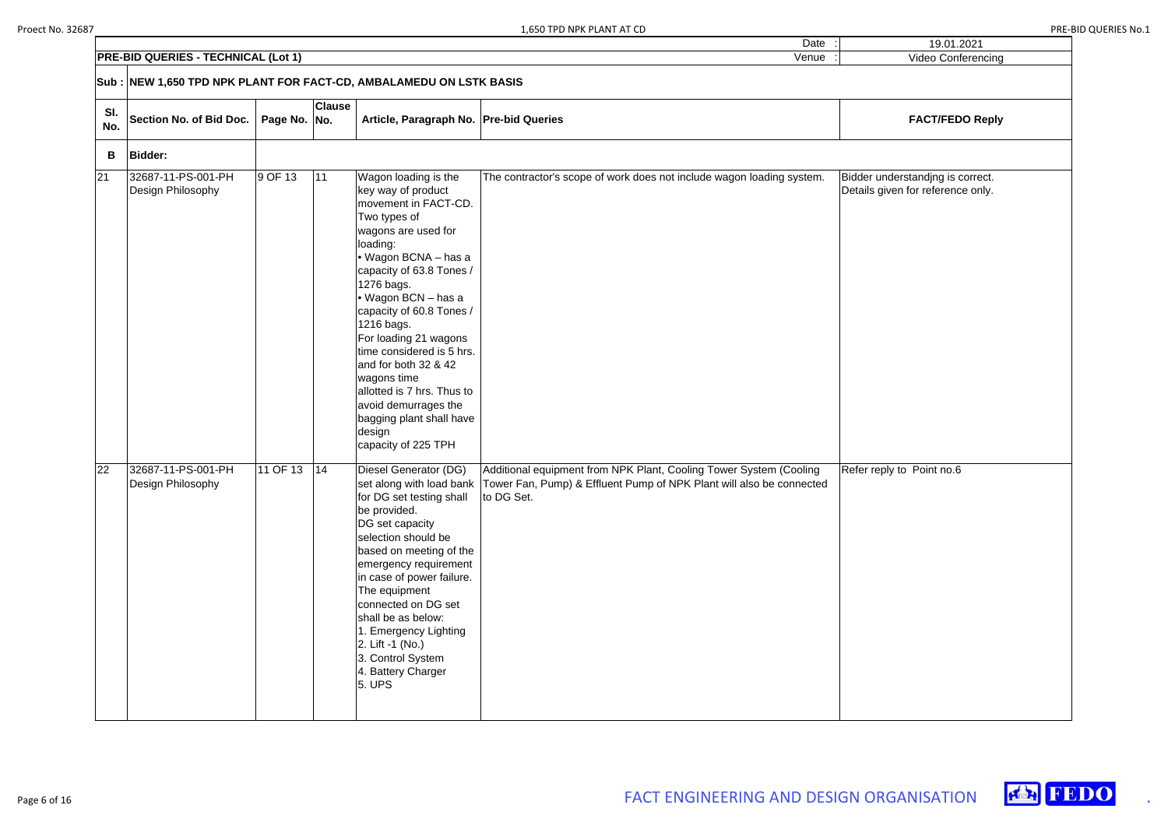Date :

|            | <b>PRE-BID QUERIES - TECHNICAL (Lot 1)</b> |                                                                     |               |                                                                                                                                                                                                                                                                                                                                                                                                                                                                          | Venue                                                                                                                                                                               | Video Conferencing                                                    |  |  |
|------------|--------------------------------------------|---------------------------------------------------------------------|---------------|--------------------------------------------------------------------------------------------------------------------------------------------------------------------------------------------------------------------------------------------------------------------------------------------------------------------------------------------------------------------------------------------------------------------------------------------------------------------------|-------------------------------------------------------------------------------------------------------------------------------------------------------------------------------------|-----------------------------------------------------------------------|--|--|
|            |                                            | Sub : NEW 1,650 TPD NPK PLANT FOR FACT-CD, AMBALAMEDU ON LSTK BASIS |               |                                                                                                                                                                                                                                                                                                                                                                                                                                                                          |                                                                                                                                                                                     |                                                                       |  |  |
| SI.<br>No. | Section No. of Bid Doc.                    | Page No. No.                                                        | <b>Clause</b> | Article, Paragraph No.   Pre-bid Queries                                                                                                                                                                                                                                                                                                                                                                                                                                 |                                                                                                                                                                                     | <b>FACT/FEDO Reply</b>                                                |  |  |
| B          | <b>Bidder:</b>                             |                                                                     |               |                                                                                                                                                                                                                                                                                                                                                                                                                                                                          |                                                                                                                                                                                     |                                                                       |  |  |
| 21         | 32687-11-PS-001-PH<br>Design Philosophy    | 9 OF 13                                                             | 11            | Wagon loading is the<br>key way of product<br>movement in FACT-CD.<br>Two types of<br>wagons are used for<br>loading:<br>• Wagon BCNA - has a<br>capacity of 63.8 Tones /<br>1276 bags.<br>• Wagon BCN - has a<br>capacity of 60.8 Tones /<br>1216 bags.<br>For loading 21 wagons<br>time considered is 5 hrs.<br>and for both 32 & 42<br>wagons time<br>allotted is 7 hrs. Thus to<br>avoid demurrages the<br>bagging plant shall have<br>design<br>capacity of 225 TPH | The contractor's scope of work does not include wagon loading system.                                                                                                               | Bidder understanding is correct.<br>Details given for reference only. |  |  |
| 22         | 32687-11-PS-001-PH<br>Design Philosophy    | 11 OF 13                                                            | 14            | Diesel Generator (DG)<br>for DG set testing shall<br>be provided.<br>DG set capacity<br>selection should be<br>based on meeting of the<br>emergency requirement<br>in case of power failure.<br>The equipment                                                                                                                                                                                                                                                            | Additional equipment from NPK Plant, Cooling Tower System (Cooling<br>set along with load bank   Tower Fan, Pump) & Effluent Pump of NPK Plant will also be connected<br>to DG Set. | Refer reply to Point no.6                                             |  |  |

| $\vdots$           | 19.01.2021                                                            |
|--------------------|-----------------------------------------------------------------------|
| $\overline{\cdot}$ | Video Conferencing                                                    |
|                    |                                                                       |
|                    |                                                                       |
|                    | <b>FACT/FEDO Reply</b>                                                |
|                    |                                                                       |
|                    | Bidder understandjng is correct.<br>Details given for reference only. |
|                    |                                                                       |
|                    |                                                                       |
|                    |                                                                       |
|                    |                                                                       |
|                    |                                                                       |
|                    |                                                                       |
|                    |                                                                       |
|                    |                                                                       |
|                    |                                                                       |
|                    |                                                                       |
|                    |                                                                       |
|                    |                                                                       |
|                    |                                                                       |
|                    |                                                                       |
|                    |                                                                       |
|                    | Refer reply to Point no.6                                             |
|                    |                                                                       |
|                    |                                                                       |
|                    |                                                                       |
|                    |                                                                       |
|                    |                                                                       |
|                    |                                                                       |
|                    |                                                                       |
|                    |                                                                       |
|                    |                                                                       |
|                    |                                                                       |
|                    |                                                                       |
|                    |                                                                       |
|                    |                                                                       |





connected on DG set shall be as below: 1. Emergency Lighting

2. Lift -1 (No.) 3. Control System 4. Battery Charger

5. UPS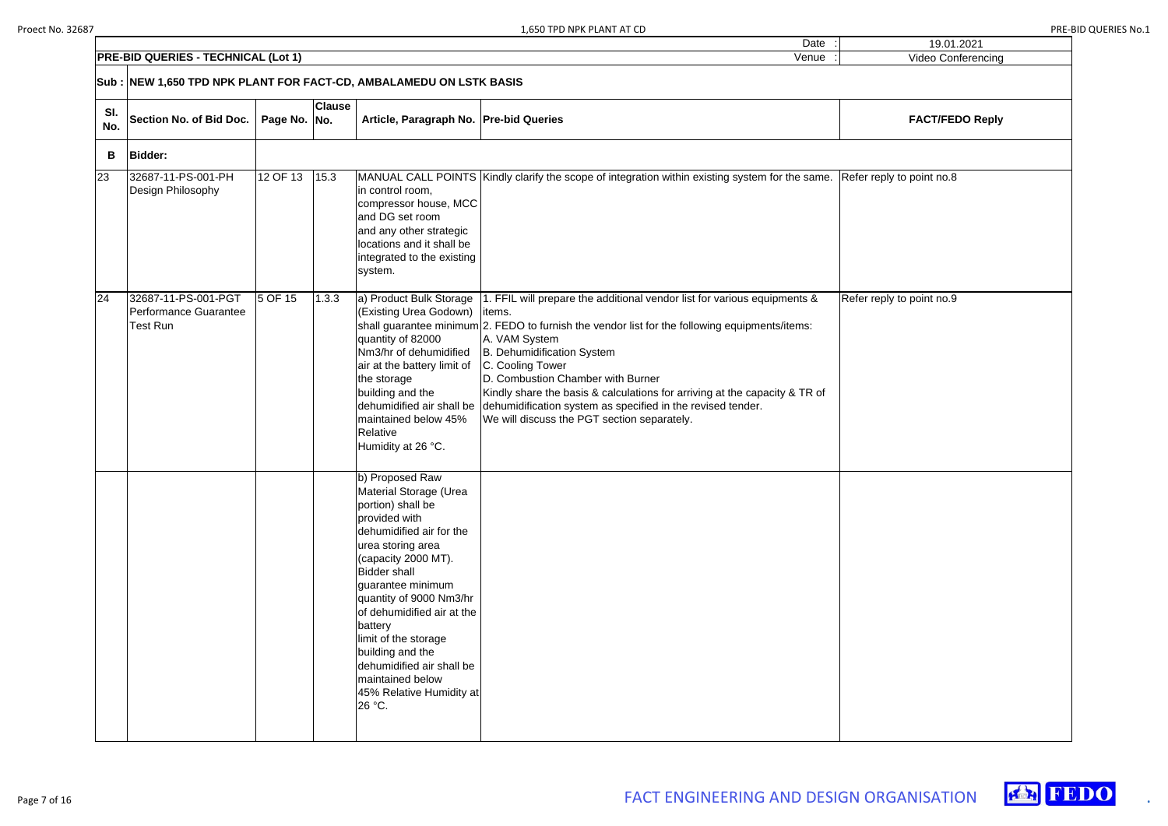| $\vdots$           | 19.01.2021                |
|--------------------|---------------------------|
| $\overline{\cdot}$ | Video Conferencing        |
|                    |                           |
|                    |                           |
|                    | <b>FACT/FEDO Reply</b>    |
|                    |                           |
|                    | Refer reply to point no.8 |
|                    |                           |
|                    |                           |
|                    |                           |
|                    |                           |
|                    | Refer reply to point no.9 |
|                    |                           |
|                    |                           |
|                    |                           |
|                    |                           |
|                    |                           |
|                    |                           |
|                    |                           |
|                    |                           |
|                    |                           |
|                    |                           |
|                    |                           |
|                    |                           |
|                    |                           |
|                    |                           |
|                    |                           |
|                    |                           |
|                    |                           |
|                    |                           |
|                    |                           |
|                    |                           |
|                    |                           |





| SI.<br>No. | <b>Section No. of Bid Doc.</b>                                  | Page No. No. | <b>Clause</b> | Article, Paragraph No.   Pre-bid Queries                                                                                                                                                                                                                                                                                                                                                                   |                                                                                                                                                                                                                                                                                                                                                                                                                                                                                                                                         | <b>FACT/FEDO Reply</b>    |
|------------|-----------------------------------------------------------------|--------------|---------------|------------------------------------------------------------------------------------------------------------------------------------------------------------------------------------------------------------------------------------------------------------------------------------------------------------------------------------------------------------------------------------------------------------|-----------------------------------------------------------------------------------------------------------------------------------------------------------------------------------------------------------------------------------------------------------------------------------------------------------------------------------------------------------------------------------------------------------------------------------------------------------------------------------------------------------------------------------------|---------------------------|
| B          | <b>Bidder:</b>                                                  |              |               |                                                                                                                                                                                                                                                                                                                                                                                                            |                                                                                                                                                                                                                                                                                                                                                                                                                                                                                                                                         |                           |
| 23         | 32687-11-PS-001-PH<br>Design Philosophy                         | 12 OF 13     | 15.3          | in control room,<br>compressor house, MCC<br>and DG set room<br>and any other strategic<br>locations and it shall be<br>integrated to the existing<br>system.                                                                                                                                                                                                                                              | MANUAL CALL POINTS Kindly clarify the scope of integration within existing system for the same.                                                                                                                                                                                                                                                                                                                                                                                                                                         | Refer reply to point no.8 |
| 24         | 32687-11-PS-001-PGT<br>Performance Guarantee<br><b>Test Run</b> | 5 OF 15      | 1.3.3         | (Existing Urea Godown) litems.<br>quantity of 82000<br>Nm3/hr of dehumidified<br>air at the battery limit of<br>the storage<br>building and the<br>maintained below 45%<br><b>Relative</b><br>Humidity at 26 °C.                                                                                                                                                                                           | $ a $ Product Bulk Storage $ 1$ . FFIL will prepare the additional vendor list for various equipments &<br>shall guarantee minimum 2. FEDO to furnish the vendor list for the following equipments/items:<br>A. VAM System<br>B. Dehumidification System<br>C. Cooling Tower<br>D. Combustion Chamber with Burner<br>Kindly share the basis & calculations for arriving at the capacity & TR of<br>dehumidified air shall be dehumidification system as specified in the revised tender.<br>We will discuss the PGT section separately. | Refer reply to point no.9 |
|            |                                                                 |              |               | b) Proposed Raw<br>Material Storage (Urea<br>portion) shall be<br>provided with<br>dehumidified air for the<br>urea storing area<br>(capacity 2000 MT).<br><b>Bidder shall</b><br>guarantee minimum<br>quantity of 9000 Nm3/hr<br>of dehumidified air at the<br>battery<br>limit of the storage<br>building and the<br>dehumidified air shall be<br>maintained below<br>45% Relative Humidity at<br>26 °C. |                                                                                                                                                                                                                                                                                                                                                                                                                                                                                                                                         |                           |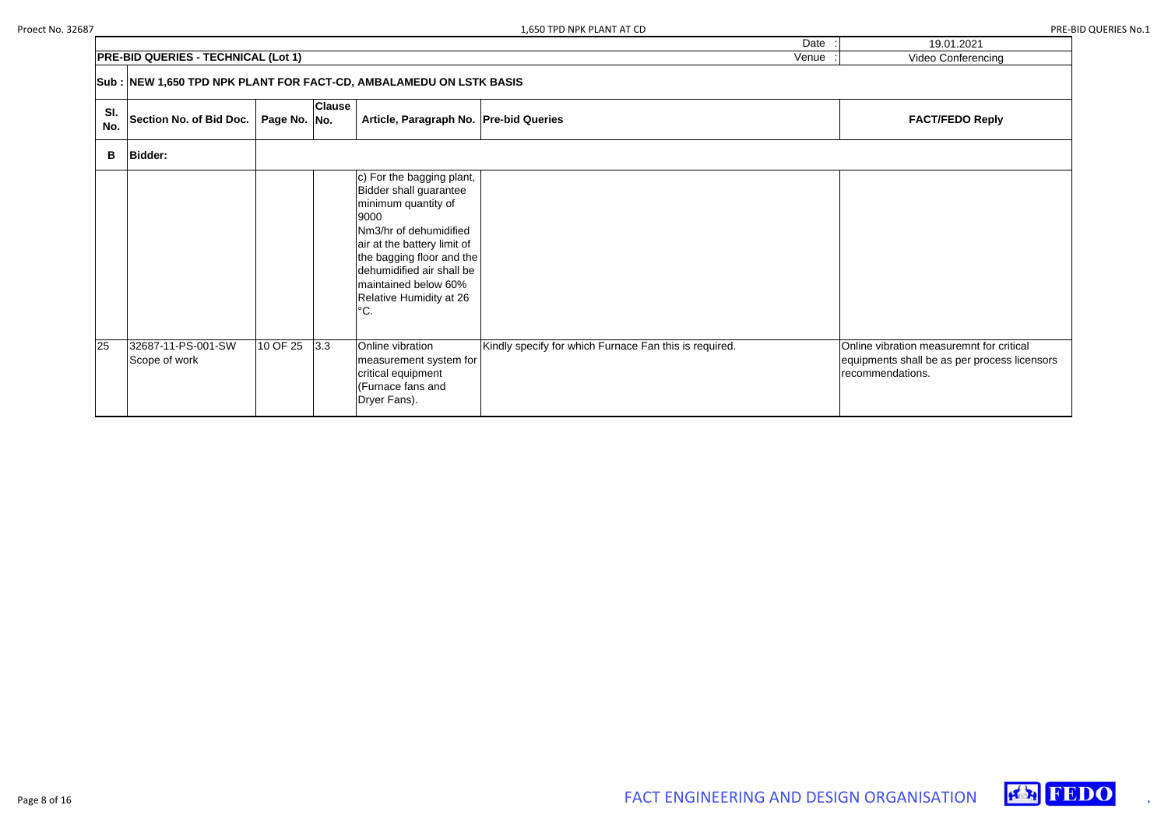|            | <b>PRE-BID QUERIES - TECHNICAL (Lot 1)</b>                         | <b>Video Conferencing</b> |               |                                                                                                                                                                                                                                                                        |                                                        |                                                                                                         |
|------------|--------------------------------------------------------------------|---------------------------|---------------|------------------------------------------------------------------------------------------------------------------------------------------------------------------------------------------------------------------------------------------------------------------------|--------------------------------------------------------|---------------------------------------------------------------------------------------------------------|
|            | Sub: NEW 1,650 TPD NPK PLANT FOR FACT-CD, AMBALAMEDU ON LSTK BASIS |                           |               |                                                                                                                                                                                                                                                                        |                                                        |                                                                                                         |
| SI.<br>No. | <b>Section No. of Bid Doc.</b>                                     | Page No. No.              | <b>Clause</b> | Article, Paragraph No. Pre-bid Queries                                                                                                                                                                                                                                 |                                                        | <b>FACT/FEDO Reply</b>                                                                                  |
| В          | <b>Bidder:</b>                                                     |                           |               |                                                                                                                                                                                                                                                                        |                                                        |                                                                                                         |
|            |                                                                    |                           |               | c) For the bagging plant,<br><b>Bidder shall guarantee</b><br>minimum quantity of<br>9000<br>Nm3/hr of dehumidified<br>air at the battery limit of<br>the bagging floor and the<br>dehumidified air shall be<br>maintained below 60%<br>Relative Humidity at 26<br>°C. |                                                        |                                                                                                         |
| 25         | 32687-11-PS-001-SW<br>Scope of work                                | 10 OF 25                  | 3.3           | Online vibration<br>measurement system for<br>critical equipment<br>(Furnace fans and<br>Dryer Fans).                                                                                                                                                                  | Kindly specify for which Furnace Fan this is required. | Online vibration measuremnt for critical<br>equipments shall be as per process lice<br>recommendations. |

| 19.01.2021                                   |
|----------------------------------------------|
| Video Conferencing                           |
|                                              |
|                                              |
|                                              |
| <b>FACT/FEDO Reply</b>                       |
|                                              |
|                                              |
|                                              |
|                                              |
|                                              |
|                                              |
|                                              |
|                                              |
|                                              |
|                                              |
|                                              |
|                                              |
|                                              |
|                                              |
| Online vibration measuremnt for critical     |
| equipments shall be as per process licensors |
| recommendations.                             |
|                                              |
|                                              |

Date



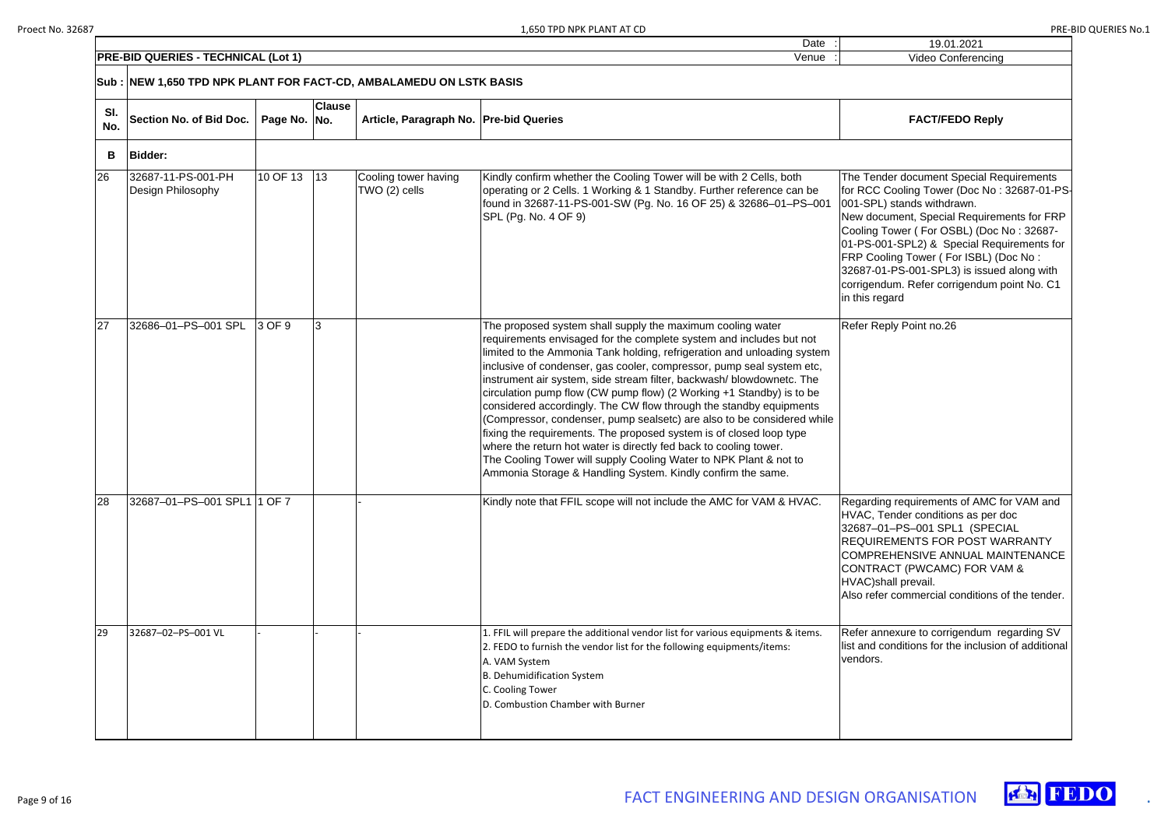| 19.01.2021                                                                                                                                                                                                                                                                                                                                                                                                           |
|----------------------------------------------------------------------------------------------------------------------------------------------------------------------------------------------------------------------------------------------------------------------------------------------------------------------------------------------------------------------------------------------------------------------|
| <b>Video Conferencing</b>                                                                                                                                                                                                                                                                                                                                                                                            |
|                                                                                                                                                                                                                                                                                                                                                                                                                      |
| <b>FACT/FEDO Reply</b>                                                                                                                                                                                                                                                                                                                                                                                               |
|                                                                                                                                                                                                                                                                                                                                                                                                                      |
| The Tender document Special Requirements<br>for RCC Cooling Tower (Doc No: 32687-01-PS<br>001-SPL) stands withdrawn.<br>New document, Special Requirements for FRP<br>Cooling Tower (For OSBL) (Doc No: 32687-<br>01-PS-001-SPL2) & Special Requirements for<br>FRP Cooling Tower (For ISBL) (Doc No:<br>32687-01-PS-001-SPL3) is issued along with<br>corrigendum. Refer corrigendum point No. C1<br>in this regard |
| Refer Reply Point no.26                                                                                                                                                                                                                                                                                                                                                                                              |
| Regarding requirements of AMC for VAM and<br>HVAC, Tender conditions as per doc<br>32687-01-PS-001 SPL1 (SPECIAL<br>REQUIREMENTS FOR POST WARRANTY<br>COMPREHENSIVE ANNUAL MAINTENANCE<br>CONTRACT (PWCAMC) FOR VAM &<br>HVAC)shall prevail.<br>Also refer commercial conditions of the tender.                                                                                                                      |
| Refer annexure to corrigendum regarding SV<br>list and conditions for the inclusion of additional<br>vendors.                                                                                                                                                                                                                                                                                                        |



|            | <b>PRE-BID QUERIES - TECHNICAL (Lot 1)</b>                          |              |               |                                        | Venue                                                                                                                                                                                                                                                                                                                                                                                                                                                                                                                                                                                                                                                                                                                                                                                                                                                                 | <b>Video Conferencing</b>                                                                                                                                                                                                                                                                                                                                                                                          |
|------------|---------------------------------------------------------------------|--------------|---------------|----------------------------------------|-----------------------------------------------------------------------------------------------------------------------------------------------------------------------------------------------------------------------------------------------------------------------------------------------------------------------------------------------------------------------------------------------------------------------------------------------------------------------------------------------------------------------------------------------------------------------------------------------------------------------------------------------------------------------------------------------------------------------------------------------------------------------------------------------------------------------------------------------------------------------|--------------------------------------------------------------------------------------------------------------------------------------------------------------------------------------------------------------------------------------------------------------------------------------------------------------------------------------------------------------------------------------------------------------------|
|            | Sub : NEW 1,650 TPD NPK PLANT FOR FACT-CD, AMBALAMEDU ON LSTK BASIS |              |               |                                        |                                                                                                                                                                                                                                                                                                                                                                                                                                                                                                                                                                                                                                                                                                                                                                                                                                                                       |                                                                                                                                                                                                                                                                                                                                                                                                                    |
| SI.<br>No. | <b>Section No. of Bid Doc.</b>                                      | Page No. No. | <b>Clause</b> | Article, Paragraph No. Pre-bid Queries |                                                                                                                                                                                                                                                                                                                                                                                                                                                                                                                                                                                                                                                                                                                                                                                                                                                                       | <b>FACT/FEDO Reply</b>                                                                                                                                                                                                                                                                                                                                                                                             |
| B          | <b>Bidder:</b>                                                      |              |               |                                        |                                                                                                                                                                                                                                                                                                                                                                                                                                                                                                                                                                                                                                                                                                                                                                                                                                                                       |                                                                                                                                                                                                                                                                                                                                                                                                                    |
| 26         | 32687-11-PS-001-PH<br>Design Philosophy                             | 10 OF 13     | $\vert$ 13    | Cooling tower having<br>TWO (2) cells  | Kindly confirm whether the Cooling Tower will be with 2 Cells, both<br>operating or 2 Cells. 1 Working & 1 Standby. Further reference can be<br>found in 32687-11-PS-001-SW (Pg. No. 16 OF 25) & 32686-01-PS-001<br>SPL (Pg. No. 4 OF 9)                                                                                                                                                                                                                                                                                                                                                                                                                                                                                                                                                                                                                              | The Tender document Special Requirements<br>for RCC Cooling Tower (Doc No: 32687-01-P<br>001-SPL) stands withdrawn.<br>New document, Special Requirements for FRF<br>Cooling Tower (For OSBL) (Doc No: 32687-<br>01-PS-001-SPL2) & Special Requirements fo<br>FRP Cooling Tower (For ISBL) (Doc No:<br>32687-01-PS-001-SPL3) is issued along with<br>corrigendum. Refer corrigendum point No. C1<br>in this regard |
| 27         | 32686-01-PS-001 SPL                                                 | 3 OF 9       | 3             |                                        | The proposed system shall supply the maximum cooling water<br>requirements envisaged for the complete system and includes but not<br>limited to the Ammonia Tank holding, refrigeration and unloading system<br>inclusive of condenser, gas cooler, compressor, pump seal system etc,<br>instrument air system, side stream filter, backwash/blowdownetc. The<br>circulation pump flow (CW pump flow) (2 Working +1 Standby) is to be<br>considered accordingly. The CW flow through the standby equipments<br>(Compressor, condenser, pump sealsetc) are also to be considered while<br>fixing the requirements. The proposed system is of closed loop type<br>where the return hot water is directly fed back to cooling tower.<br>The Cooling Tower will supply Cooling Water to NPK Plant & not to<br>Ammonia Storage & Handling System. Kindly confirm the same. | Refer Reply Point no.26                                                                                                                                                                                                                                                                                                                                                                                            |
| 28         | 32687-01-PS-001 SPL1 1 OF 7                                         |              |               |                                        | Kindly note that FFIL scope will not include the AMC for VAM & HVAC.                                                                                                                                                                                                                                                                                                                                                                                                                                                                                                                                                                                                                                                                                                                                                                                                  | Regarding requirements of AMC for VAM and<br>HVAC, Tender conditions as per doc<br>32687-01-PS-001 SPL1 (SPECIAL<br>REQUIREMENTS FOR POST WARRANTY<br><b>COMPREHENSIVE ANNUAL MAINTENANCE</b><br>CONTRACT (PWCAMC) FOR VAM &<br>HVAC)shall prevail.<br>Also refer commercial conditions of the tender                                                                                                              |
| 29         | 32687-02-PS-001 VL                                                  |              |               |                                        | 1. FFIL will prepare the additional vendor list for various equipments & items.<br>2. FEDO to furnish the vendor list for the following equipments/items:<br>A. VAM System<br>B. Dehumidification System<br>C. Cooling Tower<br>D. Combustion Chamber with Burner                                                                                                                                                                                                                                                                                                                                                                                                                                                                                                                                                                                                     | Refer annexure to corrigendum regarding SV<br>list and conditions for the inclusion of additiona<br>vendors.                                                                                                                                                                                                                                                                                                       |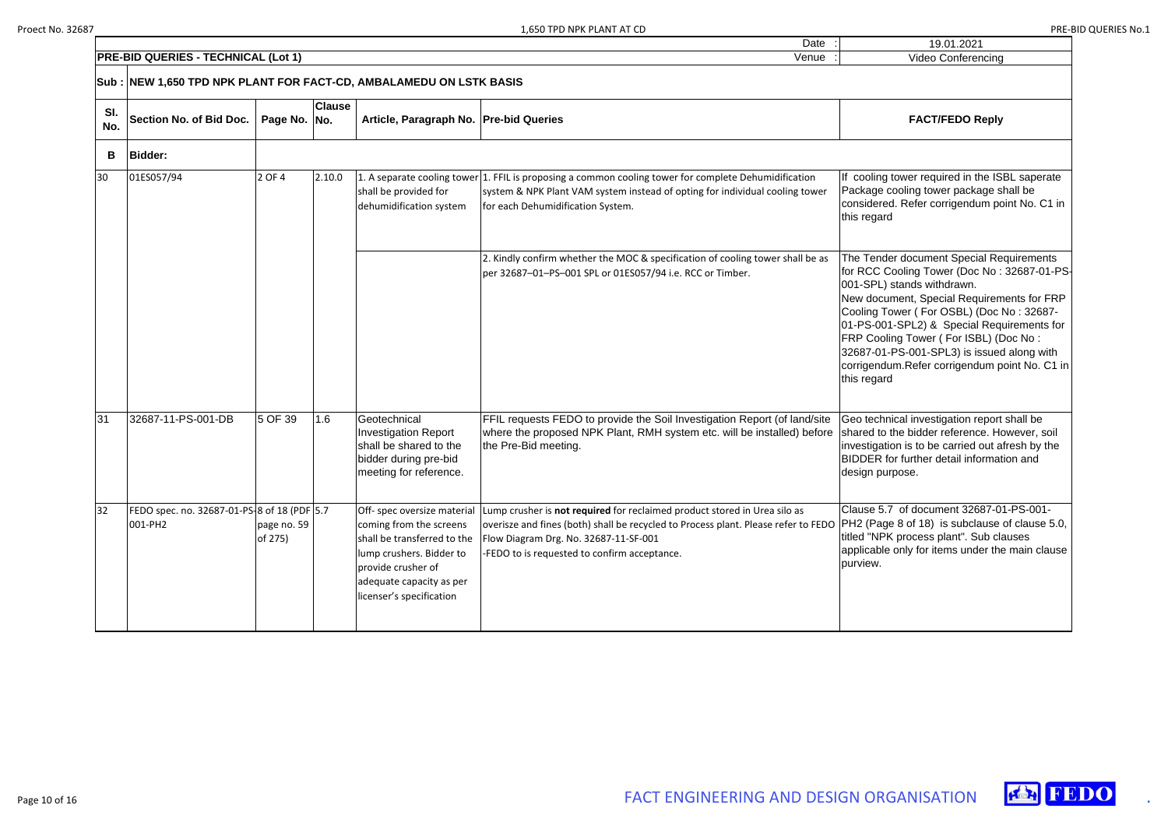|            |                                                                     |                    |                                        | Date | 19.01.2021             |
|------------|---------------------------------------------------------------------|--------------------|----------------------------------------|------|------------------------|
|            | <b>PRE-BID QUERIES - TECHNICAL (Lot 1)</b>                          | Video Conferencing |                                        |      |                        |
|            | Sub : NEW 1,650 TPD NPK PLANT FOR FACT-CD, AMBALAMEDU ON LSTK BASIS |                    |                                        |      |                        |
| SI.<br>No. | Section No. of Bid Doc.   Page No.   No.                            | <b>Clause</b>      | Article, Paragraph No. Pre-bid Queries |      | <b>FACT/FEDO Reply</b> |

| 19.01.2021                                                                                                                                                                                                                                                                                                                                                                                                            |  |  |  |  |  |  |  |  |  |
|-----------------------------------------------------------------------------------------------------------------------------------------------------------------------------------------------------------------------------------------------------------------------------------------------------------------------------------------------------------------------------------------------------------------------|--|--|--|--|--|--|--|--|--|
| <b>Video Conferencing</b>                                                                                                                                                                                                                                                                                                                                                                                             |  |  |  |  |  |  |  |  |  |
|                                                                                                                                                                                                                                                                                                                                                                                                                       |  |  |  |  |  |  |  |  |  |
| <b>FACT/FEDO Reply</b>                                                                                                                                                                                                                                                                                                                                                                                                |  |  |  |  |  |  |  |  |  |
|                                                                                                                                                                                                                                                                                                                                                                                                                       |  |  |  |  |  |  |  |  |  |
| If cooling tower required in the ISBL saperate<br>Package cooling tower package shall be<br>considered. Refer corrigendum point No. C1 in<br>this regard                                                                                                                                                                                                                                                              |  |  |  |  |  |  |  |  |  |
| The Tender document Special Requirements<br>for RCC Cooling Tower (Doc No: 32687-01-PS-<br>001-SPL) stands withdrawn.<br>New document, Special Requirements for FRP<br>Cooling Tower (For OSBL) (Doc No: 32687-<br>01-PS-001-SPL2) & Special Requirements for<br>FRP Cooling Tower (For ISBL) (Doc No:<br>32687-01-PS-001-SPL3) is issued along with<br>corrigendum. Refer corrigendum point No. C1 in<br>this regard |  |  |  |  |  |  |  |  |  |
| Geo technical investigation report shall be<br>shared to the bidder reference. However, soil<br>investigation is to be carried out afresh by the<br>BIDDER for further detail information and<br>design purpose.                                                                                                                                                                                                      |  |  |  |  |  |  |  |  |  |
| Clause 5.7 of document 32687-01-PS-001-<br>PH2 (Page 8 of 18) is subclause of clause 5.0,<br>titled "NPK process plant". Sub clauses<br>applicable only for items under the main clause<br>purview.                                                                                                                                                                                                                   |  |  |  |  |  |  |  |  |  |



| B               | <b>Bidder:</b>                                         |                        |        |                                                                                                                                                                                                 |                                                                                                                                                                                                                                                                                     |                                                                                                                                                                                           |
|-----------------|--------------------------------------------------------|------------------------|--------|-------------------------------------------------------------------------------------------------------------------------------------------------------------------------------------------------|-------------------------------------------------------------------------------------------------------------------------------------------------------------------------------------------------------------------------------------------------------------------------------------|-------------------------------------------------------------------------------------------------------------------------------------------------------------------------------------------|
| 30              | 01ES057/94                                             | 2 OF 4                 | 2.10.0 | shall be provided for<br>dehumidification system                                                                                                                                                | 1. A separate cooling tower 1. FFIL is proposing a common cooling tower for complete Dehumidification<br>system & NPK Plant VAM system instead of opting for individual cooling tower<br>for each Dehumidification System.                                                          | If cooling tower<br>Package cooling<br>considered. Refe<br>this regard                                                                                                                    |
|                 |                                                        |                        |        |                                                                                                                                                                                                 | 2. Kindly confirm whether the MOC & specification of cooling tower shall be as<br>per 32687-01-PS-001 SPL or 01ES057/94 i.e. RCC or Timber.                                                                                                                                         | The Tender docu<br>for RCC Cooling<br>001-SPL) stands<br>New document,<br>Cooling Tower (<br>01-PS-001-SPL2<br><b>FRP Cooling Tov</b><br>32687-01-PS-00<br>corrigendum.Ref<br>this regard |
| $\overline{31}$ | 32687-11-PS-001-DB                                     | 5 OF 39                | 1.6    | Geotechnical<br><b>Investigation Report</b><br>shall be shared to the<br>bidder during pre-bid<br>meeting for reference.                                                                        | FFIL requests FEDO to provide the Soil Investigation Report (of land/site<br>where the proposed NPK Plant, RMH system etc. will be installed) before<br>the Pre-Bid meeting.                                                                                                        | Geo technical in<br>shared to the bid<br>investigation is to<br><b>BIDDER</b> for furth<br>design purpose.                                                                                |
| 32              | FEDO spec. no. 32687-01-PS-8 of 18 (PDF 5.7<br>001-PH2 | page no. 59<br>of 275) |        | Off- spec oversize material<br>coming from the screens<br>shall be transferred to the<br>lump crushers. Bidder to<br>provide crusher of<br>adequate capacity as per<br>licenser's specification | Lump crusher is not required for reclaimed product stored in Urea silo as<br> overisze and fines (both) shall be recycled to Process plant. Please refer to FEDO $ {\sf PH2}$ (Page 8 of 1<br>Flow Diagram Drg. No. 32687-11-SF-001<br>-FEDO to is requested to confirm acceptance. | Clause 5.7 of do<br>titled "NPK proce<br>applicable only fo<br>purview.                                                                                                                   |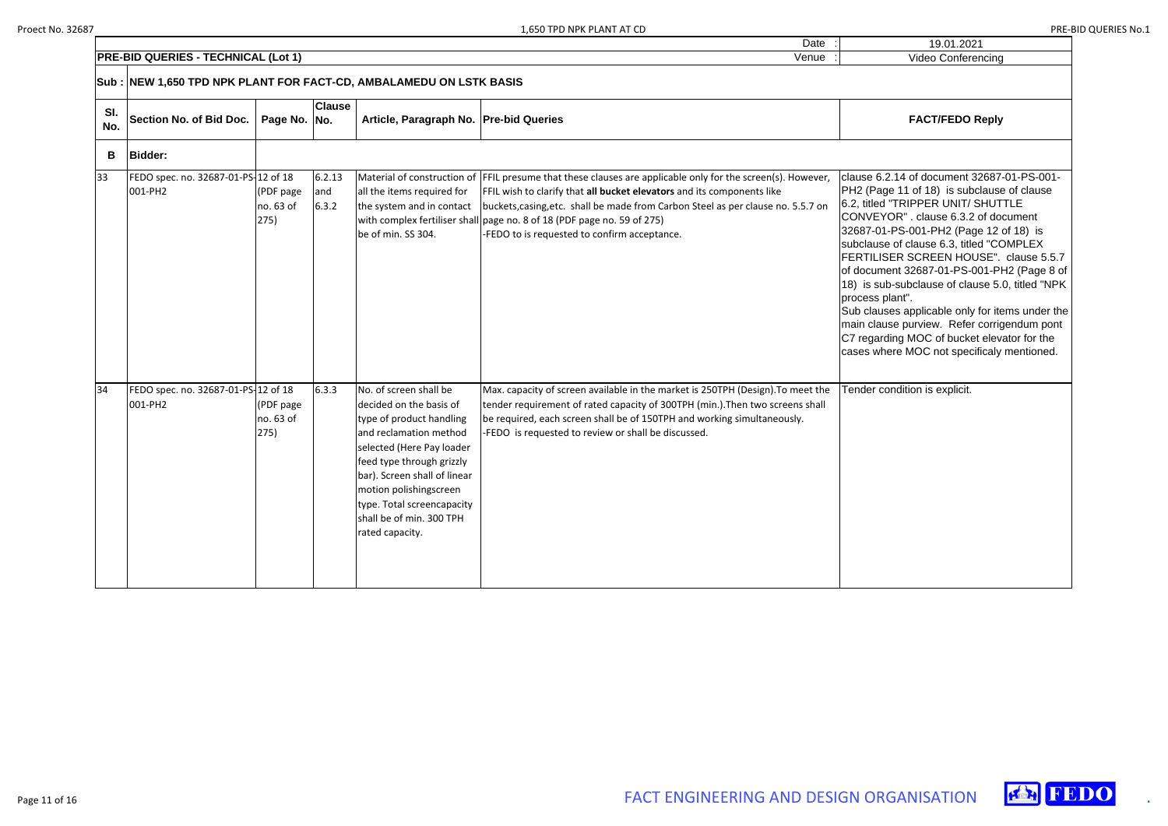| 19.01.2021         |  |
|--------------------|--|
| Video Conferencing |  |

Date

### $FACT/FEDO Reply$

clause 6.2.14 of document 32687-01-PS-001 age 11 of 18) is subclause of clause <sup>d</sup> "TRIPPER UNIT/ SHUTTLE CONVEYOR" . clause 6.3.2 of document 01-PS-001-PH2 (Page 12 of 18) is se of clause 6.3, titled "COMPLEX FERTILISER SCREEN HOUSE". clause 5.5.7 ment 32687-01-PS-001-PH2 (Page 8 of sub-subclause of clause 5.0, titled "NPK plant".

uses applicable only for items under the ause purview. Refer corrigendum pont arding MOC of bucket elevator for the vhere MOC not specificaly mentioned.

condition is explicit.





|            | <b>PRE-BID QUERIES - TECHNICAL (Lot 1)</b><br>Venue                  |                                |                        |                                                                                                                                                                                                                                                                                                          |                                                                                                                                                                                                                                                                                                                                                                                                      |                                                                                                                                                                                 |  |  |  |
|------------|----------------------------------------------------------------------|--------------------------------|------------------------|----------------------------------------------------------------------------------------------------------------------------------------------------------------------------------------------------------------------------------------------------------------------------------------------------------|------------------------------------------------------------------------------------------------------------------------------------------------------------------------------------------------------------------------------------------------------------------------------------------------------------------------------------------------------------------------------------------------------|---------------------------------------------------------------------------------------------------------------------------------------------------------------------------------|--|--|--|
|            | Sub :  NEW 1,650 TPD NPK PLANT FOR FACT-CD, AMBALAMEDU ON LSTK BASIS |                                |                        |                                                                                                                                                                                                                                                                                                          |                                                                                                                                                                                                                                                                                                                                                                                                      |                                                                                                                                                                                 |  |  |  |
| SI.<br>No. | Section No. of Bid Doc.                                              | Page No. No.                   | <b>Clause</b>          | Article, Paragraph No.   Pre-bid Queries                                                                                                                                                                                                                                                                 |                                                                                                                                                                                                                                                                                                                                                                                                      |                                                                                                                                                                                 |  |  |  |
| В          | <b>Bidder:</b>                                                       |                                |                        |                                                                                                                                                                                                                                                                                                          |                                                                                                                                                                                                                                                                                                                                                                                                      |                                                                                                                                                                                 |  |  |  |
| 33         | FEDO spec. no. 32687-01-PS-12 of 18<br>001-PH2                       | (PDF page<br>no. 63 of<br>275) | 6.2.13<br>and<br>6.3.2 | all the items required for<br>the system and in contact<br>be of min. SS 304.                                                                                                                                                                                                                            | Material of construction of FFIL presume that these clauses are applicable only for the screen(s). However,<br>FFIL wish to clarify that all bucket elevators and its components like<br>buckets, casing, etc. shall be made from Carbon Steel as per clause no. 5.5.7 on<br>with complex fertiliser shall page no. 8 of 18 (PDF page no. 59 of 275)<br>-FEDO to is requested to confirm acceptance. | clause 6<br>PH <sub>2</sub> (Pa<br>6.2, title<br><b>CONVE</b><br>32687-0<br>subclaus<br>FERTIL<br>of docur<br>18) is s<br>process<br>Sub clat<br>main cla<br>C7 rega<br>cases w |  |  |  |
| 34         | FEDO spec. no. 32687-01-PS-12 of 18<br>001-PH2                       | (PDF page<br>no. 63 of<br>275) | 6.3.3                  | No. of screen shall be<br>decided on the basis of<br>type of product handling<br>and reclamation method<br>selected (Here Pay loader<br>feed type through grizzly<br>bar). Screen shall of linear<br>motion polishingscreen<br>type. Total screencapacity<br>shall be of min. 300 TPH<br>rated capacity. | Max. capacity of screen available in the market is 250TPH (Design). To meet the<br>tender requirement of rated capacity of 300TPH (min.). Then two screens shall<br>be required, each screen shall be of 150TPH and working simultaneously.<br>-FEDO is requested to review or shall be discussed.                                                                                                   | Tender                                                                                                                                                                          |  |  |  |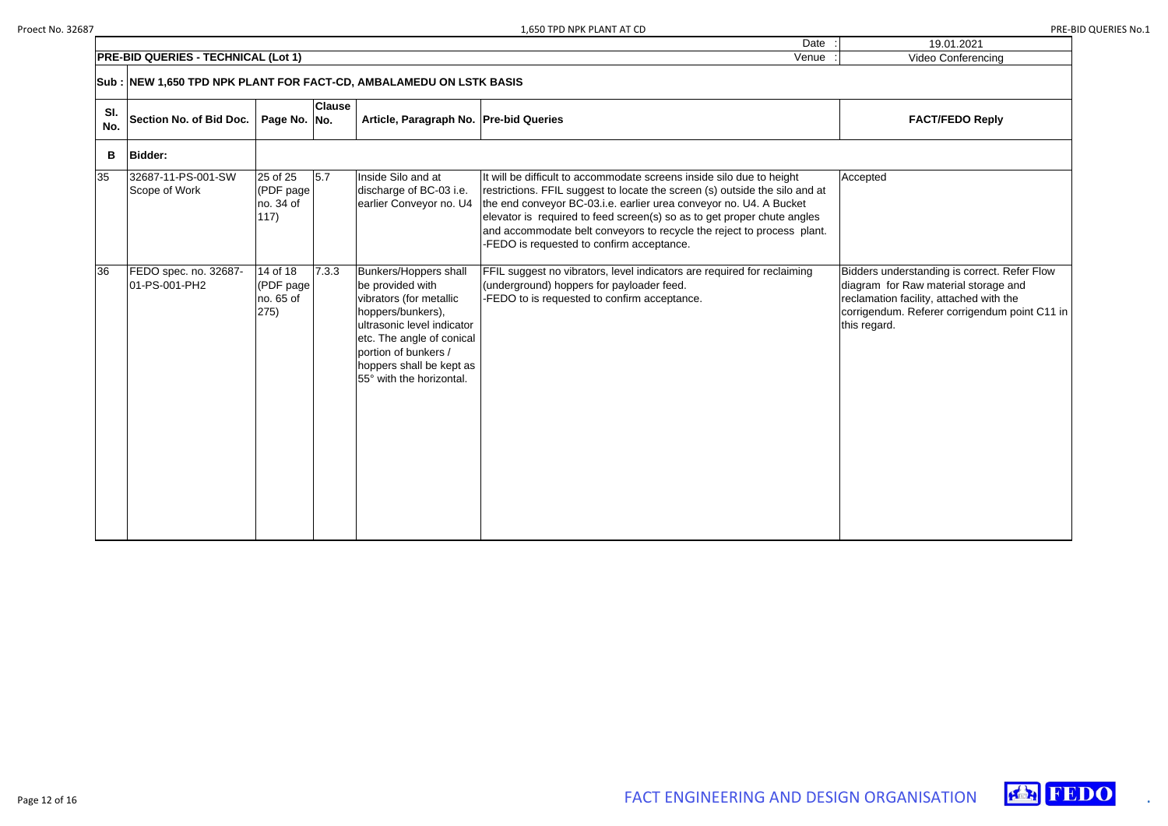| 19.01.2021                                                                                                                                                                                       |
|--------------------------------------------------------------------------------------------------------------------------------------------------------------------------------------------------|
| Video Conferencing                                                                                                                                                                               |
|                                                                                                                                                                                                  |
| <b>FACT/FEDO Reply</b>                                                                                                                                                                           |
|                                                                                                                                                                                                  |
| Accepted                                                                                                                                                                                         |
| Bidders understanding is correct. Refer Flow<br>diagram for Raw material storage and<br>reclamation facility, attached with the<br>corrigendum. Referer corrigendum point C11 in<br>this regard. |





|            | <b>PRE-BID QUERIES - TECHNICAL (Lot 1)</b>                          | Video Conferencing                         |                  |                                                                                                                                                                                                                                             |                                                                                                                                                                                                                                                                                                                                                                                                                              |                                                                                                                                                                  |  |  |  |  |  |
|------------|---------------------------------------------------------------------|--------------------------------------------|------------------|---------------------------------------------------------------------------------------------------------------------------------------------------------------------------------------------------------------------------------------------|------------------------------------------------------------------------------------------------------------------------------------------------------------------------------------------------------------------------------------------------------------------------------------------------------------------------------------------------------------------------------------------------------------------------------|------------------------------------------------------------------------------------------------------------------------------------------------------------------|--|--|--|--|--|
|            | Sub : NEW 1,650 TPD NPK PLANT FOR FACT-CD, AMBALAMEDU ON LSTK BASIS |                                            |                  |                                                                                                                                                                                                                                             |                                                                                                                                                                                                                                                                                                                                                                                                                              |                                                                                                                                                                  |  |  |  |  |  |
| SI.<br>No. | Section No. of Bid Doc.                                             | Page No. No.                               | <b>Clause</b>    | Article, Paragraph No. Pre-bid Queries                                                                                                                                                                                                      |                                                                                                                                                                                                                                                                                                                                                                                                                              | <b>FACT/FEDO Reply</b>                                                                                                                                           |  |  |  |  |  |
| B          | <b>Bidder:</b>                                                      |                                            |                  |                                                                                                                                                                                                                                             |                                                                                                                                                                                                                                                                                                                                                                                                                              |                                                                                                                                                                  |  |  |  |  |  |
| 35         | 32687-11-PS-001-SW<br>Scope of Work                                 | 25 of 25<br>(PDF page<br>no. 34 of<br>117) | $\overline{5.7}$ | Inside Silo and at<br>discharge of BC-03 i.e.<br>earlier Conveyor no. U4                                                                                                                                                                    | It will be difficult to accommodate screens inside silo due to height<br>restrictions. FFIL suggest to locate the screen (s) outside the silo and at<br>the end conveyor BC-03.i.e. earlier urea conveyor no. U4. A Bucket<br>elevator is required to feed screen(s) so as to get proper chute angles<br>and accommodate belt conveyors to recycle the reject to process plant.<br>-FEDO is requested to confirm acceptance. | Accepted                                                                                                                                                         |  |  |  |  |  |
| 36         | FEDO spec. no. 32687-<br>01-PS-001-PH2                              | 14 of 18<br>(PDF page<br>no. 65 of<br>275) | 7.3.3            | <b>Bunkers/Hoppers shall</b><br>be provided with<br>vibrators (for metallic<br>hoppers/bunkers),<br>ultrasonic level indicator<br>etc. The angle of conical<br>portion of bunkers /<br>hoppers shall be kept as<br>55° with the horizontal. | FFIL suggest no vibrators, level indicators are required for reclaiming<br>(underground) hoppers for payloader feed.<br>-FEDO to is requested to confirm acceptance.                                                                                                                                                                                                                                                         | Bidders understanding is correct.<br>diagram for Raw material storage<br>reclamation facility, attached with<br>corrigendum. Referer corrigendun<br>this regard. |  |  |  |  |  |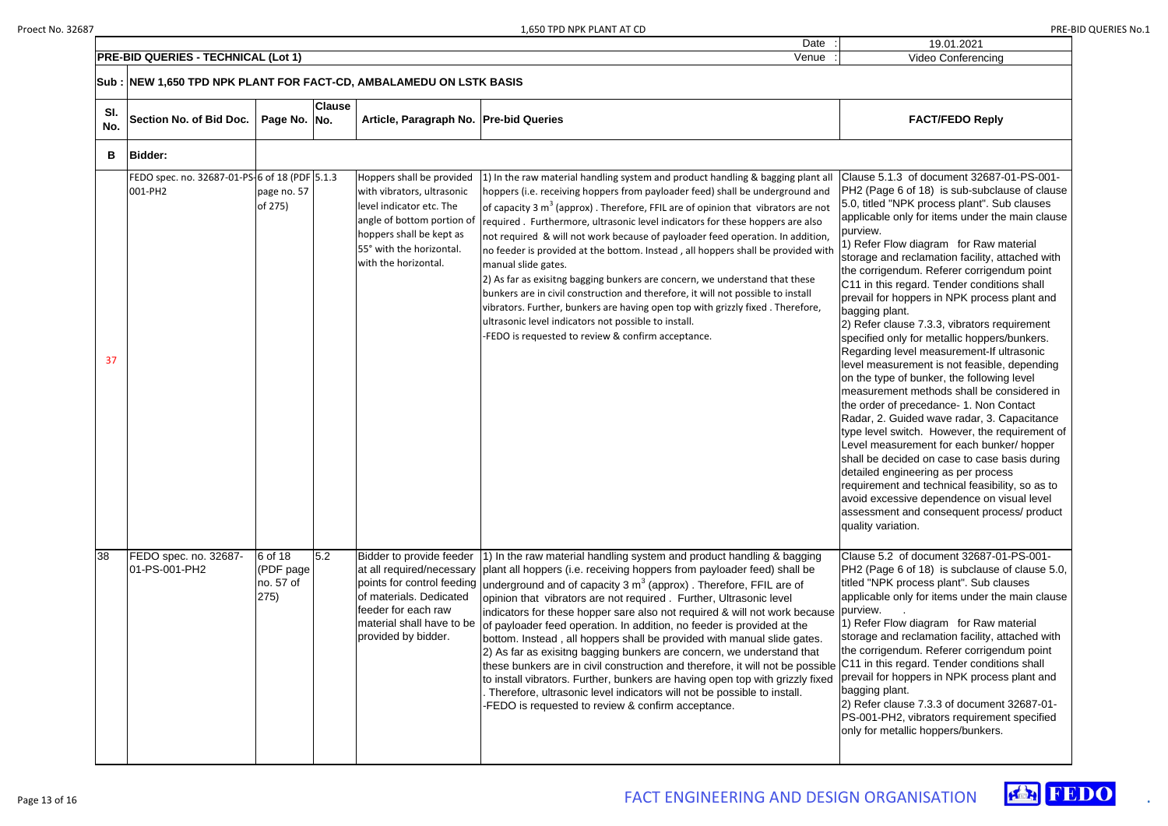19.01.2021

Date

Video Conferencing

### **Article, Paragraph No. Pre-bid Queries FACT/FEDO Reply**

Clause 5.1.3 of document 32687-01-PS-001 ge 6 of 18) is sub-subclause of clause "NPK process plant". Sub clauses le only for items under the main clause

> Flow diagram for Raw material and reclamation facility, attached with gendum. Referer corrigendum point iis regard. Tender conditions shall or hoppers in NPK process plant and plant.

clause 7.3.3, vibrators requirement only for metallic hoppers/bunkers. g level measurement-If ultrasonic asurement is not feasible, depending pe of bunker, the following level measurement methods shall be considered in of precedance- 1. Non Contact Guided wave radar, 3. Capacitance I switch. However, the requirement of easurement for each bunker/ hopper decided on case to case basis during engineering as per process ent and technical feasibility, so as to cessive dependence on visual level ent and consequent process/ product ariation.

Clause 5.2 of document 32687-01-PS-001 ge 6 of 18) is subclause of clause 5.0, <sup>2</sup>K process plant". Sub clauses le only for items under the main clause

> Flow diagram for Raw material and reclamation facility, attached with gendum. Referer corrigendum point is regard. Tender conditions shall or hoppers in NPK process plant and plant.

clause 7.3.3 of document 32687-01-PH2, vibrators requirement specified netallic hoppers/bunkers.



|            | <b>PRE-BID QUERIES - TECHNICAL (Lot 1)</b>                          |                                           |               |                                                                                                                                                                                                   | Venue                                                                                                                                                                                                                                                                                                                                                                                                                                                                                                                                                                                                                                                                                                                                                                                                                                                                                                                                                                |                                                                                                                                                                                                                                                                                                                                                                          |
|------------|---------------------------------------------------------------------|-------------------------------------------|---------------|---------------------------------------------------------------------------------------------------------------------------------------------------------------------------------------------------|----------------------------------------------------------------------------------------------------------------------------------------------------------------------------------------------------------------------------------------------------------------------------------------------------------------------------------------------------------------------------------------------------------------------------------------------------------------------------------------------------------------------------------------------------------------------------------------------------------------------------------------------------------------------------------------------------------------------------------------------------------------------------------------------------------------------------------------------------------------------------------------------------------------------------------------------------------------------|--------------------------------------------------------------------------------------------------------------------------------------------------------------------------------------------------------------------------------------------------------------------------------------------------------------------------------------------------------------------------|
|            | Sub : NEW 1,650 TPD NPK PLANT FOR FACT-CD, AMBALAMEDU ON LSTK BASIS |                                           |               |                                                                                                                                                                                                   |                                                                                                                                                                                                                                                                                                                                                                                                                                                                                                                                                                                                                                                                                                                                                                                                                                                                                                                                                                      |                                                                                                                                                                                                                                                                                                                                                                          |
| SI.<br>No. | Section No. of Bid Doc.                                             | Page No. No.                              | <b>Clause</b> | Article, Paragraph No.   Pre-bid Queries                                                                                                                                                          |                                                                                                                                                                                                                                                                                                                                                                                                                                                                                                                                                                                                                                                                                                                                                                                                                                                                                                                                                                      |                                                                                                                                                                                                                                                                                                                                                                          |
| В          | <b>Bidder:</b>                                                      |                                           |               |                                                                                                                                                                                                   |                                                                                                                                                                                                                                                                                                                                                                                                                                                                                                                                                                                                                                                                                                                                                                                                                                                                                                                                                                      |                                                                                                                                                                                                                                                                                                                                                                          |
| 37         | FEDO spec. no. 32687-01-PS-6 of 18 (PDF 5.1.3<br>001-PH2            | page no. 57<br>of 275)                    |               | Hoppers shall be provided<br>with vibrators, ultrasonic<br>level indicator etc. The<br>angle of bottom portion of<br>hoppers shall be kept as<br>55° with the horizontal.<br>with the horizontal. | 1) In the raw material handling system and product handling & bagging plant all<br>hoppers (i.e. receiving hoppers from payloader feed) shall be underground and<br>of capacity 3 $m3$ (approx). Therefore, FFIL are of opinion that vibrators are not<br>required. Furthermore, ultrasonic level indicators for these hoppers are also<br>not required & will not work because of payloader feed operation. In addition,<br>no feeder is provided at the bottom. Instead, all hoppers shall be provided with<br>manual slide gates.<br>2) As far as exisitng bagging bunkers are concern, we understand that these<br>bunkers are in civil construction and therefore, it will not possible to install<br>vibrators. Further, bunkers are having open top with grizzly fixed. Therefore,<br>ultrasonic level indicators not possible to install.<br>-FEDO is requested to review & confirm acceptance.                                                              | Clause 5.1.3<br>PH2 (Page 6<br>5.0, titled "NP<br>applicable onl<br>purview.<br>1) Refer Flow<br>storage and re<br>the corrigendu<br>C11 in this reg<br>prevail for hop<br>bagging plant.<br>2) Refer claus<br>specified only<br>Regarding lev<br>level measure<br>on the type of<br>measurement<br>the order of pr<br>Radar, 2. Guid<br>type level swit<br>Level measur |
| 38         | FEDO spec. no. 32687-<br>01-PS-001-PH2                              | 6 of 18<br>(PDF page<br>no. 57 of<br>275) | 5.2           | points for control feeding<br>of materials. Dedicated<br>feeder for each raw<br>material shall have to be<br>provided by bidder.                                                                  | Bidder to provide feeder (1) In the raw material handling system and product handling & bagging<br>at all required/necessary   plant all hoppers (i.e. receiving hoppers from payloader feed) shall be<br>underground and of capacity 3 $m3$ (approx). Therefore, FFIL are of<br>opinion that vibrators are not required. Further, Ultrasonic level<br>indicators for these hopper sare also not required & will not work because<br>of payloader feed operation. In addition, no feeder is provided at the<br>bottom. Instead, all hoppers shall be provided with manual slide gates.<br>(2) As far as exisitng bagging bunkers are concern, we understand that<br>these bunkers are in civil construction and therefore, it will not be possible<br>to install vibrators. Further, bunkers are having open top with grizzly fixed<br>Therefore, ultrasonic level indicators will not be possible to install.<br>-FEDO is requested to review & confirm acceptance. | shall be decid<br>detailed engin<br>requirement a<br>avoid excessiv<br>assessment a<br>quality variatio<br>Clause 5.2 of<br>PH2 (Page 6<br>titled "NPK pro<br>applicable onl<br>purview.<br>1) Refer Flow<br>storage and re<br>the corrigendu<br>C11 in this reg<br>prevail for hop<br>bagging plant.<br>2) Refer claus<br>PS-001-PH2,<br>only for metall                |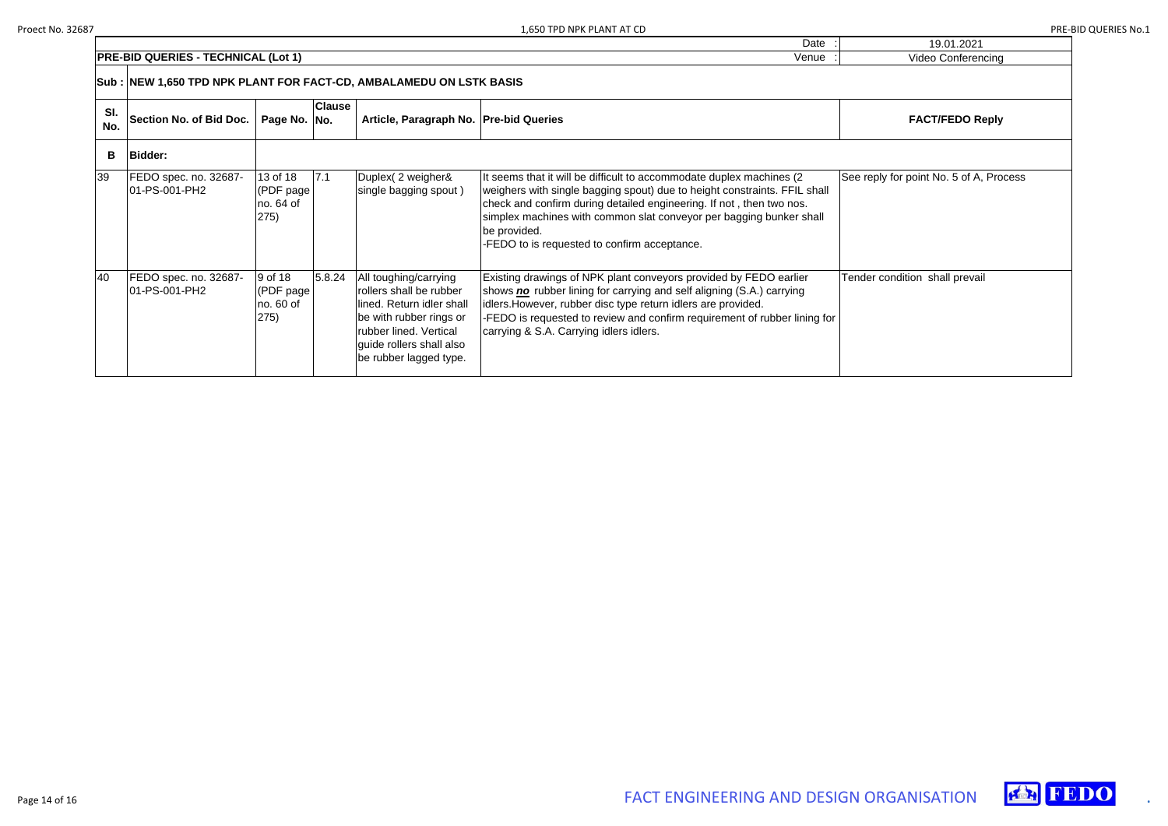| ) TPD NPK PLANT AT CD<br>1.650                                  | $\sim$ $\sim$ $\sim$ $\sim$ | ॱॱ└                     | S NO. 1 |
|-----------------------------------------------------------------|-----------------------------|-------------------------|---------|
|                                                                 | Date                        | 19.01.2021              |         |
| <b>IPRE-BID</b><br><b>TECHNICAL (Lot 1)</b><br><b>J QUERIES</b> | √enue                       | video Co<br>onterencina |         |

| 19.01.2021                              |
|-----------------------------------------|
| Video Conferencing                      |
|                                         |
| <b>FACT/FEDO Reply</b>                  |
|                                         |
| See reply for point No. 5 of A, Process |
| Tender condition shall prevail          |





|            | Sub : NEW 1,650 TPD NPK PLANT FOR FACT-CD, AMBALAMEDU ON LSTK BASIS |                                             |               |                                                                                                                                                                                          |                                                                                                                                                                                                                                                                                                                                                                   |                                     |  |  |
|------------|---------------------------------------------------------------------|---------------------------------------------|---------------|------------------------------------------------------------------------------------------------------------------------------------------------------------------------------------------|-------------------------------------------------------------------------------------------------------------------------------------------------------------------------------------------------------------------------------------------------------------------------------------------------------------------------------------------------------------------|-------------------------------------|--|--|
| SI.<br>No. | <b>Section No. of Bid Doc.</b>                                      | Page No. No.                                | <b>Clause</b> | Article, Paragraph No.   Pre-bid Queries                                                                                                                                                 |                                                                                                                                                                                                                                                                                                                                                                   | <b>FACT/FEDO Reply</b>              |  |  |
| В          | <b>Bidder:</b>                                                      |                                             |               |                                                                                                                                                                                          |                                                                                                                                                                                                                                                                                                                                                                   |                                     |  |  |
| 39         | FEDO spec. no. 32687-<br>01-PS-001-PH2                              | 13 of 18<br>(PDF page)<br>no. 64 of<br>275) | 17.1          | Duplex (2 weigher&<br>single bagging spout)                                                                                                                                              | It seems that it will be difficult to accommodate duplex machines (2)<br>weighers with single bagging spout) due to height constraints. FFIL shall<br>check and confirm during detailed engineering. If not, then two nos.<br>simplex machines with common slat conveyor per bagging bunker shall<br>be provided.<br>-FEDO to is requested to confirm acceptance. | See reply for point No. 5 of A, Pro |  |  |
| 40         | FEDO spec. no. 32687-<br>01-PS-001-PH2                              | 9 of 18<br>(PDF page)<br>no. 60 of<br>275)  | 5.8.24        | All toughing/carrying<br>rollers shall be rubber<br>lined. Return idler shall<br>be with rubber rings or<br>rubber lined. Vertical<br>guide rollers shall also<br>be rubber lagged type. | Existing drawings of NPK plant conveyors provided by FEDO earlier<br>shows no rubber lining for carrying and self aligning (S.A.) carrying<br>idlers. However, rubber disc type return idlers are provided.<br>-FEDO is requested to review and confirm requirement of rubber lining for<br>carrying & S.A. Carrying idlers idlers.                               | Tender condition shall prevail      |  |  |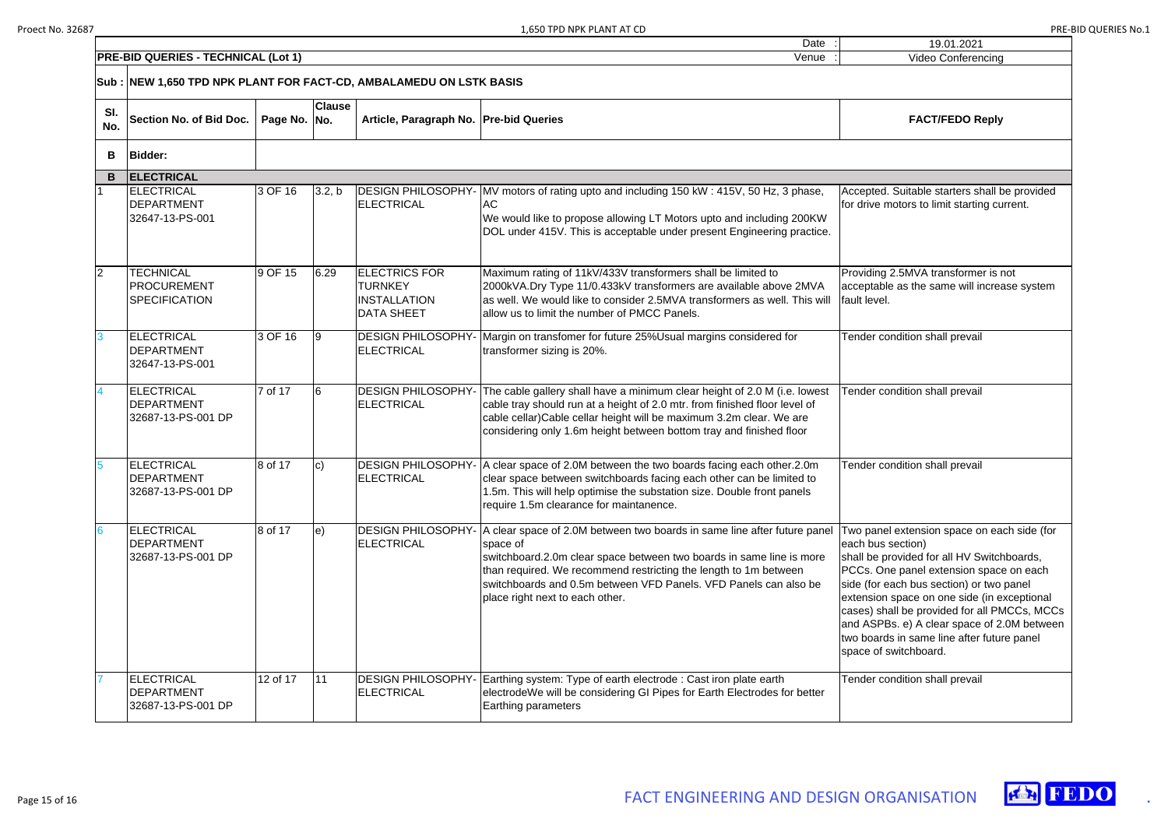| Date                                                                            |  |
|---------------------------------------------------------------------------------|--|
| <b>HNICAL</b><br><b>PRE</b><br>.<br>·BID<br>- 11<br>Venue<br>(LOt<br>wur<br>KIL |  |

| 19.01.2021                                                                                                                                                                                                                                                                                                                                                                                                                 |
|----------------------------------------------------------------------------------------------------------------------------------------------------------------------------------------------------------------------------------------------------------------------------------------------------------------------------------------------------------------------------------------------------------------------------|
| Video Conferencing                                                                                                                                                                                                                                                                                                                                                                                                         |
|                                                                                                                                                                                                                                                                                                                                                                                                                            |
| <b>FACT/FEDO Reply</b>                                                                                                                                                                                                                                                                                                                                                                                                     |
|                                                                                                                                                                                                                                                                                                                                                                                                                            |
| Accepted. Suitable starters shall be provided<br>for drive motors to limit starting current.                                                                                                                                                                                                                                                                                                                               |
| Providing 2.5MVA transformer is not<br>acceptable as the same will increase system<br>fault level.                                                                                                                                                                                                                                                                                                                         |
| Tender condition shall prevail                                                                                                                                                                                                                                                                                                                                                                                             |
| Tender condition shall prevail                                                                                                                                                                                                                                                                                                                                                                                             |
| Tender condition shall prevail                                                                                                                                                                                                                                                                                                                                                                                             |
| Two panel extension space on each side (for<br>each bus section)<br>shall be provided for all HV Switchboards,<br>PCCs. One panel extension space on each<br>side (for each bus section) or two panel<br>extension space on one side (in exceptional<br>cases) shall be provided for all PMCCs, MCCs<br>and ASPBs. e) A clear space of 2.0M between<br>two boards in same line after future panel<br>space of switchboard. |
| Tender condition shall prevail                                                                                                                                                                                                                                                                                                                                                                                             |



|                 | Sub : NEW 1,650 TPD NPK PLANT FOR FACT-CD, AMBALAMEDU ON LSTK BASIS |              |                   |                                                                                    |                                                                                                                                                                                                                                                                                                                                         |                                                                                                                                                                                                                                                                                                                                                      |
|-----------------|---------------------------------------------------------------------|--------------|-------------------|------------------------------------------------------------------------------------|-----------------------------------------------------------------------------------------------------------------------------------------------------------------------------------------------------------------------------------------------------------------------------------------------------------------------------------------|------------------------------------------------------------------------------------------------------------------------------------------------------------------------------------------------------------------------------------------------------------------------------------------------------------------------------------------------------|
| SI.<br>No.      | Section No. of Bid Doc.                                             | Page No. No. | <b>Clause</b>     | Article, Paragraph No. Pre-bid Queries                                             |                                                                                                                                                                                                                                                                                                                                         | <b>FACT/FEDO Reply</b>                                                                                                                                                                                                                                                                                                                               |
| В               | <b>Bidder:</b>                                                      |              |                   |                                                                                    |                                                                                                                                                                                                                                                                                                                                         |                                                                                                                                                                                                                                                                                                                                                      |
| B               | <b>ELECTRICAL</b>                                                   |              |                   |                                                                                    |                                                                                                                                                                                                                                                                                                                                         |                                                                                                                                                                                                                                                                                                                                                      |
|                 | <b>ELECTRICAL</b><br><b>DEPARTMENT</b><br>32647-13-PS-001           | 3 OF 16      | 3.2, b            | <b>ELECTRICAL</b>                                                                  | DESIGN PHILOSOPHY- MV motors of rating upto and including 150 kW: 415V, 50 Hz, 3 phase,<br>AC<br>We would like to propose allowing LT Motors upto and including 200KW<br>DOL under 415V. This is acceptable under present Engineering practice.                                                                                         | Accepted. Suitable starters shall b<br>for drive motors to limit starting cu                                                                                                                                                                                                                                                                         |
| $\overline{2}$  | <b>TECHNICAL</b><br><b>PROCUREMENT</b><br><b>SPECIFICATION</b>      | 9 OF 15      | 6.29              | <b>ELECTRICS FOR</b><br><b>TURNKEY</b><br><b>INSTALLATION</b><br><b>DATA SHEET</b> | Maximum rating of 11kV/433V transformers shall be limited to<br>2000kVA.Dry Type 11/0.433kV transformers are available above 2MVA<br>as well. We would like to consider 2.5MVA transformers as well. This will<br>allow us to limit the number of PMCC Panels.                                                                          | Providing 2.5MVA transformer is r<br>acceptable as the same will increa<br>fault level.                                                                                                                                                                                                                                                              |
| 3               | <b>ELECTRICAL</b><br><b>DEPARTMENT</b><br>32647-13-PS-001           | 3 OF 16      | 19                | <b>DESIGN PHILOSOPHY-</b><br><b>ELECTRICAL</b>                                     | Margin on transfomer for future 25% Usual margins considered for<br>transformer sizing is 20%.                                                                                                                                                                                                                                          | Tender condition shall prevail                                                                                                                                                                                                                                                                                                                       |
| $\overline{4}$  | <b>ELECTRICAL</b><br><b>DEPARTMENT</b><br>32687-13-PS-001 DP        | 7 of 17      | l6                | <b>DESIGN PHILOSOPHY-</b><br><b>ELECTRICAL</b>                                     | The cable gallery shall have a minimum clear height of 2.0 M (i.e. lowest<br>cable tray should run at a height of 2.0 mtr. from finished floor level of<br>cable cellar)Cable cellar height will be maximum 3.2m clear. We are<br>considering only 1.6m height between bottom tray and finished floor                                   | Tender condition shall prevail                                                                                                                                                                                                                                                                                                                       |
| 5               | <b>ELECTRICAL</b><br><b>DEPARTMENT</b><br>32687-13-PS-001 DP        | 8 of 17      | $ c\rangle$       | <b>DESIGN PHILOSOPHY-</b><br>ELECTRICAL                                            | A clear space of 2.0M between the two boards facing each other.2.0m<br>clear space between switchboards facing each other can be limited to<br>1.5m. This will help optimise the substation size. Double front panels<br>require 1.5m clearance for maintanence.                                                                        | Tender condition shall prevail                                                                                                                                                                                                                                                                                                                       |
| $6\overline{6}$ | <b>ELECTRICAL</b><br><b>DEPARTMENT</b><br>32687-13-PS-001 DP        | 8 of 17      | $\vert e \rangle$ | <b>DESIGN PHILOSOPHY-</b><br><b>ELECTRICAL</b>                                     | A clear space of 2.0M between two boards in same line after future panel<br>space of<br>switchboard.2.0m clear space between two boards in same line is more<br>than required. We recommend restricting the length to 1m between<br>switchboards and 0.5m between VFD Panels. VFD Panels can also be<br>place right next to each other. | Two panel extension space on ea<br>each bus section)<br>shall be provided for all HV Switch<br>PCCs. One panel extension space<br>side (for each bus section) or two<br>extension space on one side (in e<br>cases) shall be provided for all PN<br>and ASPBs. e) A clear space of 2<br>two boards in same line after futui<br>space of switchboard. |
|                 | <b>ELECTRICAL</b><br><b>DEPARTMENT</b><br>32687-13-PS-001 DP        | 12 of 17     | 11                | <b>DESIGN PHILOSOPHY-</b><br>ELECTRICAL                                            | Earthing system: Type of earth electrode: Cast iron plate earth<br>electrodeWe will be considering GI Pipes for Earth Electrodes for better<br>Earthing parameters                                                                                                                                                                      | Tender condition shall prevail                                                                                                                                                                                                                                                                                                                       |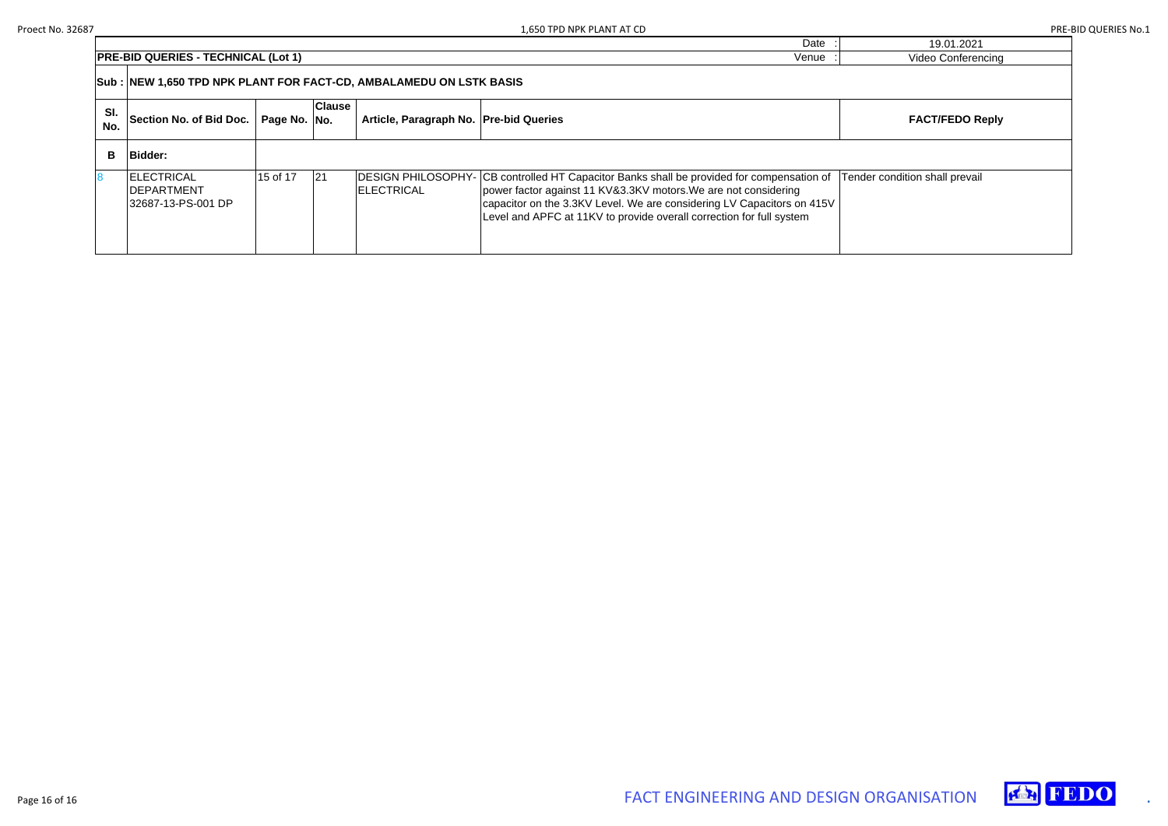|            |                                                                                  |              |               |                                        | Date                                                                                                                                                                                                                                                                                                           | 19.01.2021                     |  |  |
|------------|----------------------------------------------------------------------------------|--------------|---------------|----------------------------------------|----------------------------------------------------------------------------------------------------------------------------------------------------------------------------------------------------------------------------------------------------------------------------------------------------------------|--------------------------------|--|--|
|            | <b>PRE-BID QUERIES - TECHNICAL (Lot 1)</b><br><b>Video Conferencing</b><br>Venue |              |               |                                        |                                                                                                                                                                                                                                                                                                                |                                |  |  |
|            |                                                                                  |              |               |                                        |                                                                                                                                                                                                                                                                                                                |                                |  |  |
| SI.<br>No. | Section No. of Bid Doc.                                                          | Page No. No. | <b>Clause</b> | Article, Paragraph No. Pre-bid Queries |                                                                                                                                                                                                                                                                                                                | <b>FACT/FEDO Reply</b>         |  |  |
| B.         | Bidder:                                                                          |              |               |                                        |                                                                                                                                                                                                                                                                                                                |                                |  |  |
|            | <b>IELECTRICAL</b><br><b>IDEPARTMENT</b><br>32687-13-PS-001 DP                   | 15 of 17     | 121           | <b>ELECTRICAL</b>                      | DESIGN PHILOSOPHY- CB controlled HT Capacitor Banks shall be provided for compensation of<br>power factor against 11 KV&3.3KV motors. We are not considering<br>capacitor on the 3.3KV Level. We are considering LV Capacitors on 415V<br>Level and APFC at 11KV to provide overall correction for full system | Tender condition shall prevail |  |  |



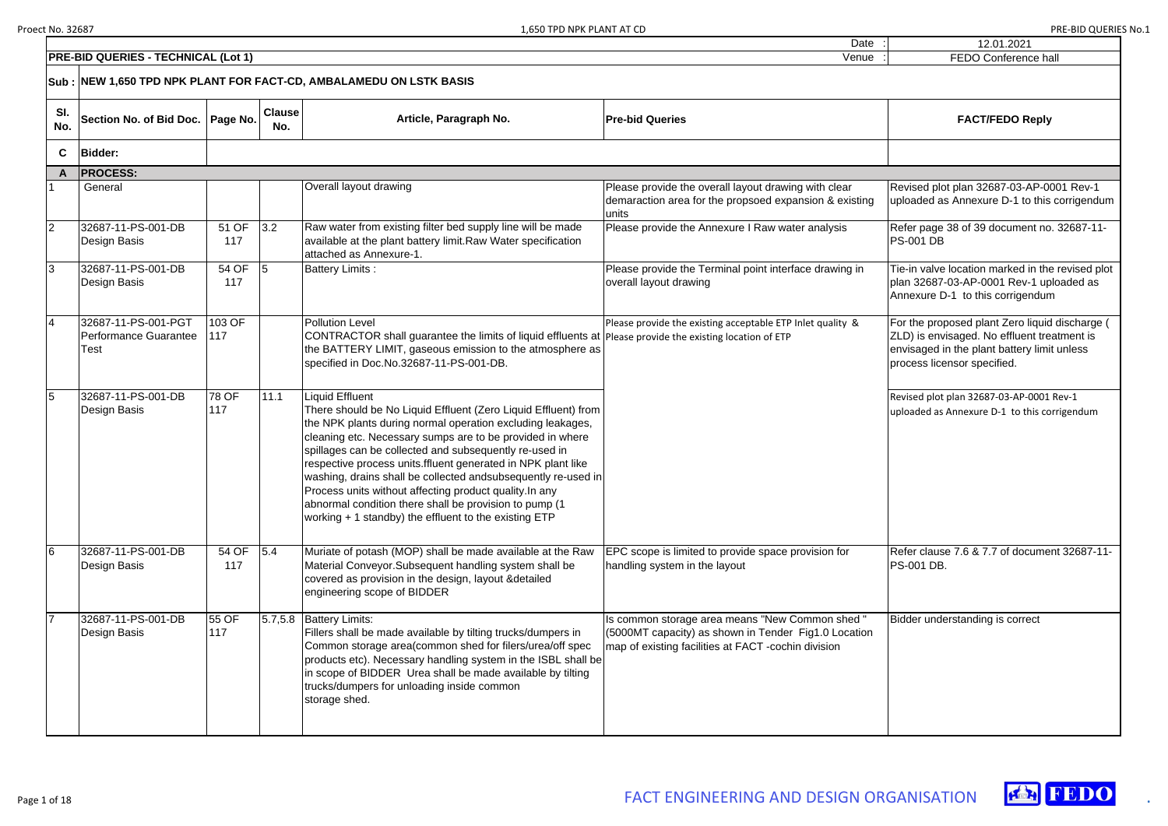| 12.01.2021                                                                                                                                                                  |
|-----------------------------------------------------------------------------------------------------------------------------------------------------------------------------|
| <b>FEDO Conference hall</b>                                                                                                                                                 |
|                                                                                                                                                                             |
| <b>FACT/FEDO Reply</b>                                                                                                                                                      |
|                                                                                                                                                                             |
|                                                                                                                                                                             |
| Revised plot plan 32687-03-AP-0001 Rev-1<br>uploaded as Annexure D-1 to this corrigendum                                                                                    |
| Refer page 38 of 39 document no. 32687-11-<br><b>PS-001 DB</b>                                                                                                              |
| Tie-in valve location marked in the revised plot<br>plan 32687-03-AP-0001 Rev-1 uploaded as<br>Annexure D-1 to this corrigendum                                             |
| For the proposed plant Zero liquid discharge (<br>ZLD) is envisaged. No effluent treatment is<br>envisaged in the plant battery limit unless<br>process licensor specified. |
| Revised plot plan 32687-03-AP-0001 Rev-1<br>uploaded as Annexure D-1 to this corrigendum                                                                                    |
| Refer clause 7.6 & 7.7 of document 32687-11-<br>PS-001 DB.                                                                                                                  |
| Bidder understanding is correct                                                                                                                                             |





|            | <b>PRE-BID QUERIES - TECHNICAL (Lot 1)</b>           |               |                      |                                                                                                                                                                                                                                                                                                                                                                                                                                                                                                                                                                                         | Venue                                                                                                                                                          | FEDO Conference hall                                                                                                                                                              |
|------------|------------------------------------------------------|---------------|----------------------|-----------------------------------------------------------------------------------------------------------------------------------------------------------------------------------------------------------------------------------------------------------------------------------------------------------------------------------------------------------------------------------------------------------------------------------------------------------------------------------------------------------------------------------------------------------------------------------------|----------------------------------------------------------------------------------------------------------------------------------------------------------------|-----------------------------------------------------------------------------------------------------------------------------------------------------------------------------------|
|            |                                                      |               |                      | Sub : NEW 1,650 TPD NPK PLANT FOR FACT-CD, AMBALAMEDU ON LSTK BASIS                                                                                                                                                                                                                                                                                                                                                                                                                                                                                                                     |                                                                                                                                                                |                                                                                                                                                                                   |
| SI.<br>No. | Section No. of Bid Doc.                              | Page No.      | <b>Clause</b><br>No. | Article, Paragraph No.                                                                                                                                                                                                                                                                                                                                                                                                                                                                                                                                                                  | <b>Pre-bid Queries</b>                                                                                                                                         | <b>FACT/FEDO Reply</b>                                                                                                                                                            |
| C          | <b>Bidder:</b>                                       |               |                      |                                                                                                                                                                                                                                                                                                                                                                                                                                                                                                                                                                                         |                                                                                                                                                                |                                                                                                                                                                                   |
| A          | <b>PROCESS:</b>                                      |               |                      |                                                                                                                                                                                                                                                                                                                                                                                                                                                                                                                                                                                         |                                                                                                                                                                |                                                                                                                                                                                   |
|            | General                                              |               |                      | Overall layout drawing                                                                                                                                                                                                                                                                                                                                                                                                                                                                                                                                                                  | Please provide the overall layout drawing with clear<br>demaraction area for the propsoed expansion & existing<br>units                                        | Revised plot plan 32687-03-AP-0001 Rev-1<br>uploaded as Annexure D-1 to this corrigendu                                                                                           |
|            | 32687-11-PS-001-DB<br>Design Basis                   | 51 OF<br>117  | 3.2                  | Raw water from existing filter bed supply line will be made<br>available at the plant battery limit. Raw Water specification<br>lattached as Annexure-1.                                                                                                                                                                                                                                                                                                                                                                                                                                | Please provide the Annexure I Raw water analysis                                                                                                               | Refer page 38 of 39 document no. 32687-11-<br><b>PS-001 DB</b>                                                                                                                    |
| 3          | 32687-11-PS-001-DB<br>Design Basis                   | 54 OF<br>117  |                      | <b>Battery Limits:</b>                                                                                                                                                                                                                                                                                                                                                                                                                                                                                                                                                                  | Please provide the Terminal point interface drawing in<br>overall layout drawing                                                                               | Tie-in valve location marked in the revised plo<br>plan 32687-03-AP-0001 Rev-1 uploaded as<br>Annexure D-1 to this corrigendum                                                    |
|            | 32687-11-PS-001-PGT<br>Performance Guarantee<br>Test | 103 OF<br>117 |                      | <b>Pollution Level</b><br>CONTRACTOR shall guarantee the limits of liquid effluents at Please provide the existing location of ETP<br>the BATTERY LIMIT, gaseous emission to the atmosphere as<br>specified in Doc.No.32687-11-PS-001-DB.                                                                                                                                                                                                                                                                                                                                               | Please provide the existing acceptable ETP Inlet quality &                                                                                                     | For the proposed plant Zero liquid discharge<br><b>ZLD</b> ) is envisaged. No effluent treatment is<br>envisaged in the plant battery limit unless<br>process licensor specified. |
|            | 32687-11-PS-001-DB<br>Design Basis                   | 78 OF<br>117  | 11.1                 | Liquid Effluent<br>There should be No Liquid Effluent (Zero Liquid Effluent) from<br>the NPK plants during normal operation excluding leakages,<br>cleaning etc. Necessary sumps are to be provided in where<br>spillages can be collected and subsequently re-used in<br>respective process units. filuent generated in NPK plant like<br>washing, drains shall be collected andsubsequently re-used in<br>Process units without affecting product quality. In any<br>abnormal condition there shall be provision to pump (1)<br>working + 1 standby) the effluent to the existing ETP |                                                                                                                                                                | Revised plot plan 32687-03-AP-0001 Rev-1<br>uploaded as Annexure D-1 to this corrigendum                                                                                          |
|            | 32687-11-PS-001-DB<br>Design Basis                   | 54 OF<br>117  | 5.4                  | Muriate of potash (MOP) shall be made available at the Raw<br>Material Conveyor. Subsequent handling system shall be<br>covered as provision in the design, layout & detailed<br>engineering scope of BIDDER                                                                                                                                                                                                                                                                                                                                                                            | EPC scope is limited to provide space provision for<br>handling system in the layout                                                                           | Refer clause 7.6 & 7.7 of document 32687-11<br>PS-001 DB.                                                                                                                         |
|            | 32687-11-PS-001-DB<br>Design Basis                   | 55 OF<br>117  |                      | 5.7,5.8 Battery Limits:<br>Fillers shall be made available by tilting trucks/dumpers in<br>Common storage area (common shed for filers/urea/off spec<br>products etc). Necessary handling system in the ISBL shall be<br>In scope of BIDDER Urea shall be made available by tilting<br>trucks/dumpers for unloading inside common<br>storage shed.                                                                                                                                                                                                                                      | Is common storage area means "New Common shed "<br>(5000MT capacity) as shown in Tender Fig1.0 Location<br>map of existing facilities at FACT -cochin division | Bidder understanding is correct                                                                                                                                                   |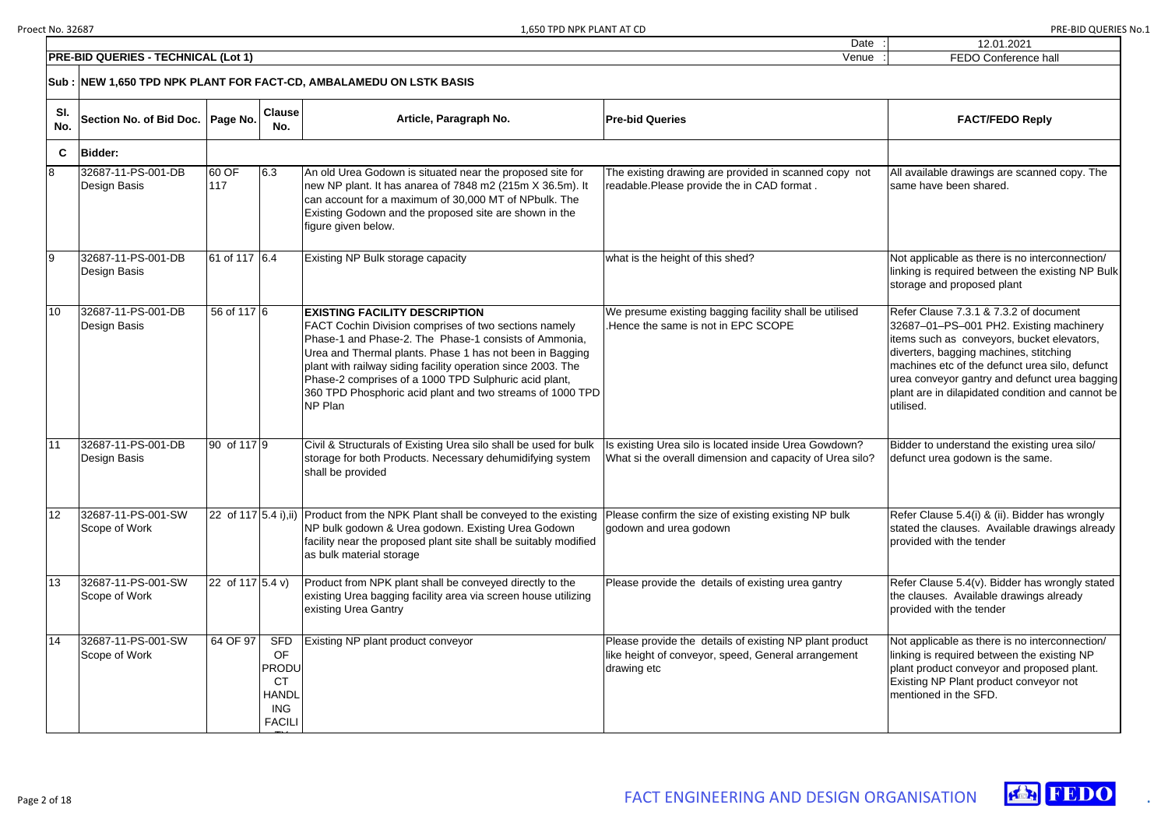|            | <b>PRE-BID QUERIES - TECHNICAL (Lot 1)</b> |                     |                                                                                              |                                                                                                                                                                                                                                                                                                                                                                                                                     | Date                                                                                                                          | 12.01.2021<br>FEDO Conference hall                                                                                                                                                                                                                                                                                                            |
|------------|--------------------------------------------|---------------------|----------------------------------------------------------------------------------------------|---------------------------------------------------------------------------------------------------------------------------------------------------------------------------------------------------------------------------------------------------------------------------------------------------------------------------------------------------------------------------------------------------------------------|-------------------------------------------------------------------------------------------------------------------------------|-----------------------------------------------------------------------------------------------------------------------------------------------------------------------------------------------------------------------------------------------------------------------------------------------------------------------------------------------|
|            |                                            |                     |                                                                                              |                                                                                                                                                                                                                                                                                                                                                                                                                     | Venue                                                                                                                         |                                                                                                                                                                                                                                                                                                                                               |
|            |                                            |                     |                                                                                              | Sub : NEW 1,650 TPD NPK PLANT FOR FACT-CD, AMBALAMEDU ON LSTK BASIS                                                                                                                                                                                                                                                                                                                                                 |                                                                                                                               |                                                                                                                                                                                                                                                                                                                                               |
| SI.<br>No. | Section No. of Bid Doc.                    | <b>Page No.</b>     | <b>Clause</b><br>No.                                                                         | Article, Paragraph No.                                                                                                                                                                                                                                                                                                                                                                                              | <b>Pre-bid Queries</b>                                                                                                        | <b>FACT/FEDO Reply</b>                                                                                                                                                                                                                                                                                                                        |
| C          | <b>Bidder:</b>                             |                     |                                                                                              |                                                                                                                                                                                                                                                                                                                                                                                                                     |                                                                                                                               |                                                                                                                                                                                                                                                                                                                                               |
| 8          | 32687-11-PS-001-DB<br><b>Design Basis</b>  | 60 OF<br>117        | 6.3                                                                                          | An old Urea Godown is situated near the proposed site for<br>new NP plant. It has anarea of 7848 m2 (215m X 36.5m). It<br>can account for a maximum of 30,000 MT of NPbulk. The<br>Existing Godown and the proposed site are shown in the<br>figure given below.                                                                                                                                                    | The existing drawing are provided in scanned copy not<br>readable.Please provide the in CAD format.                           | All available drawings are scanned copy. The<br>same have been shared.                                                                                                                                                                                                                                                                        |
|            | 32687-11-PS-001-DB<br>Design Basis         | 61 of 117 6.4       |                                                                                              | Existing NP Bulk storage capacity                                                                                                                                                                                                                                                                                                                                                                                   | what is the height of this shed?                                                                                              | Not applicable as there is no interconnection/<br>linking is required between the existing NP Bulk<br>storage and proposed plant                                                                                                                                                                                                              |
| 10         | 32687-11-PS-001-DB<br>Design Basis         | 56 of 117 6         |                                                                                              | <b>EXISTING FACILITY DESCRIPTION</b><br>FACT Cochin Division comprises of two sections namely<br>Phase-1 and Phase-2. The Phase-1 consists of Ammonia,<br>Urea and Thermal plants. Phase 1 has not been in Bagging<br>plant with railway siding facility operation since 2003. The<br>Phase-2 comprises of a 1000 TPD Sulphuric acid plant,<br>360 TPD Phosphoric acid plant and two streams of 1000 TPD<br>NP Plan | We presume existing bagging facility shall be utilised<br>.Hence the same is not in EPC SCOPE                                 | Refer Clause 7.3.1 & 7.3.2 of document<br>32687-01-PS-001 PH2. Existing machinery<br>items such as conveyors, bucket elevators,<br>diverters, bagging machines, stitching<br>machines etc of the defunct urea silo, defunct<br>urea conveyor gantry and defunct urea bagging<br>plant are in dilapidated condition and cannot be<br>utilised. |
| 11         | 32687-11-PS-001-DB<br>Design Basis         | 90 of 117 9         |                                                                                              | Civil & Structurals of Existing Urea silo shall be used for bulk<br>storage for both Products. Necessary dehumidifying system<br>shall be provided                                                                                                                                                                                                                                                                  | Is existing Urea silo is located inside Urea Gowdown?<br>What si the overall dimension and capacity of Urea silo?             | Bidder to understand the existing urea silo/<br>defunct urea godown is the same.                                                                                                                                                                                                                                                              |
| 12         | 32687-11-PS-001-SW<br>Scope of Work        |                     |                                                                                              | [22 of 117 [5.4 i), ii)   Product from the NPK Plant shall be conveyed to the existing<br>NP bulk godown & Urea godown. Existing Urea Godown<br>facility near the proposed plant site shall be suitably modified<br>as bulk material storage                                                                                                                                                                        | Please confirm the size of existing existing NP bulk<br>godown and urea godown                                                | Refer Clause 5.4(i) & (ii). Bidder has wrongly<br>stated the clauses. Available drawings already<br>provided with the tender                                                                                                                                                                                                                  |
| 13         | 32687-11-PS-001-SW<br>Scope of Work        | 22 of 117 $(5.4 v)$ |                                                                                              | Product from NPK plant shall be conveyed directly to the<br>existing Urea bagging facility area via screen house utilizing<br>existing Urea Gantry                                                                                                                                                                                                                                                                  | Please provide the details of existing urea gantry                                                                            | Refer Clause 5.4(v). Bidder has wrongly stated<br>the clauses. Available drawings already<br>provided with the tender                                                                                                                                                                                                                         |
| 14         | 32687-11-PS-001-SW<br>Scope of Work        | 64 OF 97            | <b>SFD</b><br><b>OF</b><br>PRODU<br><b>CT</b><br><b>HANDL</b><br><b>ING</b><br><b>FACILI</b> | Existing NP plant product conveyor                                                                                                                                                                                                                                                                                                                                                                                  | Please provide the details of existing NP plant product<br>like height of conveyor, speed, General arrangement<br>drawing etc | Not applicable as there is no interconnection/<br>linking is required between the existing NP<br>plant product conveyor and proposed plant.<br>Existing NP Plant product conveyor not<br>mentioned in the SFD.                                                                                                                                |

<u>—</u>

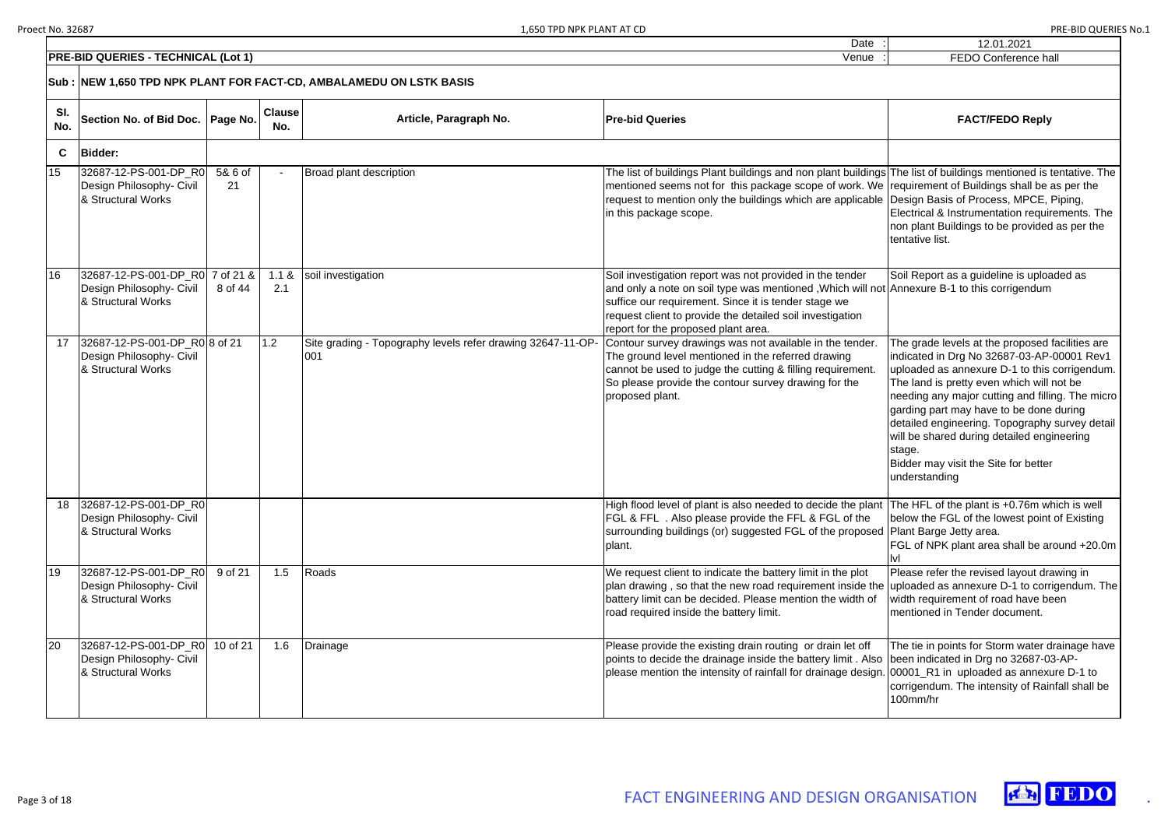Date

| י שוש בווו                  |
|-----------------------------|
| 12.01.2021                  |
| <b>FEDO Conference hall</b> |
|                             |
|                             |
|                             |
| <b>FACT/FEDO Reply</b>      |
|                             |
|                             |

|            | <b>PRE-BID QUERIES - TECHNICAL (Lot 1)</b>                                        | FEDO Conference hall |                      |                                                                    |                                                                                                                                                                                                                                                                                                                                                       |                                                                                                                                                                                                                                                                                                                                                                                                                                                               |  |  |  |  |
|------------|-----------------------------------------------------------------------------------|----------------------|----------------------|--------------------------------------------------------------------|-------------------------------------------------------------------------------------------------------------------------------------------------------------------------------------------------------------------------------------------------------------------------------------------------------------------------------------------------------|---------------------------------------------------------------------------------------------------------------------------------------------------------------------------------------------------------------------------------------------------------------------------------------------------------------------------------------------------------------------------------------------------------------------------------------------------------------|--|--|--|--|
|            | Sub : NEW 1,650 TPD NPK PLANT FOR FACT-CD, AMBALAMEDU ON LSTK BASIS               |                      |                      |                                                                    |                                                                                                                                                                                                                                                                                                                                                       |                                                                                                                                                                                                                                                                                                                                                                                                                                                               |  |  |  |  |
| SI.<br>No. | Section No. of Bid Doc.   Page No.                                                |                      | <b>Clause</b><br>No. | Article, Paragraph No.                                             | <b>Pre-bid Queries</b>                                                                                                                                                                                                                                                                                                                                | <b>FACT/FEDO Reply</b>                                                                                                                                                                                                                                                                                                                                                                                                                                        |  |  |  |  |
| C          | <b>Bidder:</b>                                                                    |                      |                      |                                                                    |                                                                                                                                                                                                                                                                                                                                                       |                                                                                                                                                                                                                                                                                                                                                                                                                                                               |  |  |  |  |
| 15         | 32687-12-PS-001-DP_R0<br>Design Philosophy- Civil<br>& Structural Works           | 5& 6 of<br>21        |                      | Broad plant description                                            | The list of buildings Plant buildings and non plant buildings The list of buildings mentioned is tentative. The<br>mentioned seems not for this package scope of work. We requirement of Buildings shall be as per the<br>request to mention only the buildings which are applicable Design Basis of Process, MPCE, Piping,<br>in this package scope. | Electrical & Instrumentation requirements. The<br>non plant Buildings to be provided as per the<br>tentative list.                                                                                                                                                                                                                                                                                                                                            |  |  |  |  |
| 16         | 32687-12-PS-001-DP_R0 7 of 21 &<br>Design Philosophy- Civil<br>& Structural Works | 8 of 44              | 1.1 &<br>2.1         | soil investigation                                                 | Soil investigation report was not provided in the tender<br>and only a note on soil type was mentioned, Which will not Annexure B-1 to this corrigendum<br>suffice our requirement. Since it is tender stage we<br>request client to provide the detailed soil investigation<br>report for the proposed plant area.                                   | Soil Report as a guideline is uploaded as                                                                                                                                                                                                                                                                                                                                                                                                                     |  |  |  |  |
| 17         | 32687-12-PS-001-DP_R0 8 of 21<br>Design Philosophy- Civil<br>& Structural Works   |                      | 1.2                  | Site grading - Topography levels refer drawing 32647-11-OP-<br>001 | Contour survey drawings was not available in the tender.<br>The ground level mentioned in the referred drawing<br>cannot be used to judge the cutting & filling requirement.<br>So please provide the contour survey drawing for the<br>proposed plant.                                                                                               | The grade levels at the proposed facilities are<br>indicated in Drg No 32687-03-AP-00001 Rev1<br>uploaded as annexure D-1 to this corrigendum.<br>The land is pretty even which will not be<br>needing any major cutting and filling. The micro<br>garding part may have to be done during<br>detailed engineering. Topography survey detail<br>will be shared during detailed engineering<br>stage.<br>Bidder may visit the Site for better<br>understanding |  |  |  |  |
| 18         | 32687-12-PS-001-DP R0<br>Design Philosophy- Civil<br>& Structural Works           |                      |                      |                                                                    | High flood level of plant is also needed to decide the plant<br><b>FGL &amp; FFL.</b> Also please provide the FFL & FGL of the<br>surrounding buildings (or) suggested FGL of the proposed Plant Barge Jetty area.<br>plant.                                                                                                                          | The HFL of the plant is +0.76m which is well<br>below the FGL of the lowest point of Existing<br>FGL of NPK plant area shall be around +20.0m                                                                                                                                                                                                                                                                                                                 |  |  |  |  |
| 19         | 32687-12-PS-001-DP_R0<br>Design Philosophy- Civil<br>& Structural Works           | 9 of 21              | 1.5                  | Roads                                                              | We request client to indicate the battery limit in the plot<br>plan drawing, so that the new road requirement inside the uploaded as annexure D-1 to corrigendum. The<br>battery limit can be decided. Please mention the width of<br>road required inside the battery limit.                                                                         | Please refer the revised layout drawing in<br>width requirement of road have been<br>Imentioned in Tender document.                                                                                                                                                                                                                                                                                                                                           |  |  |  |  |
| 20         | 32687-12-PS-001-DP_R0<br>Design Philosophy- Civil<br>& Structural Works           | 10 of 21             | 1.6                  | Drainage                                                           | Please provide the existing drain routing or drain let off<br>points to decide the drainage inside the battery limit. Also been indicated in Drg no 32687-03-AP-<br>please mention the intensity of rainfall for drainage design. 00001_R1 in uploaded as annexure D-1 to                                                                             | The tie in points for Storm water drainage have<br>corrigendum. The intensity of Rainfall shall be<br>100mm/hr                                                                                                                                                                                                                                                                                                                                                |  |  |  |  |

- FGL of NPK plant area shall be around +20.0m
- uploaded as annexure D-1 to corrigendum. The

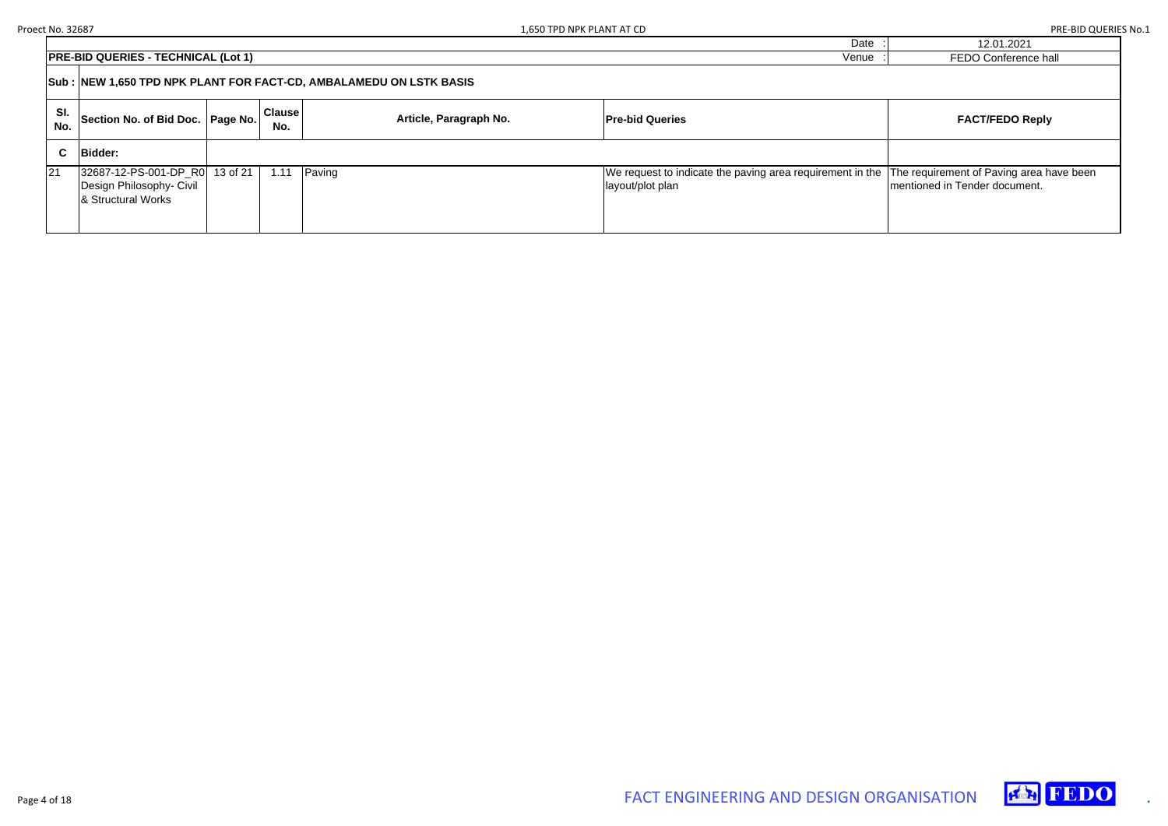| 12.01.2021           |
|----------------------|
| FEDO Conference hall |
|                      |

# $FACT/FEDO Reply$

|            | <b>PRE-BID QUERIES - TECHNICAL (Lot 1)</b><br>Venue                                     |  |                      |                        |                                                                               |  |  |  |
|------------|-----------------------------------------------------------------------------------------|--|----------------------|------------------------|-------------------------------------------------------------------------------|--|--|--|
|            | Sub : NEW 1,650 TPD NPK PLANT FOR FACT-CD, AMBALAMEDU ON LSTK BASIS                     |  |                      |                        |                                                                               |  |  |  |
| SI.<br>No. | Section No. of Bid Doc. Page No.                                                        |  | <b>Clause</b><br>No. | Article, Paragraph No. | <b>Pre-bid Queries</b>                                                        |  |  |  |
| C.         | <b>Bidder:</b>                                                                          |  |                      |                        |                                                                               |  |  |  |
| 21         | 32687-12-PS-001-DP_R0 13 of 21<br>Design Philosophy- Civil<br><b>8 Structural Works</b> |  | 1.11                 | Paving                 | We request to indicate the paving area requirement in the<br>layout/plot plan |  |  |  |

The requirement of Paving area have been mentioned in Tender document.

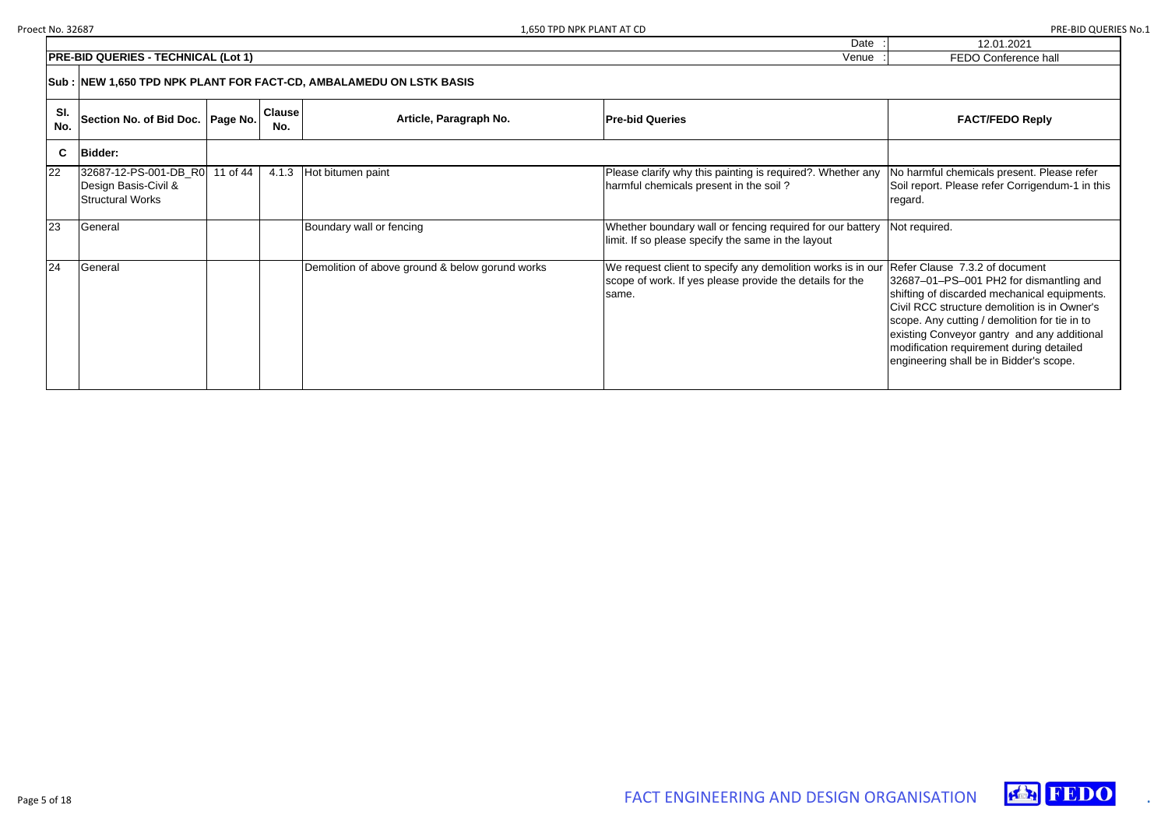| 12.01.2021            |
|-----------------------|
| <b>FEDO Confereno</b> |



|             | <b>PRE-BID QUERIES - TECHNICAL (Lot 1)</b>                               | <b>FEDO Conference hall</b>                                         |                      |                                                 |                                                                                                                                  |                                                                                                                                                                                                                                                                                                                                                                  |  |  |  |  |
|-------------|--------------------------------------------------------------------------|---------------------------------------------------------------------|----------------------|-------------------------------------------------|----------------------------------------------------------------------------------------------------------------------------------|------------------------------------------------------------------------------------------------------------------------------------------------------------------------------------------------------------------------------------------------------------------------------------------------------------------------------------------------------------------|--|--|--|--|
|             |                                                                          | Sub : NEW 1,650 TPD NPK PLANT FOR FACT-CD, AMBALAMEDU ON LSTK BASIS |                      |                                                 |                                                                                                                                  |                                                                                                                                                                                                                                                                                                                                                                  |  |  |  |  |
| SI.<br>No.  | Section No. of Bid Doc.   Page No.                                       |                                                                     | <b>Clause</b><br>No. | Article, Paragraph No.                          | <b>Pre-bid Queries</b>                                                                                                           | <b>FACT/FEDO Reply</b>                                                                                                                                                                                                                                                                                                                                           |  |  |  |  |
| $\mathbf c$ | <b>Bidder:</b>                                                           |                                                                     |                      |                                                 |                                                                                                                                  |                                                                                                                                                                                                                                                                                                                                                                  |  |  |  |  |
| 22          | 32687-12-PS-001-DB_R0<br>Design Basis-Civil &<br><b>Structural Works</b> | 11 of 44                                                            | 4.1.3                | Hot bitumen paint                               | Please clarify why this painting is required?. Whether any<br>harmful chemicals present in the soil?                             | No harmful chemicals present. Please refer<br>Soil report. Please refer Corrigendum-1 in this<br>regard.                                                                                                                                                                                                                                                         |  |  |  |  |
| 23          | General                                                                  |                                                                     |                      | Boundary wall or fencing                        | Whether boundary wall or fencing required for our battery<br>limit. If so please specify the same in the layout                  | Not required.                                                                                                                                                                                                                                                                                                                                                    |  |  |  |  |
| 24          | General                                                                  |                                                                     |                      | Demolition of above ground & below gorund works | We request client to specify any demolition works is in our<br>scope of work. If yes please provide the details for the<br>same. | Refer Clause 7.3.2 of document<br>32687-01-PS-001 PH2 for dismantling and<br>shifting of discarded mechanical equipments.<br>Civil RCC structure demolition is in Owner's<br>scope. Any cutting / demolition for tie in to<br>existing Conveyor gantry and any additional<br>modification requirement during detailed<br>engineering shall be in Bidder's scope. |  |  |  |  |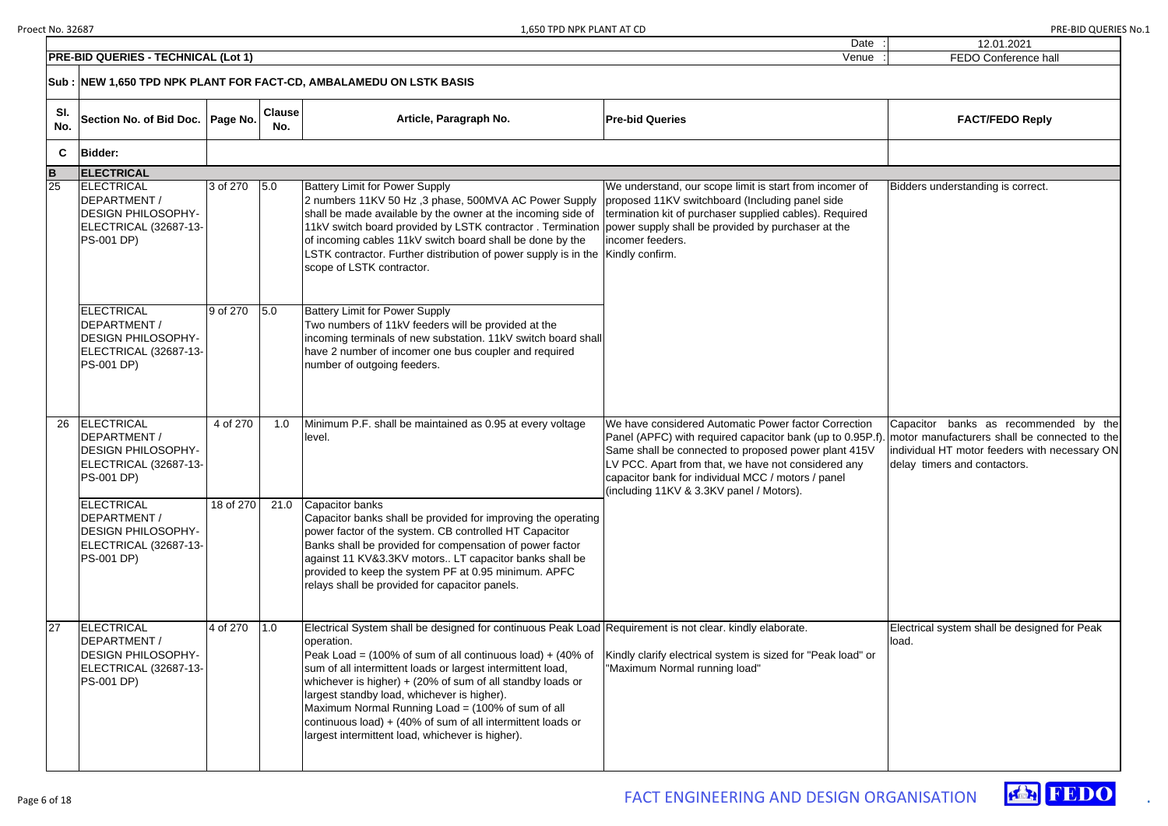|             | <b>PRE-BID QUERIES - TECHNICAL (Lot 1)</b>                                                                    |           |                      |                                                                                                                                                                                                                                                                                                                                                                                                                                                                                                                                                               | Venue                                                                                                                                                                                                                                                                                                                              | FEDO Conference ha                                                                                                                 |
|-------------|---------------------------------------------------------------------------------------------------------------|-----------|----------------------|---------------------------------------------------------------------------------------------------------------------------------------------------------------------------------------------------------------------------------------------------------------------------------------------------------------------------------------------------------------------------------------------------------------------------------------------------------------------------------------------------------------------------------------------------------------|------------------------------------------------------------------------------------------------------------------------------------------------------------------------------------------------------------------------------------------------------------------------------------------------------------------------------------|------------------------------------------------------------------------------------------------------------------------------------|
|             |                                                                                                               |           |                      | Sub : NEW 1,650 TPD NPK PLANT FOR FACT-CD, AMBALAMEDU ON LSTK BASIS                                                                                                                                                                                                                                                                                                                                                                                                                                                                                           |                                                                                                                                                                                                                                                                                                                                    |                                                                                                                                    |
| SI.<br>No.  | Section No. of Bid Doc.   Page No.                                                                            |           | <b>Clause</b><br>No. | Article, Paragraph No.                                                                                                                                                                                                                                                                                                                                                                                                                                                                                                                                        | <b>Pre-bid Queries</b>                                                                                                                                                                                                                                                                                                             | <b>FACT/FEDO Reply</b>                                                                                                             |
| C           | <b>Bidder:</b>                                                                                                |           |                      |                                                                                                                                                                                                                                                                                                                                                                                                                                                                                                                                                               |                                                                                                                                                                                                                                                                                                                                    |                                                                                                                                    |
| $\mathbf B$ | <b>ELECTRICAL</b>                                                                                             |           |                      |                                                                                                                                                                                                                                                                                                                                                                                                                                                                                                                                                               |                                                                                                                                                                                                                                                                                                                                    |                                                                                                                                    |
| 25          | ELECTRICAL<br>DEPARTMENT /<br><b>DESIGN PHILOSOPHY-</b><br>ELECTRICAL (32687-13-<br><b>PS-001 DP)</b>         | 3 of 270  | 5.0                  | <b>Battery Limit for Power Supply</b><br>2 numbers 11KV 50 Hz, 3 phase, 500MVA AC Power Supply<br>shall be made available by the owner at the incoming side of<br>11kV switch board provided by LSTK contractor. Termination power supply shall be provided by purchaser at the<br>of incoming cables 11kV switch board shall be done by the<br>LSTK contractor. Further distribution of power supply is in the Kindly confirm.<br>scope of LSTK contractor.                                                                                                  | We understand, our scope limit is start from incomer of<br>proposed 11KV switchboard (Including panel side<br>termination kit of purchaser supplied cables). Required<br>incomer feeders.                                                                                                                                          | Bidders understanding is correct.                                                                                                  |
|             | ELECTRICAL<br>DEPARTMENT /<br><b>DESIGN PHILOSOPHY-</b><br>ELECTRICAL (32687-13-<br><b>PS-001 DP)</b>         | 9 of 270  | 5.0                  | <b>Battery Limit for Power Supply</b><br>Two numbers of 11kV feeders will be provided at the<br>incoming terminals of new substation. 11kV switch board shall<br>have 2 number of incomer one bus coupler and required<br>number of outgoing feeders.                                                                                                                                                                                                                                                                                                         |                                                                                                                                                                                                                                                                                                                                    |                                                                                                                                    |
| 26          | <b>ELECTRICAL</b><br>DEPARTMENT /<br><b>DESIGN PHILOSOPHY-</b><br>ELECTRICAL (32687-13-<br><b>PS-001 DP)</b>  | 4 of 270  | 1.0                  | Minimum P.F. shall be maintained as 0.95 at every voltage<br>level.                                                                                                                                                                                                                                                                                                                                                                                                                                                                                           | We have considered Automatic Power factor Correction<br>Panel (APFC) with required capacitor bank (up to 0.95P.f)<br>Same shall be connected to proposed power plant 415V<br>LV PCC. Apart from that, we have not considered any<br>capacitor bank for individual MCC / motors / panel<br>(including 11KV & 3.3KV panel / Motors). | Capacitor banks as recomme<br>motor manufacturers shall be cor<br>individual HT motor feeders with<br>delay timers and contactors. |
|             | ELECTRICAL<br>DEPARTMENT /<br><b>DESIGN PHILOSOPHY-</b><br><b>ELECTRICAL (32687-13-)</b><br><b>PS-001 DP)</b> | 18 of 270 | 21.0                 | Capacitor banks<br>Capacitor banks shall be provided for improving the operating<br>power factor of the system. CB controlled HT Capacitor<br>Banks shall be provided for compensation of power factor<br>against 11 KV&3.3KV motors LT capacitor banks shall be<br>provided to keep the system PF at 0.95 minimum. APFC<br>relays shall be provided for capacitor panels.                                                                                                                                                                                    |                                                                                                                                                                                                                                                                                                                                    |                                                                                                                                    |
| 27          | <b>ELECTRICAL</b><br>DEPARTMENT /<br><b>DESIGN PHILOSOPHY-</b><br>ELECTRICAL (32687-13-<br><b>PS-001 DP)</b>  | 4 of 270  | 1.0                  | Electrical System shall be designed for continuous Peak Load Requirement is not clear. kindly elaborate.<br>operation.<br>Peak Load = $(100\% \text{ of sum of all continuous load}) + (40\% \text{ of }$<br>sum of all intermittent loads or largest intermittent load,<br>whichever is higher) + (20% of sum of all standby loads or<br>largest standby load, whichever is higher).<br>Maximum Normal Running Load = (100% of sum of all<br>continuous load) + (40% of sum of all intermittent loads or<br>largest intermittent load, whichever is higher). | Kindly clarify electrical system is sized for "Peak load" or<br>"Maximum Normal running load"                                                                                                                                                                                                                                      | Electrical system shall be designe<br>load.                                                                                        |

| $\vdots$ | 12.01.2021                                        |
|----------|---------------------------------------------------|
|          | FEDO Conference hall                              |
|          |                                                   |
|          |                                                   |
|          |                                                   |
|          | <b>FACT/FEDO Reply</b>                            |
|          |                                                   |
|          |                                                   |
|          |                                                   |
|          |                                                   |
|          | Bidders understanding is correct.                 |
|          |                                                   |
|          |                                                   |
|          |                                                   |
|          |                                                   |
|          |                                                   |
|          |                                                   |
|          |                                                   |
|          |                                                   |
|          |                                                   |
|          |                                                   |
|          |                                                   |
|          |                                                   |
|          |                                                   |
|          |                                                   |
|          | Capacitor banks as recommended by the             |
|          | .   motor manufacturers shall be connected to the |
|          | individual HT motor feeders with necessary ON     |
|          | delay timers and contactors.                      |
|          |                                                   |
|          |                                                   |
|          |                                                   |
|          |                                                   |
|          |                                                   |
|          |                                                   |
|          |                                                   |
|          |                                                   |
|          |                                                   |
|          | Electrical system shall be designed for Peak      |
|          | load.                                             |
|          |                                                   |
|          |                                                   |
|          |                                                   |
|          |                                                   |
|          |                                                   |
|          |                                                   |
|          |                                                   |
|          |                                                   |
|          |                                                   |



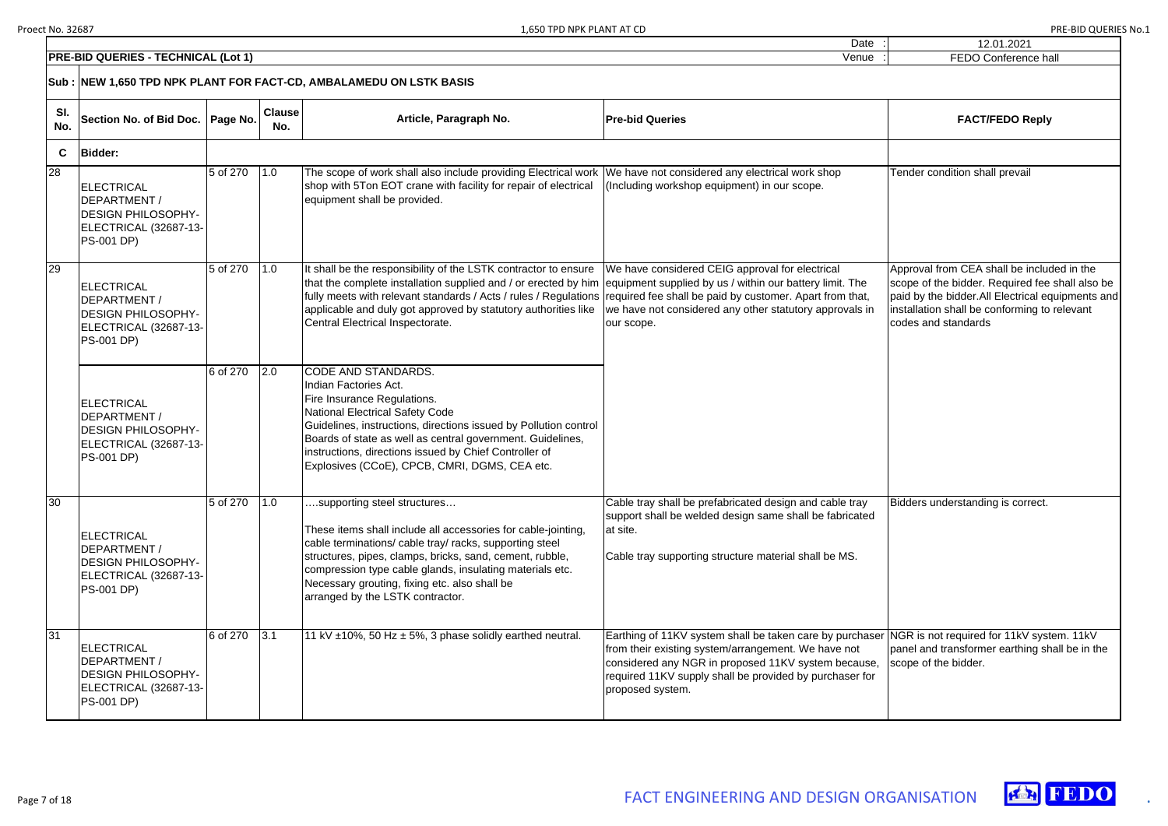|   | 12.01.2021                                                                                                                                                                                                               |
|---|--------------------------------------------------------------------------------------------------------------------------------------------------------------------------------------------------------------------------|
|   | <b>FEDO Conference hall</b>                                                                                                                                                                                              |
|   |                                                                                                                                                                                                                          |
|   | <b>FACT/FEDO Reply</b>                                                                                                                                                                                                   |
|   |                                                                                                                                                                                                                          |
|   | Tender condition shall prevail                                                                                                                                                                                           |
|   | Approval from CEA shall be included in the<br>scope of the bidder. Required fee shall also be<br>paid by the bidder.All Electrical equipments and<br>installation shall be conforming to relevant<br>codes and standards |
|   | Bidders understanding is correct.                                                                                                                                                                                        |
|   |                                                                                                                                                                                                                          |
| r | NGR is not required for 11kV system. 11kV<br>panel and transformer earthing shall be in the<br>scope of the bidder.                                                                                                      |
|   |                                                                                                                                                                                                                          |



|                 | <b>PRE-BID QUERIES - TECHNICAL (Lot 1)</b><br>Venue                                                          |          |                      |                                                                                                                                                                                                                                                                                                                                                                      |                                                                                                                                                                                                                                                       |                                                                                                                                                                              |  |  |
|-----------------|--------------------------------------------------------------------------------------------------------------|----------|----------------------|----------------------------------------------------------------------------------------------------------------------------------------------------------------------------------------------------------------------------------------------------------------------------------------------------------------------------------------------------------------------|-------------------------------------------------------------------------------------------------------------------------------------------------------------------------------------------------------------------------------------------------------|------------------------------------------------------------------------------------------------------------------------------------------------------------------------------|--|--|
|                 |                                                                                                              |          |                      | Sub : NEW 1,650 TPD NPK PLANT FOR FACT-CD, AMBALAMEDU ON LSTK BASIS                                                                                                                                                                                                                                                                                                  |                                                                                                                                                                                                                                                       |                                                                                                                                                                              |  |  |
| SI.<br>No.      | Section No. of Bid Doc.   Page No.                                                                           |          | <b>Clause</b><br>No. | Article, Paragraph No.                                                                                                                                                                                                                                                                                                                                               | <b>Pre-bid Queries</b>                                                                                                                                                                                                                                | <b>FACT/FEDO Reply</b>                                                                                                                                                       |  |  |
| C.              | <b>Bidder:</b>                                                                                               |          |                      |                                                                                                                                                                                                                                                                                                                                                                      |                                                                                                                                                                                                                                                       |                                                                                                                                                                              |  |  |
| 28              | <b>ELECTRICAL</b><br>DEPARTMENT /<br><b>DESIGN PHILOSOPHY-</b><br>ELECTRICAL (32687-13-<br><b>PS-001 DP)</b> | 5 of 270 | 1.0                  | The scope of work shall also include providing Electrical work<br>shop with 5Ton EOT crane with facility for repair of electrical<br>equipment shall be provided.                                                                                                                                                                                                    | We have not considered any electrical work shop<br>(Including workshop equipment) in our scope.                                                                                                                                                       | Tender condition shall prevail                                                                                                                                               |  |  |
| 29              | <b>ELECTRICAL</b><br>DEPARTMENT /<br><b>DESIGN PHILOSOPHY-</b><br>ELECTRICAL (32687-13-<br><b>PS-001 DP)</b> | 5 of 270 | 1.0                  | It shall be the responsibility of the LSTK contractor to ensure<br>that the complete installation supplied and / or erected by him<br>fully meets with relevant standards / Acts / rules / Regulations<br>applicable and duly got approved by statutory authorities like<br>Central Electrical Inspectorate.                                                         | We have considered CEIG approval for electrical<br>equipment supplied by us / within our battery limit. The<br>required fee shall be paid by customer. Apart from that,<br>we have not considered any other statutory approvals in<br>our scope.      | Approval from CEA shall be includ<br>scope of the bidder. Required fee<br>paid by the bidder.All Electrical ed<br>installation shall be conforming to<br>codes and standards |  |  |
|                 | <b>ELECTRICAL</b><br>DEPARTMENT /<br><b>DESIGN PHILOSOPHY-</b><br>ELECTRICAL (32687-13-<br><b>PS-001 DP)</b> | 6 of 270 | 2.0                  | CODE AND STANDARDS.<br>Indian Factories Act.<br>Fire Insurance Regulations.<br>National Electrical Safety Code<br>Guidelines, instructions, directions issued by Pollution control<br>Boards of state as well as central government. Guidelines,<br>instructions, directions issued by Chief Controller of<br>Explosives (CCoE), CPCB, CMRI, DGMS, CEA etc.          |                                                                                                                                                                                                                                                       |                                                                                                                                                                              |  |  |
| $\overline{30}$ | <b>ELECTRICAL</b><br>DEPARTMENT /<br><b>DESIGN PHILOSOPHY-</b><br>ELECTRICAL (32687-13-<br><b>PS-001 DP)</b> | 5 of 270 | 1.0                  | supporting steel structures<br>These items shall include all accessories for cable-jointing,<br>cable terminations/ cable tray/ racks, supporting steel<br>structures, pipes, clamps, bricks, sand, cement, rubble,<br>compression type cable glands, insulating materials etc.<br>Necessary grouting, fixing etc. also shall be<br>arranged by the LSTK contractor. | Cable tray shall be prefabricated design and cable tray<br>support shall be welded design same shall be fabricated<br>at site.<br>Cable tray supporting structure material shall be MS.                                                               | Bidders understanding is correct.                                                                                                                                            |  |  |
| 31              | <b>ELECTRICAL</b><br>DEPARTMENT /<br><b>DESIGN PHILOSOPHY-</b><br>ELECTRICAL (32687-13-<br><b>PS-001 DP)</b> | 6 of 270 | 3.1                  | 11 kV $\pm$ 10%, 50 Hz $\pm$ 5%, 3 phase solidly earthed neutral.                                                                                                                                                                                                                                                                                                    | Earthing of 11KV system shall be taken care by purchaser<br>from their existing system/arrangement. We have not<br>considered any NGR in proposed 11KV system because,<br>required 11KV supply shall be provided by purchaser for<br>proposed system. | NGR is not required for 11kV syst<br>panel and transformer earthing sh<br>scope of the bidder.                                                                               |  |  |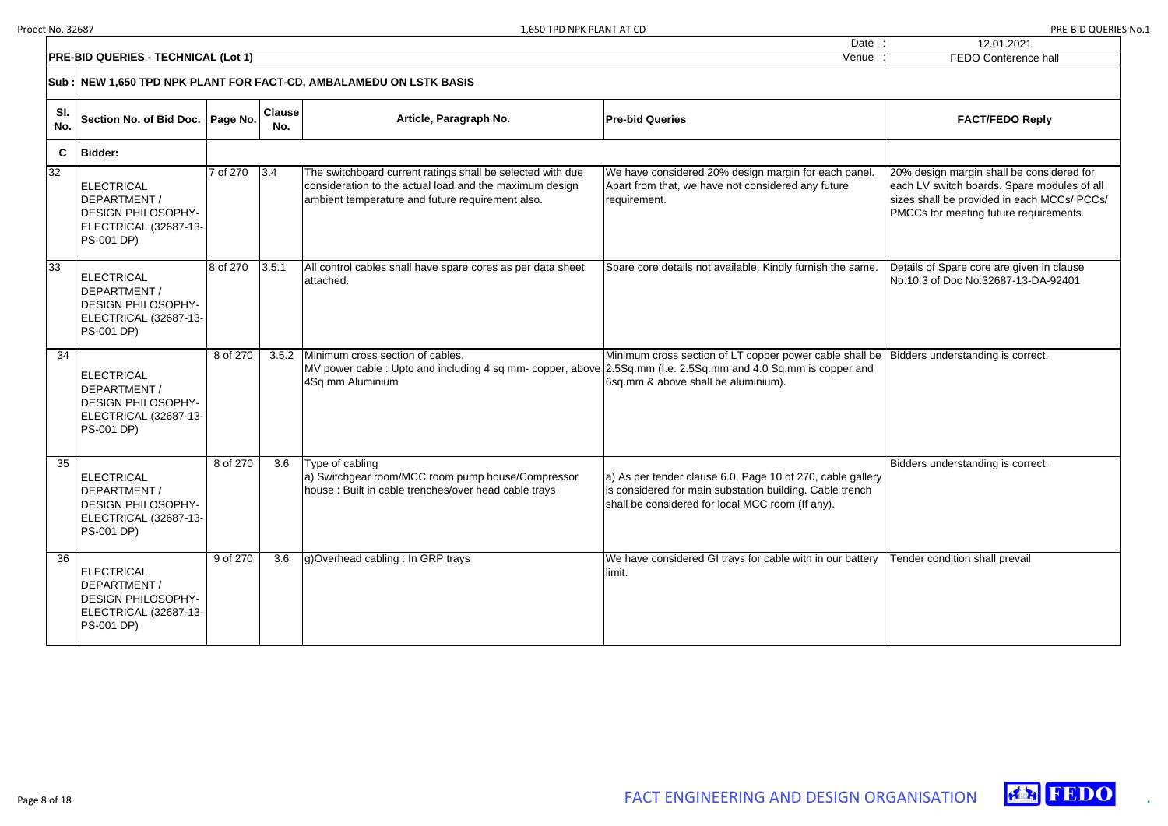| 12.01.2021                                                                                                                                                                        |
|-----------------------------------------------------------------------------------------------------------------------------------------------------------------------------------|
| <b>FEDO Conference hall</b>                                                                                                                                                       |
|                                                                                                                                                                                   |
| <b>FACT/FEDO Reply</b>                                                                                                                                                            |
|                                                                                                                                                                                   |
| 20% design margin shall be considered for<br>each LV switch boards. Spare modules of all<br>sizes shall be provided in each MCCs/ PCCs/<br>PMCCs for meeting future requirements. |
| Details of Spare core are given in clause<br>No:10.3 of Doc No:32687-13-DA-92401                                                                                                  |
| Bidders understanding is correct.                                                                                                                                                 |
| Bidders understanding is correct.                                                                                                                                                 |
| Tender condition shall prevail                                                                                                                                                    |





|            | <b>PRE-BID QUERIES - TECHNICAL (Lot 1)</b>                                                                   | <b>FEDO Conference hall</b> |                      |                                                                                                                                                                           |                                                                                                                                                                             |                                                                                                                                                                          |
|------------|--------------------------------------------------------------------------------------------------------------|-----------------------------|----------------------|---------------------------------------------------------------------------------------------------------------------------------------------------------------------------|-----------------------------------------------------------------------------------------------------------------------------------------------------------------------------|--------------------------------------------------------------------------------------------------------------------------------------------------------------------------|
|            | Sub: NEW 1,650 TPD NPK PLANT FOR FACT-CD, AMBALAMEDU ON LSTK BASIS                                           |                             |                      |                                                                                                                                                                           |                                                                                                                                                                             |                                                                                                                                                                          |
| SI.<br>No. | Section No. of Bid Doc.   Page No.                                                                           |                             | <b>Clause</b><br>No. | Article, Paragraph No.                                                                                                                                                    | <b>Pre-bid Queries</b>                                                                                                                                                      | <b>FACT/FEDO Reply</b>                                                                                                                                                   |
| C          | <b>Bidder:</b>                                                                                               |                             |                      |                                                                                                                                                                           |                                                                                                                                                                             |                                                                                                                                                                          |
| 32         | <b>ELECTRICAL</b><br>DEPARTMENT /<br><b>DESIGN PHILOSOPHY-</b><br>ELECTRICAL (32687-13-<br><b>PS-001 DP)</b> | 7 of 270                    | 3.4                  | The switchboard current ratings shall be selected with due<br>consideration to the actual load and the maximum design<br>ambient temperature and future requirement also. | We have considered 20% design margin for each panel.<br>Apart from that, we have not considered any future<br>requirement.                                                  | 20% design margin shall be considered fo<br>each LV switch boards. Spare modules o<br>sizes shall be provided in each MCCs/ P(<br>PMCCs for meeting future requirements. |
| 33         | <b>ELECTRICAL</b><br>DEPARTMENT /<br><b>DESIGN PHILOSOPHY-</b><br>ELECTRICAL (32687-13-<br><b>PS-001 DP)</b> | 8 of 270                    | 3.5.1                | All control cables shall have spare cores as per data sheet<br>attached.                                                                                                  | Spare core details not available. Kindly furnish the same.                                                                                                                  | Details of Spare core are given in clause<br>No:10.3 of Doc No:32687-13-DA-92401                                                                                         |
| 34         | ELECTRICAL<br>DEPARTMENT /<br><b>DESIGN PHILOSOPHY-</b><br>ELECTRICAL (32687-13-<br><b>PS-001 DP)</b>        | 8 of 270                    | 3.5.2                | Minimum cross section of cables.<br>MV power cable: Upto and including 4 sq mm- copper, above 2.5Sq mm (I.e. 2.5Sq mm and 4.0 Sq mm is copper and<br>4Sq.mm Aluminium     | Minimum cross section of LT copper power cable shall be<br>6sq.mm & above shall be aluminium).                                                                              | Bidders understanding is correct.                                                                                                                                        |
| 35         | <b>ELECTRICAL</b><br>DEPARTMENT /<br><b>DESIGN PHILOSOPHY-</b><br>ELECTRICAL (32687-13-<br><b>PS-001 DP)</b> | 8 of 270                    | 3.6                  | Type of cabling<br>a) Switchgear room/MCC room pump house/Compressor<br>house: Built in cable trenches/over head cable trays                                              | a) As per tender clause 6.0, Page 10 of 270, cable gallery<br>lis considered for main substation building. Cable trench<br>shall be considered for local MCC room (If any). | Bidders understanding is correct.                                                                                                                                        |
| 36         | ELECTRICAL<br>DEPARTMENT /<br><b>DESIGN PHILOSOPHY-</b><br>ELECTRICAL (32687-13-<br><b>PS-001 DP)</b>        | 9 of 270                    | 3.6                  | g)Overhead cabling: In GRP trays                                                                                                                                          | We have considered GI trays for cable with in our battery<br>llimit.                                                                                                        | Tender condition shall prevail                                                                                                                                           |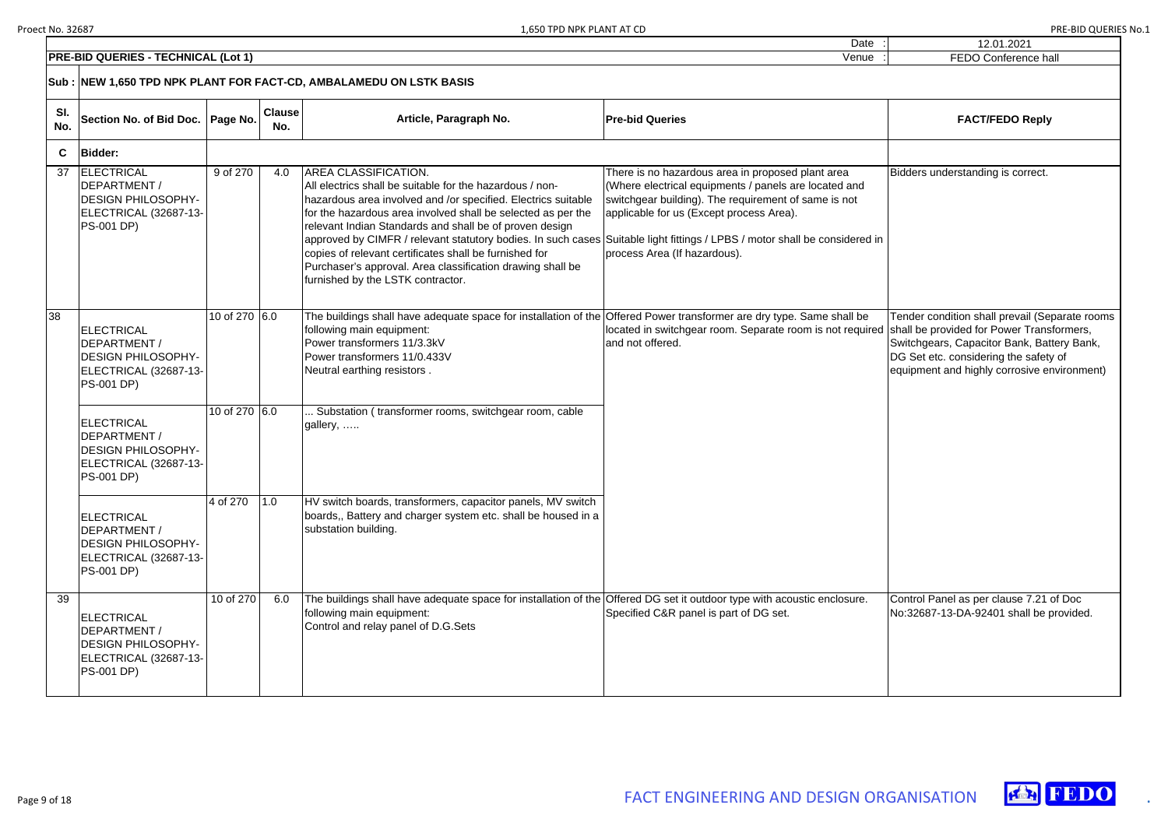| <b>PRE-BID QUERIES - TECHNICAL (Lot 1)</b><br>Venue |                                                                                                              |               |                      |                                                                                                                                                                                                                                                                                                                                                                                                                                                                                                                                                                                 |                                                                                                                                                                                                                                                |                                                                                                                                                                                        |  |  |
|-----------------------------------------------------|--------------------------------------------------------------------------------------------------------------|---------------|----------------------|---------------------------------------------------------------------------------------------------------------------------------------------------------------------------------------------------------------------------------------------------------------------------------------------------------------------------------------------------------------------------------------------------------------------------------------------------------------------------------------------------------------------------------------------------------------------------------|------------------------------------------------------------------------------------------------------------------------------------------------------------------------------------------------------------------------------------------------|----------------------------------------------------------------------------------------------------------------------------------------------------------------------------------------|--|--|
|                                                     |                                                                                                              |               |                      | Sub :  NEW 1,650 TPD NPK PLANT FOR FACT-CD, AMBALAMEDU ON LSTK BASIS                                                                                                                                                                                                                                                                                                                                                                                                                                                                                                            |                                                                                                                                                                                                                                                |                                                                                                                                                                                        |  |  |
| SI.<br>No.                                          | Section No. of Bid Doc.   Page No.                                                                           |               | <b>Clause</b><br>No. | Article, Paragraph No.                                                                                                                                                                                                                                                                                                                                                                                                                                                                                                                                                          | <b>Pre-bid Queries</b>                                                                                                                                                                                                                         | <b>FACT/FEDO Reply</b>                                                                                                                                                                 |  |  |
| C                                                   | <b>Bidder:</b>                                                                                               |               |                      |                                                                                                                                                                                                                                                                                                                                                                                                                                                                                                                                                                                 |                                                                                                                                                                                                                                                |                                                                                                                                                                                        |  |  |
| 37                                                  | <b>ELECTRICAL</b><br>DEPARTMENT /<br><b>DESIGN PHILOSOPHY-</b><br>ELECTRICAL (32687-13-<br><b>PS-001 DP)</b> | 9 of 270      | 4.0                  | <b>AREA CLASSIFICATION.</b><br>All electrics shall be suitable for the hazardous / non-<br>hazardous area involved and /or specified. Electrics suitable<br>for the hazardous area involved shall be selected as per the<br>relevant Indian Standards and shall be of proven design<br> approved by CIMFR / relevant statutory bodies. In such cases Suitable light fittings / LPBS / motor shall be considered in<br>copies of relevant certificates shall be furnished for<br>Purchaser's approval. Area classification drawing shall be<br>furnished by the LSTK contractor. | There is no hazardous area in proposed plant area<br>(Where electrical equipments / panels are located and<br>switchgear building). The requirement of same is not<br>applicable for us (Except process Area).<br>process Area (If hazardous). | Bidders understanding is correct.                                                                                                                                                      |  |  |
| 38                                                  | <b>ELECTRICAL</b><br>DEPARTMENT /<br><b>DESIGN PHILOSOPHY-</b><br>ELECTRICAL (32687-13-<br><b>PS-001 DP)</b> | 10 of 270 6.0 |                      | The buildings shall have adequate space for installation of the Offered Power transformer are dry type. Same shall be<br>following main equipment:<br>Power transformers 11/3.3kV<br>Power transformers 11/0.433V<br>Neutral earthing resistors.                                                                                                                                                                                                                                                                                                                                | located in switchgear room. Separate room is not required<br>and not offered.                                                                                                                                                                  | Tender condition shall prevail (Se<br>shall be provided for Power Trans<br>Switchgears, Capacitor Bank, Bat<br>DG Set etc. considering the safety<br>equipment and highly corrosive er |  |  |
|                                                     | <b>ELECTRICAL</b><br>DEPARTMENT /<br><b>DESIGN PHILOSOPHY-</b><br>ELECTRICAL (32687-13-<br><b>PS-001 DP)</b> | 10 of 270 6.0 |                      | Substation (transformer rooms, switchgear room, cable<br>gallery,                                                                                                                                                                                                                                                                                                                                                                                                                                                                                                               |                                                                                                                                                                                                                                                |                                                                                                                                                                                        |  |  |
|                                                     | <b>ELECTRICAL</b><br>DEPARTMENT /<br><b>DESIGN PHILOSOPHY-</b><br>ELECTRICAL (32687-13-<br><b>PS-001 DP)</b> | 4 of 270      | 1.0                  | HV switch boards, transformers, capacitor panels, MV switch<br>boards, Battery and charger system etc. shall be housed in a<br>substation building.                                                                                                                                                                                                                                                                                                                                                                                                                             |                                                                                                                                                                                                                                                |                                                                                                                                                                                        |  |  |
| 39                                                  | <b>ELECTRICAL</b><br>DEPARTMENT /<br><b>DESIGN PHILOSOPHY-</b><br>ELECTRICAL (32687-13-<br><b>PS-001 DP)</b> | 10 of 270     | 6.0                  | The buildings shall have adequate space for installation of the Offered DG set it outdoor type with acoustic enclosure.<br>following main equipment:<br>Control and relay panel of D.G.Sets                                                                                                                                                                                                                                                                                                                                                                                     | Specified C&R panel is part of DG set.                                                                                                                                                                                                         | Control Panel as per clause 7.21<br>No:32687-13-DA-92401 shall be p                                                                                                                    |  |  |

Date

|   | 12.01.2021                                                                                                                                                                                                                        |
|---|-----------------------------------------------------------------------------------------------------------------------------------------------------------------------------------------------------------------------------------|
|   | <b>FEDO Conference hall</b>                                                                                                                                                                                                       |
|   |                                                                                                                                                                                                                                   |
|   | <b>FACT/FEDO Reply</b>                                                                                                                                                                                                            |
|   |                                                                                                                                                                                                                                   |
|   | Bidders understanding is correct.                                                                                                                                                                                                 |
| l | Tender condition shall prevail (Separate rooms<br>shall be provided for Power Transformers,<br>Switchgears, Capacitor Bank, Battery Bank,<br>DG Set etc. considering the safety of<br>equipment and highly corrosive environment) |
|   | Control Panel as per clause 7.21 of Doc<br>No:32687-13-DA-92401 shall be provided.                                                                                                                                                |

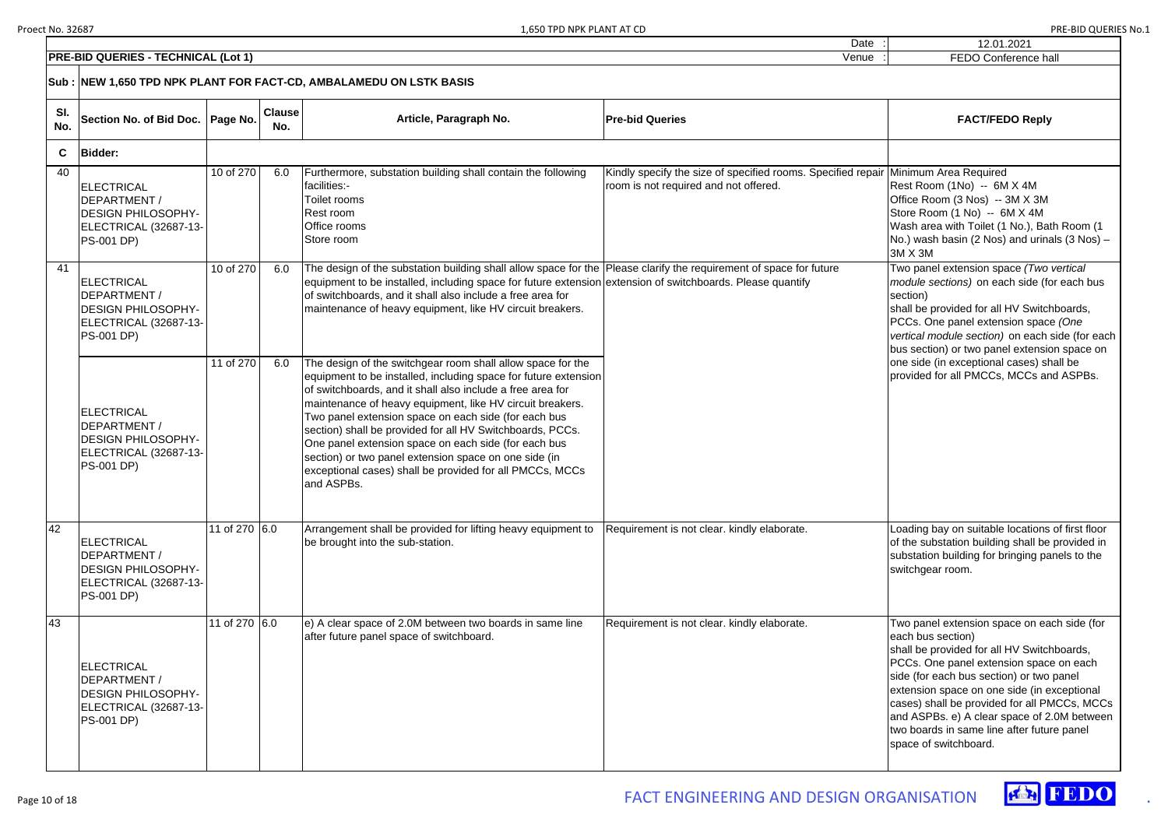# 12.01.2021

|            | <b>PRE-BID QUERIES - TECHNICAL (Lot 1)</b>                                                                   | FEDO Conference hall |                      |                                                                                                                                                                                                                                                                                                                                                                                                                                                                                                                                                                           |                                                                                                       |                                                                                                                                                                                                                                                                                                                                                                                                                            |
|------------|--------------------------------------------------------------------------------------------------------------|----------------------|----------------------|---------------------------------------------------------------------------------------------------------------------------------------------------------------------------------------------------------------------------------------------------------------------------------------------------------------------------------------------------------------------------------------------------------------------------------------------------------------------------------------------------------------------------------------------------------------------------|-------------------------------------------------------------------------------------------------------|----------------------------------------------------------------------------------------------------------------------------------------------------------------------------------------------------------------------------------------------------------------------------------------------------------------------------------------------------------------------------------------------------------------------------|
|            | Sub : NEW 1,650 TPD NPK PLANT FOR FACT-CD, AMBALAMEDU ON LSTK BASIS                                          |                      |                      |                                                                                                                                                                                                                                                                                                                                                                                                                                                                                                                                                                           |                                                                                                       |                                                                                                                                                                                                                                                                                                                                                                                                                            |
| SI.<br>No. | Section No. of Bid Doc.   Page No.                                                                           |                      | <b>Clause</b><br>No. | Article, Paragraph No.                                                                                                                                                                                                                                                                                                                                                                                                                                                                                                                                                    | <b>Pre-bid Queries</b>                                                                                | <b>FACT/FEDO Reply</b>                                                                                                                                                                                                                                                                                                                                                                                                     |
| C          | <b>Bidder:</b>                                                                                               |                      |                      |                                                                                                                                                                                                                                                                                                                                                                                                                                                                                                                                                                           |                                                                                                       |                                                                                                                                                                                                                                                                                                                                                                                                                            |
| 40         | <b>ELECTRICAL</b><br>DEPARTMENT /<br><b>DESIGN PHILOSOPHY-</b><br>ELECTRICAL (32687-13-<br><b>PS-001 DP)</b> | 10 of 270            | 6.0                  | Furthermore, substation building shall contain the following<br>facilities:-<br>Toilet rooms<br>Rest room<br>Office rooms<br>Store room                                                                                                                                                                                                                                                                                                                                                                                                                                   | Kindly specify the size of specified rooms. Specified repair<br>room is not required and not offered. | Minimum Area Required<br>Rest Room (1No) -- 6M X 4M<br>Office Room (3 Nos) -- 3M X 3M<br>Store Room (1 No) -- 6M X 4M<br>Wash area with Toilet (1 No.), Bath Room (1<br>$No.$ ) wash basin (2 Nos) and urinals (3 Nos) –<br>3M X 3M                                                                                                                                                                                        |
| 41         | <b>ELECTRICAL</b><br>DEPARTMENT /<br><b>DESIGN PHILOSOPHY-</b><br>ELECTRICAL (32687-13-<br><b>PS-001 DP)</b> | 10 of 270            | 6.0                  | The design of the substation building shall allow space for the Please clarify the requirement of space for future<br>equipment to be installed, including space for future extension extension of switchboards. Please quantify<br>of switchboards, and it shall also include a free area for<br>maintenance of heavy equipment, like HV circuit breakers.                                                                                                                                                                                                               |                                                                                                       | Two panel extension space (Two vertical<br>module sections) on each side (for each bus<br>section)<br>shall be provided for all HV Switchboards,<br>PCCs. One panel extension space (One<br>vertical module section) on each side (for each<br>bus section) or two panel extension space on                                                                                                                                |
|            | <b>ELECTRICAL</b><br>DEPARTMENT /<br><b>DESIGN PHILOSOPHY-</b><br>ELECTRICAL (32687-13-<br><b>PS-001 DP)</b> | 11 of 270            | 6.0                  | The design of the switchgear room shall allow space for the<br>equipment to be installed, including space for future extension<br>of switchboards, and it shall also include a free area for<br>maintenance of heavy equipment, like HV circuit breakers.<br>Two panel extension space on each side (for each bus<br>section) shall be provided for all HV Switchboards, PCCs.<br>One panel extension space on each side (for each bus<br>section) or two panel extension space on one side (in<br>exceptional cases) shall be provided for all PMCCs, MCCs<br>and ASPBs. |                                                                                                       | one side (in exceptional cases) shall be<br>provided for all PMCCs, MCCs and ASPBs.                                                                                                                                                                                                                                                                                                                                        |
| 42         | <b>ELECTRICAL</b><br>DEPARTMENT /<br><b>DESIGN PHILOSOPHY-</b><br>ELECTRICAL (32687-13-<br><b>PS-001 DP)</b> | 11 of 270 6.0        |                      | Arrangement shall be provided for lifting heavy equipment to<br>be brought into the sub-station.                                                                                                                                                                                                                                                                                                                                                                                                                                                                          | Requirement is not clear. kindly elaborate.                                                           | Loading bay on suitable locations of first floor<br>of the substation building shall be provided in<br>substation building for bringing panels to the<br>switchgear room.                                                                                                                                                                                                                                                  |
| 43         | <b>ELECTRICAL</b><br>DEPARTMENT /<br><b>DESIGN PHILOSOPHY-</b><br>ELECTRICAL (32687-13-<br><b>PS-001 DP)</b> | 11 of 270 6.0        |                      | e) A clear space of 2.0M between two boards in same line<br>after future panel space of switchboard.                                                                                                                                                                                                                                                                                                                                                                                                                                                                      | Requirement is not clear. kindly elaborate.                                                           | Two panel extension space on each side (for<br>each bus section)<br>shall be provided for all HV Switchboards,<br>PCCs. One panel extension space on each<br>side (for each bus section) or two panel<br>extension space on one side (in exceptional<br>cases) shall be provided for all PMCCs, MCCs<br>and ASPBs. e) A clear space of 2.0M between<br>two boards in same line after future panel<br>space of switchboard. |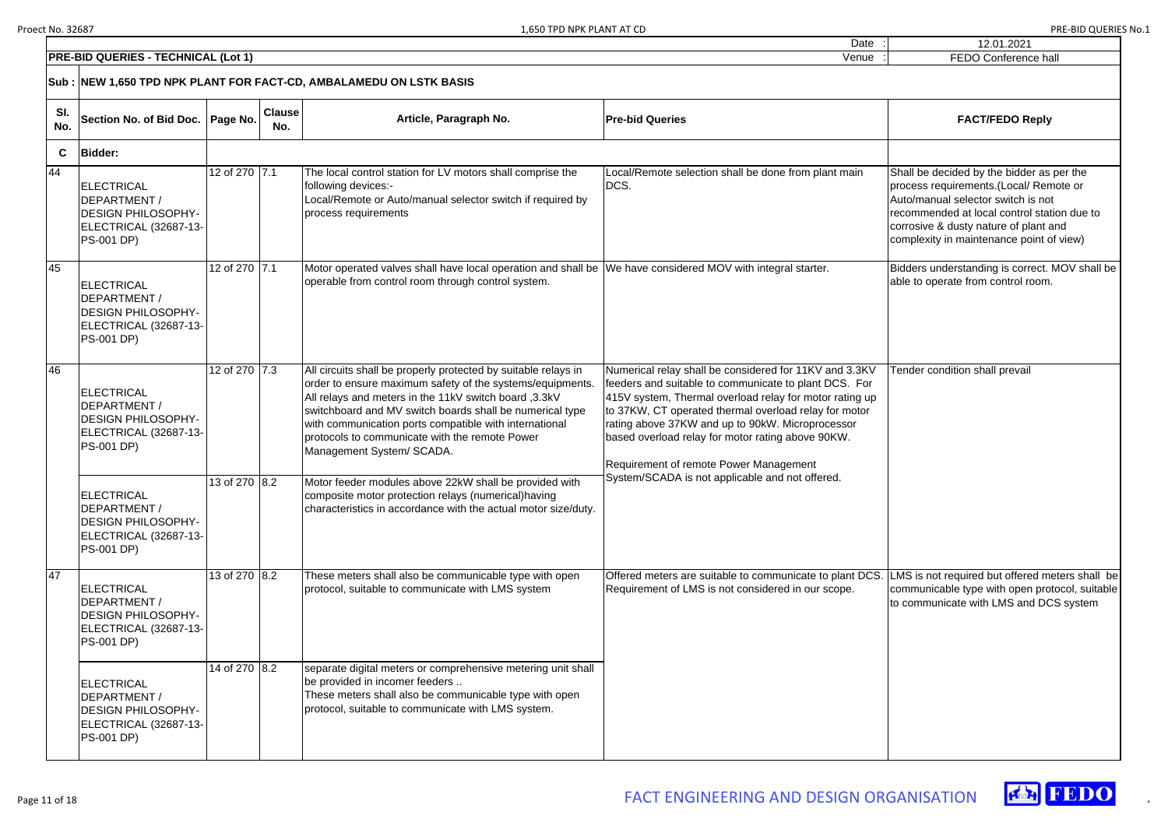| 12.01.2021                                                                                                                                                                                                                                                    |
|---------------------------------------------------------------------------------------------------------------------------------------------------------------------------------------------------------------------------------------------------------------|
| <b>FEDO Conference hall</b>                                                                                                                                                                                                                                   |
|                                                                                                                                                                                                                                                               |
| <b>FACT/FEDO Reply</b>                                                                                                                                                                                                                                        |
|                                                                                                                                                                                                                                                               |
| Shall be decided by the bidder as per the<br>process requirements.(Local/ Remote or<br>Auto/manual selector switch is not<br>recommended at local control station due to<br>corrosive & dusty nature of plant and<br>complexity in maintenance point of view) |
| Bidders understanding is correct. MOV shall be<br>able to operate from control room.                                                                                                                                                                          |
| Tender condition shall prevail                                                                                                                                                                                                                                |
| LMS is not required but offered meters shall be<br>communicable type with open protocol, suitable<br>to communicate with LMS and DCS system                                                                                                                   |



|             | <b>PRE-BID QUERIES - TECHNICAL (Lot 1)</b>                                                                   | <b>FEDO Conference hall</b> |                      |                                                                                                                                                                                                                                                                                                                                                                                           |                                                                                                                                                                                                                                                                                                                                                                                        |                                                                                                                                                                                                                                                               |
|-------------|--------------------------------------------------------------------------------------------------------------|-----------------------------|----------------------|-------------------------------------------------------------------------------------------------------------------------------------------------------------------------------------------------------------------------------------------------------------------------------------------------------------------------------------------------------------------------------------------|----------------------------------------------------------------------------------------------------------------------------------------------------------------------------------------------------------------------------------------------------------------------------------------------------------------------------------------------------------------------------------------|---------------------------------------------------------------------------------------------------------------------------------------------------------------------------------------------------------------------------------------------------------------|
|             | Sub : NEW 1,650 TPD NPK PLANT FOR FACT-CD, AMBALAMEDU ON LSTK BASIS                                          |                             |                      |                                                                                                                                                                                                                                                                                                                                                                                           |                                                                                                                                                                                                                                                                                                                                                                                        |                                                                                                                                                                                                                                                               |
| SI.<br>No.  | Section No. of Bid Doc.   Page No.                                                                           |                             | <b>Clause</b><br>No. | Article, Paragraph No.                                                                                                                                                                                                                                                                                                                                                                    | <b>Pre-bid Queries</b>                                                                                                                                                                                                                                                                                                                                                                 | <b>FACT/FEDO Reply</b>                                                                                                                                                                                                                                        |
| $\mathbf c$ | <b>Bidder:</b>                                                                                               |                             |                      |                                                                                                                                                                                                                                                                                                                                                                                           |                                                                                                                                                                                                                                                                                                                                                                                        |                                                                                                                                                                                                                                                               |
| 44          | <b>ELECTRICAL</b><br>DEPARTMENT /<br><b>DESIGN PHILOSOPHY-</b><br>ELECTRICAL (32687-13-<br><b>PS-001 DP)</b> | 12 of 270 7.1               |                      | The local control station for LV motors shall comprise the<br>following devices:-<br>Local/Remote or Auto/manual selector switch if required by<br>process requirements                                                                                                                                                                                                                   | Local/Remote selection shall be done from plant main<br>DCS.                                                                                                                                                                                                                                                                                                                           | Shall be decided by the bidder as per the<br>process requirements.(Local/ Remote or<br>Auto/manual selector switch is not<br>recommended at local control station due to<br>corrosive & dusty nature of plant and<br>complexity in maintenance point of view) |
| 45          | ELECTRICAL<br>DEPARTMENT /<br><b>DESIGN PHILOSOPHY-</b><br>ELECTRICAL (32687-13-<br><b>PS-001 DP)</b>        | 12 of 270 7.1               |                      | Motor operated valves shall have local operation and shall be We have considered MOV with integral starter.<br>operable from control room through control system.                                                                                                                                                                                                                         |                                                                                                                                                                                                                                                                                                                                                                                        | Bidders understanding is correct. MOV shall be<br>able to operate from control room.                                                                                                                                                                          |
| 46          | ELECTRICAL<br>DEPARTMENT /<br><b>DESIGN PHILOSOPHY-</b><br>ELECTRICAL (32687-13-<br><b>PS-001 DP)</b>        | 12 of 270 7.3               |                      | All circuits shall be properly protected by suitable relays in<br>order to ensure maximum safety of the systems/equipments.<br>All relays and meters in the 11kV switch board, 3.3kV<br>switchboard and MV switch boards shall be numerical type<br>with communication ports compatible with international<br>protocols to communicate with the remote Power<br>Management System/ SCADA. | Numerical relay shall be considered for 11KV and 3.3KV<br>feeders and suitable to communicate to plant DCS. For<br>415V system, Thermal overload relay for motor rating up<br>to 37KW, CT operated thermal overload relay for motor<br>rating above 37KW and up to 90kW. Microprocessor<br>based overload relay for motor rating above 90KW.<br>Requirement of remote Power Management | Tender condition shall prevail                                                                                                                                                                                                                                |
|             | ELECTRICAL<br>DEPARTMENT /<br><b>DESIGN PHILOSOPHY-</b><br>ELECTRICAL (32687-13-<br><b>PS-001 DP)</b>        | 13 of 270 8.2               |                      | Motor feeder modules above 22kW shall be provided with<br>composite motor protection relays (numerical) having<br>characteristics in accordance with the actual motor size/duty.                                                                                                                                                                                                          | System/SCADA is not applicable and not offered.                                                                                                                                                                                                                                                                                                                                        |                                                                                                                                                                                                                                                               |
| 47          | <b>ELECTRICAL</b><br>DEPARTMENT /<br><b>DESIGN PHILOSOPHY-</b><br>ELECTRICAL (32687-13-<br><b>PS-001 DP)</b> | 13 of 270 8.2               |                      | These meters shall also be communicable type with open<br>protocol, suitable to communicate with LMS system                                                                                                                                                                                                                                                                               | Offered meters are suitable to communicate to plant DCS<br>Requirement of LMS is not considered in our scope.                                                                                                                                                                                                                                                                          | LMS is not required but offered meters shall be<br>communicable type with open protocol, suitable<br>to communicate with LMS and DCS system                                                                                                                   |
|             | ELECTRICAL<br>DEPARTMENT /<br><b>DESIGN PHILOSOPHY-</b><br>ELECTRICAL (32687-13-<br><b>PS-001 DP)</b>        | 14 of 270 8.2               |                      | separate digital meters or comprehensive metering unit shall<br>be provided in incomer feeders<br>These meters shall also be communicable type with open<br>protocol, suitable to communicate with LMS system.                                                                                                                                                                            |                                                                                                                                                                                                                                                                                                                                                                                        |                                                                                                                                                                                                                                                               |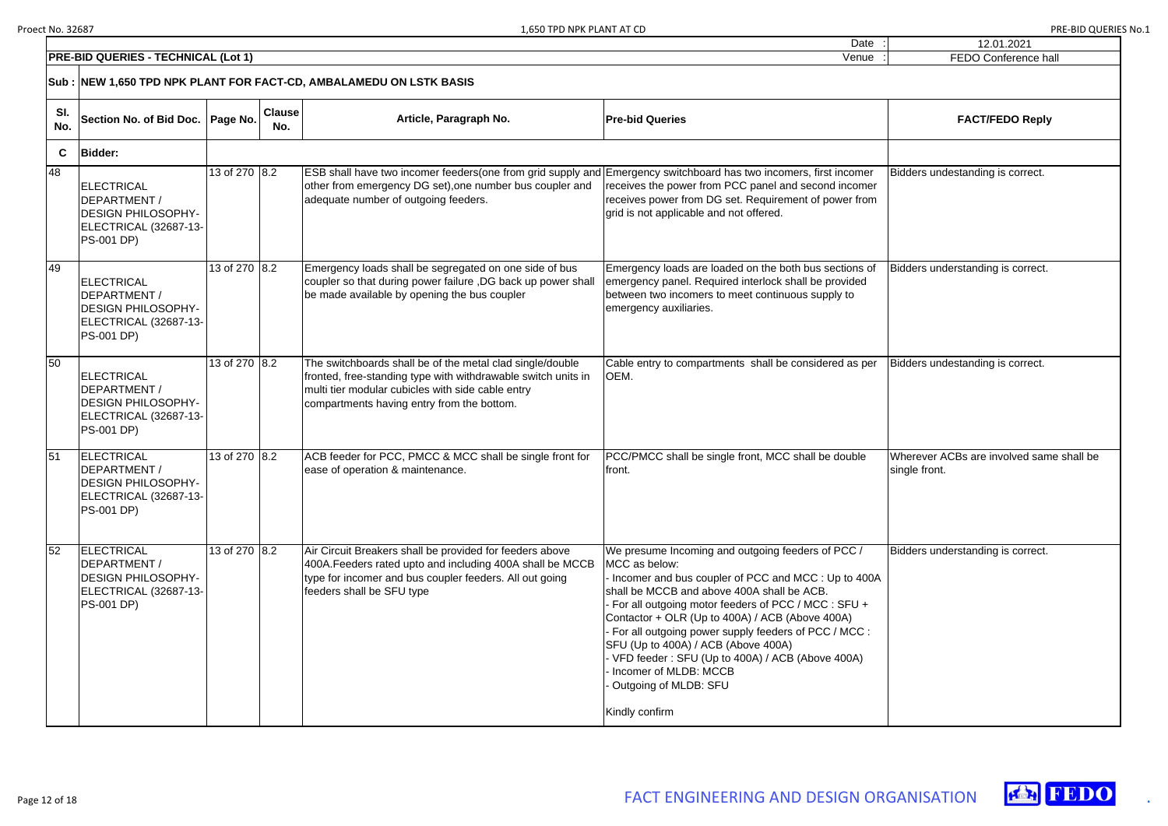| $\vdots$           | 12.01.2021                                                |
|--------------------|-----------------------------------------------------------|
| $\overline{\cdot}$ | <b>FEDO Conference hall</b>                               |
|                    |                                                           |
|                    | <b>FACT/FEDO Reply</b>                                    |
|                    |                                                           |
|                    | Bidders undestanding is correct.                          |
|                    | Bidders understanding is correct.                         |
|                    | Bidders undestanding is correct.                          |
|                    | Wherever ACBs are involved same shall be<br>single front. |
|                    | Bidders understanding is correct.                         |



|            | <b>PRE-BID QUERIES - TECHNICAL (Lot 1)</b>                                                                    |               |                      |                                                                                                                                                                                                                               | Venue                                                                                                                                                                                                                                                                                                                                                                                                                                                                                                     | FEDO Conference ha                              |  |  |  |
|------------|---------------------------------------------------------------------------------------------------------------|---------------|----------------------|-------------------------------------------------------------------------------------------------------------------------------------------------------------------------------------------------------------------------------|-----------------------------------------------------------------------------------------------------------------------------------------------------------------------------------------------------------------------------------------------------------------------------------------------------------------------------------------------------------------------------------------------------------------------------------------------------------------------------------------------------------|-------------------------------------------------|--|--|--|
|            | Sub : NEW 1,650 TPD NPK PLANT FOR FACT-CD, AMBALAMEDU ON LSTK BASIS                                           |               |                      |                                                                                                                                                                                                                               |                                                                                                                                                                                                                                                                                                                                                                                                                                                                                                           |                                                 |  |  |  |
| SI.<br>No. | Section No. of Bid Doc.   Page No.                                                                            |               | <b>Clause</b><br>No. | Article, Paragraph No.                                                                                                                                                                                                        | <b>Pre-bid Queries</b>                                                                                                                                                                                                                                                                                                                                                                                                                                                                                    | <b>FACT/FEDO Reply</b>                          |  |  |  |
| C          | <b>Bidder:</b>                                                                                                |               |                      |                                                                                                                                                                                                                               |                                                                                                                                                                                                                                                                                                                                                                                                                                                                                                           |                                                 |  |  |  |
| 48         | <b>IELECTRICAL</b><br>DEPARTMENT /<br><b>DESIGN PHILOSOPHY-</b><br>ELECTRICAL (32687-13-<br><b>PS-001 DP)</b> | 13 of 270 8.2 |                      | ESB shall have two incomer feeders(one from grid supply and Emergency switchboard has two incomers, first incomer<br>other from emergency DG set), one number bus coupler and<br>adequate number of outgoing feeders.         | receives the power from PCC panel and second incomer<br>receives power from DG set. Requirement of power from<br>grid is not applicable and not offered.                                                                                                                                                                                                                                                                                                                                                  | Bidders undestanding is correct.                |  |  |  |
| 49         | ELECTRICAL<br>DEPARTMENT /<br><b>DESIGN PHILOSOPHY-</b><br>ELECTRICAL (32687-13-<br><b>PS-001 DP)</b>         | 13 of 270 8.2 |                      | Emergency loads shall be segregated on one side of bus<br>coupler so that during power failure, DG back up power shall<br>be made available by opening the bus coupler                                                        | Emergency loads are loaded on the both bus sections of<br>emergency panel. Required interlock shall be provided<br>between two incomers to meet continuous supply to<br>emergency auxiliaries.                                                                                                                                                                                                                                                                                                            | Bidders understanding is correct.               |  |  |  |
| 50         | ELECTRICAL<br>DEPARTMENT /<br><b>DESIGN PHILOSOPHY-</b><br>ELECTRICAL (32687-13-<br><b>PS-001 DP)</b>         | 13 of 270 8.2 |                      | The switchboards shall be of the metal clad single/double<br>fronted, free-standing type with withdrawable switch units in<br>multi tier modular cubicles with side cable entry<br>compartments having entry from the bottom. | Cable entry to compartments shall be considered as per<br>OEM.                                                                                                                                                                                                                                                                                                                                                                                                                                            | Bidders undestanding is correct.                |  |  |  |
| 51         | ELECTRICAL<br>DEPARTMENT /<br><b>DESIGN PHILOSOPHY-</b><br>ELECTRICAL (32687-13-<br><b>PS-001 DP)</b>         | 13 of 270 8.2 |                      | ACB feeder for PCC, PMCC & MCC shall be single front for<br>ease of operation & maintenance.                                                                                                                                  | PCC/PMCC shall be single front, MCC shall be double<br>front.                                                                                                                                                                                                                                                                                                                                                                                                                                             | Wherever ACBs are involved sam<br>single front. |  |  |  |
| 52         | ELECTRICAL<br>DEPARTMENT /<br><b>DESIGN PHILOSOPHY-</b><br>ELECTRICAL (32687-13-<br><b>PS-001 DP)</b>         | 13 of 270 8.2 |                      | Air Circuit Breakers shall be provided for feeders above<br>400A. Feeders rated upto and including 400A shall be MCCB<br>type for incomer and bus coupler feeders. All out going<br>feeders shall be SFU type                 | We presume Incoming and outgoing feeders of PCC /<br>MCC as below:<br>Incomer and bus coupler of PCC and MCC : Up to 400A<br>shall be MCCB and above 400A shall be ACB.<br>For all outgoing motor feeders of PCC / MCC : SFU +<br>Contactor + OLR (Up to 400A) / ACB (Above 400A)<br>For all outgoing power supply feeders of PCC / MCC :<br>SFU (Up to 400A) / ACB (Above 400A)<br>- VFD feeder: SFU (Up to 400A) / ACB (Above 400A)<br>Incomer of MLDB: MCCB<br>Outgoing of MLDB: SFU<br>Kindly confirm | Bidders understanding is correct.               |  |  |  |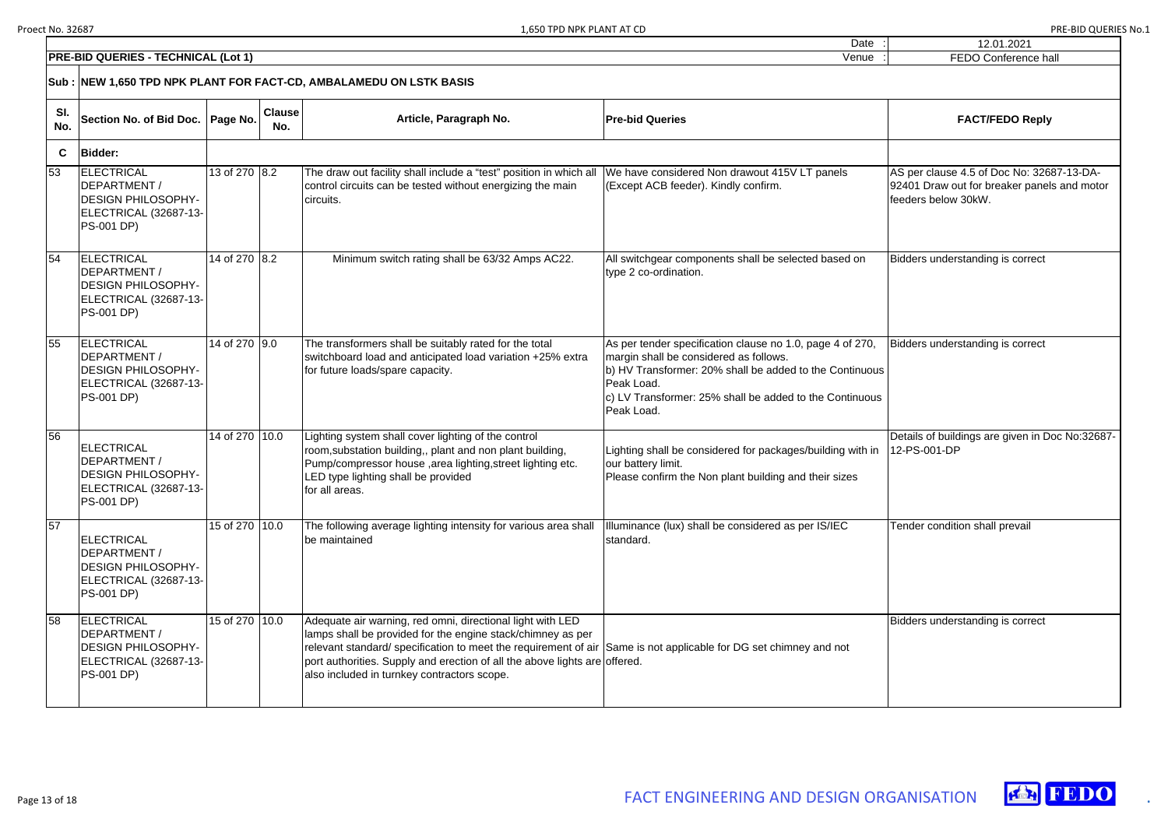| 12.01.2021                                                                                                      |
|-----------------------------------------------------------------------------------------------------------------|
| <b>FEDO Conference hall</b>                                                                                     |
|                                                                                                                 |
| <b>FACT/FEDO Reply</b>                                                                                          |
|                                                                                                                 |
| AS per clause 4.5 of Doc No: 32687-13-DA-<br>92401 Draw out for breaker panels and motor<br>feeders below 30kW. |
| Bidders understanding is correct                                                                                |
| Bidders understanding is correct                                                                                |
| Details of buildings are given in Doc No:32687-<br>12-PS-001-DP                                                 |
| Tender condition shall prevail                                                                                  |
| Bidders understanding is correct                                                                                |



|                                            |                                                                                                              |                |                      |                                                                                                                                                                                                                                         | Dale                                                                                                                                                                                                                                                  | 12.01.2021                                                                                  |  |  |  |
|--------------------------------------------|--------------------------------------------------------------------------------------------------------------|----------------|----------------------|-----------------------------------------------------------------------------------------------------------------------------------------------------------------------------------------------------------------------------------------|-------------------------------------------------------------------------------------------------------------------------------------------------------------------------------------------------------------------------------------------------------|---------------------------------------------------------------------------------------------|--|--|--|
| <b>PRE-BID QUERIES - TECHNICAL (Lot 1)</b> | FEDO Conference ha                                                                                           |                |                      |                                                                                                                                                                                                                                         |                                                                                                                                                                                                                                                       |                                                                                             |  |  |  |
|                                            | Sub : NEW 1,650 TPD NPK PLANT FOR FACT-CD, AMBALAMEDU ON LSTK BASIS                                          |                |                      |                                                                                                                                                                                                                                         |                                                                                                                                                                                                                                                       |                                                                                             |  |  |  |
| SI.<br>No.                                 | Section No. of Bid Doc.   Page No.                                                                           |                | <b>Clause</b><br>No. | Article, Paragraph No.                                                                                                                                                                                                                  | <b>Pre-bid Queries</b>                                                                                                                                                                                                                                | <b>FACT/FEDO Reply</b>                                                                      |  |  |  |
| C                                          | <b>Bidder:</b>                                                                                               |                |                      |                                                                                                                                                                                                                                         |                                                                                                                                                                                                                                                       |                                                                                             |  |  |  |
| 53                                         | ELECTRICAL<br><b>DEPARTMENT /</b><br><b>DESIGN PHILOSOPHY-</b><br>ELECTRICAL (32687-13-<br><b>PS-001 DP)</b> | 13 of 270 8.2  |                      | The draw out facility shall include a "test" position in which all<br>control circuits can be tested without energizing the main<br>circuits.                                                                                           | We have considered Non drawout 415V LT panels<br>(Except ACB feeder). Kindly confirm.                                                                                                                                                                 | AS per clause 4.5 of Doc No: 326<br>92401 Draw out for breaker panel<br>feeders below 30kW. |  |  |  |
| 54                                         | ELECTRICAL<br><b>DEPARTMENT/</b><br><b>DESIGN PHILOSOPHY-</b><br>ELECTRICAL (32687-13-<br><b>PS-001 DP)</b>  | 14 of 270 8.2  |                      | Minimum switch rating shall be 63/32 Amps AC22.                                                                                                                                                                                         | All switchgear components shall be selected based on<br>type 2 co-ordination.                                                                                                                                                                         | Bidders understanding is correct                                                            |  |  |  |
| 55                                         | ELECTRICAL<br><b>DEPARTMENT /</b><br><b>DESIGN PHILOSOPHY-</b><br>ELECTRICAL (32687-13-<br><b>PS-001 DP)</b> | 14 of 270 9.0  |                      | The transformers shall be suitably rated for the total<br>switchboard load and anticipated load variation +25% extra<br>for future loads/spare capacity.                                                                                | As per tender specification clause no 1.0, page 4 of 270,<br>margin shall be considered as follows.<br>b) HV Transformer: 20% shall be added to the Continuous<br>Peak Load.<br>c) LV Transformer: 25% shall be added to the Continuous<br>Peak Load. | Bidders understanding is correct                                                            |  |  |  |
| 56                                         | ELECTRICAL<br><b>DEPARTMENT /</b><br><b>DESIGN PHILOSOPHY-</b><br>ELECTRICAL (32687-13-<br><b>PS-001 DP)</b> | 14 of 270 10.0 |                      | Lighting system shall cover lighting of the control<br>room, substation building,, plant and non plant building,<br>Pump/compressor house, area lighting, street lighting etc.<br>LED type lighting shall be provided<br>for all areas. | Lighting shall be considered for packages/building with in<br>our battery limit.<br>Please confirm the Non plant building and their sizes                                                                                                             | Details of buildings are given in D<br>12-PS-001-DP                                         |  |  |  |
| 57                                         | ELECTRICAL<br><b>DEPARTMENT/</b><br><b>DESIGN PHILOSOPHY-</b><br>ELECTRICAL (32687-13-<br><b>PS-001 DP)</b>  | 15 of 270 10.0 |                      | The following average lighting intensity for various area shall<br>be maintained                                                                                                                                                        | Illuminance (lux) shall be considered as per IS/IEC<br>standard.                                                                                                                                                                                      | Tender condition shall prevail                                                              |  |  |  |
| 58                                         | <b>ELECTRICAL</b>                                                                                            | 15 of 270 10.0 |                      | Adequate air warning, red omni, directional light with LED                                                                                                                                                                              |                                                                                                                                                                                                                                                       | Bidders understanding is correct                                                            |  |  |  |

 $\overline{58}$ 

| <b>ELECTRICAL</b>         | 15 of 270   10.0 | Adequate air warning, red omni, directional light with LED                                                        |  |
|---------------------------|------------------|-------------------------------------------------------------------------------------------------------------------|--|
| <b>IDEPARTMENT /</b>      |                  | I lamps shall be provided for the engine stack/chimney as per                                                     |  |
| <b>DESIGN PHILOSOPHY-</b> |                  | Irelevant standard/specification to meet the requirement of air Same is not applicable for DG set chimney and not |  |
| ELECTRICAL (32687-13-)    |                  | port authorities. Supply and erection of all the above lights are offered.                                        |  |
| <b>PS-001 DP)</b>         |                  | also included in turnkey contractors scope.                                                                       |  |
|                           |                  |                                                                                                                   |  |

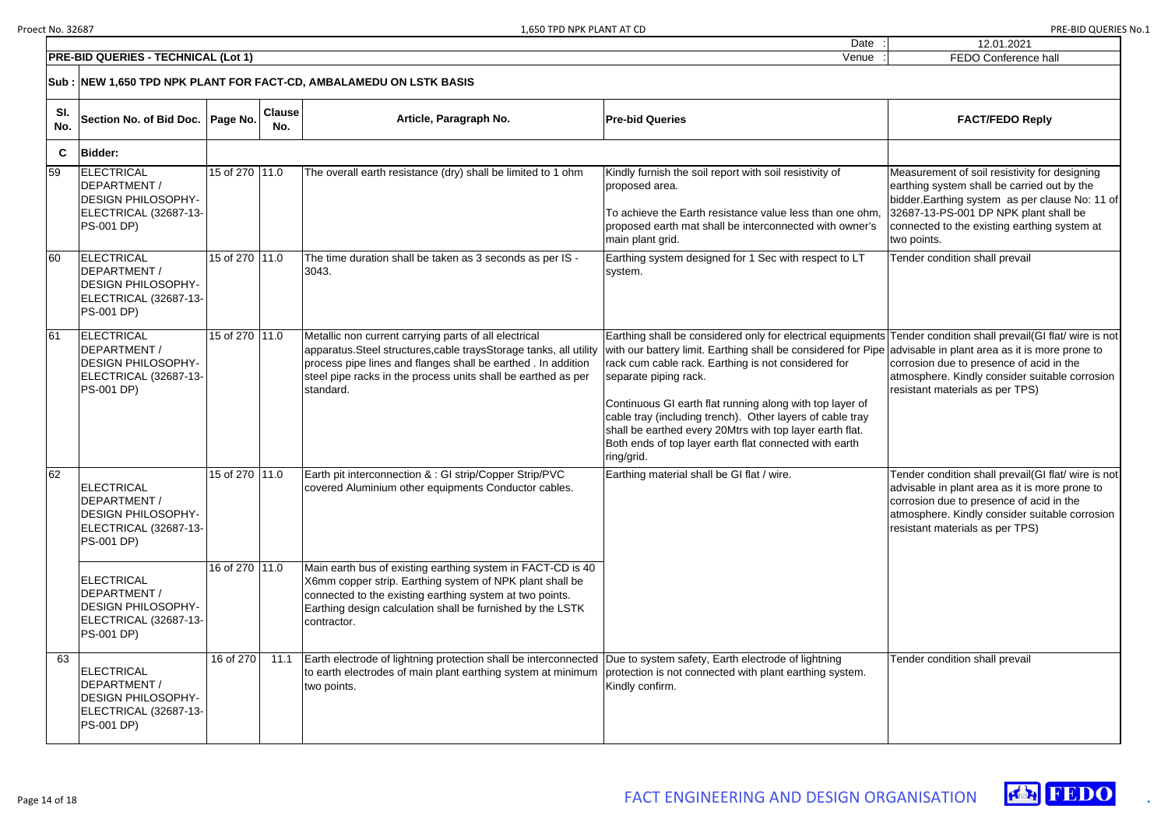12.01.2021



| Date    |  |
|---------|--|
| ۱/۵n۱۱۵ |  |

|        | <b>FEDO Conference hall</b>                                                                                                                                                                                                                             |
|--------|---------------------------------------------------------------------------------------------------------------------------------------------------------------------------------------------------------------------------------------------------------|
|        |                                                                                                                                                                                                                                                         |
|        | <b>FACT/FEDO Reply</b>                                                                                                                                                                                                                                  |
|        |                                                                                                                                                                                                                                                         |
|        | Measurement of soil resistivity for designing<br>earthing system shall be carried out by the<br>bidder. Earthing system as per clause No: 11 of<br>32687-13-PS-001 DP NPK plant shall be<br>connected to the existing earthing system at<br>two points. |
|        | Tender condition shall prevail                                                                                                                                                                                                                          |
|        |                                                                                                                                                                                                                                                         |
| s<br>é | Tender condition shall prevail(GI flat/ wire is not<br>advisable in plant area as it is more prone to<br>corrosion due to presence of acid in the<br>atmosphere. Kindly consider suitable corrosion<br>resistant materials as per TPS)                  |
|        | Tender condition shall prevail(GI flat/ wire is not<br>advisable in plant area as it is more prone to<br>corrosion due to presence of acid in the<br>atmosphere. Kindly consider suitable corrosion<br>resistant materials as per TPS)                  |
|        | Tender condition shall prevail                                                                                                                                                                                                                          |

|            | <b>PRE-BID QUERIES - TECHNICAL (Lot 1)</b><br>Venue                                                          |                |                      |                                                                                                                                                                                                                                                                            |                                                                                                                                                                                                                                                                                                                                                                                                                                                                                                                                                   |                                                                                                                                                                                                        |
|------------|--------------------------------------------------------------------------------------------------------------|----------------|----------------------|----------------------------------------------------------------------------------------------------------------------------------------------------------------------------------------------------------------------------------------------------------------------------|---------------------------------------------------------------------------------------------------------------------------------------------------------------------------------------------------------------------------------------------------------------------------------------------------------------------------------------------------------------------------------------------------------------------------------------------------------------------------------------------------------------------------------------------------|--------------------------------------------------------------------------------------------------------------------------------------------------------------------------------------------------------|
|            |                                                                                                              |                |                      | Sub : NEW 1,650 TPD NPK PLANT FOR FACT-CD, AMBALAMEDU ON LSTK BASIS                                                                                                                                                                                                        |                                                                                                                                                                                                                                                                                                                                                                                                                                                                                                                                                   |                                                                                                                                                                                                        |
| SI.<br>No. | Section No. of Bid Doc.                                                                                      | Page No.       | <b>Clause</b><br>No. | Article, Paragraph No.                                                                                                                                                                                                                                                     | <b>Pre-bid Queries</b>                                                                                                                                                                                                                                                                                                                                                                                                                                                                                                                            | <b>FACT/FEDO Reply</b>                                                                                                                                                                                 |
| C          | <b>Bidder:</b>                                                                                               |                |                      |                                                                                                                                                                                                                                                                            |                                                                                                                                                                                                                                                                                                                                                                                                                                                                                                                                                   |                                                                                                                                                                                                        |
| 59         | <b>ELECTRICAL</b><br>DEPARTMENT /<br><b>DESIGN PHILOSOPHY-</b><br>ELECTRICAL (32687-13-<br><b>PS-001 DP)</b> | 15 of 270 11.0 |                      | The overall earth resistance (dry) shall be limited to 1 ohm                                                                                                                                                                                                               | Kindly furnish the soil report with soil resistivity of<br>proposed area.<br>To achieve the Earth resistance value less than one ohm<br>proposed earth mat shall be interconnected with owner's<br>main plant grid.                                                                                                                                                                                                                                                                                                                               | Measurement of soil resistivity for<br>earthing system shall be carried o<br>bidder. Earthing system as per cla<br>32687-13-PS-001 DP NPK plant s<br>connected to the existing earthing<br>two points. |
| 60         | ELECTRICAL<br>DEPARTMENT /<br><b>DESIGN PHILOSOPHY-</b><br>ELECTRICAL (32687-13-<br><b>PS-001 DP)</b>        | 15 of 270 11.0 |                      | The time duration shall be taken as 3 seconds as per IS -<br>3043.                                                                                                                                                                                                         | Earthing system designed for 1 Sec with respect to LT<br>system.                                                                                                                                                                                                                                                                                                                                                                                                                                                                                  | Tender condition shall prevail                                                                                                                                                                         |
| 61         | ELECTRICAL<br>DEPARTMENT /<br><b>DESIGN PHILOSOPHY-</b><br>ELECTRICAL (32687-13-<br><b>PS-001 DP)</b>        | 15 of 270 11.0 |                      | Metallic non current carrying parts of all electrical<br>apparatus. Steel structures, cable trays Storage tanks, all utility<br>process pipe lines and flanges shall be earthed. In addition<br>steel pipe racks in the process units shall be earthed as per<br>standard. | Earthing shall be considered only for electrical equipments Tender condition shall prevail(GI f<br>with our battery limit. Earthing shall be considered for Pipe advisable in plant area as it is mo<br>rack cum cable rack. Earthing is not considered for<br>separate piping rack.<br>Continuous GI earth flat running along with top layer of<br>cable tray (including trench). Other layers of cable tray<br>shall be earthed every 20Mtrs with top layer earth flat.<br>Both ends of top layer earth flat connected with earth<br>ring/grid. | corrosion due to presence of acid<br>atmosphere. Kindly consider suita<br>resistant materials as per TPS)                                                                                              |
| 62         | <b>ELECTRICAL</b><br>DEPARTMENT /<br><b>DESIGN PHILOSOPHY-</b><br>ELECTRICAL (32687-13-<br><b>PS-001 DP)</b> | 15 of 270 11.0 |                      | Earth pit interconnection & : GI strip/Copper Strip/PVC<br>covered Aluminium other equipments Conductor cables.                                                                                                                                                            | Earthing material shall be GI flat / wire.                                                                                                                                                                                                                                                                                                                                                                                                                                                                                                        | Tender condition shall prevail(GI f<br>advisable in plant area as it is mo<br>corrosion due to presence of acid<br>atmosphere. Kindly consider suita<br>resistant materials as per TPS)                |
|            | <b>ELECTRICAL</b><br>DEPARTMENT /<br><b>DESIGN PHILOSOPHY-</b><br>ELECTRICAL (32687-13-<br><b>PS-001 DP)</b> | 16 of 270 11.0 |                      | Main earth bus of existing earthing system in FACT-CD is 40<br>X6mm copper strip. Earthing system of NPK plant shall be<br>connected to the existing earthing system at two points.<br>Earthing design calculation shall be furnished by the LSTK<br>contractor.           |                                                                                                                                                                                                                                                                                                                                                                                                                                                                                                                                                   |                                                                                                                                                                                                        |
| 63         | ELECTRICAL<br>DEPARTMENT /<br><b>DESIGN PHILOSOPHY-</b><br>ELECTRICAL (32687-13-<br><b>PS-001 DP)</b>        | 16 of 270      | 11.1                 | Earth electrode of lightning protection shall be interconnected Due to system safety, Earth electrode of lightning<br>to earth electrodes of main plant earthing system at minimum<br>two points.                                                                          | protection is not connected with plant earthing system.<br>Kindly confirm.                                                                                                                                                                                                                                                                                                                                                                                                                                                                        | Tender condition shall prevail                                                                                                                                                                         |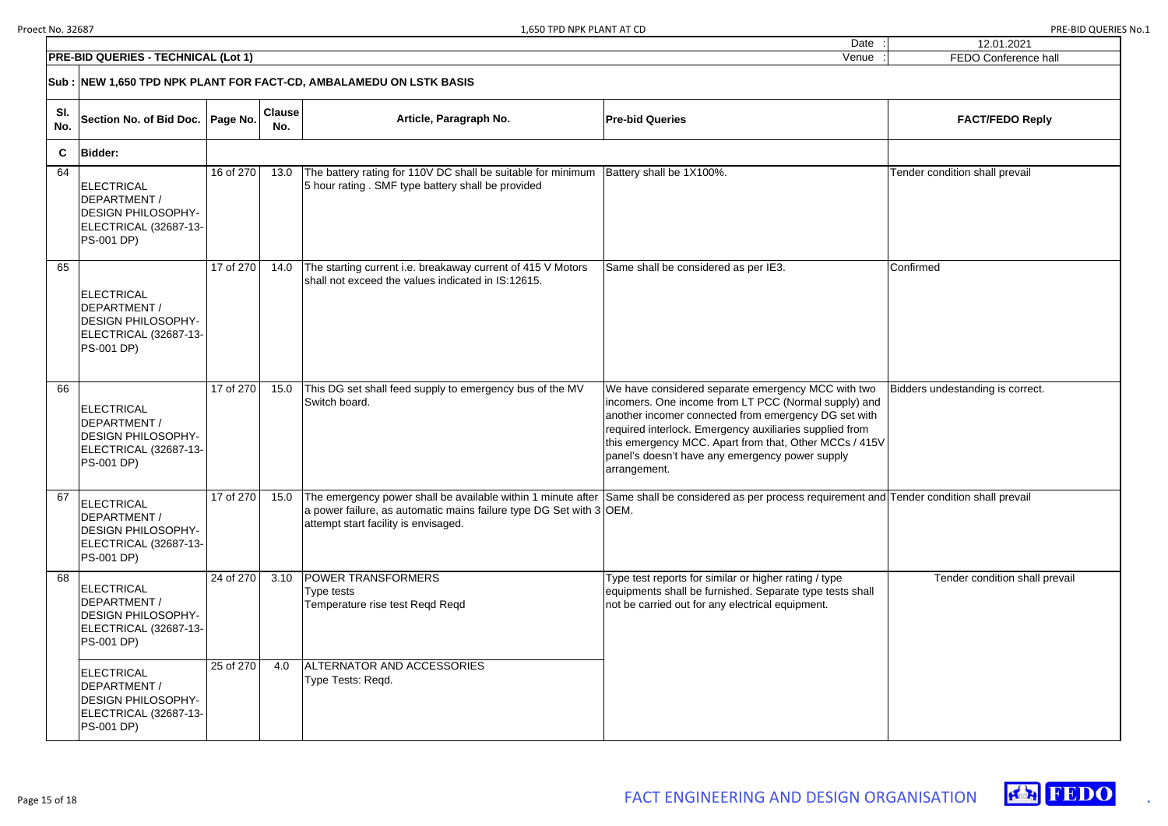|   | 12.01.2021                       |
|---|----------------------------------|
|   | FEDO Conference hall             |
|   |                                  |
|   |                                  |
|   | <b>FACT/FEDO Reply</b>           |
|   |                                  |
|   | Tender condition shall prevail   |
|   |                                  |
|   |                                  |
|   |                                  |
|   | Confirmed                        |
|   |                                  |
|   |                                  |
|   |                                  |
|   |                                  |
|   |                                  |
|   | Bidders undestanding is correct. |
|   |                                  |
|   |                                  |
| l |                                  |
|   |                                  |
| l | Tender condition shall prevail   |
|   |                                  |
|   |                                  |
|   |                                  |
|   | Tender condition shall prevail   |
|   |                                  |
|   |                                  |
|   |                                  |
|   |                                  |
|   |                                  |
|   |                                  |
|   |                                  |
|   |                                  |



| <b>PRE-BID QUERIES - TECHNICAL (Lot 1)</b><br>Venue |                                                                                                                      |           |                      |                                                                                                                                                                                                                                                                    |                                                                                                                                                                                                                                                                                                                                                            | FEDO Conference ha               |
|-----------------------------------------------------|----------------------------------------------------------------------------------------------------------------------|-----------|----------------------|--------------------------------------------------------------------------------------------------------------------------------------------------------------------------------------------------------------------------------------------------------------------|------------------------------------------------------------------------------------------------------------------------------------------------------------------------------------------------------------------------------------------------------------------------------------------------------------------------------------------------------------|----------------------------------|
|                                                     |                                                                                                                      |           |                      | Sub : NEW 1,650 TPD NPK PLANT FOR FACT-CD, AMBALAMEDU ON LSTK BASIS                                                                                                                                                                                                |                                                                                                                                                                                                                                                                                                                                                            |                                  |
| SI.<br>No.                                          | Section No. of Bid Doc.   Page No.                                                                                   |           | <b>Clause</b><br>No. | Article, Paragraph No.                                                                                                                                                                                                                                             | <b>Pre-bid Queries</b>                                                                                                                                                                                                                                                                                                                                     | <b>FACT/FEDO Reply</b>           |
| $\mathbf{C}$                                        | <b>Bidder:</b>                                                                                                       |           |                      |                                                                                                                                                                                                                                                                    |                                                                                                                                                                                                                                                                                                                                                            |                                  |
| 64                                                  | <b>ELECTRICAL</b><br>DEPARTMENT /<br><b>DESIGN PHILOSOPHY-</b><br>ELECTRICAL (32687-13-<br><b>PS-001 DP)</b>         | 16 of 270 | 13.0                 | The battery rating for 110V DC shall be suitable for minimum<br>5 hour rating. SMF type battery shall be provided                                                                                                                                                  | Battery shall be 1X100%.                                                                                                                                                                                                                                                                                                                                   | Tender condition shall prevail   |
| 65                                                  | ELECTRICAL<br>DEPARTMENT /<br><b>DESIGN PHILOSOPHY-</b><br>ELECTRICAL (32687-13-<br><b>PS-001 DP)</b>                | 17 of 270 | 14.0                 | The starting current i.e. breakaway current of 415 V Motors<br>shall not exceed the values indicated in IS:12615.                                                                                                                                                  | Same shall be considered as per IE3.                                                                                                                                                                                                                                                                                                                       | Confirmed                        |
| 66                                                  | <b>ELECTRICAL</b><br>DEPARTMENT /<br><b>DESIGN PHILOSOPHY-</b><br>ELECTRICAL (32687-13-<br><b>PS-001 DP)</b>         | 17 of 270 | 15.0                 | This DG set shall feed supply to emergency bus of the MV<br>Switch board.                                                                                                                                                                                          | We have considered separate emergency MCC with two<br>incomers. One income from LT PCC (Normal supply) and<br>another incomer connected from emergency DG set with<br>required interlock. Emergency auxiliaries supplied from<br>this emergency MCC. Apart from that, Other MCCs / 415V<br>panel's doesn't have any emergency power supply<br>arrangement. | Bidders undestanding is correct. |
| 67                                                  | ELECTRICAL<br>DEPARTMENT /<br><b>DESIGN PHILOSOPHY-</b><br>ELECTRICAL (32687-13-<br><b>PS-001 DP)</b>                | 17 of 270 | 15.0                 | The emergency power shall be available within 1 minute after Same shall be considered as per process requirement and Tender condition shall prevail<br>a power failure, as automatic mains failure type DG Set with 3 OEM.<br>attempt start facility is envisaged. |                                                                                                                                                                                                                                                                                                                                                            |                                  |
| 68                                                  | <b>ELECTRICAL</b><br>DEPARTMENT /<br><b>DESIGN PHILOSOPHY-</b><br><b>ELECTRICAL (32687-13-)</b><br><b>PS-001 DP)</b> | 24 of 270 | 3.10                 | <b>POWER TRANSFORMERS</b><br>Type tests<br>Temperature rise test Regd Regd                                                                                                                                                                                         | Type test reports for similar or higher rating / type<br>equipments shall be furnished. Separate type tests shall<br>not be carried out for any electrical equipment.                                                                                                                                                                                      | Tender condition shall pi        |
|                                                     | <b>ELECTRICAL</b><br>DEPARTMENT /<br><b>DESIGN PHILOSOPHY-</b><br><b>ELECTRICAL (32687-13-)</b><br><b>PS-001 DP)</b> | 25 of 270 | 4.0                  | ALTERNATOR AND ACCESSORIES<br>Type Tests: Reqd.                                                                                                                                                                                                                    |                                                                                                                                                                                                                                                                                                                                                            |                                  |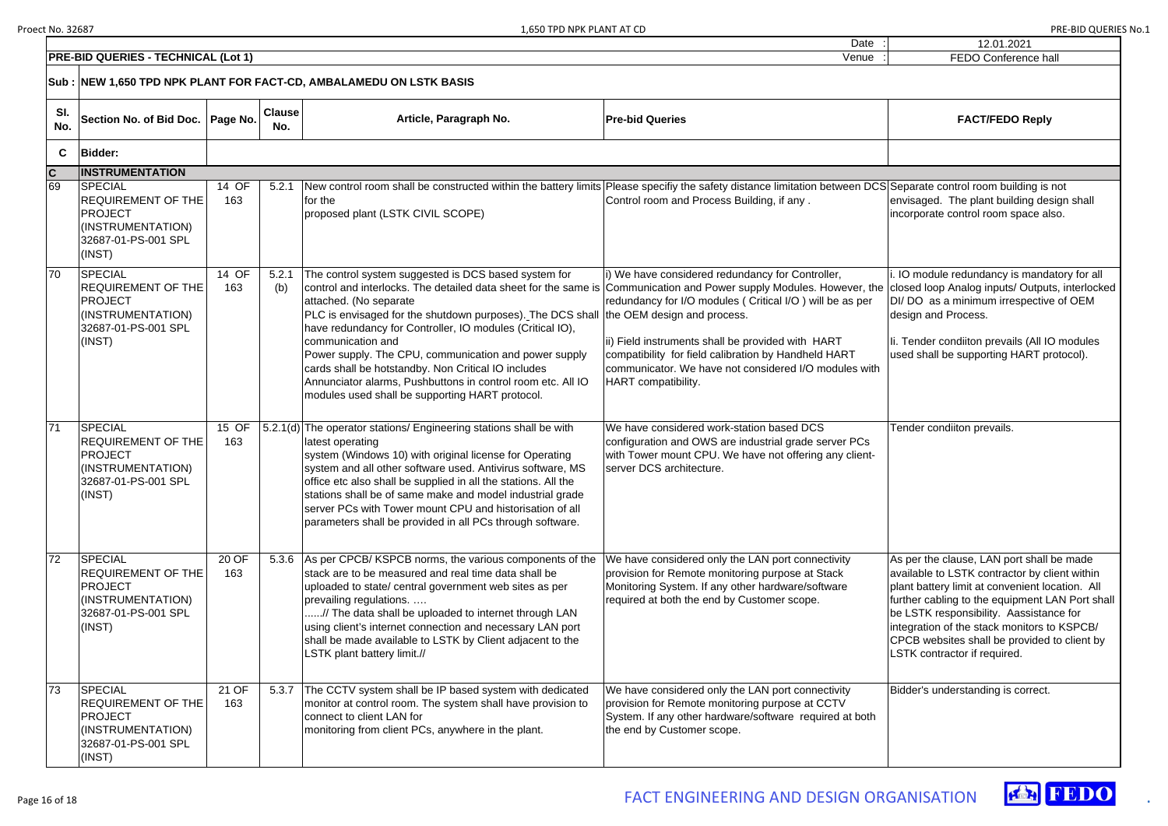| 12.01.2021                                                                                 |
|--------------------------------------------------------------------------------------------|
| <b>FEDO Conference hall</b>                                                                |
|                                                                                            |
|                                                                                            |
|                                                                                            |
| <b>FACT/FEDO Reply</b>                                                                     |
|                                                                                            |
|                                                                                            |
|                                                                                            |
|                                                                                            |
| S Separate control room building is not                                                    |
| envisaged. The plant building design shall                                                 |
| incorporate control room space also.                                                       |
|                                                                                            |
|                                                                                            |
|                                                                                            |
| i. IO module redundancy is mandatory for all                                               |
| closed loop Analog inputs/ Outputs, interlocked                                            |
| DI/ DO as a minimum irrespective of OEM                                                    |
| design and Process.                                                                        |
|                                                                                            |
| Ii. Tender condiiton prevails (All IO modules                                              |
| used shall be supporting HART protocol).                                                   |
|                                                                                            |
|                                                                                            |
|                                                                                            |
|                                                                                            |
| Tender condiiton prevails.                                                                 |
|                                                                                            |
|                                                                                            |
|                                                                                            |
|                                                                                            |
|                                                                                            |
|                                                                                            |
|                                                                                            |
|                                                                                            |
|                                                                                            |
| As per the clause, LAN port shall be made<br>available to LSTK contractor by client within |
| plant battery limit at convenient location. All                                            |
| further cabling to the equipment LAN Port shall                                            |
| be LSTK responsibility. Aassistance for                                                    |
| integration of the stack monitors to KSPCB/                                                |
| CPCB websites shall be provided to client by                                               |
| LSTK contractor if required.                                                               |
|                                                                                            |
|                                                                                            |
| Bidder's understanding is correct.                                                         |
|                                                                                            |
|                                                                                            |
|                                                                                            |
|                                                                                            |
|                                                                                            |



| <b>PRE-BID QUERIES - TECHNICAL (Lot 1)</b><br>Venue |                                                                                                                     |              |                      |                                                                                                                                                                                                                                                                                                                                                                                                                                                                                                                                                                                                                            |                                                                                                                                                                                                                                                                                                                                          |                                                                                                                                                                                                                                                                                                       |
|-----------------------------------------------------|---------------------------------------------------------------------------------------------------------------------|--------------|----------------------|----------------------------------------------------------------------------------------------------------------------------------------------------------------------------------------------------------------------------------------------------------------------------------------------------------------------------------------------------------------------------------------------------------------------------------------------------------------------------------------------------------------------------------------------------------------------------------------------------------------------------|------------------------------------------------------------------------------------------------------------------------------------------------------------------------------------------------------------------------------------------------------------------------------------------------------------------------------------------|-------------------------------------------------------------------------------------------------------------------------------------------------------------------------------------------------------------------------------------------------------------------------------------------------------|
|                                                     |                                                                                                                     |              |                      | Sub: NEW 1,650 TPD NPK PLANT FOR FACT-CD, AMBALAMEDU ON LSTK BASIS                                                                                                                                                                                                                                                                                                                                                                                                                                                                                                                                                         |                                                                                                                                                                                                                                                                                                                                          |                                                                                                                                                                                                                                                                                                       |
| SI.<br>No.                                          | Section No. of Bid Doc.   Page No.                                                                                  |              | <b>Clause</b><br>No. | Article, Paragraph No.                                                                                                                                                                                                                                                                                                                                                                                                                                                                                                                                                                                                     | <b>Pre-bid Queries</b>                                                                                                                                                                                                                                                                                                                   | <b>FACT/FEDO Reply</b>                                                                                                                                                                                                                                                                                |
| $\mathbf{C}$                                        | <b>Bidder:</b>                                                                                                      |              |                      |                                                                                                                                                                                                                                                                                                                                                                                                                                                                                                                                                                                                                            |                                                                                                                                                                                                                                                                                                                                          |                                                                                                                                                                                                                                                                                                       |
| $\mathbf c$                                         | <b>INSTRUMENTATION</b>                                                                                              |              |                      |                                                                                                                                                                                                                                                                                                                                                                                                                                                                                                                                                                                                                            |                                                                                                                                                                                                                                                                                                                                          |                                                                                                                                                                                                                                                                                                       |
| 69                                                  | <b>SPECIAL</b><br><b>REQUIREMENT OF THE</b><br><b>PROJECT</b><br>(INSTRUMENTATION)<br>32687-01-PS-001 SPL<br>(INST) | 14 OF<br>163 | 5.2.1                | New control room shall be constructed within the battery limits Please specifiy the safety distance limitation between DCS Separate control room building is<br>for the<br>proposed plant (LSTK CIVIL SCOPE)                                                                                                                                                                                                                                                                                                                                                                                                               | Control room and Process Building, if any.                                                                                                                                                                                                                                                                                               | envisaged. The plant building des<br>incorporate control room space al                                                                                                                                                                                                                                |
| 70                                                  | <b>SPECIAL</b><br><b>REQUIREMENT OF THE</b><br><b>PROJECT</b><br>(INSTRUMENTATION)<br>32687-01-PS-001 SPL<br>(INST) | 14 OF<br>163 | 5.2.1<br>(b)         | The control system suggested is DCS based system for<br>control and interlocks. The detailed data sheet for the same is Communication and Power supply Modules. However, the closed loop Analog inputs/ Output<br>attached. (No separate<br>PLC is envisaged for the shutdown purposes). The DCS shall<br>have redundancy for Controller, IO modules (Critical IO),<br>communication and<br>Power supply. The CPU, communication and power supply<br>cards shall be hotstandby. Non Critical IO includes<br>Annunciator alarms, Pushbuttons in control room etc. All IO<br>modules used shall be supporting HART protocol. | i) We have considered redundancy for Controller,<br>redundancy for I/O modules (Critical I/O) will be as per<br>the OEM design and process.<br>ii) Field instruments shall be provided with HART<br>compatibility for field calibration by Handheld HART<br>communicator. We have not considered I/O modules with<br>HART compatibility. | IO module redundancy is manda<br>DI/ DO as a minimum irrespective<br>design and Process.<br>li. Tender condiiton prevails (All IC<br>used shall be supporting HART pr                                                                                                                                 |
| $\overline{71}$                                     | <b>SPECIAL</b><br><b>REQUIREMENT OF THE</b><br><b>PROJECT</b><br>(INSTRUMENTATION)<br>32687-01-PS-001 SPL<br>(INST) | 15 OF<br>163 |                      | 5.2.1(d) The operator stations/ Engineering stations shall be with<br>latest operating<br>system (Windows 10) with original license for Operating<br>system and all other software used. Antivirus software, MS<br>office etc also shall be supplied in all the stations. All the<br>stations shall be of same make and model industrial grade<br>server PCs with Tower mount CPU and historisation of all<br>parameters shall be provided in all PCs through software.                                                                                                                                                    | We have considered work-station based DCS<br>configuration and OWS are industrial grade server PCs<br>with Tower mount CPU. We have not offering any client-<br>server DCS architecture.                                                                                                                                                 | Tender condiiton prevails.                                                                                                                                                                                                                                                                            |
| $\overline{72}$                                     | <b>SPECIAL</b><br><b>REQUIREMENT OF THE</b><br>PROJECT<br>(INSTRUMENTATION)<br>32687-01-PS-001 SPL<br>(INST)        | 20 OF<br>163 | 5.3.6                | As per CPCB/KSPCB norms, the various components of the<br>stack are to be measured and real time data shall be<br>uploaded to state/ central government web sites as per<br>prevailing regulations.<br>// The data shall be uploaded to internet through LAN<br>using client's internet connection and necessary LAN port<br>shall be made available to LSTK by Client adjacent to the<br>LSTK plant battery limit.//                                                                                                                                                                                                      | We have considered only the LAN port connectivity<br>provision for Remote monitoring purpose at Stack<br>Monitoring System. If any other hardware/software<br>required at both the end by Customer scope.                                                                                                                                | As per the clause, LAN port shall<br>available to LSTK contractor by cl<br>plant battery limit at convenient lo<br>further cabling to the equipment L<br>be LSTK responsibility. Aassistar<br>integration of the stack monitors to<br>CPCB websites shall be provided<br>LSTK contractor if required. |
| 73                                                  | <b>SPECIAL</b><br><b>REQUIREMENT OF THE</b><br>PROJECT<br>(INSTRUMENTATION)<br>32687-01-PS-001 SPL<br>(INST)        | 21 OF<br>163 | 5.3.7                | The CCTV system shall be IP based system with dedicated<br>monitor at control room. The system shall have provision to<br>connect to client LAN for<br>monitoring from client PCs, anywhere in the plant.                                                                                                                                                                                                                                                                                                                                                                                                                  | We have considered only the LAN port connectivity<br>provision for Remote monitoring purpose at CCTV<br>System. If any other hardware/software required at both<br>the end by Customer scope.                                                                                                                                            | Bidder's understanding is correct.                                                                                                                                                                                                                                                                    |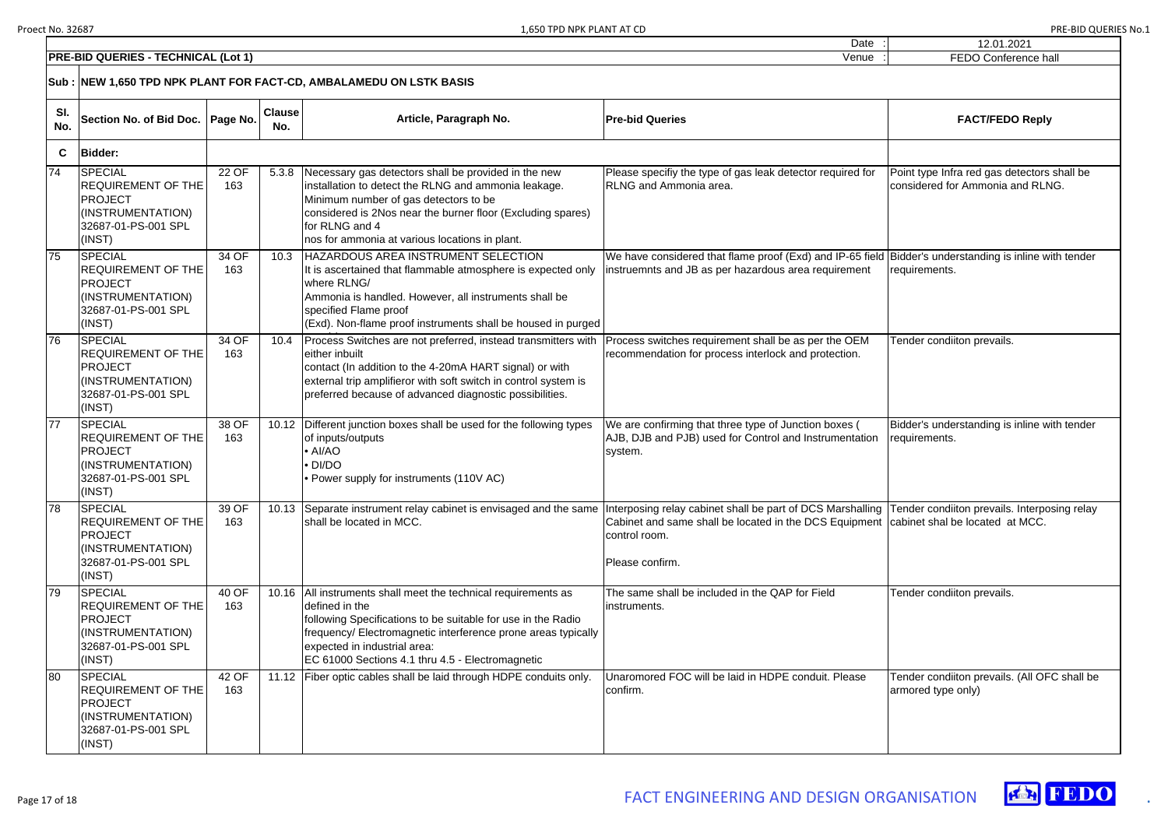|   | 12.01.2021                                                                      |
|---|---------------------------------------------------------------------------------|
|   | <b>FEDO Conference hall</b>                                                     |
|   |                                                                                 |
|   | <b>FACT/FEDO Reply</b>                                                          |
|   |                                                                                 |
|   | Point type Infra red gas detectors shall be<br>considered for Ammonia and RLNG. |
| Ł | Bidder's understanding is inline with tender<br>requirements.                   |
|   | Tender condiiton prevails.                                                      |
|   | Bidder's understanding is inline with tender<br>requirements.                   |
|   | Tender condiiton prevails. Interposing relay<br>cabinet shal be located at MCC. |
|   | Tender condiiton prevails.                                                      |
|   | Tender condiiton prevails. (All OFC shall be<br>armored type only)              |
|   |                                                                                 |



| <b>PRE-BID QUERIES - TECHNICAL (Lot 1)</b> |                                                                                                                     |                                                                     |       |                                                                                                                                                                                                                                                                                                         | Venue                                                                                                                                                                                    | FEDO Conference ha                                                   |  |  |  |
|--------------------------------------------|---------------------------------------------------------------------------------------------------------------------|---------------------------------------------------------------------|-------|---------------------------------------------------------------------------------------------------------------------------------------------------------------------------------------------------------------------------------------------------------------------------------------------------------|------------------------------------------------------------------------------------------------------------------------------------------------------------------------------------------|----------------------------------------------------------------------|--|--|--|
|                                            |                                                                                                                     | Sub : NEW 1,650 TPD NPK PLANT FOR FACT-CD, AMBALAMEDU ON LSTK BASIS |       |                                                                                                                                                                                                                                                                                                         |                                                                                                                                                                                          |                                                                      |  |  |  |
| SI.<br>No.                                 |                                                                                                                     | <b>Clause</b><br>Section No. of Bid Doc.   Page No.<br>No.          |       | Article, Paragraph No.                                                                                                                                                                                                                                                                                  | <b>Pre-bid Queries</b>                                                                                                                                                                   | <b>FACT/FEDO Reply</b>                                               |  |  |  |
| C                                          | <b>Bidder:</b>                                                                                                      |                                                                     |       |                                                                                                                                                                                                                                                                                                         |                                                                                                                                                                                          |                                                                      |  |  |  |
| 74                                         | <b>SPECIAL</b><br><b>REQUIREMENT OF THE</b><br><b>PROJECT</b><br>(INSTRUMENTATION)<br>32687-01-PS-001 SPL<br>(INST) | 22 OF<br>163                                                        | 5.3.8 | Necessary gas detectors shall be provided in the new<br>installation to detect the RLNG and ammonia leakage.<br>Minimum number of gas detectors to be<br>considered is 2Nos near the burner floor (Excluding spares)<br>for RLNG and 4<br>nos for ammonia at various locations in plant.                | Please specifiy the type of gas leak detector required for<br><b>RLNG and Ammonia area.</b>                                                                                              | Point type Infra red gas detectors<br>considered for Ammonia and RLN |  |  |  |
| 75                                         | <b>SPECIAL</b><br><b>REQUIREMENT OF THE</b><br><b>PROJECT</b><br>(INSTRUMENTATION)<br>32687-01-PS-001 SPL<br>(INST) | 34 OF<br>163                                                        | 10.3  | HAZARDOUS AREA INSTRUMENT SELECTION<br>It is ascertained that flammable atmosphere is expected only<br>where RLNG/<br>Ammonia is handled. However, all instruments shall be<br>specified Flame proof<br>(Exd). Non-flame proof instruments shall be housed in purged                                    | We have considered that flame proof (Exd) and IP-65 field Bidder's understanding is inline w<br>instruemnts and JB as per hazardous area requirement                                     | requirements.                                                        |  |  |  |
| 76                                         | <b>SPECIAL</b><br><b>REQUIREMENT OF THE</b><br><b>PROJECT</b><br>(INSTRUMENTATION)<br>32687-01-PS-001 SPL<br>(INST) | 34 OF<br>163                                                        | 10.4  | Process Switches are not preferred, instead transmitters with<br>either inbuilt<br>contact (In addition to the 4-20mA HART signal) or with<br>external trip amplifieror with soft switch in control system is<br>preferred because of advanced diagnostic possibilities.                                | Process switches requirement shall be as per the OEM<br>recommendation for process interlock and protection.                                                                             | Tender condiiton prevails.                                           |  |  |  |
| 77                                         | <b>SPECIAL</b><br><b>REQUIREMENT OF THE</b><br>PROJECT<br>(INSTRUMENTATION)<br>32687-01-PS-001 SPL<br>(INST)        | 38 OF<br>163                                                        | 10.12 | Different junction boxes shall be used for the following types<br>of inputs/outputs<br>$\bullet$ Al/AO<br>$\bullet$ DI/DO<br>• Power supply for instruments (110V AC)                                                                                                                                   | We are confirming that three type of Junction boxes (<br>AJB, DJB and PJB) used for Control and Instrumentation<br>system.                                                               | Bidder's understanding is inline w<br>requirements.                  |  |  |  |
| $\overline{78}$                            | <b>SPECIAL</b><br><b>REQUIREMENT OF THE</b><br><b>PROJECT</b><br>(INSTRUMENTATION)<br>32687-01-PS-001 SPL<br>(INST) | 39 OF<br>163                                                        | 10.13 | Separate instrument relay cabinet is envisaged and the same<br>shall be located in MCC.                                                                                                                                                                                                                 | Interposing relay cabinet shall be part of DCS Marshalling<br>Cabinet and same shall be located in the DCS Equipment cabinet shal be located at MCC.<br>control room.<br>Please confirm. | Tender condiiton prevails. Interpo                                   |  |  |  |
| 79                                         | <b>SPECIAL</b><br><b>REQUIREMENT OF THE</b><br><b>PROJECT</b><br>(INSTRUMENTATION)<br>32687-01-PS-001 SPL<br>(INST) | 40 OF<br>163                                                        |       | 10.16   All instruments shall meet the technical requirements as<br>defined in the<br>following Specifications to be suitable for use in the Radio<br>frequency/ Electromagnetic interference prone areas typically<br>expected in industrial area:<br>EC 61000 Sections 4.1 thru 4.5 - Electromagnetic | The same shall be included in the QAP for Field<br>instruments.                                                                                                                          | Tender condiiton prevails.                                           |  |  |  |
| 80                                         | <b>SPECIAL</b><br><b>REQUIREMENT OF THE</b><br>PROJECT<br>(INSTRUMENTATION)<br>32687-01-PS-001 SPL<br>(INST)        | 42 OF<br>163                                                        | 11.12 | Fiber optic cables shall be laid through HDPE conduits only.                                                                                                                                                                                                                                            | Unaromored FOC will be laid in HDPE conduit. Please<br>confirm.                                                                                                                          | Tender condiiton prevails. (All OF<br>armored type only)             |  |  |  |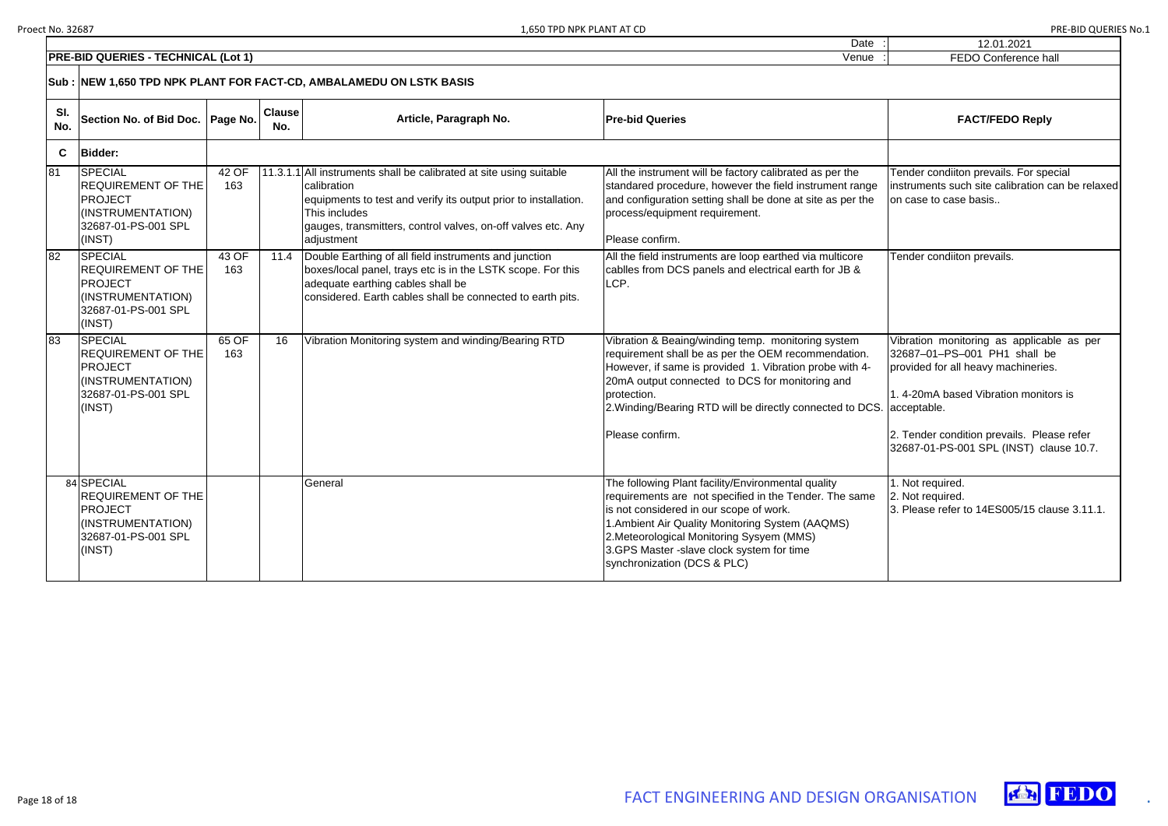| !,650 TPD NPK PLANT AT CD |       | PRE-BID QUERIES No.1 |  |
|---------------------------|-------|----------------------|--|
|                           | Date. | 12.01.2021           |  |

| 12.01.2021                                                                                                          |
|---------------------------------------------------------------------------------------------------------------------|
| <b>FEDO Conference hall</b>                                                                                         |
|                                                                                                                     |
| <b>FACT/FEDO Reply</b>                                                                                              |
|                                                                                                                     |
| Tender condiiton prevails. For special<br>instruments such site calibration can be relaxed<br>on case to case basis |
| Tender condiiton prevails.                                                                                          |
| Vibration monitoring as applicable as per<br>32687-01-PS-001 PH1 shall be<br>provided for all heavy machineries.    |
| 1.4-20mA based Vibration monitors is<br>acceptable.                                                                 |
| 2. Tender condition prevails. Please refer<br>32687-01-PS-001 SPL (INST) clause 10.7.                               |
| 1. Not required.<br>2. Not required.<br>3. Please refer to 14ES005/15 clause 3.11.1.                                |

Date



|            | <b>PRE-BID QUERIES - TECHNICAL (Lot 1)</b>                                                                          | FEDO Conference ha |                      |                                                                                                                                                                                                                                                      |                                                                                                                                                                                                                                                                                                                                      |                                                                                                                                                                                                                   |
|------------|---------------------------------------------------------------------------------------------------------------------|--------------------|----------------------|------------------------------------------------------------------------------------------------------------------------------------------------------------------------------------------------------------------------------------------------------|--------------------------------------------------------------------------------------------------------------------------------------------------------------------------------------------------------------------------------------------------------------------------------------------------------------------------------------|-------------------------------------------------------------------------------------------------------------------------------------------------------------------------------------------------------------------|
|            |                                                                                                                     |                    |                      | Sub :  NEW 1,650 TPD NPK PLANT FOR FACT-CD, AMBALAMEDU ON LSTK BASIS                                                                                                                                                                                 |                                                                                                                                                                                                                                                                                                                                      |                                                                                                                                                                                                                   |
| SI.<br>No. | Section No. of Bid Doc.                                                                                             | Page No.           | <b>Clause</b><br>No. | Article, Paragraph No.                                                                                                                                                                                                                               | <b>Pre-bid Queries</b>                                                                                                                                                                                                                                                                                                               | <b>FACT/FEDO Reply</b>                                                                                                                                                                                            |
| C          | <b>Bidder:</b>                                                                                                      |                    |                      |                                                                                                                                                                                                                                                      |                                                                                                                                                                                                                                                                                                                                      |                                                                                                                                                                                                                   |
| 81         | <b>SPECIAL</b><br><b>REQUIREMENT OF THE</b><br><b>PROJECT</b><br>(INSTRUMENTATION)<br>32687-01-PS-001 SPL<br>(INST) | 42 OF<br>163       |                      | 11.3.1.1 All instruments shall be calibrated at site using suitable<br>calibration<br>equipments to test and verify its output prior to installation.<br>This includes<br>gauges, transmitters, control valves, on-off valves etc. Any<br>adjustment | All the instrument will be factory calibrated as per the<br>standared procedure, however the field instrument range<br>and configuration setting shall be done at site as per the<br>process/equipment requirement.<br>Please confirm.                                                                                               | Tender condiiton prevails. For spe<br>instruments such site calibration o<br>on case to case basis                                                                                                                |
| 82         | <b>SPECIAL</b><br><b>REQUIREMENT OF THE</b><br><b>PROJECT</b><br>(INSTRUMENTATION)<br>32687-01-PS-001 SPL<br>(INST) | 43 OF<br>163       | 11.4                 | Double Earthing of all field instruments and junction<br>boxes/local panel, trays etc is in the LSTK scope. For this<br>adequate earthing cables shall be<br>considered. Earth cables shall be connected to earth pits.                              | All the field instruments are loop earthed via multicore<br>cabiles from DCS panels and electrical earth for JB &<br>LCP.                                                                                                                                                                                                            | Tender condiiton prevails.                                                                                                                                                                                        |
| 83         | <b>SPECIAL</b><br><b>REQUIREMENT OF THE</b><br><b>PROJECT</b><br>(INSTRUMENTATION)<br>32687-01-PS-001 SPL<br>(INST) | 65 OF<br>163       | 16                   | Vibration Monitoring system and winding/Bearing RTD                                                                                                                                                                                                  | Vibration & Beaing/winding temp. monitoring system<br>requirement shall be as per the OEM recommendation.<br>However, if same is provided 1. Vibration probe with 4-<br>20mA output connected to DCS for monitoring and<br>protection.<br>2. Winding/Bearing RTD will be directly connected to DCS. acceptable.<br>Please confirm.   | Vibration monitoring as applicab<br>32687-01-PS-001 PH1 shall b<br>provided for all heavy machineries<br>1. 4-20mA based Vibration monito<br>2. Tender condition prevails. Plea<br>32687-01-PS-001 SPL (INST) cla |
|            | 84 SPECIAL<br><b>REQUIREMENT OF THE</b><br><b>PROJECT</b><br>(INSTRUMENTATION)<br>32687-01-PS-001 SPL<br>(INST)     |                    |                      | General                                                                                                                                                                                                                                              | The following Plant facility/Environmental quality<br>requirements are not specified in the Tender. The same<br>is not considered in our scope of work.<br>1. Ambient Air Quality Monitoring System (AAQMS)<br>2. Meteorological Monitoring Sysyem (MMS)<br>3.GPS Master -slave clock system for time<br>synchronization (DCS & PLC) | 1. Not required.<br>2. Not required.<br>3. Please refer to 14ES005/15 cla                                                                                                                                         |

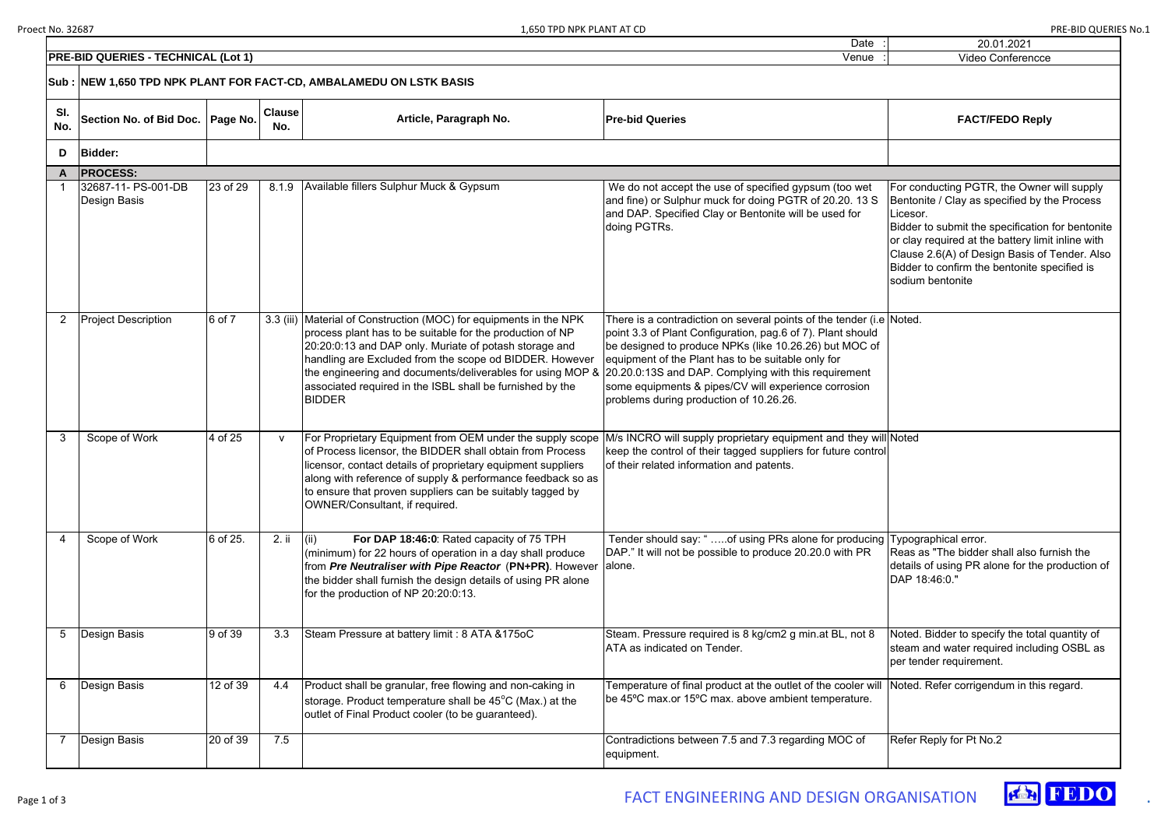|          | 20.01.2021                                                                                                                                                                                                                                                                                                                           |
|----------|--------------------------------------------------------------------------------------------------------------------------------------------------------------------------------------------------------------------------------------------------------------------------------------------------------------------------------------|
|          | <b>Video Conferencce</b>                                                                                                                                                                                                                                                                                                             |
|          |                                                                                                                                                                                                                                                                                                                                      |
|          | <b>FACT/FEDO Reply</b>                                                                                                                                                                                                                                                                                                               |
|          |                                                                                                                                                                                                                                                                                                                                      |
|          |                                                                                                                                                                                                                                                                                                                                      |
|          | For conducting PGTR, the Owner will supply<br>Bentonite / Clay as specified by the Process<br>Licesor.<br>Bidder to submit the specification for bentonite<br>or clay required at the battery limit inline with<br>Clause 2.6(A) of Design Basis of Tender. Also<br>Bidder to confirm the bentonite specified is<br>sodium bentonite |
| e        | Noted.                                                                                                                                                                                                                                                                                                                               |
| II<br>اد | <b>Noted</b>                                                                                                                                                                                                                                                                                                                         |
| J        | Typographical error.<br>Reas as "The bidder shall also furnish the<br>details of using PR alone for the production of<br>DAP 18:46:0."                                                                                                                                                                                               |
|          | Noted. Bidder to specify the total quantity of<br>steam and water required including OSBL as<br>per tender requirement.                                                                                                                                                                                                              |
|          | Noted. Refer corrigendum in this regard.                                                                                                                                                                                                                                                                                             |
|          | Refer Reply for Pt No.2                                                                                                                                                                                                                                                                                                              |



| <b>PRE-BID QUERIES - TECHNICAL (Lot 1)</b><br>Venue |                                                                     |          |                      |                                                                                                                                                                                                                                                                                                                                                                                                  |                                                                                                                                                                                                                                                                                                                                                                                                                | <b>Video Conferencce</b>                                                                                                                                                                                                                                      |  |  |  |
|-----------------------------------------------------|---------------------------------------------------------------------|----------|----------------------|--------------------------------------------------------------------------------------------------------------------------------------------------------------------------------------------------------------------------------------------------------------------------------------------------------------------------------------------------------------------------------------------------|----------------------------------------------------------------------------------------------------------------------------------------------------------------------------------------------------------------------------------------------------------------------------------------------------------------------------------------------------------------------------------------------------------------|---------------------------------------------------------------------------------------------------------------------------------------------------------------------------------------------------------------------------------------------------------------|--|--|--|
|                                                     | Sub : NEW 1,650 TPD NPK PLANT FOR FACT-CD, AMBALAMEDU ON LSTK BASIS |          |                      |                                                                                                                                                                                                                                                                                                                                                                                                  |                                                                                                                                                                                                                                                                                                                                                                                                                |                                                                                                                                                                                                                                                               |  |  |  |
| SI.<br>No.                                          | Section No. of Bid Doc.   Page No.                                  |          | <b>Clause</b><br>No. | Article, Paragraph No.                                                                                                                                                                                                                                                                                                                                                                           | <b>Pre-bid Queries</b>                                                                                                                                                                                                                                                                                                                                                                                         | <b>FACT/FEDO Reply</b>                                                                                                                                                                                                                                        |  |  |  |
| D                                                   | <b>Bidder:</b>                                                      |          |                      |                                                                                                                                                                                                                                                                                                                                                                                                  |                                                                                                                                                                                                                                                                                                                                                                                                                |                                                                                                                                                                                                                                                               |  |  |  |
|                                                     | A  PROCESS:                                                         |          |                      |                                                                                                                                                                                                                                                                                                                                                                                                  |                                                                                                                                                                                                                                                                                                                                                                                                                |                                                                                                                                                                                                                                                               |  |  |  |
|                                                     | 32687-11- PS-001-DB<br>Design Basis                                 | 23 of 29 | 8.1.9                | Available fillers Sulphur Muck & Gypsum                                                                                                                                                                                                                                                                                                                                                          | We do not accept the use of specified gypsum (too wet<br>and fine) or Sulphur muck for doing PGTR of 20.20. 13 S<br>and DAP. Specified Clay or Bentonite will be used for<br>doing PGTRs.                                                                                                                                                                                                                      | For conducting PGTR, the Owner<br>Bentonite / Clay as specified by th<br>Licesor.<br>Bidder to submit the specification<br>or clay required at the battery limi<br>Clause 2.6(A) of Design Basis of<br>Bidder to confirm the bentonite sp<br>sodium bentonite |  |  |  |
| $\overline{2}$                                      | <b>Project Description</b>                                          | 6 of 7   |                      | 3.3 (iii) Material of Construction (MOC) for equipments in the NPK<br>process plant has to be suitable for the production of NP<br>20:20:0:13 and DAP only. Muriate of potash storage and<br>handling are Excluded from the scope od BIDDER. However<br>the engineering and documents/deliverables for using MOP &<br>associated required in the ISBL shall be furnished by the<br><b>BIDDER</b> | There is a contradiction on several points of the tender (i.e Noted.<br>point 3.3 of Plant Configuration, pag.6 of 7). Plant should<br>be designed to produce NPKs (like 10.26.26) but MOC of<br>equipment of the Plant has to be suitable only for<br>20.20.0:13S and DAP. Complying with this requirement<br>some equipments & pipes/CV will experience corrosion<br>problems during production of 10.26.26. |                                                                                                                                                                                                                                                               |  |  |  |
| 3                                                   | Scope of Work                                                       | 4 of 25  | $\mathsf{v}$         | For Proprietary Equipment from OEM under the supply scope<br>of Process licensor, the BIDDER shall obtain from Process<br>licensor, contact details of proprietary equipment suppliers<br>along with reference of supply & performance feedback so as<br>to ensure that proven suppliers can be suitably tagged by<br>OWNER/Consultant, if required.                                             | M/s INCRO will supply proprietary equipment and they will Noted<br>keep the control of their tagged suppliers for future control<br>of their related information and patents.                                                                                                                                                                                                                                  |                                                                                                                                                                                                                                                               |  |  |  |
|                                                     | Scope of Work                                                       | 6 of 25. | 2. ii                | For DAP 18:46:0: Rated capacity of 75 TPH<br>(iii)<br>(minimum) for 22 hours of operation in a day shall produce<br>from Pre Neutraliser with Pipe Reactor (PN+PR). However<br>the bidder shall furnish the design details of using PR alone<br>for the production of NP 20:20:0:13.                                                                                                             | Tender should say: "of using PRs alone for producing Typographical error.<br>DAP." It will not be possible to produce 20.20.0 with PR<br>alone.                                                                                                                                                                                                                                                                | Reas as "The bidder shall also fur<br>details of using PR alone for the p<br>DAP 18:46:0."                                                                                                                                                                    |  |  |  |
| 5                                                   | Design Basis                                                        | 9 of 39  | 3.3                  | Steam Pressure at battery limit: 8 ATA & 175oC                                                                                                                                                                                                                                                                                                                                                   | Steam. Pressure required is 8 kg/cm2 g min.at BL, not 8<br>ATA as indicated on Tender.                                                                                                                                                                                                                                                                                                                         | Noted. Bidder to specify the total<br>steam and water required includir<br>per tender requirement.                                                                                                                                                            |  |  |  |
| 6                                                   | Design Basis                                                        | 12 of 39 | 4.4                  | Product shall be granular, free flowing and non-caking in<br>storage. Product temperature shall be 45°C (Max.) at the<br>outlet of Final Product cooler (to be guaranteed).                                                                                                                                                                                                                      | Temperature of final product at the outlet of the cooler will<br>be 45°C max.or 15°C max. above ambient temperature.                                                                                                                                                                                                                                                                                           | Noted. Refer corrigendum in this                                                                                                                                                                                                                              |  |  |  |
|                                                     | Design Basis                                                        | 20 of 39 | 7.5                  |                                                                                                                                                                                                                                                                                                                                                                                                  | Contradictions between 7.5 and 7.3 regarding MOC of<br>equipment.                                                                                                                                                                                                                                                                                                                                              | Refer Reply for Pt No.2                                                                                                                                                                                                                                       |  |  |  |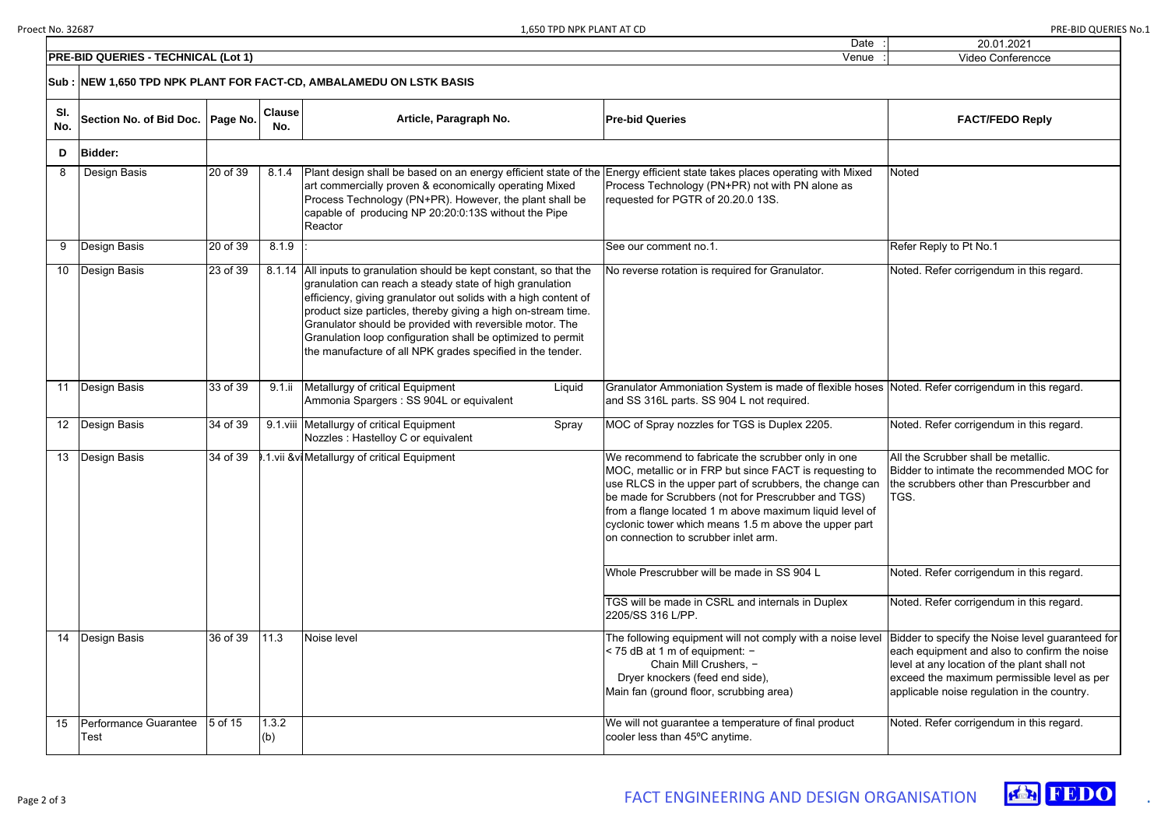| Date                                                                                       | 20.01.2021                                                                                                                                                                                                                                     |
|--------------------------------------------------------------------------------------------|------------------------------------------------------------------------------------------------------------------------------------------------------------------------------------------------------------------------------------------------|
| Venue                                                                                      | Video Conferencce                                                                                                                                                                                                                              |
|                                                                                            |                                                                                                                                                                                                                                                |
|                                                                                            | <b>FACT/FEDO Reply</b>                                                                                                                                                                                                                         |
|                                                                                            |                                                                                                                                                                                                                                                |
| y with Mixed<br>alone as                                                                   | Noted                                                                                                                                                                                                                                          |
|                                                                                            | Refer Reply to Pt No.1                                                                                                                                                                                                                         |
| οr.                                                                                        | Noted. Refer corrigendum in this regard.                                                                                                                                                                                                       |
|                                                                                            | flexible hoses Noted. Refer corrigendum in this regard.                                                                                                                                                                                        |
| 205.                                                                                       | Noted. Refer corrigendum in this regard.                                                                                                                                                                                                       |
| lly in one<br>requesting to<br>e change can<br>and TGS)<br>liquid level of<br>e upper part | All the Scrubber shall be metallic.<br>Bidder to intimate the recommended MOC for<br>the scrubbers other than Prescurbber and<br>TGS.                                                                                                          |
| L                                                                                          | Noted. Refer corrigendum in this regard.                                                                                                                                                                                                       |
| Duplex                                                                                     | Noted. Refer corrigendum in this regard.                                                                                                                                                                                                       |
| n a noise level                                                                            | Bidder to specify the Noise level guaranteed for<br>each equipment and also to confirm the noise<br>level at any location of the plant shall not<br>exceed the maximum permissible level as per<br>applicable noise regulation in the country. |
| product                                                                                    | Noted. Refer corrigendum in this regard.                                                                                                                                                                                                       |
|                                                                                            |                                                                                                                                                                                                                                                |



|                 | <b>PRE-BID QUERIES - TECHNICAL (Lot 1)</b> | Video Conferencce |                      |                                                                                                                                                                                                                                                                                                                                                                                                                                                                |                                                                                                                                                                                                                                                                                                                                                                                             |                                                                                                                                                                                                                           |
|-----------------|--------------------------------------------|-------------------|----------------------|----------------------------------------------------------------------------------------------------------------------------------------------------------------------------------------------------------------------------------------------------------------------------------------------------------------------------------------------------------------------------------------------------------------------------------------------------------------|---------------------------------------------------------------------------------------------------------------------------------------------------------------------------------------------------------------------------------------------------------------------------------------------------------------------------------------------------------------------------------------------|---------------------------------------------------------------------------------------------------------------------------------------------------------------------------------------------------------------------------|
|                 |                                            |                   |                      | Sub : NEW 1,650 TPD NPK PLANT FOR FACT-CD, AMBALAMEDU ON LSTK BASIS                                                                                                                                                                                                                                                                                                                                                                                            |                                                                                                                                                                                                                                                                                                                                                                                             |                                                                                                                                                                                                                           |
| SI.<br>No.      | Section No. of Bid Doc.   Page No.         |                   | <b>Clause</b><br>No. | Article, Paragraph No.                                                                                                                                                                                                                                                                                                                                                                                                                                         | <b>Pre-bid Queries</b>                                                                                                                                                                                                                                                                                                                                                                      | <b>FACT/FEDO Reply</b>                                                                                                                                                                                                    |
| D               | <b>Bidder:</b>                             |                   |                      |                                                                                                                                                                                                                                                                                                                                                                                                                                                                |                                                                                                                                                                                                                                                                                                                                                                                             |                                                                                                                                                                                                                           |
| 8               | Design Basis                               | 20 of 39          | 8.1.4                | Plant design shall be based on an energy efficient state of the<br>art commercially proven & economically operating Mixed<br>Process Technology (PN+PR). However, the plant shall be<br>capable of producing NP 20:20:0:13S without the Pipe<br>Reactor                                                                                                                                                                                                        | Energy efficient state takes places operating with Mixed<br>Process Technology (PN+PR) not with PN alone as<br>requested for PGTR of 20.20.0 13S.                                                                                                                                                                                                                                           | Noted                                                                                                                                                                                                                     |
| 9               | <b>Design Basis</b>                        | 20 of 39          | 8.1.9                |                                                                                                                                                                                                                                                                                                                                                                                                                                                                | See our comment no.1.                                                                                                                                                                                                                                                                                                                                                                       | Refer Reply to Pt No.1                                                                                                                                                                                                    |
| 10 <sup>°</sup> | Design Basis                               | 23 of 39          |                      | 8.1.14 All inputs to granulation should be kept constant, so that the<br>granulation can reach a steady state of high granulation<br>efficiency, giving granulator out solids with a high content of<br>product size particles, thereby giving a high on-stream time.<br>Granulator should be provided with reversible motor. The<br>Granulation loop configuration shall be optimized to permit<br>the manufacture of all NPK grades specified in the tender. | No reverse rotation is required for Granulator.                                                                                                                                                                                                                                                                                                                                             | Noted. Refer corrigendum in this regard                                                                                                                                                                                   |
| 11              | Design Basis                               | 33 of 39          | $9.1$ .ii            | Metallurgy of critical Equipment<br>Liquid<br>Ammonia Spargers : SS 904L or equivalent                                                                                                                                                                                                                                                                                                                                                                         | Granulator Ammoniation System is made of flexible hoses<br>and SS 316L parts. SS 904 L not required.                                                                                                                                                                                                                                                                                        | Noted. Refer corrigendum in this regard                                                                                                                                                                                   |
|                 | 12   Design Basis                          | 34 of 39          |                      | 9.1. viii Metallurgy of critical Equipment<br>Spray<br>Nozzles: Hastelloy C or equivalent                                                                                                                                                                                                                                                                                                                                                                      | MOC of Spray nozzles for TGS is Duplex 2205.                                                                                                                                                                                                                                                                                                                                                | Noted. Refer corrigendum in this regard                                                                                                                                                                                   |
| 13              | Design Basis                               | 34 of 39          |                      | 1. vii & vi Metallurgy of critical Equipment                                                                                                                                                                                                                                                                                                                                                                                                                   | We recommend to fabricate the scrubber only in one<br>MOC, metallic or in FRP but since FACT is requesting to<br>use RLCS in the upper part of scrubbers, the change can<br>be made for Scrubbers (not for Prescrubber and TGS)<br>from a flange located 1 m above maximum liquid level of<br>cyclonic tower which means 1.5 m above the upper part<br>on connection to scrubber inlet arm. | All the Scrubber shall be metallic.<br>Bidder to intimate the recommended MC<br>the scrubbers other than Prescurbber ar<br>TGS.                                                                                           |
|                 |                                            |                   |                      |                                                                                                                                                                                                                                                                                                                                                                                                                                                                | Whole Prescrubber will be made in SS 904 L                                                                                                                                                                                                                                                                                                                                                  | Noted. Refer corrigendum in this regard                                                                                                                                                                                   |
|                 |                                            |                   |                      |                                                                                                                                                                                                                                                                                                                                                                                                                                                                | TGS will be made in CSRL and internals in Duplex<br>2205/SS 316 L/PP.                                                                                                                                                                                                                                                                                                                       | Noted. Refer corrigendum in this regard                                                                                                                                                                                   |
|                 | 14   Design Basis                          | 36 of 39          | 11.3                 | Noise level                                                                                                                                                                                                                                                                                                                                                                                                                                                    | The following equipment will not comply with a noise level<br>< 75 dB at 1 m of equipment: -<br>Chain Mill Crushers, -<br>Dryer knockers (feed end side),<br>Main fan (ground floor, scrubbing area)                                                                                                                                                                                        | Bidder to specify the Noise level guarant<br>each equipment and also to confirm the<br>level at any location of the plant shall no<br>exceed the maximum permissible level a<br>applicable noise regulation in the countr |
| 15              | Performance Guarantee<br>Test              | 5 of 15           | 1.3.2<br>(b)         |                                                                                                                                                                                                                                                                                                                                                                                                                                                                | We will not guarantee a temperature of final product<br>cooler less than 45°C anytime.                                                                                                                                                                                                                                                                                                      | Noted. Refer corrigendum in this regard                                                                                                                                                                                   |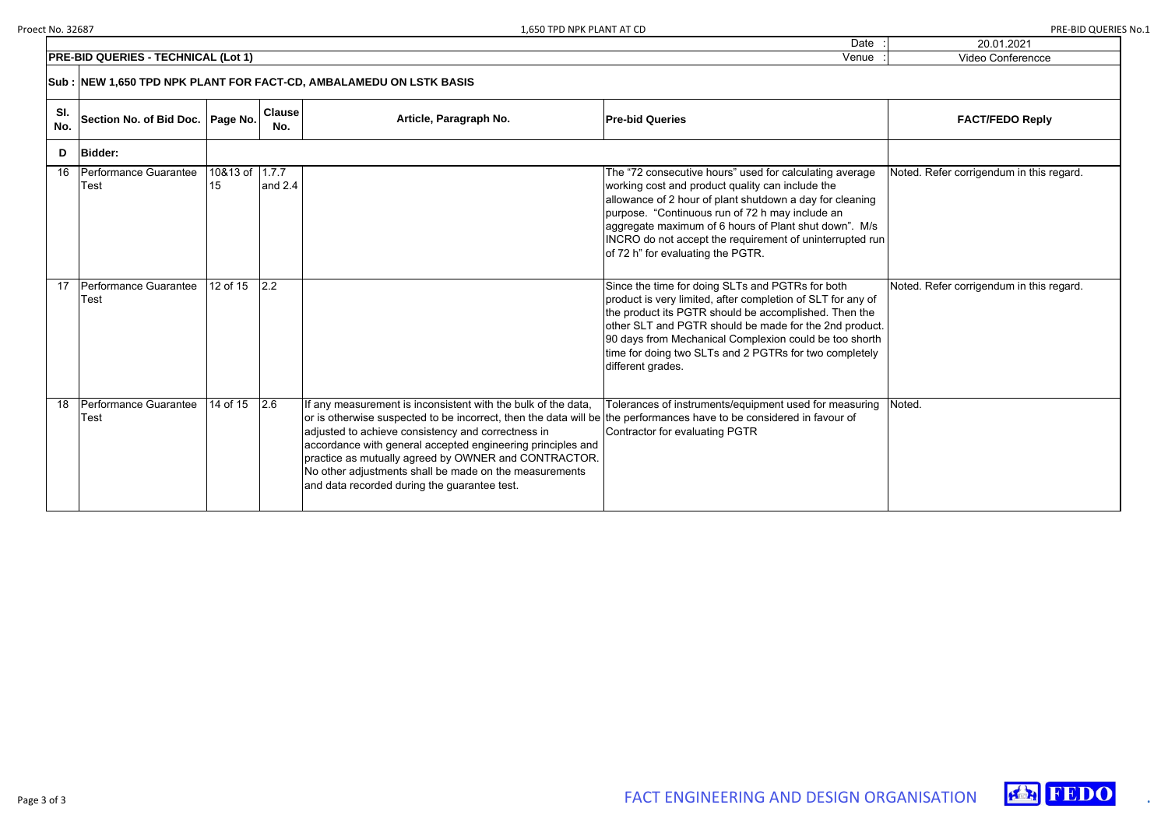| $\vdots$ | 20.01.2021                               |
|----------|------------------------------------------|
|          | Video Conferencce                        |
|          |                                          |
|          | <b>FACT/FEDO Reply</b>                   |
|          |                                          |
|          | Noted. Refer corrigendum in this regard. |
| n        |                                          |
|          | Noted. Refer corrigendum in this regard. |
| t.<br>ì  |                                          |
|          | Noted.                                   |





|                                                                     | <b>PRE-BID QUERIES - TECHNICAL (Lot 1)</b> | Video Conferencce    |                      |                                                                                                                                                                                                                                                                                                                                                                                                                                                                              |                                                                                                                                                                                                                                                                                                                                                                                      |                                    |  |  |
|---------------------------------------------------------------------|--------------------------------------------|----------------------|----------------------|------------------------------------------------------------------------------------------------------------------------------------------------------------------------------------------------------------------------------------------------------------------------------------------------------------------------------------------------------------------------------------------------------------------------------------------------------------------------------|--------------------------------------------------------------------------------------------------------------------------------------------------------------------------------------------------------------------------------------------------------------------------------------------------------------------------------------------------------------------------------------|------------------------------------|--|--|
| Sub : NEW 1,650 TPD NPK PLANT FOR FACT-CD, AMBALAMEDU ON LSTK BASIS |                                            |                      |                      |                                                                                                                                                                                                                                                                                                                                                                                                                                                                              |                                                                                                                                                                                                                                                                                                                                                                                      |                                    |  |  |
| SI.<br>No.                                                          | Section No. of Bid Doc.   Page No.         |                      | <b>Clause</b><br>No. | Article, Paragraph No.                                                                                                                                                                                                                                                                                                                                                                                                                                                       | <b>Pre-bid Queries</b>                                                                                                                                                                                                                                                                                                                                                               | <b>FACT/FEDO Reply</b>             |  |  |
| D                                                                   | <b>Bidder:</b>                             |                      |                      |                                                                                                                                                                                                                                                                                                                                                                                                                                                                              |                                                                                                                                                                                                                                                                                                                                                                                      |                                    |  |  |
| 16                                                                  | Performance Guarantee<br>Гest              | 10&13 of 1.7.7<br>15 | and 2.4              |                                                                                                                                                                                                                                                                                                                                                                                                                                                                              | The "72 consecutive hours" used for calculating average<br>working cost and product quality can include the<br>allowance of 2 hour of plant shutdown a day for cleaning<br>purpose. "Continuous run of 72 h may include an<br>aggregate maximum of 6 hours of Plant shut down". M/s<br>INCRO do not accept the requirement of uninterrupted run<br>of 72 h" for evaluating the PGTR. | Noted. Refer corrigendum in this i |  |  |
| 17                                                                  | Performance Guarantee<br>Гest              | 12 of 15             | 2.2                  |                                                                                                                                                                                                                                                                                                                                                                                                                                                                              | Since the time for doing SLTs and PGTRs for both<br>product is very limited, after completion of SLT for any of<br>the product its PGTR should be accomplished. Then the<br>other SLT and PGTR should be made for the 2nd product.<br>90 days from Mechanical Complexion could be too shorth<br>time for doing two SLTs and 2 PGTRs for two completely<br>different grades.          | Noted. Refer corrigendum in this r |  |  |
| 18                                                                  | Performance Guarantee<br>Геst              | 14 of $15$           | 2.6                  | If any measurement is inconsistent with the bulk of the data,<br>or is otherwise suspected to be incorrect, then the data will be the performances have to be considered in favour of<br>adjusted to achieve consistency and correctness in<br>accordance with general accepted engineering principles and<br>practice as mutually agreed by OWNER and CONTRACTOR.<br>No other adjustments shall be made on the measurements<br>and data recorded during the guarantee test. | Tolerances of instruments/equipment used for measuring<br>Contractor for evaluating PGTR                                                                                                                                                                                                                                                                                             | Noted.                             |  |  |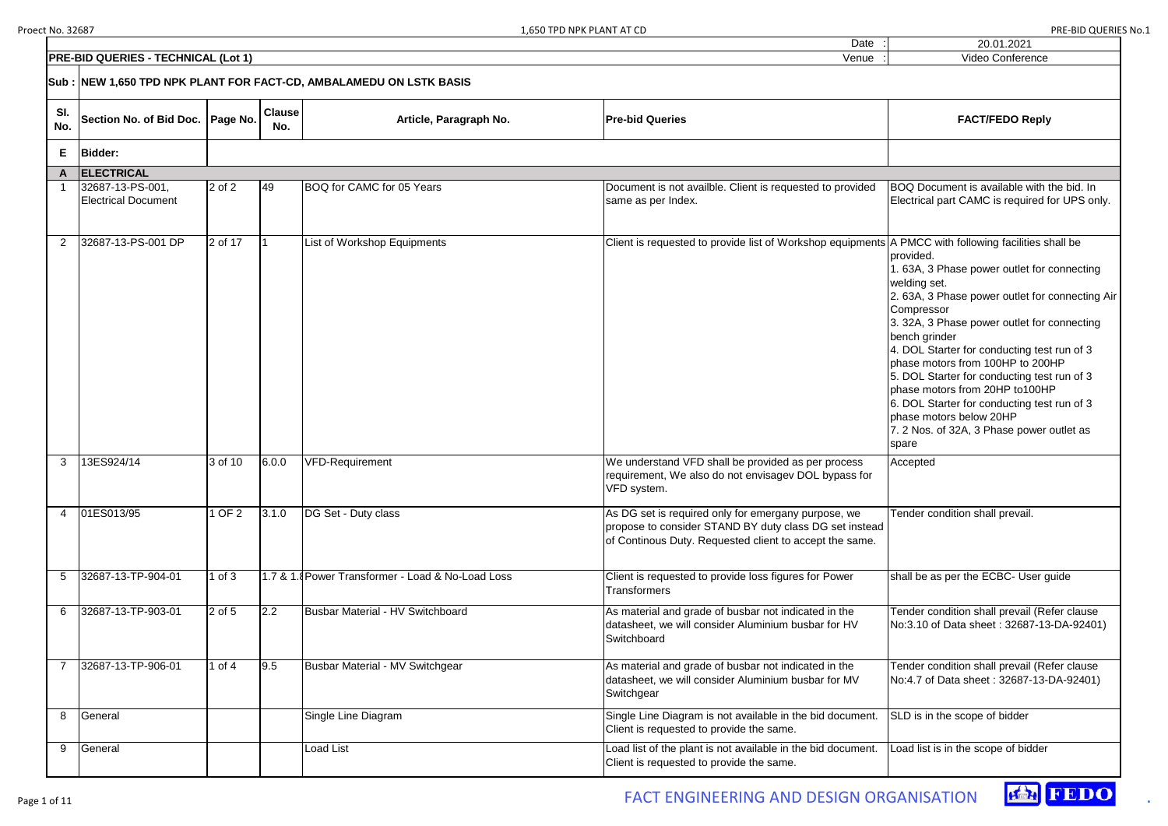|   | 20.01.2021                                                                                                  |
|---|-------------------------------------------------------------------------------------------------------------|
|   | <b>Video Conference</b>                                                                                     |
|   |                                                                                                             |
|   | <b>FACT/FEDO Reply</b>                                                                                      |
|   |                                                                                                             |
|   |                                                                                                             |
|   | BOQ Document is available with the bid. In<br>Electrical part CAMC is required for UPS only.                |
| s | A PMCC with following facilities shall be<br>provided.<br>1. 63A, 3 Phase power outlet for connecting       |
|   | welding set.<br>2. 63A, 3 Phase power outlet for connecting Air<br>Compressor                               |
|   | 3. 32A, 3 Phase power outlet for connecting<br>bench grinder<br>4. DOL Starter for conducting test run of 3 |
|   | phase motors from 100HP to 200HP                                                                            |
|   | 5. DOL Starter for conducting test run of 3                                                                 |
|   | phase motors from 20HP to100HP                                                                              |
|   | 6. DOL Starter for conducting test run of 3                                                                 |
|   | phase motors below 20HP<br>7. 2 Nos. of 32A, 3 Phase power outlet as                                        |
|   | spare                                                                                                       |
|   | Accepted                                                                                                    |
|   |                                                                                                             |
|   |                                                                                                             |
|   | Tender condition shall prevail.                                                                             |
| J |                                                                                                             |
|   |                                                                                                             |
|   |                                                                                                             |
|   | shall be as per the ECBC- User guide                                                                        |
|   | Tender condition shall prevail (Refer clause                                                                |
|   | No:3.10 of Data sheet: 32687-13-DA-92401)                                                                   |
|   |                                                                                                             |
|   | Tender condition shall prevail (Refer clause                                                                |
|   | No:4.7 of Data sheet: 32687-13-DA-92401)                                                                    |
|   | SLD is in the scope of bidder                                                                               |
|   |                                                                                                             |
|   | Load list is in the scope of bidder                                                                         |
|   |                                                                                                             |

|                | <b>PRE-BID QUERIES - TECHNICAL (Lot 1)</b>                         | Video Conference |                      |                                                   |                                                                                                                                                                          |                                                                                                                                                                                                                                                                                                                                                                                                                                                                                        |
|----------------|--------------------------------------------------------------------|------------------|----------------------|---------------------------------------------------|--------------------------------------------------------------------------------------------------------------------------------------------------------------------------|----------------------------------------------------------------------------------------------------------------------------------------------------------------------------------------------------------------------------------------------------------------------------------------------------------------------------------------------------------------------------------------------------------------------------------------------------------------------------------------|
|                | Sub: NEW 1,650 TPD NPK PLANT FOR FACT-CD, AMBALAMEDU ON LSTK BASIS |                  |                      |                                                   |                                                                                                                                                                          |                                                                                                                                                                                                                                                                                                                                                                                                                                                                                        |
| SI.<br>No.     | Section No. of Bid Doc.   Page No.                                 |                  | <b>Clause</b><br>No. | Article, Paragraph No.                            | <b>Pre-bid Queries</b>                                                                                                                                                   | <b>FACT/FEDO Reply</b>                                                                                                                                                                                                                                                                                                                                                                                                                                                                 |
| Е.             | <b>Bidder:</b>                                                     |                  |                      |                                                   |                                                                                                                                                                          |                                                                                                                                                                                                                                                                                                                                                                                                                                                                                        |
|                | ELECTRICAL                                                         |                  |                      |                                                   |                                                                                                                                                                          |                                                                                                                                                                                                                                                                                                                                                                                                                                                                                        |
|                | 32687-13-PS-001,<br><b>Electrical Document</b>                     | $2$ of $2$       | 49                   | BOQ for CAMC for 05 Years                         | Document is not availble. Client is requested to provided<br>same as per Index.                                                                                          | BOQ Document is available with the bid.<br>Electrical part CAMC is required for UPS                                                                                                                                                                                                                                                                                                                                                                                                    |
| $\overline{2}$ | 32687-13-PS-001 DP                                                 | 2 of 17          |                      | List of Workshop Equipments                       | Client is requested to provide list of Workshop equipments A PMCC with following facilities shall be                                                                     | provided.<br>1. 63A, 3 Phase power outlet for connec<br>welding set.<br>2. 63A, 3 Phase power outlet for connec<br>Compressor<br>3. 32A, 3 Phase power outlet for connec<br>bench grinder<br>4. DOL Starter for conducting test run of<br>phase motors from 100HP to 200HP<br>5. DOL Starter for conducting test run of<br>phase motors from 20HP to100HP<br>6. DOL Starter for conducting test run of<br>phase motors below 20HP<br>7. 2 Nos. of 32A, 3 Phase power outlet a<br>spare |
| 3              | 13ES924/14                                                         | 3 of 10          | 6.0.0                | <b>VFD-Requirement</b>                            | We understand VFD shall be provided as per process<br>requirement, We also do not envisagev DOL bypass for<br>VFD system.                                                | Accepted                                                                                                                                                                                                                                                                                                                                                                                                                                                                               |
| 4              | 01ES013/95                                                         | OF <sub>2</sub>  | 3.1.0                | DG Set - Duty class                               | As DG set is required only for emergany purpose, we<br>propose to consider STAND BY duty class DG set instead<br>of Continous Duty. Requested client to accept the same. | Tender condition shall prevail.                                                                                                                                                                                                                                                                                                                                                                                                                                                        |
| 5              | 32687-13-TP-904-01                                                 | 1 of $3$         |                      | 1.7 & 1.8 Power Transformer - Load & No-Load Loss | Client is requested to provide loss figures for Power<br><b>Transformers</b>                                                                                             | shall be as per the ECBC- User quide                                                                                                                                                                                                                                                                                                                                                                                                                                                   |
| 6              | 32687-13-TP-903-01                                                 | $2$ of $5$       | 2.2                  | Busbar Material - HV Switchboard                  | As material and grade of busbar not indicated in the<br>datasheet, we will consider Aluminium busbar for HV<br>Switchboard                                               | Tender condition shall prevail (Refer clai<br>No:3.10 of Data sheet: 32687-13-DA-92                                                                                                                                                                                                                                                                                                                                                                                                    |
|                | 32687-13-TP-906-01                                                 | 1 of $4$         | 9.5                  | Busbar Material - MV Switchgear                   | As material and grade of busbar not indicated in the<br>datasheet, we will consider Aluminium busbar for MV<br>Switchgear                                                | Tender condition shall prevail (Refer clar<br>No:4.7 of Data sheet: 32687-13-DA-924                                                                                                                                                                                                                                                                                                                                                                                                    |
| 8              | General                                                            |                  |                      | Single Line Diagram                               | Single Line Diagram is not available in the bid document.<br>Client is requested to provide the same.                                                                    | SLD is in the scope of bidder                                                                                                                                                                                                                                                                                                                                                                                                                                                          |
| 9              | General                                                            |                  |                      | <b>Load List</b>                                  | Load list of the plant is not available in the bid document.<br>Client is requested to provide the same.                                                                 | Load list is in the scope of bidder                                                                                                                                                                                                                                                                                                                                                                                                                                                    |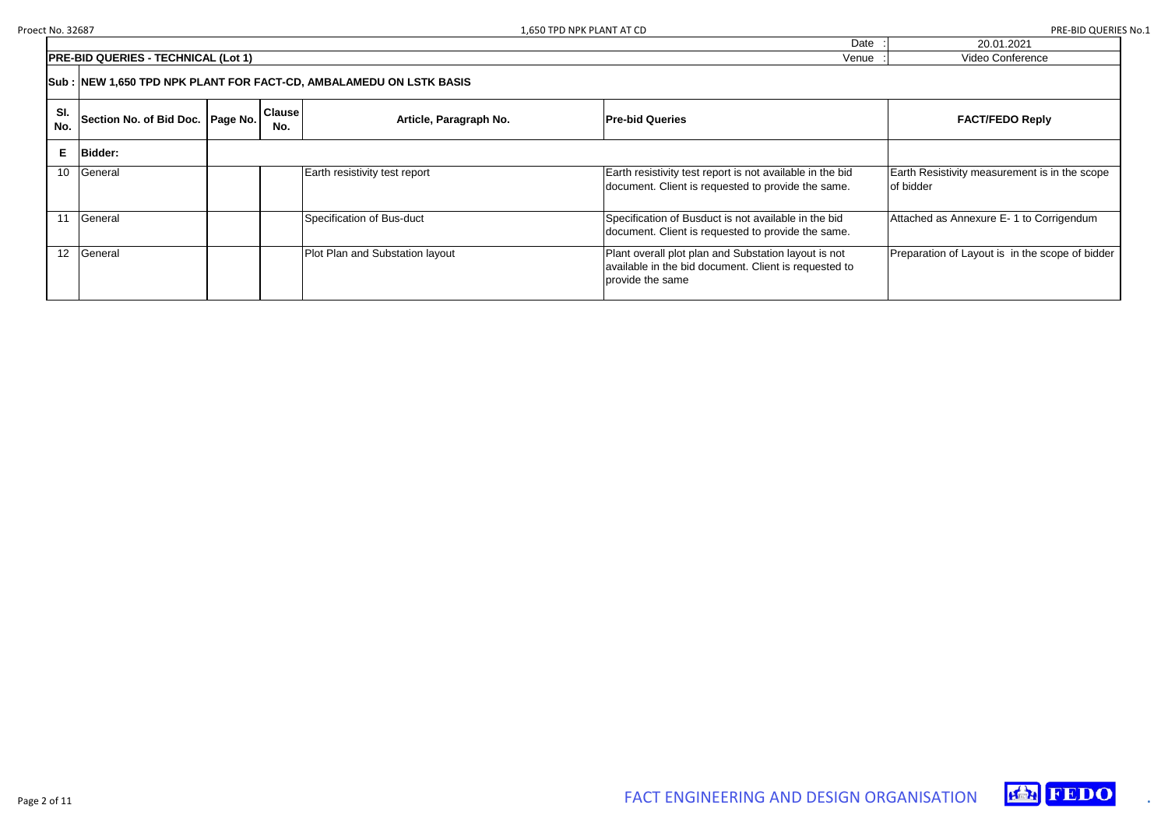20.01.2021 Video Conference

Earth Resistivity measurement is in the scope of bidder

|                 |                                                                     |  |                      |                                 | Dalt                                                                                                                              | ZU.UT.ZUZT                                    |  |  |
|-----------------|---------------------------------------------------------------------|--|----------------------|---------------------------------|-----------------------------------------------------------------------------------------------------------------------------------|-----------------------------------------------|--|--|
|                 | <b>PRE-BID QUERIES - TECHNICAL (Lot 1)</b>                          |  |                      |                                 | Venue                                                                                                                             | Video Conference                              |  |  |
|                 | Sub : NEW 1,650 TPD NPK PLANT FOR FACT-CD, AMBALAMEDU ON LSTK BASIS |  |                      |                                 |                                                                                                                                   |                                               |  |  |
| SI.<br>No.      | Section No. of Bid Doc.   Page No.                                  |  | <b>Clause</b><br>No. | Article, Paragraph No.          | <b>Pre-bid Queries</b>                                                                                                            | <b>FACT/FEDO Reply</b>                        |  |  |
|                 | E Bidder:                                                           |  |                      |                                 |                                                                                                                                   |                                               |  |  |
| 10 <sup>°</sup> | General                                                             |  |                      | Earth resistivity test report   | Earth resistivity test report is not available in the bid<br>document. Client is requested to provide the same.                   | Earth Resistivity measurement is<br>of bidder |  |  |
| 11              | General                                                             |  |                      | Specification of Bus-duct       | Specification of Busduct is not available in the bid<br>document. Client is requested to provide the same.                        | Attached as Annexure E-1 to Cor               |  |  |
| 12 <sup>2</sup> | General                                                             |  |                      | Plot Plan and Substation layout | Plant overall plot plan and Substation layout is not<br>available in the bid document. Client is requested to<br>provide the same | Preparation of Layout is in the sc            |  |  |

Attached as Annexure E- 1 to Corrigendum

Preparation of Layout is in the scope of bidder



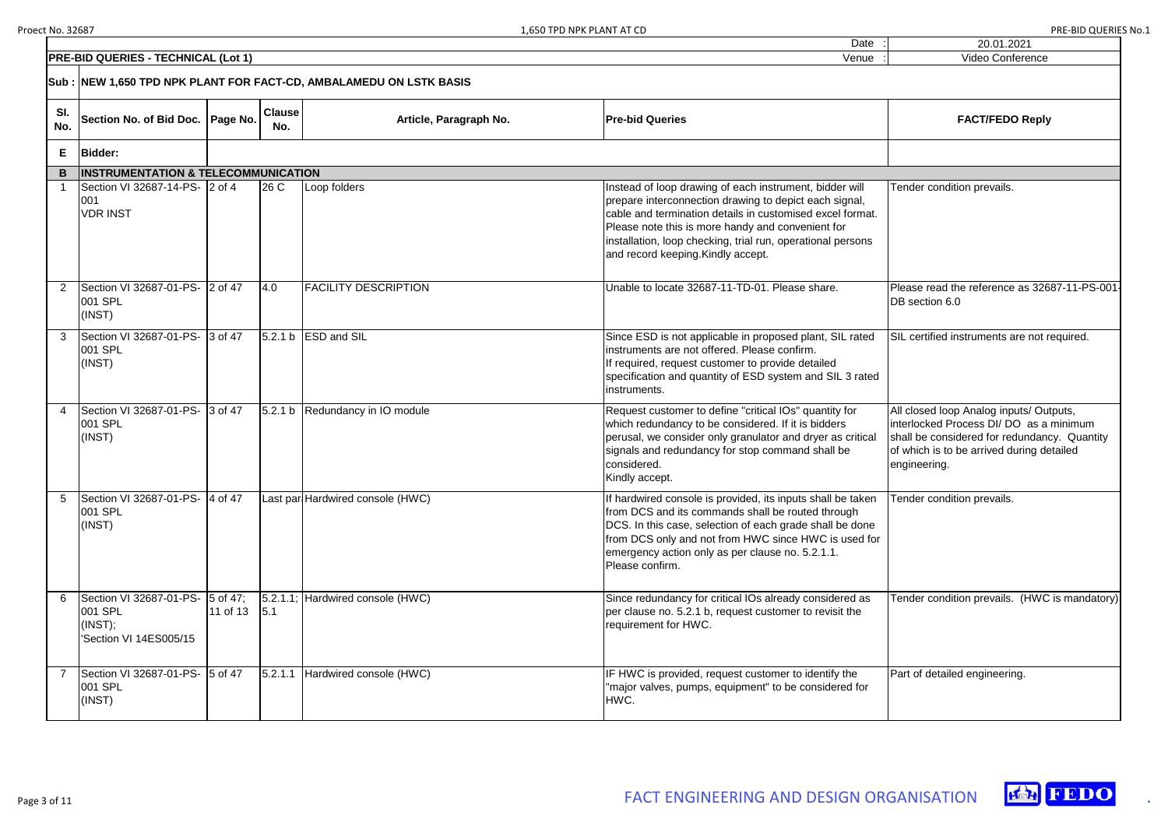|                                                                            |          |                      |                                                              | 1.650 TPD NPK PLANT AT CD                                                                                                                                                                                                                                                                                                                | <b>PRE-BID QUERIES No.1</b>                                                                                                                                                                     |
|----------------------------------------------------------------------------|----------|----------------------|--------------------------------------------------------------|------------------------------------------------------------------------------------------------------------------------------------------------------------------------------------------------------------------------------------------------------------------------------------------------------------------------------------------|-------------------------------------------------------------------------------------------------------------------------------------------------------------------------------------------------|
|                                                                            |          |                      |                                                              | Date                                                                                                                                                                                                                                                                                                                                     | 20.01.2021                                                                                                                                                                                      |
| <b>O QUERIES - TECHNICAL (Lot 1)</b>                                       |          |                      |                                                              | Venue                                                                                                                                                                                                                                                                                                                                    | Video Conference                                                                                                                                                                                |
|                                                                            |          |                      | EW 1,650 TPD NPK PLANT FOR FACT-CD, AMBALAMEDU ON LSTK BASIS |                                                                                                                                                                                                                                                                                                                                          |                                                                                                                                                                                                 |
| ection No. of Bid Doc.   Page No.                                          |          | <b>Clause</b><br>No. | Article, Paragraph No.                                       | <b>Pre-bid Queries</b>                                                                                                                                                                                                                                                                                                                   | <b>FACT/FEDO Reply</b>                                                                                                                                                                          |
| idder:                                                                     |          |                      |                                                              |                                                                                                                                                                                                                                                                                                                                          |                                                                                                                                                                                                 |
| <b>ISTRUMENTATION &amp; TELECOMMUNICATION</b>                              |          |                      |                                                              |                                                                                                                                                                                                                                                                                                                                          |                                                                                                                                                                                                 |
| ection VI 32687-14-PS-  2 of 4<br>DR INST                                  |          | 26 <sub>C</sub>      | Loop folders                                                 | Instead of loop drawing of each instrument, bidder will<br>prepare interconnection drawing to depict each signal,<br>cable and termination details in customised excel format.<br>Please note this is more handy and convenient for<br>installation, loop checking, trial run, operational persons<br>and record keeping. Kindly accept. | Tender condition prevails.                                                                                                                                                                      |
| ection VI 32687-01-PS- 2 of 47<br>01 SPL<br>NST)                           |          | 4.0                  | <b>FACILITY DESCRIPTION</b>                                  | Unable to locate 32687-11-TD-01. Please share.                                                                                                                                                                                                                                                                                           | Please read the reference as 32687-11-PS-001-<br>DB section 6.0                                                                                                                                 |
| ection VI 32687-01-PS-  3 of 47<br>01 SPL<br>NST)                          |          |                      | $5.2.1 b$ ESD and SIL                                        | Since ESD is not applicable in proposed plant, SIL rated<br>instruments are not offered. Please confirm.<br>If required, request customer to provide detailed<br>specification and quantity of ESD system and SIL 3 rated<br>instruments.                                                                                                | SIL certified instruments are not required.                                                                                                                                                     |
| ection VI 32687-01-PS-  3 of 47<br>01 SPL<br>NST)                          |          |                      | 5.2.1 b Redundancy in IO module                              | Request customer to define "critical IOs" quantity for<br>which redundancy to be considered. If it is bidders<br>perusal, we consider only granulator and dryer as critical<br>signals and redundancy for stop command shall be<br>considered.<br>Kindly accept.                                                                         | All closed loop Analog inputs/ Outputs,<br>interlocked Process DI/ DO as a minimum<br>shall be considered for redundancy. Quantity<br>of which is to be arrived during detailed<br>engineering. |
| ection VI 32687-01-PS-  4 of 47<br>01 SPL<br>NST)                          |          |                      | Last par Hardwired console (HWC)                             | If hardwired console is provided, its inputs shall be taken<br>from DCS and its commands shall be routed through<br>DCS. In this case, selection of each grade shall be done<br>from DCS only and not from HWC since HWC is used for<br>emergency action only as per clause no. 5.2.1.1.<br>Please confirm.                              | Tender condition prevails.                                                                                                                                                                      |
| ection VI 32687-01-PS- 5 of 47;<br>01 SPL<br>NST);<br>ection VI 14ES005/15 | 11 of 13 | 5.1                  | $ 5.2.1.1 $ Hardwired console (HWC)                          | Since redundancy for critical IOs already considered as<br>per clause no. 5.2.1 b, request customer to revisit the<br>requirement for HWC.                                                                                                                                                                                               | Tender condition prevails. (HWC is mandatory)                                                                                                                                                   |
| ection VI 32687-01-PS-   5 of 47<br>01 SPL<br>NST)                         |          |                      | 5.2.1.1 Hardwired console (HWC)                              | IF HWC is provided, request customer to identify the<br>"major valves, pumps, equipment" to be considered for<br>HWC.                                                                                                                                                                                                                    | Part of detailed engineering.                                                                                                                                                                   |
|                                                                            |          |                      |                                                              |                                                                                                                                                                                                                                                                                                                                          |                                                                                                                                                                                                 |



|            | <b>PRE-BID QUERIES - TECHNICAL (Lot 1)</b>                                      | Venue    | Video Conference     |                                  |                                                                                                                                                                                                                                                                                                                                          |                                                                                                                                                                                                 |  |  |  |
|------------|---------------------------------------------------------------------------------|----------|----------------------|----------------------------------|------------------------------------------------------------------------------------------------------------------------------------------------------------------------------------------------------------------------------------------------------------------------------------------------------------------------------------------|-------------------------------------------------------------------------------------------------------------------------------------------------------------------------------------------------|--|--|--|
|            | Sub: NEW 1,650 TPD NPK PLANT FOR FACT-CD, AMBALAMEDU ON LSTK BASIS              |          |                      |                                  |                                                                                                                                                                                                                                                                                                                                          |                                                                                                                                                                                                 |  |  |  |
| SI.<br>No. | Section No. of Bid Doc.   Page No.                                              |          | <b>Clause</b><br>No. | Article, Paragraph No.           | <b>Pre-bid Queries</b>                                                                                                                                                                                                                                                                                                                   | <b>FACT/FEDO Reply</b>                                                                                                                                                                          |  |  |  |
|            | E   Bidder:                                                                     |          |                      |                                  |                                                                                                                                                                                                                                                                                                                                          |                                                                                                                                                                                                 |  |  |  |
|            | <b>B</b> INSTRUMENTATION & TELECOMMUNICATION                                    |          |                      |                                  |                                                                                                                                                                                                                                                                                                                                          |                                                                                                                                                                                                 |  |  |  |
|            | Section VI 32687-14-PS- 2 of 4<br>001<br><b>VDR INST</b>                        |          | 26 <sub>C</sub>      | Loop folders                     | Instead of loop drawing of each instrument, bidder will<br>prepare interconnection drawing to depict each signal,<br>cable and termination details in customised excel format.<br>Please note this is more handy and convenient for<br>installation, loop checking, trial run, operational persons<br>and record keeping. Kindly accept. | Tender condition prevails.                                                                                                                                                                      |  |  |  |
|            | Section VI 32687-01-PS- 2 of 47<br>001 SPL<br>(INST)                            |          | 4.0                  | <b>FACILITY DESCRIPTION</b>      | Unable to locate 32687-11-TD-01. Please share.                                                                                                                                                                                                                                                                                           | Please read the reference as 32687-11-PS-001<br>DB section 6.0                                                                                                                                  |  |  |  |
|            | Section VI 32687-01-PS- 3 of 47<br>001 SPL<br>(INST)                            |          |                      | $5.2.1 b$ ESD and SIL            | Since ESD is not applicable in proposed plant, SIL rated<br>instruments are not offered. Please confirm.<br>If required, request customer to provide detailed<br>specification and quantity of ESD system and SIL 3 rated<br>instruments.                                                                                                | SIL certified instruments are not required.                                                                                                                                                     |  |  |  |
|            | Section VI 32687-01-PS- 3 of 47<br>001 SPL<br>(INST)                            |          |                      | 5.2.1 b Redundancy in IO module  | Request customer to define "critical IOs" quantity for<br>which redundancy to be considered. If it is bidders<br>perusal, we consider only granulator and dryer as critical<br>signals and redundancy for stop command shall be<br>considered.<br>Kindly accept.                                                                         | All closed loop Analog inputs/ Outputs,<br>interlocked Process DI/ DO as a minimum<br>shall be considered for redundancy. Quantity<br>of which is to be arrived during detailed<br>engineering. |  |  |  |
|            | Section VI 32687-01-PS- 4 of 47<br>001 SPL<br>(INST)                            |          |                      | Last par Hardwired console (HWC) | If hardwired console is provided, its inputs shall be taken<br>from DCS and its commands shall be routed through<br>DCS. In this case, selection of each grade shall be done<br>from DCS only and not from HWC since HWC is used for<br>emergency action only as per clause no. 5.2.1.1.<br>Please confirm.                              | Tender condition prevails.                                                                                                                                                                      |  |  |  |
|            | Section VI 32687-01-PS- 5 of 47;<br>001 SPL<br>(、ST);<br>'Section VI 14ES005/15 | 11 of 13 | $\vert 5.1 \vert$    | 5.2.1.1; Hardwired console (HWC) | Since redundancy for critical IOs already considered as<br>per clause no. 5.2.1 b, request customer to revisit the<br>requirement for HWC.                                                                                                                                                                                               | Tender condition prevails. (HWC is mandatory)                                                                                                                                                   |  |  |  |
|            | Section VI 32687-01-PS- 5 of 47<br>001 SPL<br>(INST)                            |          | 5.2.1.1              | Hardwired console (HWC)          | IF HWC is provided, request customer to identify the<br>"major valves, pumps, equipment" to be considered for<br>HWC.                                                                                                                                                                                                                    | Part of detailed engineering.                                                                                                                                                                   |  |  |  |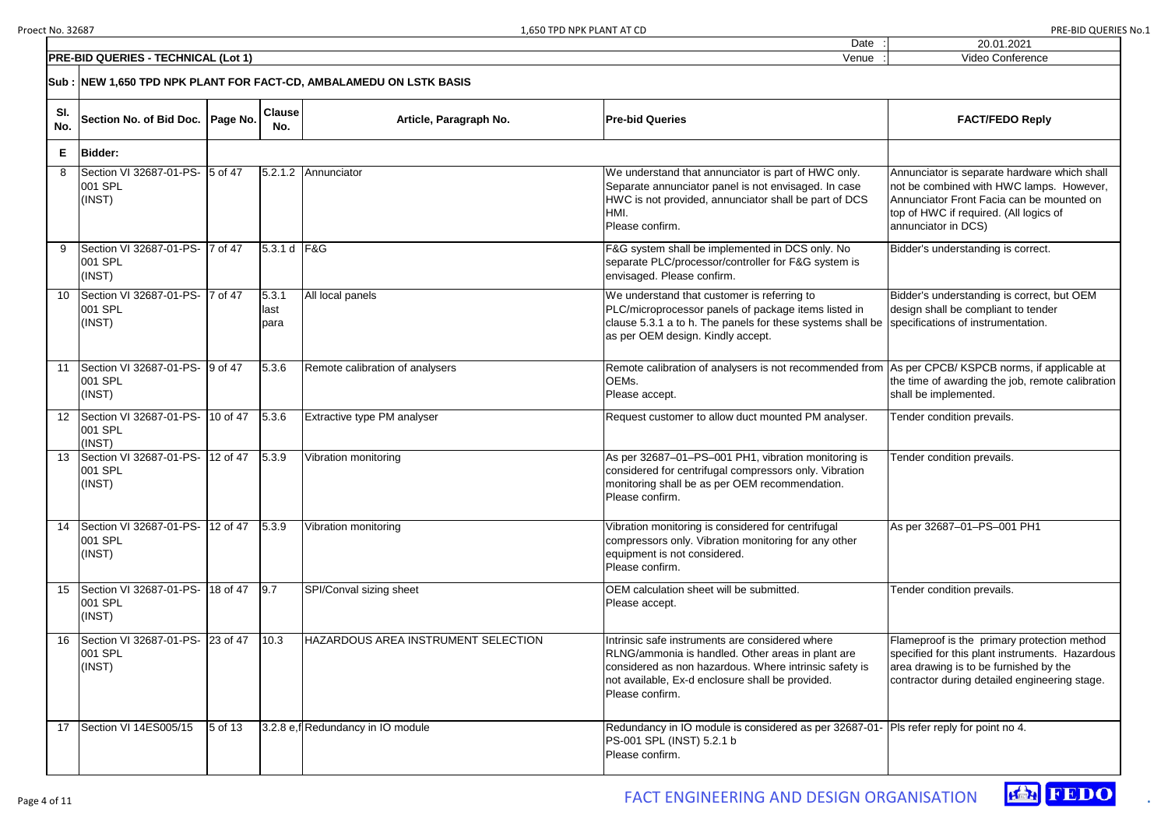|        | <b>FACT/FEDO Reply</b> |
|--------|------------------------|
|        |                        |
| ٠      | Video Conference       |
| ٠<br>٠ | 20.01.2021             |
|        |                        |

Bidder's understanding is correct, but OEM design shall be compliant to tender specifications of instrumentation.

Annunciator is separate hardware which shall not be combined with HWC lamps. However, Annunciator Front Facia can be mounted on top of HWC if required. (All logics of annunciator in DCS)

As per CPCB/ KSPCB norms, if applicable at the time of awarding the job, remote calibration shall be implemented.

|                  | <b>PRE-BID QUERIES - TECHNICAL (Lot 1)</b>                          |           |                       |                                     | Venue                                                                                                                                                                                                                                 | Video Conference                                                                                                                                                     |
|------------------|---------------------------------------------------------------------|-----------|-----------------------|-------------------------------------|---------------------------------------------------------------------------------------------------------------------------------------------------------------------------------------------------------------------------------------|----------------------------------------------------------------------------------------------------------------------------------------------------------------------|
|                  | Sub : NEW 1,650 TPD NPK PLANT FOR FACT-CD, AMBALAMEDU ON LSTK BASIS |           |                       |                                     |                                                                                                                                                                                                                                       |                                                                                                                                                                      |
| SI.<br>No.       | Section No. of Bid Doc.   Page No.                                  |           | <b>Clause</b><br>No.  | Article, Paragraph No.              | <b>Pre-bid Queries</b>                                                                                                                                                                                                                | <b>FACT/FEDO Reply</b>                                                                                                                                               |
| Е                | <b>Bidder:</b>                                                      |           |                       |                                     |                                                                                                                                                                                                                                       |                                                                                                                                                                      |
| 8                | Section VI 32687-01-PS-   5 of 47<br>001 SPL<br>(INST)              |           |                       | 5.2.1.2 Annunciator                 | We understand that annunciator is part of HWC only.<br>Separate annunciator panel is not envisaged. In case<br>HWC is not provided, annunciator shall be part of DCS<br>HMI.<br>Please confirm.                                       | Annunciator is separate hardware<br>not be combined with HWC lamps<br>Annunciator Front Facia can be m<br>top of HWC if required. (All logics<br>annunciator in DCS) |
| 9                | Section VI 32687-01-PS- 7 of 47<br>001 SPL<br>(INST)                |           | 5.3.1 d F&G           |                                     | F&G system shall be implemented in DCS only. No<br>separate PLC/processor/controller for F&G system is<br>envisaged. Please confirm.                                                                                                  | Bidder's understanding is correct.                                                                                                                                   |
|                  | Section VI 32687-01-PS-  7 of 47<br>001 SPL<br>(INST)               |           | 5.3.1<br>last<br>para | All local panels                    | We understand that customer is referring to<br>PLC/microprocessor panels of package items listed in<br>clause 5.3.1 a to h. The panels for these systems shall be<br>as per OEM design. Kindly accept.                                | Bidder's understanding is correct,<br>design shall be compliant to tende<br>specifications of instrumentation.                                                       |
| 11               | Section VI 32687-01-PS- 9 of 47<br>001 SPL<br>(INST)                |           | 5.3.6                 | Remote calibration of analysers     | Remote calibration of analysers is not recommended from As per CPCB/KSPCB norms, if a<br>OEMs.<br>Please accept.                                                                                                                      | the time of awarding the job, reme<br>shall be implemented.                                                                                                          |
| 12 <sup>12</sup> | Section VI 32687-01-PS- 10 of 47<br>001 SPL<br>(INST)               |           | 5.3.6                 | Extractive type PM analyser         | Request customer to allow duct mounted PM analyser.                                                                                                                                                                                   | Tender condition prevails.                                                                                                                                           |
| 13               | Section VI 32687-01-PS- 12 of 47<br>001 SPL<br>(INST)               |           | 5.3.9                 | Vibration monitoring                | As per 32687-01-PS-001 PH1, vibration monitoring is<br>considered for centrifugal compressors only. Vibration<br>monitoring shall be as per OEM recommendation.<br>Please confirm.                                                    | Tender condition prevails.                                                                                                                                           |
| 14               | Section VI 32687-01-PS- 12 of 47<br>001 SPL<br>(INST)               |           | 5.3.9                 | Vibration monitoring                | Vibration monitoring is considered for centrifugal<br>compressors only. Vibration monitoring for any other<br>equipment is not considered.<br>Please confirm.                                                                         | As per 32687-01-PS-001 PH1                                                                                                                                           |
|                  | Section VI 32687-01-PS- 18 of 47<br>001 SPL<br>(INST)               |           | 9.7                   | SPI/Conval sizing sheet             | OEM calculation sheet will be submitted.<br>Please accept.                                                                                                                                                                            | Tender condition prevails.                                                                                                                                           |
| 16               | Section VI 32687-01-PS- 23 of 47<br>001 SPL<br>(INST)               |           | 10.3                  | HAZARDOUS AREA INSTRUMENT SELECTION | Intrinsic safe instruments are considered where<br>RLNG/ammonia is handled. Other areas in plant are<br>considered as non hazardous. Where intrinsic safety is<br>not available, Ex-d enclosure shall be provided.<br>Please confirm. | Flameproof is the primary protect<br>specified for this plant instruments<br>area drawing is to be furnished by<br>contractor during detailed enginee                |
| 17               | Section VI 14ES005/15                                               | $5$ of 13 |                       | 3.2.8 e,f Redundancy in IO module   | Redundancy in IO module is considered as per 32687-01-<br>PS-001 SPL (INST) 5.2.1 b<br>Please confirm.                                                                                                                                | Pls refer reply for point no 4.                                                                                                                                      |

Flameproof is the primary protection method specified for this plant instruments. Hazardous area drawing is to be furnished by the contractor during detailed engineering stage.

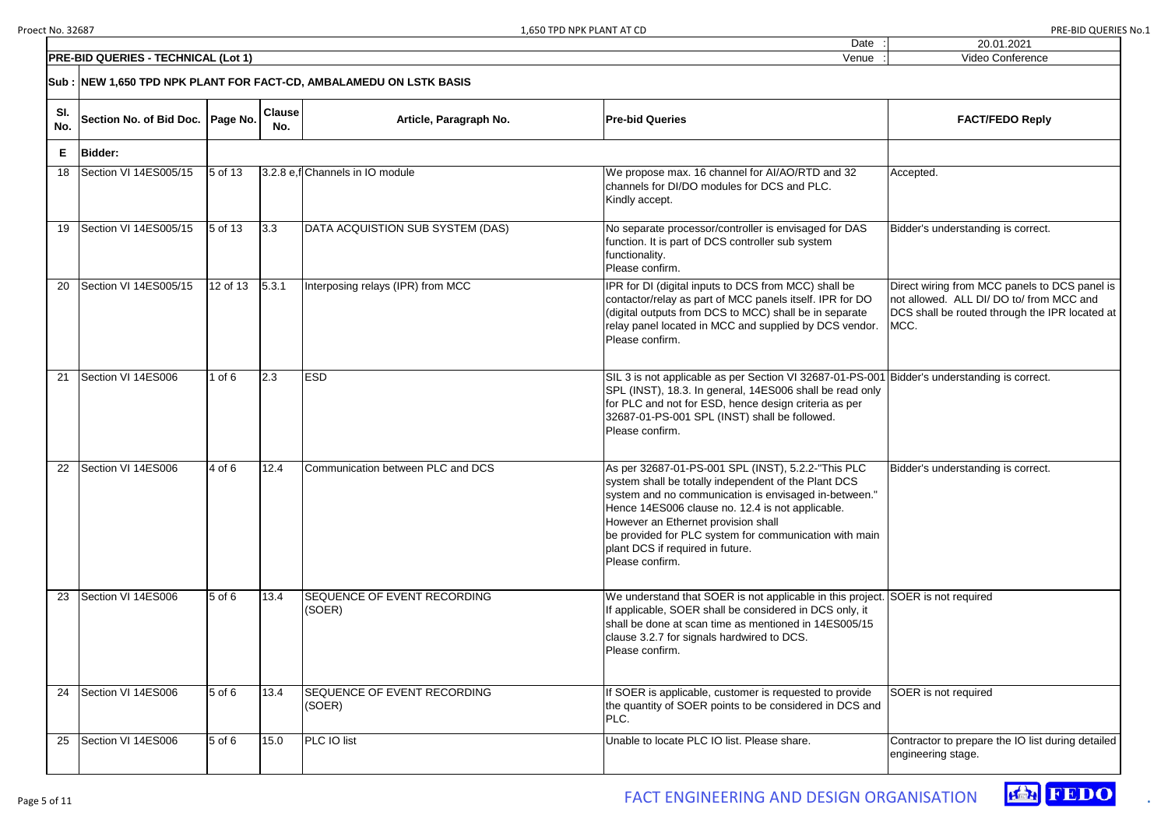|                  | 20.01.2021                                                                                                                                          |
|------------------|-----------------------------------------------------------------------------------------------------------------------------------------------------|
|                  | Video Conference                                                                                                                                    |
|                  |                                                                                                                                                     |
|                  | <b>FACT/FEDO Reply</b>                                                                                                                              |
|                  |                                                                                                                                                     |
|                  | Accepted.                                                                                                                                           |
|                  | Bidder's understanding is correct.                                                                                                                  |
|                  | Direct wiring from MCC panels to DCS panel is<br>not allowed. ALL DI/ DO to/ from MCC and<br>DCS shall be routed through the IPR located at<br>MCC. |
| $\mathbf 1$<br>ı | Bidder's understanding is correct.                                                                                                                  |
|                  | Bidder's understanding is correct.                                                                                                                  |
| t.               | SOER is not required                                                                                                                                |
| I                | SOER is not required                                                                                                                                |
|                  | Contractor to prepare the IO list during detailed<br>engineering stage.                                                                             |
|                  |                                                                                                                                                     |



|            | <b>PRE-BID QUERIES - TECHNICAL (Lot 1)</b>                          |            |                      |                                              | Venue                                                                                                                                                                                                                                                                                                                                                                           | Video Conference                                                                                                                                    |
|------------|---------------------------------------------------------------------|------------|----------------------|----------------------------------------------|---------------------------------------------------------------------------------------------------------------------------------------------------------------------------------------------------------------------------------------------------------------------------------------------------------------------------------------------------------------------------------|-----------------------------------------------------------------------------------------------------------------------------------------------------|
|            | Sub : NEW 1,650 TPD NPK PLANT FOR FACT-CD, AMBALAMEDU ON LSTK BASIS |            |                      |                                              |                                                                                                                                                                                                                                                                                                                                                                                 |                                                                                                                                                     |
| SI.<br>No. | Section No. of Bid Doc.   Page No.                                  |            | <b>Clause</b><br>No. | Article, Paragraph No.                       | <b>Pre-bid Queries</b>                                                                                                                                                                                                                                                                                                                                                          | <b>FACT/FEDO Reply</b>                                                                                                                              |
| E.         | <b>Bidder:</b>                                                      |            |                      |                                              |                                                                                                                                                                                                                                                                                                                                                                                 |                                                                                                                                                     |
|            | Section VI 14ES005/15                                               | 5 of 13    |                      | 3.2.8 e,f Channels in IO module              | We propose max. 16 channel for AI/AO/RTD and 32<br>channels for DI/DO modules for DCS and PLC.<br>Kindly accept.                                                                                                                                                                                                                                                                | Accepted.                                                                                                                                           |
| 19         | Section VI 14ES005/15                                               | 5 of 13    | 3.3                  | DATA ACQUISTION SUB SYSTEM (DAS)             | No separate processor/controller is envisaged for DAS<br>function. It is part of DCS controller sub system<br>functionality.<br>Please confirm.                                                                                                                                                                                                                                 | Bidder's understanding is correct.                                                                                                                  |
| -20        | Section VI 14ES005/15                                               | 12 of 13   | 5.3.1                | Interposing relays (IPR) from MCC            | IPR for DI (digital inputs to DCS from MCC) shall be<br>contactor/relay as part of MCC panels itself. IPR for DO<br>(digital outputs from DCS to MCC) shall be in separate<br>relay panel located in MCC and supplied by DCS vendor.<br>Please confirm.                                                                                                                         | Direct wiring from MCC panels to DCS panel is<br>not allowed. ALL DI/ DO to/ from MCC and<br>DCS shall be routed through the IPR located at<br>MCC. |
| 21         | Section VI 14ES006                                                  | $1$ of $6$ | 2.3                  | <b>ESD</b>                                   | SIL 3 is not applicable as per Section VI 32687-01-PS-001<br>SPL (INST), 18.3. In general, 14ES006 shall be read only<br>for PLC and not for ESD, hence design criteria as per<br>32687-01-PS-001 SPL (INST) shall be followed.<br>Please confirm.                                                                                                                              | Bidder's understanding is correct.                                                                                                                  |
| 22         | Section VI 14ES006                                                  | 4 of 6     | 12.4                 | Communication between PLC and DCS            | As per 32687-01-PS-001 SPL (INST), 5.2.2-"This PLC<br>system shall be totally independent of the Plant DCS<br>system and no communication is envisaged in-between."<br>Hence 14ES006 clause no. 12.4 is not applicable.<br>However an Ethernet provision shall<br>be provided for PLC system for communication with main<br>plant DCS if required in future.<br>Please confirm. | Bidder's understanding is correct.                                                                                                                  |
| 23         | Section VI 14ES006                                                  | 5 of 6     | 13.4                 | <b>SEQUENCE OF EVENT RECORDING</b><br>(SOER) | We understand that SOER is not applicable in this project. SOER is not required<br>If applicable, SOER shall be considered in DCS only, it<br>shall be done at scan time as mentioned in 14ES005/15<br>clause 3.2.7 for signals hardwired to DCS.<br>Please confirm.                                                                                                            |                                                                                                                                                     |
| 24         | Section VI 14ES006                                                  | $5$ of $6$ | 13.4                 | <b>SEQUENCE OF EVENT RECORDING</b><br>(SOER) | If SOER is applicable, customer is requested to provide<br>the quantity of SOER points to be considered in DCS and<br>PLC.                                                                                                                                                                                                                                                      | SOER is not required                                                                                                                                |
| 25         | Section VI 14ES006                                                  | $5$ of $6$ | 15.0                 | PLC IO list                                  | Unable to locate PLC IO list. Please share.                                                                                                                                                                                                                                                                                                                                     | Contractor to prepare the IO list during detailed<br>engineering stage.                                                                             |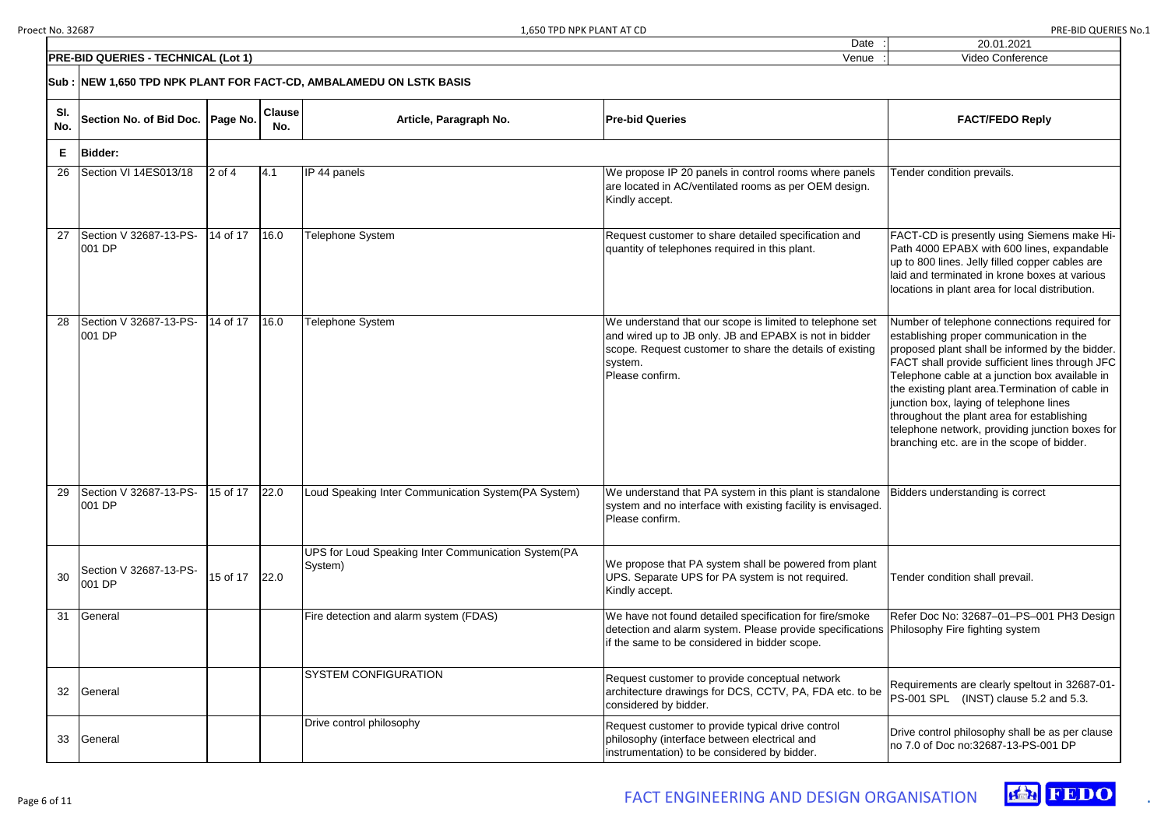|                                      |          |                      | 1,650 TPD NPK PLANT AT CD                                       | Date                                                                                                                                                                                                         | PRE-BID QUERIES No.1<br>20.01.2021                                                                                                                                                                                                                                                                                                                                                                                                                                                             |
|--------------------------------------|----------|----------------------|-----------------------------------------------------------------|--------------------------------------------------------------------------------------------------------------------------------------------------------------------------------------------------------------|------------------------------------------------------------------------------------------------------------------------------------------------------------------------------------------------------------------------------------------------------------------------------------------------------------------------------------------------------------------------------------------------------------------------------------------------------------------------------------------------|
| <b>O QUERIES - TECHNICAL (Lot 1)</b> |          |                      |                                                                 | Venue                                                                                                                                                                                                        | Video Conference                                                                                                                                                                                                                                                                                                                                                                                                                                                                               |
|                                      |          |                      | EW 1,650 TPD NPK PLANT FOR FACT-CD, AMBALAMEDU ON LSTK BASIS    |                                                                                                                                                                                                              |                                                                                                                                                                                                                                                                                                                                                                                                                                                                                                |
| ection No. of Bid Doc. Page No.      |          | <b>Clause</b><br>No. | Article, Paragraph No.                                          | <b>Pre-bid Queries</b>                                                                                                                                                                                       | <b>FACT/FEDO Reply</b>                                                                                                                                                                                                                                                                                                                                                                                                                                                                         |
| idder:                               |          |                      |                                                                 |                                                                                                                                                                                                              |                                                                                                                                                                                                                                                                                                                                                                                                                                                                                                |
| ection VI 14ES013/18                 | $2$ of 4 | 4.1                  | IP 44 panels                                                    | We propose IP 20 panels in control rooms where panels<br>are located in AC/ventilated rooms as per OEM design.<br>Kindly accept.                                                                             | Tender condition prevails.                                                                                                                                                                                                                                                                                                                                                                                                                                                                     |
| ection V 32687-13-PS-<br>01 DP       | 14 of 17 | 16.0                 | Telephone System                                                | Request customer to share detailed specification and<br>quantity of telephones required in this plant.                                                                                                       | FACT-CD is presently using Siemens make Hi-<br>Path 4000 EPABX with 600 lines, expandable<br>up to 800 lines. Jelly filled copper cables are<br>laid and terminated in krone boxes at various<br>locations in plant area for local distribution.                                                                                                                                                                                                                                               |
| ection V 32687-13-PS-<br>01 DP       | 14 of 17 | 16.0                 | Telephone System                                                | We understand that our scope is limited to telephone set<br>and wired up to JB only. JB and EPABX is not in bidder<br>scope. Request customer to share the details of existing<br>system.<br>Please confirm. | Number of telephone connections required for<br>establishing proper communication in the<br>proposed plant shall be informed by the bidder.<br>FACT shall provide sufficient lines through JFC<br>Telephone cable at a junction box available in<br>the existing plant area. Termination of cable in<br>junction box, laying of telephone lines<br>throughout the plant area for establishing<br>telephone network, providing junction boxes for<br>branching etc. are in the scope of bidder. |
| ection V 32687-13-PS-<br>01 DP       | 15 of 17 | 22.0                 | Loud Speaking Inter Communication System (PA System)            | We understand that PA system in this plant is standalone<br>system and no interface with existing facility is envisaged.<br>Please confirm.                                                                  | Bidders understanding is correct                                                                                                                                                                                                                                                                                                                                                                                                                                                               |
| ection V 32687-13-PS-<br>01 DP       | 15 of 17 | 22.0                 | UPS for Loud Speaking Inter Communication System (PA<br>System) | We propose that PA system shall be powered from plant<br>UPS. Separate UPS for PA system is not required.<br>Kindly accept.                                                                                  | Tender condition shall prevail.                                                                                                                                                                                                                                                                                                                                                                                                                                                                |
| eneral                               |          |                      | Fire detection and alarm system (FDAS)                          | We have not found detailed specification for fire/smoke<br>detection and alarm system. Please provide specifications Philosophy Fire fighting system<br>if the same to be considered in bidder scope.        | Refer Doc No: 32687-01-PS-001 PH3 Design                                                                                                                                                                                                                                                                                                                                                                                                                                                       |
| eneral                               |          |                      | <b>SYSTEM CONFIGURATION</b>                                     | Request customer to provide conceptual network<br>architecture drawings for DCS, CCTV, PA, FDA etc. to be<br>considered by bidder.                                                                           | Requirements are clearly speltout in 32687-01-<br>PS-001 SPL (INST) clause 5.2 and 5.3.                                                                                                                                                                                                                                                                                                                                                                                                        |
| eneral                               |          |                      | Drive control philosophy                                        | Request customer to provide typical drive control<br>philosophy (interface between electrical and<br>instrumentation) to be considered by bidder.                                                            | Drive control philosophy shall be as per clause<br>Ino 7.0 of Doc no:32687-13-PS-001 DP                                                                                                                                                                                                                                                                                                                                                                                                        |





|            | <b>PRE-BID QUERIES - TECHNICAL (Lot 1)</b>     |          |                      |                                                                     | Venue                                                                                                                                                                                                        | Video Conference                                                                                                                                                                                                                                                                                                                                                                                                                                                                               |
|------------|------------------------------------------------|----------|----------------------|---------------------------------------------------------------------|--------------------------------------------------------------------------------------------------------------------------------------------------------------------------------------------------------------|------------------------------------------------------------------------------------------------------------------------------------------------------------------------------------------------------------------------------------------------------------------------------------------------------------------------------------------------------------------------------------------------------------------------------------------------------------------------------------------------|
|            |                                                |          |                      | Sub : NEW 1,650 TPD NPK PLANT FOR FACT-CD, AMBALAMEDU ON LSTK BASIS |                                                                                                                                                                                                              |                                                                                                                                                                                                                                                                                                                                                                                                                                                                                                |
| SI.<br>No. | Section No. of Bid Doc.   Page No.             |          | <b>Clause</b><br>No. | Article, Paragraph No.                                              | <b>Pre-bid Queries</b>                                                                                                                                                                                       | <b>FACT/FEDO Reply</b>                                                                                                                                                                                                                                                                                                                                                                                                                                                                         |
| E.         | <b>Bidder:</b>                                 |          |                      |                                                                     |                                                                                                                                                                                                              |                                                                                                                                                                                                                                                                                                                                                                                                                                                                                                |
| 26         | Section VI 14ES013/18                          | $2$ of 4 | 4.1                  | IP 44 panels                                                        | We propose IP 20 panels in control rooms where panels<br>are located in AC/ventilated rooms as per OEM design.<br>Kindly accept.                                                                             | Tender condition prevails.                                                                                                                                                                                                                                                                                                                                                                                                                                                                     |
| 27         | Section V 32687-13-PS-<br>001 DP               | 14 of 17 | 16.0                 | Telephone System                                                    | Request customer to share detailed specification and<br>quantity of telephones required in this plant.                                                                                                       | FACT-CD is presently using Siemens make Hi-<br>Path 4000 EPABX with 600 lines, expandable<br>up to 800 lines. Jelly filled copper cables are<br>laid and terminated in krone boxes at various<br>locations in plant area for local distribution.                                                                                                                                                                                                                                               |
| 28         | Section V 32687-13-PS-<br>001 DP               | 14 of 17 | 16.0                 | Telephone System                                                    | We understand that our scope is limited to telephone set<br>and wired up to JB only. JB and EPABX is not in bidder<br>scope. Request customer to share the details of existing<br>system.<br>Please confirm. | Number of telephone connections required for<br>establishing proper communication in the<br>proposed plant shall be informed by the bidder.<br>FACT shall provide sufficient lines through JFC<br>Telephone cable at a junction box available in<br>the existing plant area. Termination of cable in<br>junction box, laying of telephone lines<br>throughout the plant area for establishing<br>telephone network, providing junction boxes for<br>branching etc. are in the scope of bidder. |
|            | Section V 32687-13-PS- 15 of 17 22.0<br>001 DP |          |                      | Loud Speaking Inter Communication System (PA System)                | We understand that PA system in this plant is standalone Bidders understanding is correct<br>system and no interface with existing facility is envisaged.<br>Please confirm.                                 |                                                                                                                                                                                                                                                                                                                                                                                                                                                                                                |
| 30         | Section V 32687-13-PS-<br>001 DP               | 15 of 17 | 22.0                 | UPS for Loud Speaking Inter Communication System (PA<br>System)     | We propose that PA system shall be powered from plant<br>UPS. Separate UPS for PA system is not required.<br>Kindly accept.                                                                                  | Tender condition shall prevail.                                                                                                                                                                                                                                                                                                                                                                                                                                                                |
| 31         | General                                        |          |                      | Fire detection and alarm system (FDAS)                              | We have not found detailed specification for fire/smoke<br>detection and alarm system. Please provide specifications Philosophy Fire fighting system<br>if the same to be considered in bidder scope.        | Refer Doc No: 32687-01-PS-001 PH3 Design                                                                                                                                                                                                                                                                                                                                                                                                                                                       |
| 32         | General                                        |          |                      | <b>SYSTEM CONFIGURATION</b>                                         | Request customer to provide conceptual network<br>architecture drawings for DCS, CCTV, PA, FDA etc. to be<br>considered by bidder.                                                                           | Requirements are clearly speltout in 32687-01-<br>PS-001 SPL (INST) clause 5.2 and 5.3.                                                                                                                                                                                                                                                                                                                                                                                                        |
| 33         | General                                        |          |                      | Drive control philosophy                                            | Request customer to provide typical drive control<br>philosophy (interface between electrical and<br>instrumentation) to be considered by bidder.                                                            | Drive control philosophy shall be as per clause<br>no 7.0 of Doc no:32687-13-PS-001 DP                                                                                                                                                                                                                                                                                                                                                                                                         |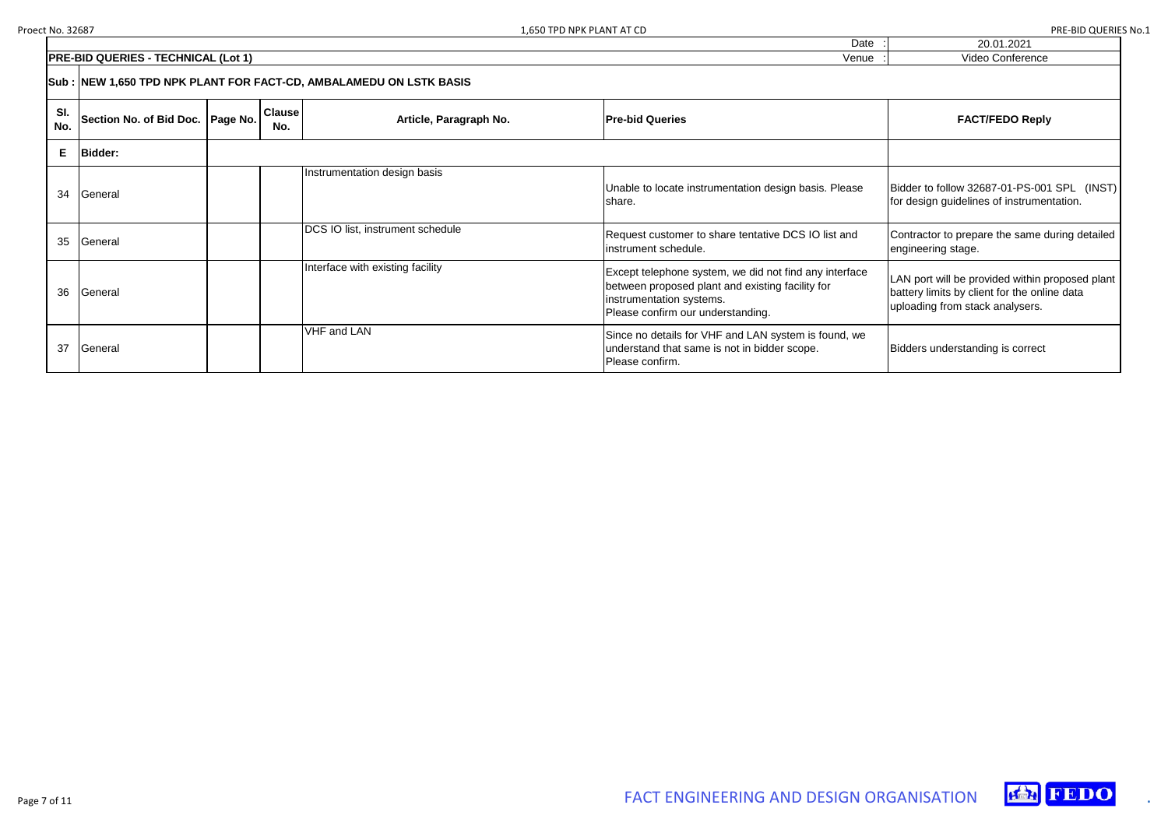### 20.01.2021 Video Conference

Bidder to follow 32687-01-PS-001 SPL (INST) for design guidelines of instrumentation.

Contractor to prepare the same during detailed engineering stage.

|            |                                                                     |  |                      |                                  | Dale                                                                                                                                                                        | <b>ZU.UT.ZUZT</b>                                                                                                |  |  |
|------------|---------------------------------------------------------------------|--|----------------------|----------------------------------|-----------------------------------------------------------------------------------------------------------------------------------------------------------------------------|------------------------------------------------------------------------------------------------------------------|--|--|
|            | <b>PRE-BID QUERIES - TECHNICAL (Lot 1)</b>                          |  |                      |                                  | Venue                                                                                                                                                                       | <b>Video Conference</b>                                                                                          |  |  |
|            | Sub : NEW 1,650 TPD NPK PLANT FOR FACT-CD, AMBALAMEDU ON LSTK BASIS |  |                      |                                  |                                                                                                                                                                             |                                                                                                                  |  |  |
| SI.<br>No. | Section No. of Bid Doc.   Page No.                                  |  | <b>Clause</b><br>No. | Article, Paragraph No.           | <b>Pre-bid Queries</b>                                                                                                                                                      | <b>FACT/FEDO Reply</b>                                                                                           |  |  |
| Е          | <b>Bidder:</b>                                                      |  |                      |                                  |                                                                                                                                                                             |                                                                                                                  |  |  |
| 34         | General                                                             |  |                      | Instrumentation design basis     | Unable to locate instrumentation design basis. Please<br>share.                                                                                                             | Bidder to follow 32687-01-PS-001<br>for design guidelines of instrumer                                           |  |  |
| 35         | General                                                             |  |                      | DCS IO list, instrument schedule | Request customer to share tentative DCS IO list and<br>instrument schedule.                                                                                                 | Contractor to prepare the same d<br>engineering stage.                                                           |  |  |
| 36         | General                                                             |  |                      | Interface with existing facility | Except telephone system, we did not find any interface<br>between proposed plant and existing facility for<br>instrumentation systems.<br>Please confirm our understanding. | LAN port will be provided within pr<br>battery limits by client for the onlir<br>uploading from stack analysers. |  |  |
| 37         | General                                                             |  |                      | <b>VHF and LAN</b>               | Since no details for VHF and LAN system is found, we<br>understand that same is not in bidder scope.<br>Please confirm.                                                     | Bidders understanding is correct                                                                                 |  |  |

LAN port will be provided within proposed plant battery limits by client for the online data uploading from stack analysers.



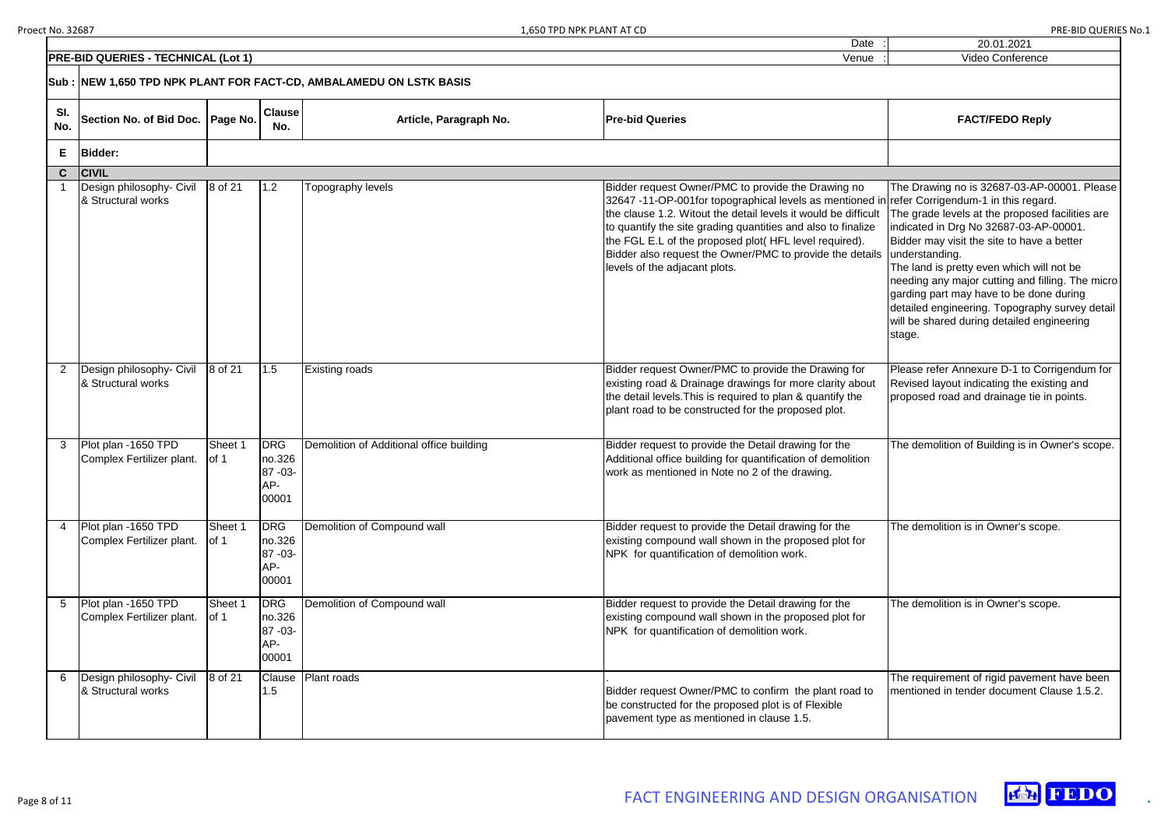|                                                                    | .650 TPD NPK PLANT<br>AI UL | ∴ ∪اه .<br>.        | '`> No.⊥ |
|--------------------------------------------------------------------|-----------------------------|---------------------|----------|
|                                                                    | Date                        | 20.01.2021          |          |
| <b>QUERIES</b><br><b>TECHNICAL</b><br>$(1 \nightharpoonup 1)$<br>. | Venue                       | √ideo<br>Conference |          |
|                                                                    |                             |                     |          |



|            | <b>PRE-BID QUERIES - TECHNICAL (Lot 1)</b><br>Venue |                                          |                                                   |                                          | Video Conference                                                                                                                                                                                                                                                                                                                                                                                                                           |                                                                                                                                                                                                                                                                                                                                                                                                                                                                |
|------------|-----------------------------------------------------|------------------------------------------|---------------------------------------------------|------------------------------------------|--------------------------------------------------------------------------------------------------------------------------------------------------------------------------------------------------------------------------------------------------------------------------------------------------------------------------------------------------------------------------------------------------------------------------------------------|----------------------------------------------------------------------------------------------------------------------------------------------------------------------------------------------------------------------------------------------------------------------------------------------------------------------------------------------------------------------------------------------------------------------------------------------------------------|
|            |                                                     |                                          |                                                   |                                          |                                                                                                                                                                                                                                                                                                                                                                                                                                            |                                                                                                                                                                                                                                                                                                                                                                                                                                                                |
| SI.<br>No. | Section No. of Bid Doc.   Page No.                  |                                          | <b>Clause</b><br>No.                              | Article, Paragraph No.                   | <b>Pre-bid Queries</b>                                                                                                                                                                                                                                                                                                                                                                                                                     | <b>FACT/FEDO Reply</b>                                                                                                                                                                                                                                                                                                                                                                                                                                         |
| E.         | <b>Bidder:</b>                                      |                                          |                                                   |                                          |                                                                                                                                                                                                                                                                                                                                                                                                                                            |                                                                                                                                                                                                                                                                                                                                                                                                                                                                |
|            | C CIVIL                                             |                                          |                                                   |                                          |                                                                                                                                                                                                                                                                                                                                                                                                                                            |                                                                                                                                                                                                                                                                                                                                                                                                                                                                |
|            | Design philosophy- Civil<br>& Structural works      | 8 of 21                                  | 1.2                                               | Topography levels                        | Bidder request Owner/PMC to provide the Drawing no<br>32647 -11-OP-001for topographical levels as mentioned in refer Corrigendum-1 in this regard.<br>the clause 1.2. Witout the detail levels it would be difficult<br>to quantify the site grading quantities and also to finalize<br>the FGL E.L of the proposed plot(HFL level required).<br>Bidder also request the Owner/PMC to provide the details<br>levels of the adjacant plots. | The Drawing no is 32687-03-AP-00001. Please<br>The grade levels at the proposed facilities are<br>indicated in Drg No 32687-03-AP-00001.<br>Bidder may visit the site to have a better<br>understanding.<br>The land is pretty even which will not be<br>needing any major cutting and filling. The micro<br>garding part may have to be done during<br>detailed engineering. Topography survey detail<br>will be shared during detailed engineering<br>stage. |
|            | Design philosophy- Civil<br>& Structural works      | 8 of 21                                  | 1.5                                               | <b>Existing roads</b>                    | Bidder request Owner/PMC to provide the Drawing for<br>existing road & Drainage drawings for more clarity about<br>the detail levels. This is required to plan & quantify the<br>plant road to be constructed for the proposed plot.                                                                                                                                                                                                       | Please refer Annexure D-1 to Corrigendum for<br>Revised layout indicating the existing and<br>proposed road and drainage tie in points.                                                                                                                                                                                                                                                                                                                        |
|            | Plot plan -1650 TPD<br>Complex Fertilizer plant.    | Sheet 1<br>of 1                          | <b>DRG</b><br>no.326<br>87 - 03 -<br>AP-<br>00001 | Demolition of Additional office building | Bidder request to provide the Detail drawing for the<br>Additional office building for quantification of demolition<br>work as mentioned in Note no 2 of the drawing.                                                                                                                                                                                                                                                                      | The demolition of Building is in Owner's scope.                                                                                                                                                                                                                                                                                                                                                                                                                |
|            | Plot plan -1650 TPD<br>Complex Fertilizer plant.    | Sheet 1<br>of 1                          | <b>DRG</b><br>no.326<br>87 - 03 -<br>AP-<br>00001 | Demolition of Compound wall              | Bidder request to provide the Detail drawing for the<br>existing compound wall shown in the proposed plot for<br>NPK for quantification of demolition work.                                                                                                                                                                                                                                                                                | The demolition is in Owner's scope.                                                                                                                                                                                                                                                                                                                                                                                                                            |
|            | Plot plan -1650 TPD<br>Complex Fertilizer plant.    | Sheet 1<br>$\left  \text{of } 1 \right $ | <b>DRG</b><br>no.326<br>87 - 03 -<br>AP-<br>00001 | Demolition of Compound wall              | Bidder request to provide the Detail drawing for the<br>existing compound wall shown in the proposed plot for<br>NPK for quantification of demolition work.                                                                                                                                                                                                                                                                                | The demolition is in Owner's scope.                                                                                                                                                                                                                                                                                                                                                                                                                            |
|            | Design philosophy- Civil<br>& Structural works      | 8 of 21                                  | Clause<br>1.5                                     | Plant roads                              | Bidder request Owner/PMC to confirm the plant road to<br>be constructed for the proposed plot is of Flexible<br>pavement type as mentioned in clause 1.5.                                                                                                                                                                                                                                                                                  | The requirement of rigid pavement have been<br>Imentioned in tender document Clause 1.5.2.                                                                                                                                                                                                                                                                                                                                                                     |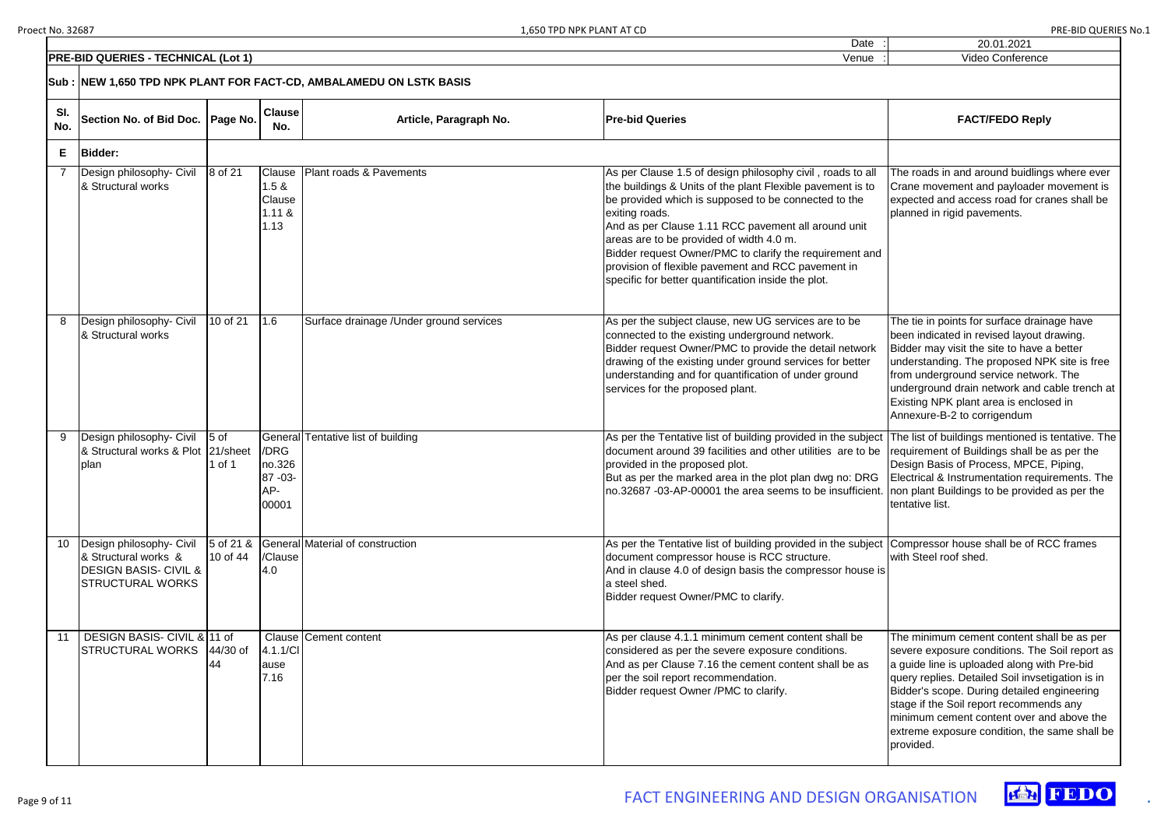|            | <b>PRE-BID QUERIES - TECHNICAL (Lot 1)</b>                                                                      |                           |                                             |                                          | Venue                                                                                                                                                                                                                                                                                                                                                                                                                                                                         | Video Conference                                                                                                                                                                                                                                                                                               |  |
|------------|-----------------------------------------------------------------------------------------------------------------|---------------------------|---------------------------------------------|------------------------------------------|-------------------------------------------------------------------------------------------------------------------------------------------------------------------------------------------------------------------------------------------------------------------------------------------------------------------------------------------------------------------------------------------------------------------------------------------------------------------------------|----------------------------------------------------------------------------------------------------------------------------------------------------------------------------------------------------------------------------------------------------------------------------------------------------------------|--|
|            | Sub : İNEW 1,650 TPD NPK PLANT FOR FACT-CD, AMBALAMEDU ON LSTK BASIS                                            |                           |                                             |                                          |                                                                                                                                                                                                                                                                                                                                                                                                                                                                               |                                                                                                                                                                                                                                                                                                                |  |
| SI.<br>No. | Section No. of Bid Doc. Page No.                                                                                |                           | <b>Clause</b><br>No.                        | Article, Paragraph No.                   | <b>Pre-bid Queries</b>                                                                                                                                                                                                                                                                                                                                                                                                                                                        | <b>FACT/FEDO Reply</b>                                                                                                                                                                                                                                                                                         |  |
| E.         | Bidder:                                                                                                         |                           |                                             |                                          |                                                                                                                                                                                                                                                                                                                                                                                                                                                                               |                                                                                                                                                                                                                                                                                                                |  |
|            | Design philosophy- Civil<br>& Structural works                                                                  | 8 of 21                   | Clause<br>1.5 &<br>Clause<br>1.11 &<br>1.13 | Plant roads & Pavements                  | As per Clause 1.5 of design philosophy civil, roads to all<br>the buildings & Units of the plant Flexible pavement is to<br>be provided which is supposed to be connected to the<br>exiting roads.<br>And as per Clause 1.11 RCC pavement all around unit<br>areas are to be provided of width 4.0 m.<br>Bidder request Owner/PMC to clarify the requirement and<br>provision of flexible pavement and RCC pavement in<br>specific for better quantification inside the plot. | The roads in and around buidlings<br>Crane movement and payloader r<br>expected and access road for cra<br>planned in rigid pavements.                                                                                                                                                                         |  |
|            | Design philosophy- Civil<br>& Structural works                                                                  | 10 of 21                  | 1.6                                         | Surface drainage / Under ground services | As per the subject clause, new UG services are to be<br>connected to the existing underground network.<br>Bidder request Owner/PMC to provide the detail network<br>drawing of the existing under ground services for better<br>understanding and for quantification of under ground<br>services for the proposed plant.                                                                                                                                                      | The tie in points for surface draina<br>been indicated in revised layout d<br>Bidder may visit the site to have a<br>understanding. The proposed NP<br>from underground service networl<br>underground drain network and ca<br>Existing NPK plant area is enclose<br>Annexure-B-2 to corrigendum               |  |
|            | Design philosophy- Civil<br>& Structural works & Plot 21/sheet<br>plan                                          | 5 <sub>of</sub><br>1 of 1 | /DRG<br>no.326<br>87 - 03 -<br>AP-<br>00001 | General Tentative list of building       | As per the Tentative list of building provided in the subject<br>document around 39 facilities and other utilities are to be<br>provided in the proposed plot.<br>But as per the marked area in the plot plan dwg no: DRG<br>no.32687 -03-AP-00001 the area seems to be insufficient.  non plant Buildings to be provided                                                                                                                                                     | The list of buildings mentioned is<br>requirement of Buildings shall be<br>Design Basis of Process, MPCE,<br>Electrical & Instrumentation requir<br>tentative list.                                                                                                                                            |  |
|            | Design philosophy- Civil<br>& Structural works &<br><b>DESIGN BASIS- CIVIL &amp;</b><br><b>STRUCTURAL WORKS</b> | $5$ of 21 &<br>10 of 44   | /Clause<br>4.0                              | General Material of construction         | As per the Tentative list of building provided in the subject<br>document compressor house is RCC structure.<br>And in clause 4.0 of design basis the compressor house is<br>a steel shed.<br>Bidder request Owner/PMC to clarify.                                                                                                                                                                                                                                            | Compressor house shall be of RC<br>with Steel roof shed.                                                                                                                                                                                                                                                       |  |
|            | DESIGN BASIS- CIVIL & 11 of<br><b>STRUCTURAL WORKS</b>                                                          | $44/30$ of<br>44          | 4.1.1/Cl<br>ause<br>7.16                    | <b>Clause Cement content</b>             | As per clause 4.1.1 minimum cement content shall be<br>considered as per the severe exposure conditions.<br>And as per Clause 7.16 the cement content shall be as<br>per the soil report recommendation.<br>Bidder request Owner /PMC to clarify.                                                                                                                                                                                                                             | The minimum cement content sha<br>severe exposure conditions. The<br>a guide line is uploaded along witl<br>query replies. Detailed Soil invset<br>Bidder's scope. During detailed er<br>stage if the Soil report recommen<br>minimum cement content over an<br>extreme exposure condition, the s<br>provided. |  |

| <b>FACT/FEDO Reply</b>                                                                                                                                                                                                                                                                                                                                                                               |
|------------------------------------------------------------------------------------------------------------------------------------------------------------------------------------------------------------------------------------------------------------------------------------------------------------------------------------------------------------------------------------------------------|
|                                                                                                                                                                                                                                                                                                                                                                                                      |
| The roads in and around buidlings where ever<br>Crane movement and payloader movement is<br>expected and access road for cranes shall be<br>planned in rigid pavements.                                                                                                                                                                                                                              |
| The tie in points for surface drainage have<br>been indicated in revised layout drawing.<br>Bidder may visit the site to have a better<br>understanding. The proposed NPK site is free<br>from underground service network. The<br>underground drain network and cable trench at<br>Existing NPK plant area is enclosed in<br>Annexure-B-2 to corrigendum                                            |
| The list of buildings mentioned is tentative. The<br>requirement of Buildings shall be as per the<br>Design Basis of Process, MPCE, Piping,<br>Electrical & Instrumentation requirements. The<br>non plant Buildings to be provided as per the<br>tentative list.                                                                                                                                    |
| Compressor house shall be of RCC frames<br>with Steel roof shed.                                                                                                                                                                                                                                                                                                                                     |
| The minimum cement content shall be as per<br>severe exposure conditions. The Soil report as<br>a guide line is uploaded along with Pre-bid<br>query replies. Detailed Soil invsetigation is in<br>Bidder's scope. During detailed engineering<br>stage if the Soil report recommends any<br>minimum cement content over and above the<br>extreme exposure condition, the same shall be<br>provided. |

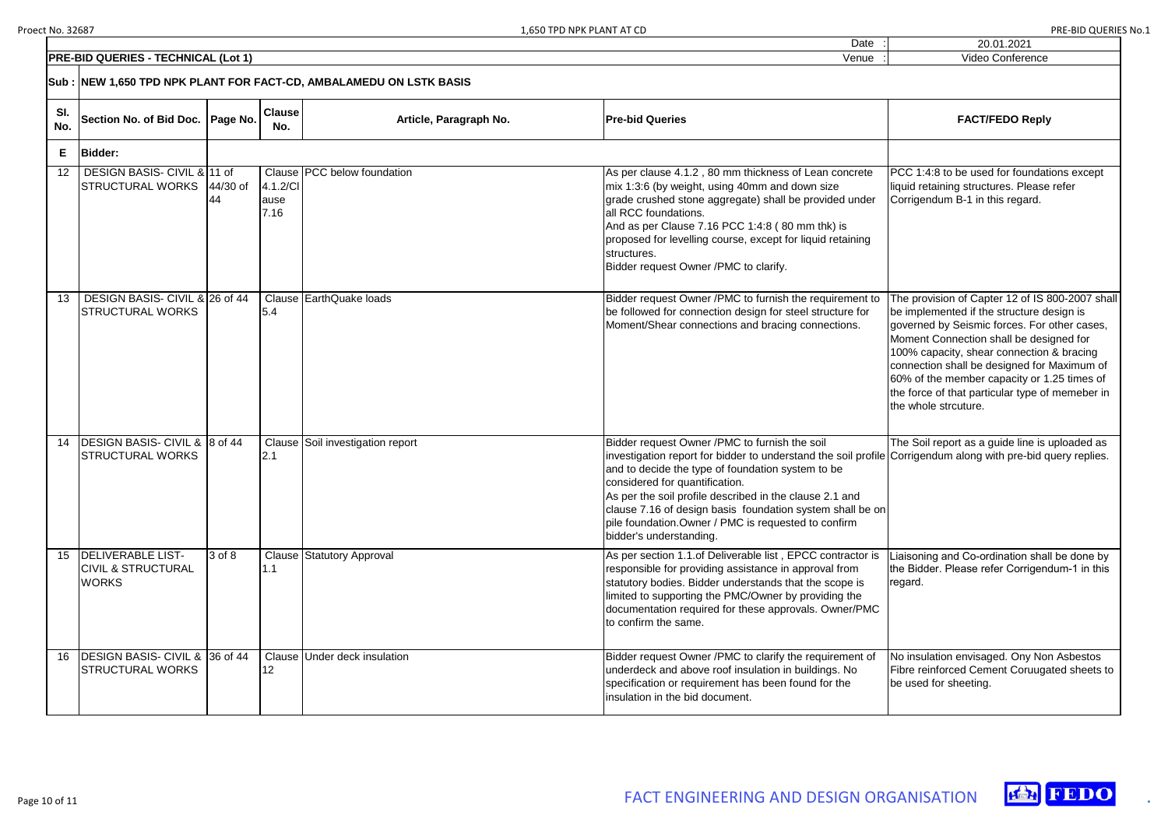



|            | <b>PRE-BID QUERIES - TECHNICAL (Lot 1)</b>                                | Video Conference |                          |                                  |                                                                                                                                                                                                                                                                                                                                                                                                                                                                 |                                                                                                                                                                                                                                                                                                                                                                                                               |  |  |  |
|------------|---------------------------------------------------------------------------|------------------|--------------------------|----------------------------------|-----------------------------------------------------------------------------------------------------------------------------------------------------------------------------------------------------------------------------------------------------------------------------------------------------------------------------------------------------------------------------------------------------------------------------------------------------------------|---------------------------------------------------------------------------------------------------------------------------------------------------------------------------------------------------------------------------------------------------------------------------------------------------------------------------------------------------------------------------------------------------------------|--|--|--|
|            |                                                                           |                  |                          |                                  |                                                                                                                                                                                                                                                                                                                                                                                                                                                                 |                                                                                                                                                                                                                                                                                                                                                                                                               |  |  |  |
| SI.<br>No. | Section No. of Bid Doc.   Page No.                                        |                  | <b>Clause</b><br>No.     | Article, Paragraph No.           | <b>Pre-bid Queries</b>                                                                                                                                                                                                                                                                                                                                                                                                                                          | <b>FACT/FEDO Reply</b>                                                                                                                                                                                                                                                                                                                                                                                        |  |  |  |
| Е          | <b>Bidder:</b>                                                            |                  |                          |                                  |                                                                                                                                                                                                                                                                                                                                                                                                                                                                 |                                                                                                                                                                                                                                                                                                                                                                                                               |  |  |  |
| 12         | DESIGN BASIS- CIVIL & 11 of<br>STRUCTURAL WORKS 44/30 of                  | 44               | 4.1.2/CI<br>ause<br>7.16 | Clause   PCC below foundation    | As per clause 4.1.2, 80 mm thickness of Lean concrete<br>mix 1:3:6 (by weight, using 40mm and down size<br>grade crushed stone aggregate) shall be provided under<br>all RCC foundations.<br>And as per Clause 7.16 PCC 1:4:8 (80 mm thk) is<br>proposed for levelling course, except for liquid retaining<br>structures.<br>Bidder request Owner /PMC to clarify.                                                                                              | PCC 1:4:8 to be used for foundations except<br>liquid retaining structures. Please refer<br>Corrigendum B-1 in this regard.                                                                                                                                                                                                                                                                                   |  |  |  |
| 13         | DESIGN BASIS- CIVIL & 26 of 44<br><b>STRUCTURAL WORKS</b>                 |                  | 5.4                      | Clause EarthQuake loads          | Bidder request Owner /PMC to furnish the requirement to<br>be followed for connection design for steel structure for<br>Moment/Shear connections and bracing connections.                                                                                                                                                                                                                                                                                       | The provision of Capter 12 of IS 800-2007 shall<br>be implemented if the structure design is<br>governed by Seismic forces. For other cases,<br>Moment Connection shall be designed for<br>100% capacity, shear connection & bracing<br>connection shall be designed for Maximum of<br>60% of the member capacity or 1.25 times of<br>the force of that particular type of memeber in<br>the whole strcuture. |  |  |  |
| 14         | <b>DESIGN BASIS- CIVIL &amp; 8 of 44</b><br><b>STRUCTURAL WORKS</b>       |                  | 2.1                      | Clause Soil investigation report | Bidder request Owner /PMC to furnish the soil<br>investigation report for bidder to understand the soil profile Corrigendum along with pre-bid query replies.<br>and to decide the type of foundation system to be<br>considered for quantification.<br>As per the soil profile described in the clause 2.1 and<br>clause 7.16 of design basis foundation system shall be on<br>pile foundation. Owner / PMC is requested to confirm<br>bidder's understanding. | The Soil report as a guide line is uploaded as                                                                                                                                                                                                                                                                                                                                                                |  |  |  |
| 15         | <b>DELIVERABLE LIST-</b><br><b>CIVIL &amp; STRUCTURAL</b><br><b>WORKS</b> | 3 of 8           | 1.1                      | Clause Statutory Approval        | As per section 1.1.of Deliverable list, EPCC contractor is<br>responsible for providing assistance in approval from<br>statutory bodies. Bidder understands that the scope is<br>limited to supporting the PMC/Owner by providing the<br>documentation required for these approvals. Owner/PMC<br>to confirm the same.                                                                                                                                          | Liaisoning and Co-ordination shall be done by<br>the Bidder. Please refer Corrigendum-1 in this<br>regard.                                                                                                                                                                                                                                                                                                    |  |  |  |
| 16         | DESIGN BASIS- CIVIL & 36 of 44<br><b>STRUCTURAL WORKS</b>                 |                  | 12                       | Clause Under deck insulation     | Bidder request Owner / PMC to clarify the requirement of<br>underdeck and above roof insulation in buildings. No<br>specification or requirement has been found for the<br>insulation in the bid document.                                                                                                                                                                                                                                                      | No insulation envisaged. Ony Non Asbestos<br>Fibre reinforced Cement Coruugated sheets to<br>be used for sheeting.                                                                                                                                                                                                                                                                                            |  |  |  |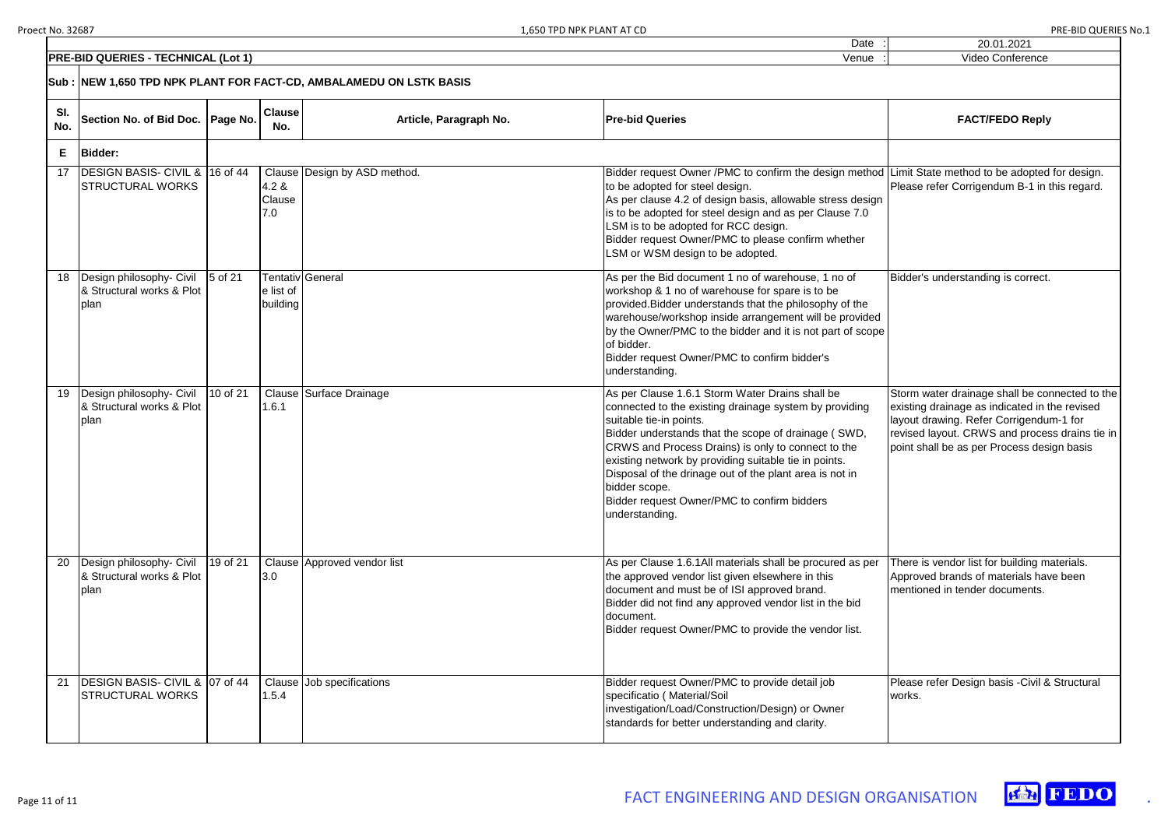|   | 20.01.2021                                                                                                                                                                                                                                 |
|---|--------------------------------------------------------------------------------------------------------------------------------------------------------------------------------------------------------------------------------------------|
|   | Video Conference                                                                                                                                                                                                                           |
|   |                                                                                                                                                                                                                                            |
|   | <b>FACT/FEDO Reply</b>                                                                                                                                                                                                                     |
|   |                                                                                                                                                                                                                                            |
| ł | Limit State method to be adopted for design.<br>Please refer Corrigendum B-1 in this regard.                                                                                                                                               |
| e | Bidder's understanding is correct.                                                                                                                                                                                                         |
|   | Storm water drainage shall be connected to the<br>existing drainage as indicated in the revised<br>layout drawing. Refer Corrigendum-1 for<br>revised layout. CRWS and process drains tie in<br>point shall be as per Process design basis |
|   | There is vendor list for building materials.<br>Approved brands of materials have been<br>mentioned in tender documents.                                                                                                                   |
|   | Please refer Design basis - Civil & Structural<br>works.                                                                                                                                                                                   |





|            | <b>PRE-BID QUERIES - TECHNICAL (Lot 1)</b>                          |            |                        |                              | Venue                                                                                                                                                                                                                                                                                                                                                                                                                                                   | Video Conference                                                                                                                                                                       |  |  |  |
|------------|---------------------------------------------------------------------|------------|------------------------|------------------------------|---------------------------------------------------------------------------------------------------------------------------------------------------------------------------------------------------------------------------------------------------------------------------------------------------------------------------------------------------------------------------------------------------------------------------------------------------------|----------------------------------------------------------------------------------------------------------------------------------------------------------------------------------------|--|--|--|
|            | Sub : NEW 1,650 TPD NPK PLANT FOR FACT-CD, AMBALAMEDU ON LSTK BASIS |            |                        |                              |                                                                                                                                                                                                                                                                                                                                                                                                                                                         |                                                                                                                                                                                        |  |  |  |
| SI.<br>No. | Section No. of Bid Doc.   Page No.                                  |            | <b>Clause</b><br>No.   | Article, Paragraph No.       | <b>Pre-bid Queries</b>                                                                                                                                                                                                                                                                                                                                                                                                                                  | <b>FACT/FEDO Reply</b>                                                                                                                                                                 |  |  |  |
| E.         | <b>Bidder:</b>                                                      |            |                        |                              |                                                                                                                                                                                                                                                                                                                                                                                                                                                         |                                                                                                                                                                                        |  |  |  |
| 17         | <b>DESIGN BASIS- CIVIL &amp;</b><br><b>STRUCTURAL WORKS</b>         | $16$ of 44 | 4.2 &<br>Clause<br>7.0 | Clause Design by ASD method. | Bidder request Owner /PMC to confirm the design method Limit State method to be adopted<br>to be adopted for steel design.<br>As per clause 4.2 of design basis, allowable stress design<br>is to be adopted for steel design and as per Clause 7.0<br>LSM is to be adopted for RCC design.<br>Bidder request Owner/PMC to please confirm whether<br>LSM or WSM design to be adopted.                                                                   | Please refer Corrigendum B-1 in t                                                                                                                                                      |  |  |  |
|            | Design philosophy- Civil<br>& Structural works & Plot<br>plan       | 5 of 21    | e list of<br>building  | Tentativ General             | As per the Bid document 1 no of warehouse, 1 no of<br>workshop & 1 no of warehouse for spare is to be<br>provided. Bidder understands that the philosophy of the<br>warehouse/workshop inside arrangement will be provided<br>by the Owner/PMC to the bidder and it is not part of scope<br>of bidder.<br>Bidder request Owner/PMC to confirm bidder's<br>understanding.                                                                                | Bidder's understanding is correct.                                                                                                                                                     |  |  |  |
| 19         | Design philosophy- Civil<br>& Structural works & Plot<br>plan       | 10 of 21   | 1.6.1                  | Clause Surface Drainage      | As per Clause 1.6.1 Storm Water Drains shall be<br>connected to the existing drainage system by providing<br>suitable tie-in points.<br>Bidder understands that the scope of drainage (SWD,<br>CRWS and Process Drains) is only to connect to the<br>existing network by providing suitable tie in points.<br>Disposal of the drinage out of the plant area is not in<br>bidder scope.<br>Bidder request Owner/PMC to confirm bidders<br>understanding. | Storm water drainage shall be cor<br>existing drainage as indicated in t<br>layout drawing. Refer Corrigendui<br>revised layout. CRWS and proces<br>point shall be as per Process desi |  |  |  |
| 20         | Design philosophy- Civil<br>& Structural works & Plot<br>plan       | 19 of 21   | 3.0                    | Clause Approved vendor list  | As per Clause 1.6.1All materials shall be procured as per<br>the approved vendor list given elsewhere in this<br>document and must be of ISI approved brand.<br>Bidder did not find any approved vendor list in the bid<br>document.<br>Bidder request Owner/PMC to provide the vendor list.                                                                                                                                                            | There is vendor list for building m<br>Approved brands of materials hav<br>mentioned in tender documents.                                                                              |  |  |  |
| 21         | DESIGN BASIS- CIVIL & 07 of 44<br><b>STRUCTURAL WORKS</b>           |            | 1.5.4                  | Clause Job specifications    | Bidder request Owner/PMC to provide detail job<br>specificatio (Material/Soil<br>investigation/Load/Construction/Design) or Owner<br>standards for better understanding and clarity.                                                                                                                                                                                                                                                                    | Please refer Design basis - Civil &<br>works.                                                                                                                                          |  |  |  |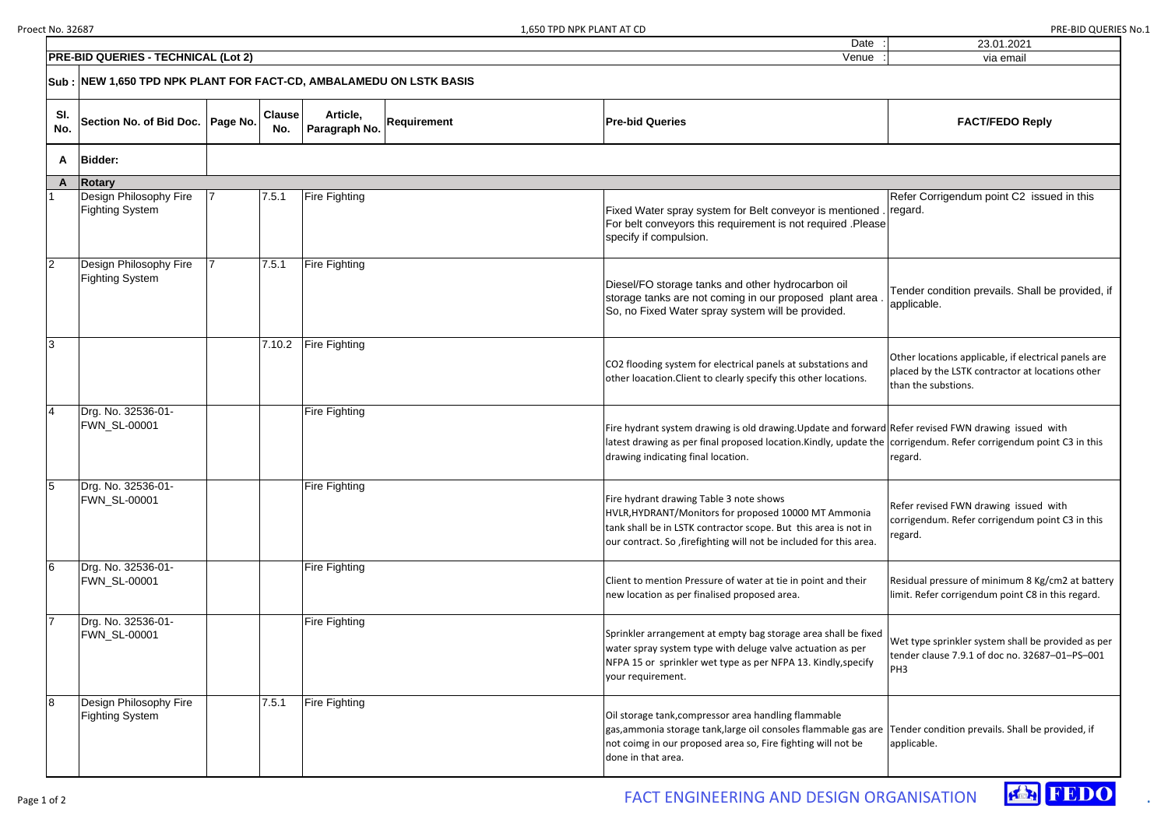Date

|   | 23.01.2021                                                                                                                      |
|---|---------------------------------------------------------------------------------------------------------------------------------|
|   | via email                                                                                                                       |
|   |                                                                                                                                 |
|   | <b>FACT/FEDO Reply</b>                                                                                                          |
|   |                                                                                                                                 |
|   |                                                                                                                                 |
| e | Refer Corrigendum point C2 issued in this<br>regard.                                                                            |
|   | Tender condition prevails. Shall be provided, if<br>applicable.                                                                 |
|   | Other locations applicable, if electrical panels are<br>placed by the LSTK contractor at locations other<br>than the substions. |
| e | d Refer revised FWN drawing issued with<br>corrigendum. Refer corrigendum point C3 in this<br>regard.                           |
|   | Refer revised FWN drawing issued with<br>corrigendum. Refer corrigendum point C3 in this<br>regard.                             |
|   | Residual pressure of minimum 8 Kg/cm2 at battery<br>limit. Refer corrigendum point C8 in this regard.                           |
| ł | Wet type sprinkler system shall be provided as per<br>tender clause 7.9.1 of doc no. 32687-01-PS-001<br>PH <sub>3</sub>         |
| ë | Tender condition prevails. Shall be provided, if<br>applicable.                                                                 |

|                | <b>PRE-BID QUERIES - TECHNICAL (Lot 2)</b>                          |                      |                           |                    | Venue                                                                                                                                                                                                                                               | via email                                                                                               |
|----------------|---------------------------------------------------------------------|----------------------|---------------------------|--------------------|-----------------------------------------------------------------------------------------------------------------------------------------------------------------------------------------------------------------------------------------------------|---------------------------------------------------------------------------------------------------------|
|                | Sub : NEW 1,650 TPD NPK PLANT FOR FACT-CD, AMBALAMEDU ON LSTK BASIS |                      |                           |                    |                                                                                                                                                                                                                                                     |                                                                                                         |
| SI.<br>No.     | Section No. of Bid Doc.   Page No.                                  | <b>Clause</b><br>No. | Article,<br>Paragraph No. | <b>Requirement</b> | <b>Pre-bid Queries</b>                                                                                                                                                                                                                              | <b>FACT/FEDO Reply</b>                                                                                  |
| A              | <b>Bidder:</b>                                                      |                      |                           |                    |                                                                                                                                                                                                                                                     |                                                                                                         |
| A              | <b>Rotary</b>                                                       |                      |                           |                    |                                                                                                                                                                                                                                                     |                                                                                                         |
|                | Design Philosophy Fire<br><b>Fighting System</b>                    | 7.5.1                | <b>Fire Fighting</b>      |                    | Fixed Water spray system for Belt conveyor is mentioned<br>For belt conveyors this requirement is not required .Please<br>specify if compulsion.                                                                                                    | Refer Corrigendum point C2 issu<br>regard.                                                              |
| $\overline{2}$ | Design Philosophy Fire<br><b>Fighting System</b>                    | 7.5.1                | <b>Fire Fighting</b>      |                    | Diesel/FO storage tanks and other hydrocarbon oil<br>storage tanks are not coming in our proposed plant area<br>So, no Fixed Water spray system will be provided.                                                                                   | Tender condition prevails. Shall be<br>applicable.                                                      |
| 3              |                                                                     | 7.10.2               | <b>Fire Fighting</b>      |                    | CO2 flooding system for electrical panels at substations and<br>other loacation. Client to clearly specify this other locations.                                                                                                                    | Other locations applicable, if electric<br>placed by the LSTK contractor at loca<br>than the substions. |
| 4              | Drg. No. 32536-01-<br><b>FWN_SL-00001</b>                           |                      | <b>Fire Fighting</b>      |                    | Fire hydrant system drawing is old drawing. Update and forward Refer revised FWN drawing issued v<br>latest drawing as per final proposed location. Kindly, update the corrigendum. Refer corrigendum poi<br>drawing indicating final location.     | regard.                                                                                                 |
| 5              | Drg. No. 32536-01-<br><b>FWN_SL-00001</b>                           |                      | <b>Fire Fighting</b>      |                    | Fire hydrant drawing Table 3 note shows<br>HVLR, HYDRANT/Monitors for proposed 10000 MT Ammonia<br>tank shall be in LSTK contractor scope. But this area is not in<br>our contract. So, firefighting will not be included for this area.            | Refer revised FWN drawing issued v<br>corrigendum. Refer corrigendum poi<br>regard.                     |
| 6              | Drg. No. 32536-01-<br><b>FWN_SL-00001</b>                           |                      | <b>Fire Fighting</b>      |                    | Client to mention Pressure of water at tie in point and their<br>new location as per finalised proposed area.                                                                                                                                       | Residual pressure of minimum 8 Kg/<br>limit. Refer corrigendum point C8 in                              |
|                | Drg. No. 32536-01-<br><b>FWN_SL-00001</b>                           |                      | <b>Fire Fighting</b>      |                    | Sprinkler arrangement at empty bag storage area shall be fixed<br>water spray system type with deluge valve actuation as per<br>NFPA 15 or sprinkler wet type as per NFPA 13. Kindly, specify<br>your requirement.                                  | Wet type sprinkler system shall be pi<br>tender clause 7.9.1 of doc no. 32687<br>PH <sub>3</sub>        |
| 8              | Design Philosophy Fire<br><b>Fighting System</b>                    | 7.5.1                | <b>Fire Fighting</b>      |                    | Oil storage tank, compressor area handling flammable<br>gas, ammonia storage tank, large oil consoles flammable gas are Tender condition prevails. Shall be p<br>not coimg in our proposed area so, Fire fighting will not be<br>done in that area. | applicable.                                                                                             |